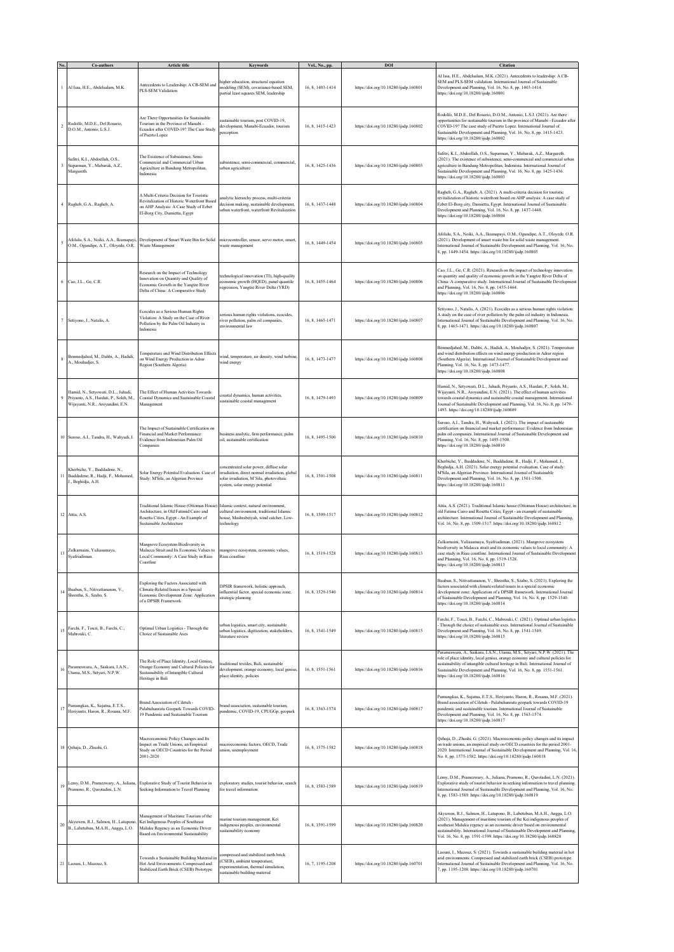|         | Co-authors                                                                                                          | <b>Article title</b>                                                                                                                                              | <b>Keywords</b>                                                                                                                                                     | Vol., No., pp.   | DOI                                   | <b>Citation</b>                                                                                                                                                                                                                                                                                                                                                                      |
|---------|---------------------------------------------------------------------------------------------------------------------|-------------------------------------------------------------------------------------------------------------------------------------------------------------------|---------------------------------------------------------------------------------------------------------------------------------------------------------------------|------------------|---------------------------------------|--------------------------------------------------------------------------------------------------------------------------------------------------------------------------------------------------------------------------------------------------------------------------------------------------------------------------------------------------------------------------------------|
|         | Al Issa, H.E., Abdelsalam, M.K.                                                                                     | Antecedents to Leadership: A CB-SEM and<br>PLS-SEM Validation                                                                                                     | sigher education, structural equation<br>nodeling (SEM), covariance-based SEM,<br>partial least squares SEM, leadership                                             | 16, 8, 1403-1414 | https://doi.org/10.18280/ijsdp.160801 | Al Issa, H.E., Abdelsalam, M.K. (2021). Antecedents to leadership: A CB-<br>SEM and PLS-SEM validation. International Journal of Sustainable<br>Development and Planning, Vol. 16, No. 8, pp. 1403-1414.<br>https://doi.org/10.18280/ijsdp.160801                                                                                                                                    |
|         | Rodolfo, M.D.E., Del Rosario,<br>D.O.M., Antonio, L.S.J.                                                            | Are There Opportunities for Sustainable<br>Tourism in the Province of Manabí -<br>Ecuador after COVID-19? The Case Study<br>of Puerto Lopez                       | ustainable tourism, post COVID-19,<br>development, Manabi-Ecuador, tourism<br>erception                                                                             | 16, 8, 1415-1423 | https://doi.org/10.18280/ijsdp.160802 | Rodolfo, M.D.E., Del Rosario, D.O.M., Antonio, L.S.J. (2021). Are there<br>opportunities for sustainable tourism in the province of Manabi - Ecuador after<br>COVID-19? The case study of Puerto Lopez. International Journal of<br>Sustainable Development and Planning, Vol. 16, No. 8, pp. 1415-1423.<br>attps://doi.org/10.18280/ijsdp.160802                                    |
|         | šafitri, K.I., Abdoellah, O.S.,<br>Suparman, Y., Mubarak, A.Z.,<br>Margareth.                                       | The Existence of Subsistence, Semi-<br>Commercial and Commercial Urban<br>Agriculture in Bandung Metropolitan,<br>Indonesia                                       | aubsistence, semi-commercial, commercial,<br>urban agriculture                                                                                                      | 16, 8, 1425-1436 | https://doi.org/10.18280/ijsdp.160803 | Safitri, K.I., Abdoellah, O.S., Suparman, Y., Mubarak, A.Z., Margareth.<br>(2021). The existence of subsistence, semi-commercial and commercial urban<br>agriculture in Bandung Metropolitan, Indonesia. International Journal of<br>Sustainable Development and Planning, Vol. 16, No. 8, pp. 1425-1436.<br>https://doi.org/10.18280/ijsdp.160803                                   |
|         | Ragheb, G.A., Ragheb, A.                                                                                            | A Multi-Criteria Decision for Touristic<br>Revitalization of Historic Waterfront Based<br>on AHP Analysis: A Case Study of Ezbet<br>El-Borg City, Damietta, Egypt | nalytic hierarchy process, multi-criteria<br>lecision making, sustainable development,<br>urban waterfront, waterfront Revitalization                               | 16, 8, 1437-1448 | https://doi.org/10.18280/ijsdp.160804 | Ragheb, G.A., Ragheb, A. (2021). A multi-criteria decision for touristic<br>revitalization of historic waterfront based on AHP analysis: A case study of<br>Ezbet El-Borg city, Damietta, Egypt. International Journal of Sustainable<br>Development and Planning, Vol. 16, No. 8, pp. 1437-1448.<br>https://doi.org/10.18280/ijsdp.160804                                           |
| 5       | O.M., Ogundipe, A.T., Oloyede. O.R. Waste Management                                                                | Afolalu, S.A., Noiki, A.A., Ikumapayi, Development of Smart Waste Bin for Solid                                                                                   | microcontroller, sensor, servo motor, smart,<br>vaste management                                                                                                    | 16, 8, 1449-1454 | https://doi.org/10.18280/ijsdp.160805 | Afolalu, S.A., Noiki, A.A., Ikumapayi, O.M., Ogundipe, A.T., Oloyede. O.R.<br>(2021). Development of smart waste bin for solid waste management.<br>International Journal of Sustainable Development and Planning, Vol. 16, No.<br>8, pp. 1449-1454. https://doi.org/10.18280/ijsdp.160805                                                                                           |
|         | Cao, J.L., Ge, C.R.                                                                                                 | Research on the Impact of Technology<br>Innovation on Quantity and Quality of<br>Economic Growth in the Yangtze River<br>Delta of China: A Comparative Study      | echnological innovation (TI), high-quality<br>conomic growth (HQED), panel quantile<br>egression, Yangtze River Delta (YRD)                                         | 16, 8, 1455-1464 | https://doi.org/10.18280/ijsdp.160806 | Cao, J.L., Ge, C.R. (2021). Research on the impact of technology innovation<br>on quantity and quality of economic growth in the Yangtze River Delta of<br>China: A comparative study. International Journal of Sustainable Development<br>and Planning, Vol. 16, No. 8, pp. 1455-1464.<br>https://doi.org/10.18280/ijsdp.160806                                                     |
|         | Setiyono, J., Natalis, A.                                                                                           | Ecocides as a Serious Human Rights<br>Violation: A Study on the Case of River<br>Pollution by the Palm Oil Industry in<br>Indonesia                               | erious human rights violations, ecocides,<br>river pollution, palm oil companies,<br>environmental law                                                              | 16, 8, 1465-1471 | https://doi.org/10.18280/ijsdp.160807 | Setiyono, J., Natalis, A. (2021). Ecocides as a serious human rights violation:<br>A study on the case of river pollution by the palm oil industry in Indonesia.<br>International Journal of Sustainable Development and Planning, Vol. 16, No.<br>8, pp. 1465-1471. https://doi.org/10.18280/ijsdp.160807                                                                           |
|         | Benmediahed, M., Dahbi, A., Hadidi,<br>A., Mouhadjer, S.                                                            | <b>Temperature and Wind Distribution Effects</b><br>on Wind Energy Production in Adrar<br>Region (Southern Algeria)                                               | vind, temperature, air density, wind turbine,<br>vind energy                                                                                                        | 16, 8, 1473-1477 | https://doi.org/10.18280/ijsdp.160808 | Benmedjahed, M., Dahbi, A., Hadidi, A., Mouhadjer, S. (2021). Temperature<br>and wind distribution effects on wind energy production in Adrar region<br>Southern Algeria). International Journal of Sustainable Development and<br>Planning, Vol. 16, No. 8, pp. 1473-1477.<br>https://doi.org/10.18280/ijsdp.160808                                                                 |
|         | Hamid, N., Setyowati, D.L., Juhadi,<br>Priyanto, A.S., Hardati, P., Soleh, M.,<br>Wijayanti, N.R., Aroyandini, E.N. | The Effect of Human Activities Towards<br>Coastal Dynamics and Sustainable Coastal<br>Management                                                                  | oastal dynamics, human activities,<br>austainable coastal management                                                                                                | 16, 8, 1479-1493 | https://doi.org/10.18280/ijsdp.160809 | Hamid, N., Setyowati, D.L., Juhadi, Priyanto, A.S., Hardati, P., Soleh, M.,<br>Wijayanti, N.R., Aroyandini, E.N. (2021). The effect of human activities<br>owards coastal dynamics and sustainable coastal management. International<br>fournal of Sustainable Development and Planning, Vol. 16, No. 8, pp. 1479-<br>1493. https://doi.org/10.18280/ijsdp.160809                    |
|         | 10 Suroso, A.I., Tandra, H., Wahyudi, I.                                                                            | The Impact of Sustainable Certification on<br>Financial and Market Performance:<br>Evidence from Indonesian Palm Oil<br><b>Companies</b>                          | business analytic, firm performance, palm<br>oil, sustainable certification                                                                                         | 16, 8, 1495-1500 | https://doi.org/10.18280/ijsdp.160810 | Suroso, A.I., Tandra, H., Wahyudi, I. (2021). The impact of sustainable<br>certification on financial and market performance: Evidence from Indonesian<br>balm oil companies. International Journal of Sustainable Development and<br>Planning, Vol. 16, No. 8, pp. 1495-1500.<br>https://doi.org/10.18280/ijsdp.160810                                                              |
| $^{11}$ | Kherbiche, Y., Ihaddadene, N.,<br>Ihaddadene, R., Hadji, F., Mohamed,<br>J., Beghidja, A.H.                         | Solar Energy Potential Evaluation. Case of<br>Study: M'Sila, an Algerian Province                                                                                 | oncentrated solar power, diffuse solar<br>rradiation, direct normal irradiation, global<br>olar irradiation, M'Sila, photovoltaic<br>system, solar energy potential | 16, 8, 1501-1508 | https://doi.org/10.18280/ijsdp.160811 | Kherbiche, Y., Ihaddadene, N., Ihaddadene, R., Hadji, F., Mohamed, J.,<br>Beghidja, A.H. (2021). Solar energy potential evaluation. Case of study:<br>M'Sila, an Algerian Province. International Journal of Sustainable<br>Development and Planning, Vol. 16, No. 8, pp. 1501-1508.<br>nttps://doi.org/10.18280/ijsdp.160811                                                        |
|         | 12 Attia, A.S.                                                                                                      | Fraditional Islamic House (Ottoman House)<br>Architecture, in Old Fatimid Cairo and<br>Rosetta Cities, Egypt - An Example of<br>Sustainable Architecture          | Islamic context, natural environment,<br>cultural environment, traditional Islamic<br>touse, Mashrabeiyah, wind catcher, Low-<br>technology                         | 16, 8, 1509-1517 | https://doi.org/10.18280/ijsdp.160812 | Attia, A.S. (2021). Traditional Islamic house (Ottoman House) architecture, in<br>old Fatima Cairo and Rosetta Cities, Egypt - an example of sustainable<br>architecture. International Journal of Sustainable Development and Planning,<br>Vol. 16, No. 8, pp. 1509-1517. https://doi.org/10.18280/ijsdp.160812                                                                     |
| 13      | Zulkamaini, Yuliasamaya,<br>Syafriadiman.                                                                           | Mangrove Ecosystem Biodiversity in<br>Malacca Strait and Its Economic Values to<br>ocal Community: A Case Study in Riau<br>Coastline                              | nangrove ecosystem, economic values,<br>Riau coastline                                                                                                              | 16, 8, 1519-1528 | https://doi.org/10.18280/ijsdp.160813 | Zulkamaini, Yuliasamaya, Syafriadiman. (2021). Mangrove ecosystem<br>biodiversity in Malacca strait and its economic values to local community: A<br>case study in Riau coastline. International Journal of Sustainable Development<br>and Planning, Vol. 16, No. 8, pp. 1519-1528.<br>https://doi.org/10.18280/ijsdp.160813                                                         |
| 14      | Buaban, S., Nitivattananon, V.,<br>Shrestha, S., Szabo, S.                                                          | Exploring the Factors Associated with<br>Climate-Related Issues in a Special<br>Economic Development Zone: Application<br>of a DPSIR Framework                    | DPSIR framework, holistic approach,<br>influential factor, special economic zone,<br>trategic planning                                                              | 16, 8, 1529-1540 | https://doi.org/10.18280/ijsdp.160814 | Buaban, S., Nitivattananon, V., Shrestha, S., Szabo, S. (2021). Exploring the<br>factors associated with climate-related issues in a special economic<br>development zone: Application of a DPSIR framework. International Journal<br>of Sustainable Development and Planning, Vol. 16, No. 8, pp. 1529-1540.<br>https://doi.org/10.18280/ijsdp.160814                               |
| 15      | Farchi, F., Touzi, B., Farchi, C.,<br>Mabrouki, C.                                                                  | Optimal Urban Logistics - Through the<br><b>Choice of Sustainable Axes</b>                                                                                        | rban logistics, smart city, sustainable<br>arban logistics, digitization, stakeholders,<br>iterature review                                                         | 16, 8, 1541-1549 | https://doi.org/10.18280/ijsdp.160815 | Farchi, F., Touzi, B., Farchi, C., Mabrouki, C. (2021). Optimal urban logistics<br>Through the choice of sustainable axes. International Journal of Sustainable<br>Development and Planning, Vol. 16, No. 8, pp. 1541-1549.<br>https://doi.org/10.18280/ijsdp.160815                                                                                                                 |
| 16      | Parameswara, A., Saskara, I.A.N.,<br>Utama, M.S., Setyari, N.P.W.                                                   | The Role of Place Identity, Local Genius,<br>Orange Economy and Cultural Policies for<br>Sustainability of Intangible Cultural<br>Heritage in Bali                | raditional textiles, Bali, sustainable<br>development, orange economy, local genius<br>place identity, policies                                                     | 16, 8, 1551-1561 | https://doi.org/10.18280/ijsdp.160816 | Parameswara, A., Saskara, I.A.N., Utama, M.S., Setyari, N.P.W. (2021). The<br>role of place identity, local genius, orange economy and cultural policies for<br>sustainability of intangible cultural heritage in Bali. International Journal of<br>Sustainable Development and Planning, Vol. 16, No. 8, pp. 1551-1561.<br>https://doi.org/10.18280/ijsdp.160816                    |
| 17      | Pamungkas, K., Sujatna, E.T.S.,<br>Heriyanto, Haron, R., Rosana, M.F.                                               | 3rand Association of Ciletuh -<br>Palabuhanratu Geopark Towards COVID-<br>19 Pandemic and Sustainable Tourism                                                     | prand association, sustainable tourism,<br>vandemic, COVID-19, CPUGGp, geopark                                                                                      | 16, 8, 1563-1574 | https://doi.org/10.18280/ijsdp.160817 | Pamungkas, K., Sujatna, E.T.S., Heriyanto, Haron, R., Rosana, M.F. (2021).<br>Brand association of Ciletuh - Palabuhanratu geopark towards COVID-19<br>pandemic and sustainable tourism. International Journal of Sustainable<br>Development and Planning, Vol. 16, No. 8, pp. 1563-1574.<br>https://doi.org/10.18280/ijsdp.160817                                                   |
|         | Qehaja, D., Zhushi, G.                                                                                              | Macroeconomic Policy Changes and Its<br>mpact on Trade Unions, an Empirical<br>Study on OECD Countries for the Period<br>2001-2020                                | nacroeconomic factors, OECD, Trade<br>union, unemployment                                                                                                           | 16, 8, 1575-1582 | https://doi.org/10.18280/ijsdp.160818 | Qehaja, D., Zhushi, G. (2021). Macroeconomic policy changes and its impact<br>on trade unions, an empirical study on OECD countries for the period 2001-<br>2020. International Journal of Sustainable Development and Planning, Vol. 16,<br>No. 8, pp. 1575-1582. https://doi.org/10.18280/ijsdp.160818                                                                             |
| 19      | Lemy, D.M., Pramezwary, A., Juliana,<br>Pramono, R., Qurotadini, L.N                                                | Explorative Study of Tourist Behavior in<br>Seeking Information to Travel Planning                                                                                | xploratory studies, tourist behavior, search<br>for travel information                                                                                              | 16, 8, 1583-1589 | https://doi.org/10.18280/ijsdp.160819 | Lemy, D.M., Pramezwary, A., Juliana, Pramono, R., Qurotadini, L.N. (2021).<br>Explorative study of tourist behavior in seeking information to travel planning.<br>International Journal of Sustainable Development and Planning, Vol. 16, No.<br>8, pp. 1583-1589. https://doi.org/10.18280/ijsdp.160819                                                                             |
| $20\,$  | Akyuwen, R.J., Salmon, H., Latupono,<br>B., Labetubun, M.A.H., Angga, L.O.                                          | Management of Maritime Tourism of the<br>Kei Indigenous Peoples of Southeast<br>Maluku Regency as an Economic Driver<br>Based on Environmental Sustainability     | narine tourism management, Kei<br>ndigenous peoples, environmental<br>ustainability economy                                                                         | 16, 8, 1591-1599 | https://doi.org/10.18280/ijsdp.160820 | Akyuwen, R.J., Salmon, H., Latupono, B., Labetubun, M.A.H., Angga, L.O.<br>(2021). Management of maritime tourism of the Kei indigenous peoples of<br>outheast Maluku regency as an economic driver based on environmental<br>sustainability. International Journal of Sustainable Development and Planning,<br>Vol. 16, No. 8, pp. 1591-1599. https://doi.org/10.18280/ijsdp.160820 |
|         | 21 Laouni, I., Mazouz, S.                                                                                           | Towards a Sustainable Building Material in<br>Hot Arid Environments: Compressed and<br>Stabilized Earth Brick (CSEB) Prototype                                    | ompressed and stabilized earth brick<br>CSEB), ambient temperature,<br>xperimentation, thermal simulation,<br>ustainable building material                          | 16, 7, 1195-1208 | https://doi.org/10.18280/ijsdp.160701 | Laouni, I., Mazouz, S. (2021). Towards a sustainable building material in hot<br>arid environments: Compressed and stabilized earth brick (CSEB) prototype.<br>International Journal of Sustainable Development and Planning, Vol. 16, No.<br>7, pp. 1195-1208. https://doi.org/10.18280/ijsdp.160701                                                                                |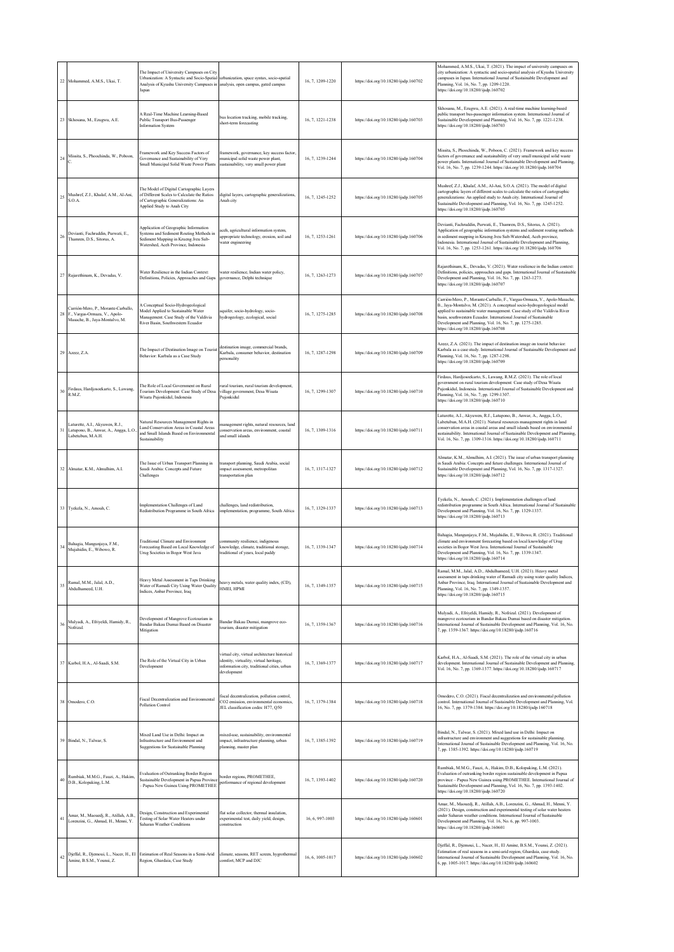|    | 22 Mohammed, A.M.S., Ukai, T.                                                                             | The Impact of University Campuses on City<br>Urbanization: A Syntactic and Socio-Spatial urbanization, space syntax, socio-spatial<br>Analysis of Kyushu University Campuses in analysis, open campus, gated campus<br>Japan |                                                                                                                                                        | 16, 7, 1209-1220 | https://doi.org/10.18280/ijsdp.160702 | Mohammed, A.M.S., Ukai, T. (2021). The impact of university campuses on<br>city urbanization: A syntactic and socio-spatial analysis of Kyushu University<br>campuses in Japan. International Journal of Sustainable Development and<br>Planning, Vol. 16, No. 7, pp. 1209-1220.<br>https://doi.org/10.18280/ijsdp.160702                                                                                  |
|----|-----------------------------------------------------------------------------------------------------------|------------------------------------------------------------------------------------------------------------------------------------------------------------------------------------------------------------------------------|--------------------------------------------------------------------------------------------------------------------------------------------------------|------------------|---------------------------------------|------------------------------------------------------------------------------------------------------------------------------------------------------------------------------------------------------------------------------------------------------------------------------------------------------------------------------------------------------------------------------------------------------------|
|    | 23 Skhosana, M., Ezugwu, A.E.                                                                             | A Real-Time Machine Learning-Based<br>Public Transport Bus-Passenger<br><b>Information System</b>                                                                                                                            | bus location tracking, mobile tracking,<br>short-term forecasting                                                                                      | 16, 7, 1221-1238 | https://doi.org/10.18280/ijsdp.160703 | Skhosana, M., Ezugwu, A.E. (2021). A real-time machine learning-based<br>public transport bus-passenger information system. International Journal of<br>Sustainable Development and Planning, Vol. 16, No. 7, pp. 1221-1238.<br>https://doi.org/10.18280/ijsdp.160703                                                                                                                                      |
| 24 | Missita, S., Phoochinda, W., Poboon,                                                                      | Framework and Key Success Factors of<br>Governance and Sustainability of Very<br>Small Municipal Solid Waste Power Plants                                                                                                    | framework, governance, key success factor,<br>municipal solid waste power plant,<br>sustainability, very small power plant                             | 16, 7, 1239-1244 | https://doi.org/10.18280/ijsdp.160704 | Missita, S., Phoochinda, W., Poboon, C. (2021). Framework and key success<br>factors of governance and sustainability of very small municipal solid waste<br>power plants. International Journal of Sustainable Development and Planning,<br>Vol. 16, No. 7, pp. 1239-1244. https://doi.org/10.18280/ijsdp.160704                                                                                          |
| 25 | Mushref, Z.J., Khalaf, A.M., Al-Ani,<br>S.O.A.                                                            | The Model of Digital Cartographic Layers<br>of Different Scales to Calculate the Ratios<br>of Cartographic Generalizations: An<br>Applied Study to Anah City                                                                 | digital layers, cartographic generalizations,<br>Anah city                                                                                             | 16, 7, 1245-1252 | https://doi.org/10.18280/ijsdp.160705 | Mushref, Z.J., Khalaf, A.M., Al-Ani, S.O.A. (2021). The model of digital<br>cartographic layers of different scales to calculate the ratios of cartographic<br>generalizations: An applied study to Anah city. International Journal of<br>Sustainable Development and Planning, Vol. 16, No. 7, pp. 1245-1252.<br>https://doi.org/10.18280/ijsdp.160705                                                   |
| 26 | Devianti, Fachruddin, Purwati, E.,<br>Thamren, D.S., Sitorus, A.                                          | Application of Geographic Information<br>Systems and Sediment Routing Methods in<br>Sediment Mapping in Krueng Jreu Sub-<br>Watershed, Aceh Province, Indonesia                                                              | aceh, agricultural information system,<br>appropriate technology, erosion, soil and<br>water engineering                                               | 16, 7, 1253-1261 | https://doi.org/10.18280/ijsdp.160706 | Devianti, Fachruddin, Purwati, E., Thamren, D.S., Sitorus, A. (2021).<br>Application of geographic information systems and sediment routing methods<br>in sediment mapping in Krueng Jreu Sub-Watershed, Aceh province,<br>Indonesia. International Journal of Sustainable Development and Planning,<br>Vol. 16, No. 7, pp. 1253-1261. https://doi.org/10.18280/ijsdp.160706                               |
|    | 27 Rajarethinam, K., Devadas, V.                                                                          | Water Resilience in the Indian Context:<br>Definitions, Policies, Approaches and Gaps                                                                                                                                        | water resilience, Indian water policy,<br>governance, Delphi technique                                                                                 | 16, 7, 1263-1273 | https://doi.org/10.18280/ijsdp.160707 | Rajarethinam, K., Devadas, V. (2021). Water resilience in the Indian context:<br>Definitions, policies, approaches and gaps. International Journal of Sustainable<br>Development and Planning, Vol. 16, No. 7, pp. 1263-1273.<br>https://doi.org/10.18280/ijsdp.160707                                                                                                                                     |
|    | Carrión-Mero, P., Morante-Carballo,<br>28 F., Vargas-Ormaza, V., Apolo-<br>Masache, B., Jaya-Montalvo, M. | A Conceptual Socio-Hydrogeological<br>Model Applied to Sustainable Water<br>Management. Case Study of the Valdivia<br>River Basin, Southwestern Ecuador                                                                      | aquifer, socio-hydrology, socio-<br>hydrogeology, ecological, social                                                                                   | 16, 7, 1275-1285 | https://doi.org/10.18280/ijsdp.160708 | Carrión-Mero, P., Morante-Carballo, F., Vargas-Ormaza, V., Apolo-Masache,<br>B., Jaya-Montalvo, M. (2021). A conceptual socio-hydrogeological model<br>applied to sustainable water management. Case study of the Valdivia River<br>basin, southwestern Ecuador. International Journal of Sustainable<br>Development and Planning, Vol. 16, No. 7, pp. 1275-1285.<br>https://doi.org/10.18280/ijsdp.160708 |
|    | 29 Azeez, Z.A.                                                                                            | The Impact of Destination Image on Tourist<br>Behavior: Karbala as a Case Study                                                                                                                                              | destination image, commercial brands,<br>Karbala, consumer behavior, destination<br>personality                                                        | 16, 7, 1287-1298 | https://doi.org/10.18280/ijsdp.160709 | Azeez, Z.A. (2021). The impact of destination image on tourist behavior:<br>Karbala as a case study. International Journal of Sustainable Development and<br>Planning, Vol. 16, No. 7, pp. 1287-1298.<br>https://doi.org/10.18280/ijsdp.160709                                                                                                                                                             |
| 30 | Firdaus, Hardjosoekarto, S., Lawang,<br>R.M.Z.                                                            | The Role of Local Government on Rural<br>Tourism Development: Case Study of Desa<br>Wisata Pujonkidul, Indonesia                                                                                                             | rural tourism, rural tourism development,<br>village government, Desa Wisata<br>Puionkidul                                                             | 16, 7, 1299-1307 | https://doi.org/10.18280/ijsdp.160710 | Firdaus, Hardjosoekarto, S., Lawang, R.M.Z. (2021). The role of local<br>government on rural tourism development: Case study of Desa Wisata<br>Pujonkidul, Indonesia. International Journal of Sustainable Development and<br>Planning, Vol. 16, No. 7, pp. 1299-1307.<br>https://doi.org/10.18280/ijsdp.160710                                                                                            |
|    | Laturette, A.I., Akyuwen, R.J.,<br>31 Latupono, B., Anwar, A., Angga, L.O.<br>Labetubun, M.A.H.           | Natural Resources Management Rights in<br>Land Conservation Areas in Coastal Areas<br>and Small Islands Based on Environmental<br>Sustainability                                                                             | nanagement rights, natural resources, land<br>conservation areas, environment, coastal<br>and small islands                                            | 16, 7, 1309-1316 | https://doi.org/10.18280/ijsdp.160711 | Laturette, A.I., Akyuwen, R.J., Latupono, B., Anwar, A., Angga, L.O.,<br>Labetubun, M.A.H. (2021). Natural resources management rights in land<br>conservation areas in coastal areas and small islands based on environmental<br>sustainability. International Journal of Sustainable Development and Planning<br>Vol. 16, No. 7, pp. 1309-1316. https://doi.org/10.18280/ijsdp.160711                    |
|    | 32 Almatar, K.M., Almulhim, A.I.                                                                          | The Issue of Urban Transport Planning in<br>Saudi Arabia: Concepts and Future<br>Challenges                                                                                                                                  | transport planning, Saudi Arabia, social<br>impact assessment, metropolitan<br>transportation plan                                                     | 16, 7, 1317-1327 | https://doi.org/10.18280/ijsdp.160712 | Almatar, K.M., Almulhim, A.I. (2021). The issue of urban transport planning<br>in Saudi Arabia: Concepts and future challenges. International Journal of<br>Sustainable Development and Planning, Vol. 16, No. 7, pp. 1317-1327.<br>https://doi.org/10.18280/ijsdp.160712                                                                                                                                  |
|    | 33 Tyekela, N., Amoah, C.                                                                                 | Implementation Challenges of Land<br>Redistribution Programme in South Africa                                                                                                                                                | challenges, land redistribution,<br>implementation, programme, South Africa                                                                            | 16.7.1329-1337   | https://doi.org/10.18280/ijsdp.160713 | Tyckela, N., Amoah, C. (2021). Implementation challenges of land<br>redistribution programme in South Africa. International Journal of Sustainable<br>Development and Planning, Vol. 16, No. 7, pp. 1329-1337.<br>https://doi.org/10.18280/ijsdp.160713                                                                                                                                                    |
|    | Bahagia, Mangunjaya, F.M.,<br>Mujahidin, E., Wibowo, R.                                                   | Traditional Climate and Environment<br>Forecasting Based on Local Knowledge of<br>Urug Societies in Bogor West Java                                                                                                          | community resilience, indigenous<br>knowledge, climate, traditional storage,<br>traditional of years, local paddy                                      | 16, 7, 1339-1347 | https://doi.org/10.18280/ijsdp.160714 | Bahagia, Mangunjaya, F.M., Mujahidin, E., Wibowo, R. (2021). Traditional<br>climate and environment forecasting based on local knowledge of Urug<br>societies in Bogor West Java. International Journal of Sustainable<br>Development and Planning, Vol. 16, No. 7, pp. 1339-1347.<br>https://doi.org/10.18280/ijsdp.160714                                                                                |
| 35 | Ramal, M.M., Jalal, A.D.,<br>Abdulhameed, U.H.                                                            | Heavy Metal Assessment in Taps Drinking<br>Water of Ramadi City Using Water Quality<br>Indices, Anbar Province, Iraq                                                                                                         | heavy metals, water quality index, (CD),<br>HMEI, HPMI                                                                                                 | 16, 7, 1349-1357 | https://doi.org/10.18280/ijsdp.160715 | Ramal, M.M., Jalal, A.D., Abdulhameed, U.H. (2021). Heavy metal<br>assessment in taps drinking water of Ramadi city using water quality Indices,<br>Anbar Province, Iraq. International Journal of Sustainable Development and<br>Planning, Vol. 16, No. 7, pp. 1349-1357.<br>https://doi.org/10.18280/ijsdp.160715                                                                                        |
| 36 | Mulyadi, A., Efriyeldi, Hamidy, R.,<br>Nofrizal.                                                          | Development of Mangrove Ecotourism in<br>Bandar Bakau Dumai Based on Disaster<br>Mitigation                                                                                                                                  | Bandar Bakau Dumai, mangrove eco-<br>tourism, disaster mitigation                                                                                      | 16, 7, 1359-1367 | https://doi.org/10.18280/ijsdp.160716 | Mulyadi, A., Efriyeldi, Hamidy, R., Nofrizal. (2021). Development of<br>mangrove ecotourism in Bandar Bakau Dumai based on disaster mitigation.<br>International Journal of Sustainable Development and Planning, Vol. 16, No.<br>7, pp. 1359-1367. https://doi.org/10.18280/ijsdp.160716                                                                                                                  |
|    | 37 Karbol, H.A., Al-Saadi, S.M.                                                                           | The Role of the Virtual City in Urban<br>Development                                                                                                                                                                         | virtual city, virtual architecture historical<br>identity, virtuality, virtual heritage,<br>information city, traditional cities, urban<br>development | 16, 7, 1369-1377 | https://doi.org/10.18280/ijsdp.160717 | Karbol, H.A., Al-Saadi, S.M. (2021). The role of the virtual city in urban<br>development. International Journal of Sustainable Development and Planning,<br>Vol. 16, No. 7, pp. 1369-1377. https://doi.org/10.18280/ijsdp.160717                                                                                                                                                                          |
|    | 38 Omodero, C.O.                                                                                          | Fiscal Decentralization and Environmental<br>Pollution Control                                                                                                                                                               | iscal decentralization, pollution control,<br>CO2 emission, environmental economics,<br>JEL classification codes: H77, Q50                             | 16, 7, 1379-1384 | https://doi.org/10.18280/ijsdp.160718 | Omodero, C.O. (2021). Fiscal decentralization and environmental pollution<br>control. International Journal of Sustainable Development and Planning, Vol.<br>16, No. 7, pp. 1379-1384. https://doi.org/10.18280/ijsdp.160718                                                                                                                                                                               |
|    | 39 Bindal, N., Talwar, S.                                                                                 | Mixed Land Use in Delhi: Impact on<br>Infrastructure and Environment and<br>Suggestions for Sustainable Planning                                                                                                             | mixed-use, sustainability, environmental<br>impact, infrastructure planning, urban<br>planning, master plan                                            | 16, 7, 1385-1392 | https://doi.org/10.18280/ijsdp.160719 | Bindal, N., Talwar, S. (2021). Mixed land use in Delhi: Impact on<br>infrastructure and environment and suggestions for sustainable planning.<br>International Journal of Sustainable Development and Planning, Vol. 16, No.<br>7, pp. 1385-1392. https://doi.org/10.18280/ijsdp.160719                                                                                                                    |
| 40 | Rumbiak, M.M.G., Fauzi, A., Hakim,<br>D.B., Kolopaking, L.M.                                              | Evaluation of Outranking Border Region<br>Sustainable Development in Papua Provinc<br>- Papua New Guinea Using PROMETHEE                                                                                                     | border regions, PROMETHEE,<br>performance of regional development                                                                                      | 16, 7, 1393-1402 | https://doi.org/10.18280/ijsdp.160720 | Rumbiak, M.M.G., Fauzi, A., Hakim, D.B., Kolopaking, L.M. (2021).<br>Evaluation of outranking border region sustainable development in Papua<br>province - Papua New Guinea using PROMETHEE. International Journal of<br>Sustainable Development and Planning, Vol. 16, No. 7, pp. 1393-1402.<br>https://doi.org/10.18280/ijsdp.160720                                                                     |
| 41 | Amar, M., Maouedj, R., Atillah, A.B.,<br>Lorenzini, G., Ahmad, H., Menni, Y.                              | Design, Construction and Experimental<br>Testing of Solar Water Heaters under<br>Saharan Weather Conditions                                                                                                                  | flat solar collector, thermal insulation,<br>experimental test, daily yield, design,<br>construction                                                   | 16, 6, 997-1003  | https://doi.org/10.18280/ijsdp.160601 | Amar, M., Maouedj, R., Atillah, A.B., Lorenzini, G., Ahmad, H., Menni, Y.<br>(2021). Design, construction and experimental testing of solar water heaters<br>under Saharan weather conditions. International Journal of Sustainable<br>Development and Planning, Vol. 16, No. 6, pp. 997-1003.<br>https://doi.org/10.18280/ijsdp.160601                                                                    |
| 42 | Djeffal, R., Djemoui, L., Nacer, H., El<br>Amine, B.S.M., Younsi, Z.                                      | Estimation of Real Seasons in a Semi-Arid<br>Region, Ghardaia, Case Study                                                                                                                                                    | climate, seasons, RET screen, hygrothermal<br>comfort, MCP and DJC                                                                                     | 16, 6, 1005-1017 | https://doi.org/10.18280/ijsdp.160602 | Djeffal, R., Djemoui, L., Nacer, H., El Amine, B.S.M., Younsi, Z. (2021).<br>Estimation of real seasons in a semi-arid region, Ghardaia, case study.<br>International Journal of Sustainable Development and Planning, Vol. 16, No.<br>6, pp. 1005-1017. https://doi.org/10.18280/ijsdp.160602                                                                                                             |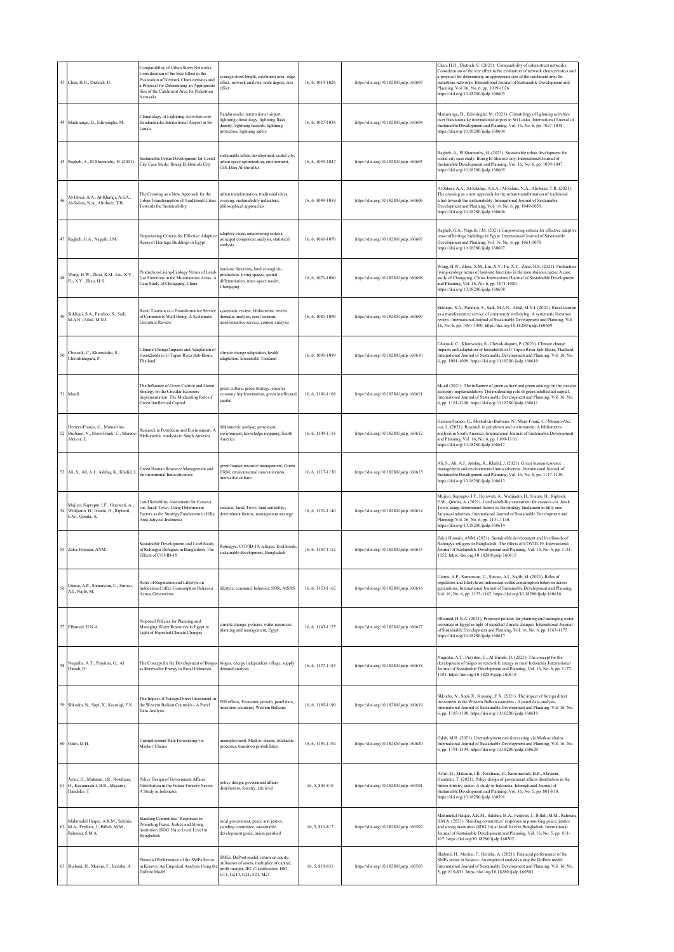|    | 43 Chen, H.H., Dietrich, U.                                                                        | Comparability of Urban Street Networks:<br>Consideration of the Size Effect in the<br>Evaluation of Network Characteristics and<br>Proposal for Determining an Appropriate<br>Size of the Catchment Area for Pedestrian<br>Networks | verage street length, catchment area, edge<br>effect, network analysis, node degree, size<br>effect                                                           | 16, 6, 1019-1026 | https://doi.org/10.18280/ijsdp.160603 | Chen, H.H., Dietrich, U. (2021). Comparability of urban street networks:<br>Consideration of the size effect in the evaluation of network characteristics and<br>proposal for determining an appropriate size of the catchment area for<br>pedestrian networks. International Journal of Sustainable Development and<br>Planning, Vol. 16, No. 6, pp. 1019-1026.<br>https://doi.org/10.18280/ijsdp.160603 |
|----|----------------------------------------------------------------------------------------------------|-------------------------------------------------------------------------------------------------------------------------------------------------------------------------------------------------------------------------------------|---------------------------------------------------------------------------------------------------------------------------------------------------------------|------------------|---------------------------------------|-----------------------------------------------------------------------------------------------------------------------------------------------------------------------------------------------------------------------------------------------------------------------------------------------------------------------------------------------------------------------------------------------------------|
|    | 44 Maduranga, D., Edirisinghe, M.                                                                  | Climatology of Lightning Activities over<br>Bandaranaike International Airport in Sri<br>Lanka                                                                                                                                      | andaranaike international airport,<br>ightning climatology, lightning flash<br>density, lightning hazards, lightning<br>protection, lightning safety          | 16, 6, 1027-1038 | https://doi.org/10.18280/ijsdp.160604 | Aaduranga, D., Edirisinghe, M. (2021). Climatology of lightning activities<br>over Bandaranaike international airport in Sri Lanka. International Journal of<br>Sustainable Development and Planning, Vol. 16, No. 6, pp. 1027-1038.<br>attps://doi.org/10.18280/ijsdp.160604                                                                                                                             |
|    | 45 Ragheb, A., El Sharnouby, H. (2021).                                                            | Sustainable Urban Development for Costal<br>City Case Study: Bourg El-Bourols City                                                                                                                                                  | ustainable urban development, costal city,<br>trban space optimization, environment,<br>GIS, Burj Al-Burullus                                                 | 16, 6, 1039-1047 | https://doi.org/10.18280/ijsdp.160605 | Ragheb, A., El Sharnouby, H. (2021). Sustainable urban development for<br>costal city case study: Bourg El-Bourols city. International Journal of<br>Sustainable Development and Planning, Vol. 16, No. 6, pp. 1039-1047.<br>https://doi.org/10.18280/ijsdp.160605                                                                                                                                        |
| 46 | Al-Jaberi, A.A., Al-Khafaji, A.S.A.,<br>Al-Salam, N.A., Alrobace, T.R.                             | The Crossing as a New Approach for the<br>Jrban Transformation of Traditional Cities<br>Towards the Sustainability                                                                                                                  | rban transformation, traditional cities,<br>rossing, sustainability indicators,<br>philosophical approaches                                                   | 16, 6, 1049-1059 | https://doi.org/10.18280/ijsdp.160606 | Al-Jaberi, A.A., Al-Khafaji, A.S.A., Al-Salam, N.A., Alrobaee, T.R. (2021).<br>The crossing as a new approach for the urban transformation of traditional<br>cities towards the sustainability. International Journal of Sustainable<br>Development and Planning, Vol. 16, No. 6, pp. 1049-1059.<br>https://doi.org/10.18280/ijsdp.160606                                                                 |
|    | 47 Ragheb, G.A., Naguib, I.M.                                                                      | Empowering Criteria for Effective Adaptive<br>Reuse of Heritage Buildings in Egypt                                                                                                                                                  | daptive reuse, empowering criteria,<br>principal component analysis, statistical<br>malysis                                                                   | 16, 6, 1061-1070 | https://doi.org/10.18280/ijsdp.160607 | Ragheb, G.A., Naguib, I.M. (2021). Empowering criteria for effective adaptive<br>euse of heritage buildings in Egypt. International Journal of Sustainable<br>Development and Planning, Vol. 16, No. 6, pp. 1061-1070.<br>https://doi.org/10.18280/ijsdp.160607                                                                                                                                           |
| 48 | Wang, H.W., Zhou, X.M., Liu, X.Y.,<br>Fu, X.Y., Zhao, H.S.                                         | Production-Living-Ecology Nexus of Land-<br>Jse Functions in the Mountainous Areas: A<br>Case Study of Chongqing, China                                                                                                             | land-use functions, land ecological-<br>production-living spaces, spatial<br>differentiation, state-space model,<br>Chongqing                                 | 16, 6, 1071-1080 | https://doi.org/10.18280/ijsdp.160608 | Wang, H.W., Zhou, X.M., Liu, X.Y., Fu, X.Y., Zhao, H.S. (2021). Production<br>living-ecology nexus of land-use functions in the mountainous areas: A case<br>study of Chongqing, China. International Journal of Sustainable Development<br>and Planning, Vol. 16, No. 6, pp. 1071-1080.<br>https://doi.org/10.18280/ijsdp.160608                                                                         |
| 49 | Siddiqui, S.A., Parahoo, S., Sadi,<br>M.A.N., Afzal, M.N.I.                                        | Rural Tourism as a Transformative Service<br>of Community Well-Being: A Systematic<br>Literature Review                                                                                                                             | systematic review, bibliometric review,<br>thematic analysis, rural tourism,<br>ransformative service, content analysis                                       | 16, 6, 1081-1090 | https://doi.org/10.18280/ijsdp.160609 | Siddiqui, S.A., Parahoo, S., Sadi, M.A.N., Afzal, M.N.I. (2021). Rural tourism<br>as a transformative service of community well-being: A systematic literature<br>review. International Journal of Sustainable Development and Planning, Vol.<br>16, No. 6, pp. 1081-1090. https://doi.org/10.18280/ijsdp.160609                                                                                          |
| 50 | Choosuk, C., Khunwishit, S.,<br>Chevakidagarn, P.                                                  | Climate Change Impacts and Adaptation of<br>Households in U-Tapao River Sub-Basin,<br>Thailand                                                                                                                                      | climate change adaptation, health<br>daptation, household, Thailand                                                                                           | 16, 6, 1091-1099 | https://doi.org/10.18280/ijsdp.160610 | Choosuk, C., Khunwishit, S., Chevakidagam, P. (2021). Climate change<br>impacts and adaptation of households in U-Tapao River Sub-Basin, Thailand.<br>International Journal of Sustainable Development and Planning, Vol. 16, No.<br>5, pp. 1091-1099. https://doi.org/10.18280/ijsdp.160610                                                                                                              |
|    | 51 Muafi                                                                                           | The Influence of Green Culture and Green<br>Strategy on the Circular Economy<br>Implementation: The Moderating Role of<br>Green Intellectual Capital                                                                                | green culture, green strategy, circular<br>conomy implementation, green intellectual<br>apital                                                                | 16, 6, 1101-1108 | https://doi.org/10.18280/ijsdp.160611 | Muafi (2021). The influence of green culture and green strategy on the circular<br>economy implementation: The moderating role of green intellectual capital.<br>International Journal of Sustainable Development and Planning, Vol. 16, No.<br>6, pp. 1101-1108. https://doi.org/10.18280/ijsdp.160611                                                                                                   |
|    | Herrera-Franco, G., Montalván-<br>Burbano, N., Mora-Frank, C., Moreno<br>Alcívar, L.               | Research in Petroleum and Environment: A<br>Bibliometric Analysis in South America                                                                                                                                                  | oibliometric analyse, petroleum,<br>nvironment, knowledge mapping, South<br>America                                                                           | 16, 6, 1109-1116 | https://doi.org/10.18280/ijsdp.160612 | Herrera-Franco, G., Montalván-Burbano, N., Mora-Frank, C., Moreno-Alcí<br>var, L. (2021). Research in petroleum and environment: A bibliometric<br>analysis in South America. International Journal of Sustainable Development<br>and Planning, Vol. 16, No. 6, pp. 1109-1116.<br>https://doi.org/10.18280/ijsdp.160612                                                                                   |
|    | 53 Ali, S., Ali, A.J., Ashfaq, K., Khalid, J.                                                      | Green Human Resource Management and<br>Environmental Innovativeness                                                                                                                                                                 | reen human resource management, Green<br>IRM, environmental innovativeness,<br>innovative culture                                                             | 16, 6, 1117-1130 | https://doi.org/10.18280/ijsdp.160613 | Ali, S., Ali, A.J., Ashfaq, K., Khalid, J. (2021). Green human resource<br>nanagement and environmental innovativeness. International Journal of<br>Sustainable Development and Planning, Vol. 16, No. 6, pp. 1117-1130.<br>https://doi.org/10.18280/ijsdp.160613                                                                                                                                         |
| 54 | Mujiyo, Suprapto, I.F., Herawati, A.,<br>Widijanto, H., Irianto, H., Riptanti,<br>E.W., Qonita, A. | and Suitability Assessment for Cassava<br>var. Jarak Towo, Using Determinant<br>Factors as the Strategy Fundament in Hilly<br>Area Jatiyoso-Indonesia                                                                               | assava, Jarak Towo, land suitability,<br>leterminant factors, management strategy                                                                             | 16, 6, 1131-1140 | https://doi.org/10.18280/ijsdp.160614 | Mujiyo, Suprapto, I.F., Herawati, A., Widijanto, H., Irianto, H., Riptanti,<br>E.W., Qonita, A. (2021). Land suitability assessment for cassava var. Jarak<br>Towo, using determinant factors as the strategy fundament in hilly area<br>Jatiyoso-Indonesia. International Journal of Sustainable Development and<br>Planning, Vol. 16, No. 6, pp. 1131-1140.<br>https://doi.org/10.18280/ijsdp.160614    |
|    | 55 Zakir Hossain ANM                                                                               | Sustainable Development and Livelihoods<br>of Rohingya Refugees in Bangladesh: The<br>Effects of COVID-19                                                                                                                           | tohingya, COVID-19, refugee, livelihoods<br>ustainable development, Bangladesh                                                                                | 16, 6, 1141-1152 | https://doi.org/10.18280/ijsdp.160615 | Zakir Hossain, ANM. (2021). Sustainable development and livelihoods of<br>Rohingya refugees in Bangladesh: The effects of COVID-19. International<br>ournal of Sustainable Development and Planning, Vol. 16, No. 6, pp. 1141-<br>152. https://doi.org/10.18280/ijsdp.160615                                                                                                                              |
| 56 | Utama, A.P., Sumarwan, U., Suroso,<br>A.I., Najib, M.                                              | Roles of Regulation and Lifestyle on<br>ndonesian Coffee Consumption Behavior<br><b>Across Generations</b>                                                                                                                          | lifestyle, consumer behavior, SOR, AISAS                                                                                                                      | 16, 6, 1153-1162 | https://doi.org/10.18280/ijsdp.160616 | Utama, A.P., Sumarwan, U., Suroso, A.I., Najib, M. (2021). Roles of<br>regulation and lifestyle on Indonesian coffee consumption behavior across<br>generations. International Journal of Sustainable Development and Planning,<br>Vol. 16, No. 6, pp. 1153-1162. https://doi.org/10.18280/ijsdp.160616                                                                                                   |
|    | 57 Elhamed, H.N.A.                                                                                 | Proposed Policies for Planning and<br>Managing Water Resources in Egypt in<br>ight of Expected Climate Changes                                                                                                                      | limate change, policies, water resources,<br>planning and management, Egypt                                                                                   | 16, 6, 1163-1175 | https://doi.org/10.18280/ijsdp.160617 | Elhamed, H.N.A. (2021). Proposed policies for planning and managing water<br>resources in Egypt in light of expected climate changes. International Journal<br>of Sustainable Development and Planning, Vol. 16, No. 6, pp. 1163-1175.<br>https://doi.org/10.18280/ijsdp.160617                                                                                                                           |
| 58 | Nugraha, A.T., Prayitno, G., Al<br>Himah, D.                                                       | The Concept for the Development of Biogas<br>as Renewable Energy in Rural Indonesia                                                                                                                                                 | biogas, energy independent village, supply<br>demand analysis                                                                                                 | 16.6.1177-1183   | https://doi.org/10.18280/ijsdp.160618 | Nugraha, A.T., Prayitno, G., Al Himah, D. (2021). The concept for the<br>development of biogas as renewable energy in rural Indonesia. International<br>Journal of Sustainable Development and Planning, Vol. 16, No. 6, pp. 1177-<br>1183. https://doi.org/10.18280/ijsdp.160618                                                                                                                         |
| 59 | Shkodra, N., Sopi, X., Krasniqi, F.X.                                                              | The Impact of Foreign Direct Investment in<br>the Western Balkan Countries - A Panel<br>Data Analysis                                                                                                                               | <sup>2</sup> DI effects, Economic growth, panel data,<br>ransition countries, Western Balkans                                                                 | 16, 6, 1185-1190 | https://doi.org/10.18280/ijsdp.160619 | Shkodra, N., Sopi, X., Krasniqi, F.X. (2021). The impact of foreign direct<br>investment in the Western Balkan countries - A panel data analysis.<br>International Journal of Sustainable Development and Planning, Vol. 16, No.<br>6, pp. 1185-1190. https://doi.org/10.18280/ijsdp.160619                                                                                                               |
|    | 60 Odah, M.H.                                                                                      | Unemployment Rate Forecasting via<br>Markov Chains                                                                                                                                                                                  | unemployment, Markov chains, stochastic<br>processes, transition probabilities                                                                                | 16, 6, 1191-1194 | https://doi.org/10.18280/ijsdp.160620 | Odah, M.H. (2021). Unemployment rate forecasting via Markov chains.<br>International Journal of Sustainable Development and Planning, Vol. 16, No.<br>6, pp. 1191-1194. https://doi.org/10.18280/ijsdp.160620                                                                                                                                                                                             |
| 61 | As'ari, H., Maksum, I.R., Rosdiana,<br>H., Kusumastuti, H.R., Mayarni,<br>Handoko, T.              | Policy Design of Government Affairs<br>Distribution in the Future Forestry Sector:<br>A Study in Indonesia                                                                                                                          | olicy design, government affairs<br>distribution, forestry, site level                                                                                        | 16, 5, 801-810   | https://doi.org/10.18280/ijsdp.160501 | As'ari, H., Maksum, I.R., Rosdiana, H., Kusumastuti, H.R., Mayami,<br>Handoko, T. (2021). Policy design of government affairs distribution in the<br>future forestry sector: A study in Indonesia. International Journal of<br>Sustainable Development and Planning, Vol. 16, No. 5, pp. 801-810.<br>https://doi.org/10.18280/ijsdp.160501                                                                |
| 62 | Mahmudul Haque, A.K.M., Salehin,<br>M.A., Ferdous, J., Billah, M.M.,<br>Rahman, S.M.A.             | Standing Committees' Responses in<br>Promoting Peace, Justice and Strong<br>Institution (SDG 16) at Local Level in<br>Bangladesh                                                                                                    | local government, peace and justice,<br>standing committee, sustainable<br>levelopment goals, union parishad                                                  | 16.5.811-817     | https://doi.org/10.18280/ijsdp.160502 | Mahmudul Haque, A.K.M., Salehin, M.A., Ferdous, J., Billah, M.M., Rahman<br>S.M.A. (2021). Standing committees' responses in promoting peace, justice<br>and strong institution (SDG 16) at local level in Bangladesh. International<br>ournal of Sustainable Development and Planning, Vol. 16, No. 5, pp. 811-<br>817. https://doi.org/10.18280/ijsdp.160502                                            |
|    | 63 Shabani, H., Morina, F., Berisha, A.                                                            | Financial Performance of the SMEs Sector<br>in Kosovo: An Empirical Analysis Using the<br>DuPont Model                                                                                                                              | SMEs, DuPont model, return on equity,<br>utilisation of assets, multiplier of capital,<br>profit margin, JEL Classification: D82,<br>G11, G210, G21, F21, M21 | 16, 5, 819-831   | https://doi.org/10.18280/ijsdp.160503 | Shabani, H., Morina, F., Berisha, A. (2021). Financial performance of the<br>SMEs sector in Kosovo: An empirical analysis using the DuPont model.<br>International Journal of Sustainable Development and Planning, Vol. 16, No.<br>5, pp. 819-831. https://doi.org/10.18280/ijsdp.160503                                                                                                                 |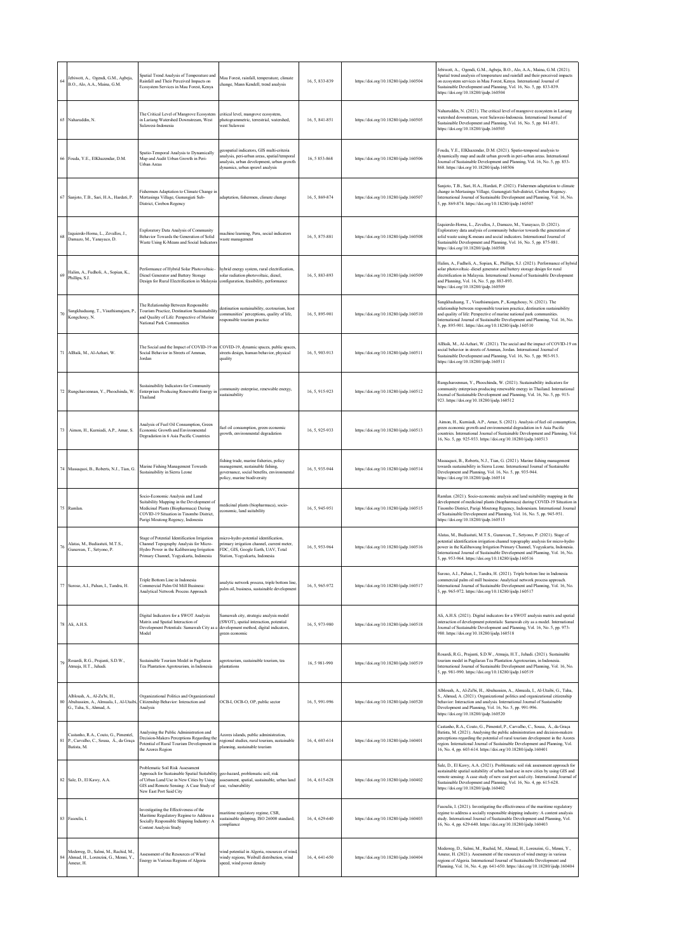| 64 | Jebiwott, A., Ogendi, G.M., Agbeja,<br>B.O., Alo, A.A., Maina, G.M.                             | Spatial Trend Analysis of Temperature and<br>Rainfall and Their Perceived Impacts on<br>Ecosystem Services in Mau Forest, Kenya                                                                        | Mau Forest, rainfall, temperature, climate<br>change, Mann Kendell, trend analysis                                                                                        | 16, 5, 833-839 | https://doi.org/10.18280/ijsdp.160504 | Jebiwott, A., Ogendi, G.M., Agbeja, B.O., Alo, A.A., Maina, G.M. (2021).<br>Spatial trend analysis of temperature and rainfall and their perceived impacts<br>on ecosystem services in Mau Forest, Kenya. International Journal of<br>Sustainable Development and Planning, Vol. 16, No. 5, pp. 833-839.<br>https://doi.org/10.18280/ijsdp.160504                                           |
|----|-------------------------------------------------------------------------------------------------|--------------------------------------------------------------------------------------------------------------------------------------------------------------------------------------------------------|---------------------------------------------------------------------------------------------------------------------------------------------------------------------------|----------------|---------------------------------------|---------------------------------------------------------------------------------------------------------------------------------------------------------------------------------------------------------------------------------------------------------------------------------------------------------------------------------------------------------------------------------------------|
| 65 | Naharuddin, N.                                                                                  | The Critical Level of Mangrove Ecosystem<br>in Lariang Watershed Downstream, West<br>Sulawesi-Indonesia                                                                                                | critical level, mangrove ecosystem,<br>photogrammetric, terrestrial, watershed,<br>west Sulawesi                                                                          | 16, 5, 841-851 | https://doi.org/10.18280/ijsdp.160505 | Naharuddin, N. (2021). The critical level of mangrove ecosystem in Lariang<br>watershed downstream, west Sulawesi-Indonesia. International Journal of<br>Sustainable Development and Planning, Vol. 16, No. 5, pp. 841-851.<br>https://doi.org/10.18280/ijsdp.160505                                                                                                                        |
| 66 | Fouda, Y.E., ElKhazendar, D.M.                                                                  | Spatio-Temporal Analysis to Dynamically<br>Map and Audit Urban Growth in Peri-<br><b>Urban Areas</b>                                                                                                   | geospatial indicators, GIS multi-criteria<br>analysis, peri-urban areas, spatial/temporal<br>analysis, urban development, urban growth<br>dynamics, urban sprawl analysis | 16.5853-868    | https://doi.org/10.18280/ijsdp.160506 | Fouda, Y.E., ElKhazendar, D.M. (2021). Spatio-temporal analysis to<br>dynamically map and audit urban growth in peri-urban areas. International<br>Journal of Sustainable Development and Planning, Vol. 16, No. 5, pp. 853-<br>868. https://doi.org/10.18280/ijsdp.160506                                                                                                                  |
| 67 | Sanjoto, T.B., Sari, H.A., Hardati, P.                                                          | Fishermen Adaptation to Climate Change in<br>Mertasinga Village, Gunungjati Sub-<br>District, Cirebon Regency                                                                                          | adaptation, fishermen, climate change                                                                                                                                     | 16.5.869-874   | https://doi.org/10.18280/ijsdp.160507 | Sanjoto, T.B., Sari, H.A., Hardati, P. (2021). Fishermen adaptation to climate<br>change in Mertasinga Village, Gunungjati Sub-district, Cirebon Regency.<br>International Journal of Sustainable Development and Planning, Vol. 16, No.<br>5, pp. 869-874. https://doi.org/10.18280/ijsdp.160507                                                                                           |
| 68 | Izquierdo-Horna, L., Zevallos, J.,<br>Damazo, M., Yanayaco, D.                                  | Exploratory Data Analysis of Community<br>Behavior Towards the Generation of Solid<br>Waste Using K-Means and Social Indicators                                                                        | machine learning, Peru, social indicators<br>waste management                                                                                                             | 16, 5, 875-881 | https://doi.org/10.18280/ijsdp.160508 | Izquierdo-Horna, L., Zevallos, J., Damazo, M., Yanayaco, D. (2021).<br>Exploratory data analysis of community behavior towards the generation of<br>solid waste using K-means and social indicators. International Journal of<br>Sustainable Development and Planning, Vol. 16, No. 5, pp. 875-881.<br>https://doi.org/10.18280/ijsdp.160508                                                |
| 69 | Halim, A., Fudholi, A., Sopian, K.,<br>Phillips, S.J.                                           | Performance of Hybrid Solar Photovoltaic-<br>Diesel Generator and Battery Storage<br>Design for Rural Electrification in Malaysia                                                                      | hybrid energy system, rural electrification,<br>solar radiation photovoltaic, diesel,<br>configuration, feasibility, performance                                          | 16, 5, 883-893 | https://doi.org/10.18280/ijsdp.160509 | Halim, A., Fudholi, A., Sopian, K., Phillips, S.J. (2021). Performance of hybric<br>solar photovoltaic-diesel generator and battery storage design for rural<br>electrification in Malaysia. International Journal of Sustainable Development<br>and Planning, Vol. 16, No. 5, pp. 883-893.<br>https://doi.org/10.18280/ijsdp.160509                                                        |
| 70 | Sangkhaduang, T., Visuthismajam, P.,<br>Kongchouy, N.                                           | The Relationship Between Responsible<br>Tourism Practice, Destination Sustainability<br>and Quality of Life: Perspective of Marine<br>National Park Communities                                        | destination sustainability, ecotourism, host<br>communities' perceptions, quality of life,<br>responsible tourism practice                                                | 16, 5, 895-901 | https://doi.org/10.18280/ijsdp.160510 | Sangkhaduang, T., Visuthismajarn, P., Kongchouy, N. (2021). The<br>relationship between responsible tourism practice, destination sustainability<br>and quality of life: Perspective of marine national park communities.<br>International Journal of Sustainable Development and Planning, Vol. 16, No.<br>5, pp. 895-901. https://doi.org/10.18280/ijsdp.160510                           |
| 71 | AlBaik, M., Al-Azhari, W.                                                                       | The Social and the Impact of COVID-19 on<br>Social Behavior in Streets of Amman,<br>Jordan                                                                                                             | COVID-19, dynamic spaces, public spaces,<br>streets design, human behavior, physical<br>quality                                                                           | 16, 5, 903-913 | https://doi.org/10.18280/ijsdp.160511 | AlBaik, M., Al-Azhari, W. (2021). The social and the impact of COVID-19 on<br>social behavior in streets of Amman, Jordan. International Journal of<br>Sustainable Development and Planning, Vol. 16, No. 5, pp. 903-913.<br>https://doi.org/10.18280/ijsdp.160511                                                                                                                          |
| 72 | Rungcharoennan, Y., Phoochinda, W.                                                              | Sustainability Indicators for Community<br>Enterprises Producing Renewable Energy in<br>Thailand                                                                                                       | community enterprise, renewable energy,<br>sustainability                                                                                                                 | 16, 5, 915-923 | https://doi.org/10.18280/ijsdp.160512 | Rungcharoennan, Y., Phoochinda, W. (2021). Sustainability indicators for<br>community enterprises producing renewable energy in Thailand. International<br>Journal of Sustainable Development and Planning, Vol. 16, No. 5, pp. 915-<br>923. https://doi.org/10.18280/ijsdp.160512                                                                                                          |
| 73 | Aimon, H., Kurniadi, A.P., Amar, S.                                                             | Analysis of Fuel Oil Consumption, Green<br>Economic Growth and Environmental<br>Degradation in 6 Asia Pacific Countries                                                                                | fuel oil consumption, green economic<br>growth, environmental degradation                                                                                                 | 16, 5, 925-933 | https://doi.org/10.18280/ijsdp.160513 | Aimon, H., Kurniadi, A.P., Amar, S. (2021). Analysis of fuel oil consumption<br>green economic growth and environmental degradation in 6 Asia Pacific<br>countries. International Journal of Sustainable Development and Planning, Vol<br>16, No. 5, pp. 925-933. https://doi.org/10.18280/ijsdp.160513                                                                                     |
| 74 | Massaquoi, B., Roberts, N.J., Tian, G.                                                          | Marine Fishing Management Towards<br>Sustainability in Sierra Leone                                                                                                                                    | fishing trade, marine fisheries, policy<br>management, sustainable fishing,<br>governance, social benefits, environmental<br>policy, marine biodiversity                  | 16, 5, 935-944 | https://doi.org/10.18280/ijsdp.160514 | Massaquoi, B., Roberts, N.J., Tian, G. (2021). Marine fishing management<br>towards sustainability in Sierra Leone. International Journal of Sustainable<br>Development and Planning, Vol. 16, No. 5, pp. 935-944.<br>https://doi.org/10.18280/ijsdp.160514                                                                                                                                 |
|    | 75 Ramlan.                                                                                      | Socio-Economic Analysis and Land<br>Suitability Mapping in the Development of<br>Medicinal Plants (Biopharmaca) During<br>COVID-19 Situation in Tinombo District,<br>Parigi Moutong Regency, Indonesia | medicinal plants (biopharmaca), socio-<br>economic, land suitability                                                                                                      | 16.5.945-951   | https://doi.org/10.18280/ijsdp.160515 | Ramlan. (2021). Socio-economic analysis and land suitability mapping in the<br>development of medicinal plants (biopharmaca) during COVID-19 Situation in<br>Tinombo District, Parigi Moutong Regency, Indonesiam. International Journal<br>of Sustainable Development and Planning, Vol. 16, No. 5, pp. 945-951.<br>https://doi.org/10.18280/ijsdp.160515                                  |
| 76 | Alatas, M., Budiastuti, M.T.S.,<br>Gunawan, T., Setyono, P.                                     | Stage of Potential Identification Irrigation<br>Channel Topography Analysis for Micro-<br>Hydro Power in the Kalibawang Irrigation<br>Primary Channel, Yogyakarta, Indonesia                           | micro-hydro potential identification,<br>primary irrigation channel, current meter,<br>FDC, GIS, Google Earth, UAV, Total<br>Station, Yogyakarta, Indonesia               | 16, 5, 953-964 | https://doi.org/10.18280/ijsdp.160516 | Alatas, M., Budiastuti, M.T.S., Gunawan, T., Setyono, P. (2021). Stage of<br>potential identification irrigation channel topography analysis for micro-hydro<br>power in the Kalibawang Irrigation Primary Channel, Yogyakarta, Indonesia.<br>International Journal of Sustainable Development and Planning, Vol. 16, No.<br>5, pp. 953-964. https://doi.org/10.18280/ijsdp.160516          |
| 77 | Suroso, A.I., Pahan, I., Tandra, H.                                                             | Triple Bottom Line in Indonesia<br>Commercial Palm Oil Mill Business:<br>Analytical Network Process Approach                                                                                           | analytic network process, triple bottom line<br>palm oil, business, sustainable development                                                                               | 16.5.965-972   | https://doi.org/10.18280/ijsdp.160517 | Suroso, A.I., Pahan, I., Tandra, H. (2021). Triple bottom line in Indonesia<br>commercial palm oil mill business: Analytical network process approach.<br>International Journal of Sustainable Development and Planning, Vol. 16, No.<br>5, pp. 965-972. https://doi.org/10.18280/ijsdp.160517                                                                                              |
| 78 | Ali, A.H.S.                                                                                     | Digital Indicators for a SWOT Analysis<br>Matrix and Spatial Interaction of<br>Development Potentials: Samawah City as<br>Model                                                                        | Samawah city, strategic analysis model<br>(SWOT), spatial interaction, potential<br>development method, digital indicators,<br>green economic                             | 16, 5, 973-980 | https://doi.org/10.18280/ijsdp.160518 | Ali, A.H.S. (2021). Digital indicators for a SWOT analysis matrix and spatial<br>interaction of development potentials: Samawah city as a model. International<br>Journal of Sustainable Development and Planning, Vol. 16, No. 5, pp. 973-<br>980. https://doi.org/10.18280/ijsdp.160518                                                                                                   |
| 79 | Rosardi, R.G., Prajanti, S.D.W.,<br>Atmaja, H.T., Juhadi.                                       | Sustainable Tourism Model in Pagilaran<br>Tea Plantation Agrotourism, in Indonesia                                                                                                                     | agrotourism, sustainable tourism, tea<br>plantations                                                                                                                      | 16, 5 981-990  | https://doi.org/10.18280/ijsdp.160519 | Rosardi, R.G., Prajanti, S.D.W., Atmaja, H.T., Juhadi. (2021). Sustainable<br>tourism model in Pagilaran Tea Plantation Agrotourism, in Indonesia.<br>International Journal of Sustainable Development and Planning, Vol. 16, No.<br>5, pp. 981-990. https://doi.org/10.18280/ijsdp.160519                                                                                                  |
| 80 | Albloush, A., Al-Zu'bi, H.,<br>Abuhussien, A., Almuala, I., Al-Utaibi<br>G. Taha S. Ahmad A.    | Organizational Politics and Organizational<br>Citizenship Behavior: Interaction and<br>Analysis                                                                                                        | OCB-I, OCB-O, OP, public sector                                                                                                                                           | 16, 5, 991-996 | https://doi.org/10.18280/ijsdp.160520 | Albloush, A., Al-Zu'bi, H., Abuhussien, A., Almuala, I., Al-Utaibi, G., Taha,<br>S., Ahmad, A. (2021). Organizational politics and organizational citizenship<br>behavior: Interaction and analysis. International Journal of Sustainable<br>Development and Planning, Vol. 16, No. 5, pp. 991-996.<br>https://doi.org/10.18280/ijsdp.160520                                                |
|    | Castanho, R.A., Couto, G., Pimentel,<br>81 P., Carvalho, C., Sousa, Á., da Graça<br>Batista, M. | Analysing the Public Administration and<br>Decision-Makers Perceptions Regarding the<br>Potential of Rural Tourism Development in<br>the Azores Region                                                 | Azores islands, public administration,<br>regional studies, rural tourism, sustainable<br>planning, sustainable tourism                                                   | 16, 4, 603-614 | https://doi.org/10.18280/ijsdp.160401 | Castanho, R.A., Couto, G., Pimentel, P., Carvalho, C., Sousa, Á., da Graça<br>Batista, M. (2021). Analysing the public administration and decision-makers<br>perceptions regarding the potential of rural tourism development in the Azores<br>region. International Journal of Sustainable Development and Planning, Vol.<br>16, No. 4, pp. 603-614. https://doi.org/10.18280/ijsdp.160401 |
|    | 82 Sale, D., El Kawy, A.A.                                                                      | Problematic Soil Risk Assessment<br>Approach for Sustainable Spatial Suitability<br>of Urban Land Use in New Cities by Using<br>GIS and Remote Sensing: A Case Study of<br>New East Port Said City     | geo-hazard, problematic soil, risk<br>assessment, spatial, sustainable, urban land<br>use, vulnerability                                                                  | 16, 4, 615-628 | https://doi.org/10.18280/ijsdp.160402 | Sale, D., El Kawy, A.A. (2021). Problematic soil risk assessment approach for<br>sustainable spatial suitability of urban land use in new cities by using GIS and<br>remote sensing: A case study of new east port said city. International Journal of<br>Sustainable Development and Planning, Vol. 16, No. 4, pp. 615-628.<br>https://doi.org/10.18280/ijsdp.160402                       |
|    | 83 Fasoulis, I.                                                                                 | Investigating the Effectiveness of the<br>Maritime Regulatory Regime to Address a<br>Socially Responsible Shipping Industry: A<br>Content Analysis Study                                               | maritime regulatory regime, CSR,<br>sustainable shipping, ISO 26000 standard;<br>compliance                                                                               | 16, 4, 629-640 | https://doi.org/10.18280/ijsdp.160403 | Fasoulis, I. (2021). Investigating the effectiveness of the maritime regulatory<br>regime to address a socially responsible shipping industry: A content analysis<br>study. International Journal of Sustainable Development and Planning, Vol.<br>16, No. 4, pp. 629-640. https://doi.org/10.18280/ijsdp.160403                                                                            |
| 84 | Mederreg, D., Salmi, M., Rachid, M.,<br>Ahmad, H., Lorenzini, G., Menni, Y.,<br>Ameur, H.       | Assessment of the Resources of Wind<br>Energy in Various Regions of Algeria                                                                                                                            | wind potential in Algeria, resources of wind<br>windy regions, Weibull distribution, wind<br>speed, wind power density                                                    | 16, 4, 641-650 | https://doi.org/10.18280/ijsdp.160404 | Mederreg, D., Salmi, M., Rachid, M., Ahmad, H., Lorenzini, G., Menni, Y.,<br>Ameur, H. (2021). Assessment of the resources of wind energy in various<br>regions of Algeria. International Journal of Sustainable Development and<br>Planning, Vol. 16, No. 4, pp. 641-650. https://doi.org/10.18280/ijsdp.160404                                                                            |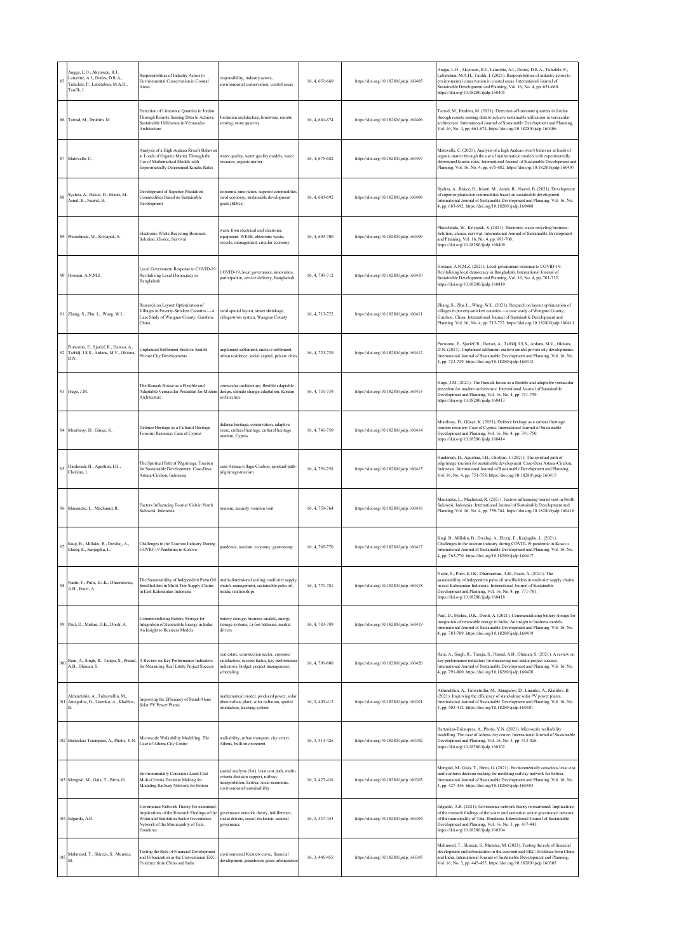| 85  | Angga, L.O., Akyuwen, R.J.,<br>Laturette, A.I., Daties, D.R.A.,<br>Tuhulele, P., Labetubun, M.A.H.,<br>Taufik. I. | Responsibilities of Industry Actors to<br>Environmental Conservation in Coastal<br>Areas                                                                                             | responsibility, industry actors,<br>environmental conservation, coastal areas                                                                                    | 16, 4, 651-660 | https://doi.org/10.18280/ijsdp.160405 | Angga, L.O., Akyuwen, R.J., Laturette, A.I., Daties, D.R.A., Tuhulele, P.,<br>Labetubun, M.A.H., Taufik, I. (2021). Responsibilities of industry actors to<br>environmental conservation in coastal areas. International Journal of<br>Sustainable Development and Planning, Vol. 16, No. 4, pp. 651-660.<br>https://doi.org/10.18280/ijsdp.160405 |
|-----|-------------------------------------------------------------------------------------------------------------------|--------------------------------------------------------------------------------------------------------------------------------------------------------------------------------------|------------------------------------------------------------------------------------------------------------------------------------------------------------------|----------------|---------------------------------------|----------------------------------------------------------------------------------------------------------------------------------------------------------------------------------------------------------------------------------------------------------------------------------------------------------------------------------------------------|
|     | 86 Tarrad, M., Ibrahim, M.                                                                                        | Detection of Limestone Quarries in Jordan<br>Through Remote Sensing Data to Achieve<br>Sustainable Utilization in Vernacular<br>Architecture                                         | Jordanian architecture, limestone, remote<br>sensing, stone quarries                                                                                             | 16, 4, 661-674 | https://doi.org/10.18280/ijsdp.160406 | Tarrad, M., Ibrahim, M. (2021). Detection of limestone quarries in Jordan<br>through remote sensing data to achieve sustainable utilization in vernacular<br>architecture. International Journal of Sustainable Development and Planning,<br>Vol. 16, No. 4, pp. 661-674. https://doi.org/10.18280/ijsdp.160406                                    |
|     | 87 Matovelle, C.                                                                                                  | Analysis of a High Andean River's Behavior<br>at Loads of Organic Matter Through the<br>Use of Mathematical Models with<br><b>Experimentally Determined Kinetic Rates</b>            | water quality, water quality models, water<br>esource, organic matter                                                                                            | 16, 4, 675-682 | https://doi.org/10.18280/ijsdp.160407 | Matovelle, C. (2021). Analysis of a high Andean river's behavior at loads of<br>organic matter through the use of mathematical models with experimentally<br>determined kinetic rates. International Journal of Sustainable Development an<br>Planning, Vol. 16, No. 4, pp. 675-682. https://doi.org/10.18280/ijsdp.160407                         |
| 88  | Syahza, A., Bakce, D., Irianti, M.,<br>Asmit, B., Nasrul, B.                                                      | Development of Superior Plantation<br>Commodities Based on Sustainable<br>Development                                                                                                | economic innovation, superior commodities,<br>rural economy, sustainable development<br>goals (SDGs)                                                             | 16, 4, 683-692 | https://doi.org/10.18280/ijsdp.160408 | Syahza, A., Bakce, D., Irianti, M., Asmit, B., Nasrul, B. (2021). Development<br>of superior plantation commodities based on sustainable development.<br>International Journal of Sustainable Development and Planning, Vol. 16, No.<br>4, pp. 683-692. https://doi.org/10.18280/ijsdp.160408                                                      |
|     | 89 Phoochinda, W., Kriyapak, S.                                                                                   | Electronic Waste Recycling Business:<br>Solution, Choice, Survival                                                                                                                   | waste from electrical and electronic<br>equipment: WEEE, electronic waste,<br>recycle, management, circular economy                                              | 16, 4, 693-700 | https://doi.org/10.18280/ijsdp.160409 | Phoochinda, W., Kriyapak, S. (2021). Electronic waste recycling business:<br>Solution, choice, survival. International Journal of Sustainable Development<br>and Planning, Vol. 16, No. 4, pp. 693-700.<br>https://doi.org/10.18280/ijsdp.160409                                                                                                   |
|     | 90 Hossain, A.N.M.Z.                                                                                              | Local Government Response to COVID-19<br>Revitalizing Local Democracy in<br>Bangladesh                                                                                               | COVID-19, local governance, innovation,<br>participation, service delivery, Bangladesh                                                                           | 16, 4, 701-712 | https://doi.org/10.18280/ijsdp.160410 | Hossain, A.N.M.Z. (2021). Local government response to COVID-19:<br>Revitalizing local democracy in Bangladesh. International Journal of<br>Sustainable Development and Planning, Vol. 16, No. 4, pp. 701-712.<br>https://doi.org/10.18280/ijsdp.160410                                                                                            |
|     | 91 Zhang, S., Zhu, L., Wang, W.L.                                                                                 | Research on Layout Optimization of<br>Villages in Poverty-Stricken Counties -- A<br>Case Study of Wangmo County, Guizhou,<br>China                                                   | rural spatial layout, smart shrinkage,<br>village-town system, Wangmo County                                                                                     | 16, 4, 713-722 | https://doi.org/10.18280/ijsdp.160411 | Zhang, S., Zhu, L., Wang, W.L. (2021). Research on layout optimization of<br>villages in poverty-stricken counties - a case study of Wangmo County,<br>Guizhou, China. International Journal of Sustainable Development and<br>Planning, Vol. 16, No. 4, pp. 713-722. https://doi.org/10.18280/ijsdp.160411                                        |
| 92  | Purwanto, E., Sjarief, R., Dawan, A.,<br>Tafridj, I.S.S., Ardana, M.V., Oktiara,<br>D.N.                          | Unplanned Settlement Enclave Amidst<br>Private City Developments                                                                                                                     | unplanned settlement, enclave settlement,<br>urban residence, social capital, private cities                                                                     | 16, 4, 723-729 | https://doi.org/10.18280/ijsdp.160412 | Purwanto, E., Sjarief, R., Dawan, A., Tafridj, I.S.S., Ardana, M.V., Oktiara,<br>D.N. (2021). Unplanned settlement enclave amidst private city developments.<br>International Journal of Sustainable Development and Planning, Vol. 16, No.<br>4, pp. 723-729. https://doi.org/10.18280/ijsdp.160412                                               |
|     | 93 Hugo, J.M.                                                                                                     | The Hanoak House as a Flexible and<br>Adaptable Vernacular Precedent for Modern<br>Architecture                                                                                      | vernacular architecture, flexible adaptable<br>design, climate change adaptation, Korean<br>architecture                                                         | 16, 4, 731-739 | https://doi.org/10.18280/ijsdp.160413 | Hugo, J.M. (2021). The Hanoak house as a flexible and adaptable vernacular<br>precedent for modern architecture. International Journal of Sustainable<br>Development and Planning, Vol. 16, No. 4, pp. 731-739.<br>https://doi.org/10.18280/ijsdp.160413                                                                                           |
|     | 94 Misirlisoy, D., Günçe, K.                                                                                      | Defence Heritage as a Cultural Heritage<br>Tourism Resource: Case of Cyprus                                                                                                          | defence heritage, conservation, adaptive<br>reuse, cultural heritage, cultural heritage<br>tourism, Cyprus                                                       | 16, 4, 741-750 | https://doi.org/10.18280/ijsdp.160414 | Misirlisoy, D., Günçe, K. (2021). Defence heritage as a cultural heritage<br>tourism resource: Case of Cyprus. International Journal of Sustainable<br>Development and Planning, Vol. 16, No. 4, pp. 741-750.<br>https://doi.org/10.18280/ijsdp.160414                                                                                             |
| 95  | Hindersah, H., Agustina, I.H.,<br>Chofyan, I.                                                                     | The Spiritual Path of Pilgrimage Tourism<br>for Sustainable Development: Case-Desa<br>Astana-Cirebon, Indonesia                                                                      | ase-Astana-village-Cirebon, spiritual-path-<br>pilgrimage-tourism                                                                                                | 16, 4, 751-758 | https://doi.org/10.18280/ijsdp.160415 | Hindersah, H., Agustina, I.H., Chofyan, I. (2021). The spiritual path of<br>pilgrimage tourism for sustainable development: Case-Desa Astana-Cirebon,<br>Indonesia. International Journal of Sustainable Development and Planning,<br>Vol. 16, No. 4, pp. 751-758. https://doi.org/10.18280/ijsdp.160415                                           |
|     | 96 Manancke, L., Machmud, R.                                                                                      | Factors Influencing Tourist Visit in North<br>Sulawesi, Indonesia                                                                                                                    | ourism, security, tourism visit                                                                                                                                  | 16, 4, 759-764 | https://doi.org/10.18280/ijsdp.160416 | Mananeke, L., Machmud, R. (2021). Factors influencing tourist visit in North<br>Sulawesi, Indonesia. International Journal of Sustainable Development and<br>Planning, Vol. 16, No. 4, pp. 759-764. https://doi.org/10.18280/ijsdp.160416                                                                                                          |
| 97  | Kuqi, B., Millaku, B., Dreshaj, A.,<br>Elezaj, E., Karjagdiu, L.                                                  | Challenges in the Tourism Industry During<br>COVID-19 Pandemic in Kosovo                                                                                                             | pandemic, tourism, economy, gastronomy                                                                                                                           | 16, 4, 765-770 | https://doi.org/10.18280/ijsdp.160417 | Kuqi, B., Millaku, B., Dreshaj, A., Elezaj, E., Karjagdiu, L. (2021).<br>Challenges in the tourism industry during COVID-19 pandemic in Kosovo.<br>International Journal of Sustainable Development and Planning, Vol. 16, No.<br>4, pp. 765-770. https://doi.org/10.18280/ijsdp.160417                                                            |
| 98  | Nashr, F., Putri, E.I.K., Dharmawan,<br>A.H., Fauzi, A.                                                           | The Sustainability of Independent Palm Oil<br>Smallholders in Multi-Tier Supply Chains<br>in East Kalimantan Indonesia                                                               | multi-dimensional scaling, multi-tier supply<br>chain's management, sustainable palm oil,<br>triadic relationships                                               | 16, 4, 771-781 | https://doi.org/10.18280/ijsdp.160418 | Nashr, F., Putri, E.I.K., Dharmawan, A.H., Fauzi, A. (2021). The<br>sustainability of independent palm oil smallholders in multi-tier supply chains<br>in east Kalimantan Indonesia. International Journal of Sustainable<br>Development and Planning, Vol. 16, No. 4, pp. 771-781.<br>https://doi.org/10.18280/ijsdp.160418                       |
|     | 99 Paul, D., Mishra, D.K., Dordi, A.                                                                              | Commercializing Battery Storage for<br>Integration of Renewable Energy in India:<br>An Insight to Business Models                                                                    | battery storage, business models, energy<br>storage systems, Li-Ion batteries, market<br>drivers                                                                 | 16.4.783-789   | https://doi.org/10.18280/ijsdp.160419 | Paul, D., Mishra, D.K., Dordi, A. (2021). Commercializing battery storage for<br>integration of renewable energy in India: An insight to business models.<br>International Journal of Sustainable Development and Planning, Vol. 16, No.<br>4, pp. 783-789. https://doi.org/10.18280/ijsdp.160419                                                  |
| 100 | A.B., Dhiman, S.                                                                                                  | Rani, A., Singh, R., Taneja, S., Prasad, A Review on Key Performance Indicators<br>for Measuring Real Estate Project Success                                                         | real estate, construction sector, customer<br>satisfaction, success factor, key performance<br>indicators, budget, project management,<br>scheduling             | 16, 4, 791-800 | https://doi.org/10.18280/ijsdp.160420 | Rani, A., Singh, R., Taneja, S., Prasad, A.B., Dhiman, S. (2021). A review on<br>key performance indicators for measuring real estate project success.<br>International Journal of Sustainable Development and Planning, Vol. 16, No.<br>4, pp. 791-800. https://doi.org/10.18280/ijsdp.160420                                                     |
| 101 | Akhmetshin, A., Tuhvatullin, M.,<br>Atnagulov, D., Linenko, A., Khalilov,                                         | Improving the Efficiency of Stand-Alone<br>Solar PV Power Plants                                                                                                                     | mathematical model, produced power, solar<br>photovoltaic plant, solar radiation, spatial<br>orientation, tracking system                                        | 16, 3, 403-412 | https://doi.org/10.18280/ijsdp.160301 | Akhmetshin, A., Tuhvatullin, M., Atnagulov, D., Linenko, A., Khalilov, B.<br>(2021). Improving the efficiency of stand-alone solar PV power plants.<br>International Journal of Sustainable Development and Planning, Vol. 16, No.<br>3, pp. 403-412. https://doi.org/10.18280/ijsdp.160301                                                        |
|     | 102 Bartzokas-Tsiompras, A., Photis, Y.N.                                                                         | Microscale Walkability Modelling. The<br>Case of Athens City Centre                                                                                                                  | walkability, urban transport, city center,<br>Athens, built environment                                                                                          | 16, 3, 413-426 | https://doi.org/10.18280/ijsdp.160302 | Bartzokas-Tsiompras, A., Photis, Y.N. (2021). Microscale walkability<br>modelling. The case of Athens city centre. International Journal of Sustainable<br>Development and Planning, Vol. 16, No. 3, pp. 413-426.<br>https://doi.org/10.18280/ijsdp.160302                                                                                         |
|     | 103 Mengisti, M., Gala, T., Birru, G.                                                                             | Environmentally Conscious Least Cost<br>Multi-Criteria Decision Making for<br>Modeling Railway Network for Eritrea                                                                   | spatial analysts (SA), least cost path, multi-<br>criteria decision support, railway<br>transportation, Eritrea, socio-economic,<br>environmental sustainability | 16, 3, 427-436 | https://doi.org/10.18280/ijsdp.160303 | Mengisti, M., Gala, T., Birru, G. (2021). Environmentally conscious least cost<br>multi-criteria decision making for modeling railway network for Eritrea.<br>International Journal of Sustainable Development and Planning, Vol. 16, No.<br>3, pp. 427-436. https://doi.org/10.18280/ijsdp.160303                                                 |
|     | 104 Edgardo, A.R.                                                                                                 | Governance Network Theory Re-examined:<br>Implications of the Research Findings of the<br>Water and Sanitation Sector Governance<br>Network of the Municipality of Tela,<br>Honduras | governance network theory, indifference,<br>social drivers, social exclusion, societal<br>governance                                                             | 16, 3, 437-443 | https://doi.org/10.18280/ijsdp.160304 | Edgardo, A.R. (2021). Governance network theory re-examined: Implications<br>of the research findings of the water and sanitation sector governance network<br>of the municipality of Tela, Honduras. International Journal of Sustainable<br>Development and Planning, Vol. 16, No. 3, pp. 437-443.<br>https://doi.org/10.18280/ijsdp.160304      |
|     | 105 Mahmood, T., Shireen, S., Mumtaz, M.                                                                          | Testing the Role of Financial Development<br>and Urbanization in the Conventional EKC<br>Evidence from China and India                                                               | nvironmental Kuznets curve, financial<br>development, greenhouse gases urbanization                                                                              | 16, 3, 445-455 | https://doi.org/10.18280/ijsdp.160305 | Mahmood, T., Shireen, S., Mumtaz, M. (2021). Testing the role of financial<br>development and urbanization in the conventional EKC: Evidence from China<br>and India. International Journal of Sustainable Development and Planning,<br>Vol. 16, No. 3, pp. 445-455. https://doi.org/10.18280/ijsdp.160305                                         |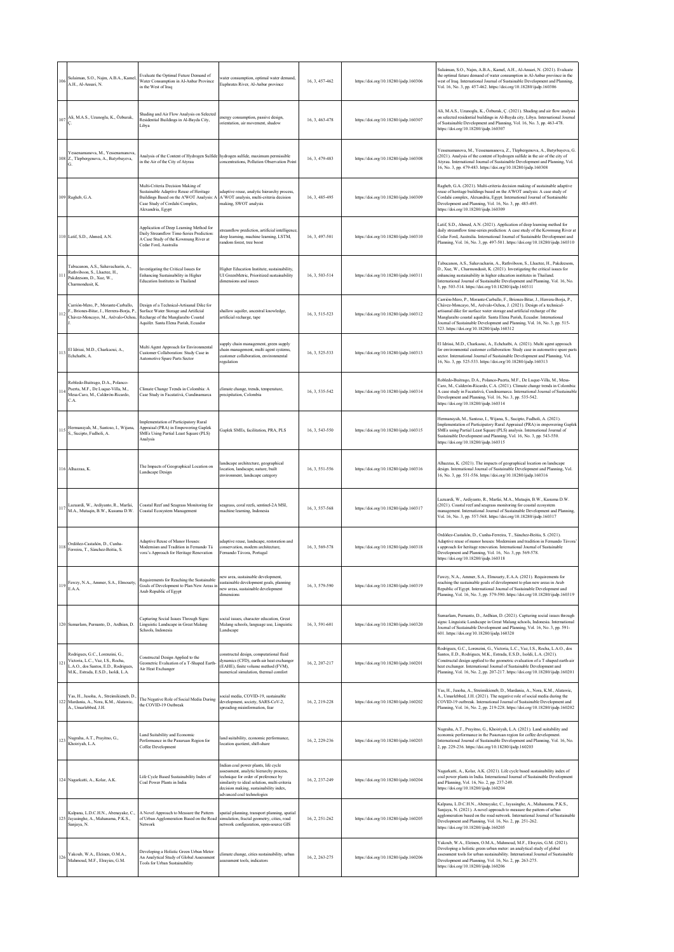| 106             | Sulaiman, S.O., Najm, A.B.A., Kamel,<br>A.H., Al-Ansari, N.                                                                                         | Evaluate the Optimal Future Demand of<br>Water Consumption in Al-Anbar Province<br>in the West of Iraq                                                                         | water consumption, optimal water demand,<br>Euphrates River, Al-Anbar province                                                                                                                                                                  | 16.3.457-462   | https://doi.org/10.18280/ijsdp.160306 | Sulaiman, S.O., Najm, A.B.A., Kamel, A.H., Al-Ansari, N. (2021). Evaluate<br>the optimal future demand of water consumption in Al-Anbar province in the<br>west of Iraq. International Journal of Sustainable Development and Planning,<br>Vol. 16, No. 3, pp. 457-462. https://doi.org/10.18280/ijsdp.160306                                                                                                                          |
|-----------------|-----------------------------------------------------------------------------------------------------------------------------------------------------|--------------------------------------------------------------------------------------------------------------------------------------------------------------------------------|-------------------------------------------------------------------------------------------------------------------------------------------------------------------------------------------------------------------------------------------------|----------------|---------------------------------------|----------------------------------------------------------------------------------------------------------------------------------------------------------------------------------------------------------------------------------------------------------------------------------------------------------------------------------------------------------------------------------------------------------------------------------------|
| $_{07}$         | Ali, M.A.S., Uzunoglu, K., Özburak,                                                                                                                 | Shading and Air Flow Analysis on Selected<br>Residential Buildings in Al-Bayda City,<br>Libya                                                                                  | nergy consumption, passive design,<br>prientation, air movement, shadow                                                                                                                                                                         | 16, 3, 463-478 | https://doi.org/10.18280/ijsdp.160307 | Ali, M.A.S., Uzunoglu, K., Özburak, Ç. (2021). Shading and air flow analysis<br>on selected residential buildings in Al-Bayda city, Libya. International Journal<br>of Sustainable Development and Planning, Vol. 16, No. 3, pp. 463-478.<br>https://doi.org/10.18280/ijsdp.160307                                                                                                                                                     |
|                 | Yessenamanova, M., Yessenamanova,<br>108 Z., Tlepbergenova, A., Batyrbayeva,                                                                        | Analysis of the Content of Hydrogen Sulfide hydrogen sulfide, maximum permissible<br>in the Air of the City of Atyrau                                                          | concentrations, Pollution Observation Point                                                                                                                                                                                                     | 16, 3, 479-483 | https://doi.org/10.18280/ijsdp.160308 | Yessenamanova, M., Yessenamanova, Z., Tlepbergenova, A., Batyrbayeva, G.<br>(2021). Analysis of the content of hydrogen sulfide in the air of the city of<br>Atyrau. International Journal of Sustainable Development and Planning, Vol.<br>16, No. 3, pp. 479-483. https://doi.org/10.18280/ijsdp.160308                                                                                                                              |
|                 | 09 Ragheb, G.A.                                                                                                                                     | Multi-Criteria Decision Making of<br>Sustainable Adaptive Reuse of Heritage<br>Buildings Based on the A'WOT Analysis: A<br>Case Study of Cordahi Complex,<br>Alexandria, Egypt | adaptive reuse, analytic hierarchy process,<br>A'WOT analysis, multi-criteria decision<br>making, SWOT analysis                                                                                                                                 | 16, 3, 485-495 | https://doi.org/10.18280/ijsdp.160309 | Ragheb, G.A. (2021). Multi-criteria decision making of sustainable adaptive<br>reuse of heritage buildings based on the A'WOT analysis: A case study of<br>Cordahi complex, Alexandria, Egypt. International Journal of Sustainable<br>Development and Planning, Vol. 16, No. 3, pp. 485-495.<br>https://doi.org/10.18280/ijsdp.160309                                                                                                 |
|                 | 110 Latif, S.D., Ahmed, A.N.                                                                                                                        | Application of Deep Learning Method for<br>Daily Streamflow Time-Series Prediction:<br>A Case Study of the Kowmung River at<br>Cedar Ford, Australia                           | reamflow prediction, artificial intelligence<br>deep learning, machine learning, LSTM,<br>random forest, tree boost                                                                                                                             | 16, 3, 497-501 | https://doi.org/10.18280/ijsdp.160310 | Latif, S.D., Ahmed, A.N. (2021). Application of deep learning method for<br>daily streamflow time-series prediction: A case study of the Kowmung River at<br>Cedar Ford, Australia. International Journal of Sustainable Development and<br>Planning, Vol. 16, No. 3, pp. 497-501. https://doi.org/10.18280/ijsdp.160310                                                                                                               |
| $\mathbf{I}$    | Tabucanon, A.S., Sahavacharin, A.,<br>Rathviboon, S., Lhaetee, H.,<br>Pakdeesom, D., Xue, W.,<br>Charmondusit, K.                                   | Investigating the Critical Issues for<br>Enhancing Sustainability in Higher<br><b>Education Institutes in Thailand</b>                                                         | Higher Education Institute, sustainability,<br>UI GreenMetric, Prioritized sustainability<br>dimensions and issues                                                                                                                              | 16, 3, 503-514 | https://doi.org/10.18280/ijsdp.160311 | Tabucanon, A.S., Sahavacharin, A., Rathviboon, S., Lhaetee, H., Pakdeesom,<br>D., Xue, W., Charmondusit, K. (2021). Investigating the critical issues for<br>enhancing sustainability in higher education institutes in Thailand.<br>International Journal of Sustainable Development and Planning, Vol. 16, No.<br>3, pp. 503-514. https://doi.org/10.18280/ijsdp.160311                                                              |
| 12              | Carrión-Mero, P., Morante-Carballo,<br>F., Briones-Bitar, J., Herrera-Borja, P.,<br>Chávez-Moncayo, M., Arévalo-Ochoa,                              | Design of a Technical-Artisanal Dike for<br>Surface Water Storage and Artificial<br>Recharge of the Manglaralto Coastal<br>Aquifer. Santa Elena Parish, Ecuador                | shallow aquifer, ancestral knowledge,<br>artificial recharge, tape                                                                                                                                                                              | 16, 3, 515-523 | https://doi.org/10.18280/ijsdp.160312 | Carrión-Mero, P., Morante-Carballo, F., Briones-Bitar, J., Herrera-Borja, P.,<br>Chávez-Moncayo, M., Arévalo-Ochoa, J. (2021). Design of a technical-<br>artisanal dike for surface water storage and artificial recharge of the<br>Manglaralto coastal aquifer. Santa Elena Parish, Ecuador. International<br>fournal of Sustainable Development and Planning, Vol. 16, No. 3, pp. 515-<br>523. https://doi.org/10.18280/ijsdp.160312 |
| 113             | El Idrissi, M.D., Charkaoui, A.,<br>Echchatbi, A.                                                                                                   | Multi Agent Approach for Environmental<br>Customer Collaboration: Study Case in<br>Automotive Spare Parts Sector                                                               | supply chain management, green supply<br>chain management, multi agent systems,<br>customer collaboration, environmental<br>regulation                                                                                                          | 16, 3, 525-533 | https://doi.org/10.18280/ijsdp.160313 | El Idrissi, M.D., Charkaoui, A., Echchatbi, A. (2021). Multi agent approach<br>for environmental customer collaboration: Study case in automotive spare parts<br>sector. International Journal of Sustainable Development and Planning, Vol.<br>16, No. 3, pp. 525-533. https://doi.org/10.18280/ijsdp.160313                                                                                                                          |
| $\mathbf{1}$    | Robledo-Buitrago, D.A., Polanco-<br>Puerta, M.F., De Luque-Villa, M.,<br>Mesa-Caro, M., Calderón-Ricardo,<br>C.A.                                   | Climate Change Trends in Colombia: A<br>Case Study in Facatativá, Cundinamarca                                                                                                 | climate change, trends, temperature,<br>precipitation, Colombia                                                                                                                                                                                 | 16, 3, 535-542 | https://doi.org/10.18280/ijsdp.160314 | Robledo-Buitrago, D.A., Polanco-Puerta, M.F., De Luque-Villa, M., Mesa-<br>Caro, M., Calderón-Ricardo, C.A. (2021). Climate change trends in Colombia:<br>A case study in Facatativá, Cundinamarca. International Journal of Sustainable<br>Development and Planning, Vol. 16, No. 3, pp. 535-542.<br>https://doi.org/10.18280/ijsdp.160314                                                                                            |
| 15              | Hermansyah, M., Santoso, I., Wijana,<br>S., Sucipto, Fudholi, A.                                                                                    | Implementation of Participatory Rural<br>Appraisal (PRA) in Empowering Gaplek<br>SMEs Using Partial Least Square (PLS)<br>Analysis                                             | Gaplek SMEs, facilitation, PRA, PLS                                                                                                                                                                                                             | 16, 3, 543-550 | https://doi.org/10.18280/ijsdp.160315 | Hermansyah, M., Santoso, I., Wijana, S., Sucipto, Fudholi, A. (2021).<br>Implementation of Participatory Rural Appraisal (PRA) in empowering Gaplek<br>SMEs using Partial Least Square (PLS) analysis. International Journal of<br>Sustainable Development and Planning, Vol. 16, No. 3, pp. 543-550.<br>https://doi.org/10.18280/ijsdp.160315                                                                                         |
|                 | 16 Alhazzaa, K                                                                                                                                      | The Impacts of Geographical Location on<br>Landscape Design                                                                                                                    | landscape architecture, geographical<br>location, landscape, nature, built<br>environment, landscape category                                                                                                                                   | 16, 3, 551-556 | https://doi.org/10.18280/ijsdp.160316 | Alhazzaa, K. (2021). The impacts of geographical location on landscape<br>design. International Journal of Sustainable Development and Planning, Vol.<br>16, No. 3, pp. 551-556. https://doi.org/10.18280/ijsdp.160316                                                                                                                                                                                                                 |
| 17              | Lazuardi, W., Ardiyanto, R., Marfai,<br>M.A., Mutaqin, B.W., Kusuma D.W.                                                                            | Coastal Reef and Seagrass Monitoring for<br>Coastal Ecosystem Management                                                                                                       | cagrass, coral reefs, sentinel-2A MSI,<br>machine learning, Indonesia                                                                                                                                                                           | 16, 3, 557-568 | https://doi.org/10.18280/ijsdp.160317 | Lazuardi, W., Ardiyanto, R., Marfai, M.A., Mutaqin, B.W., Kusuma D.W.<br>(2021). Coastal reef and seagrass monitoring for coastal ecosystem<br>management. International Journal of Sustainable Development and Planning,<br>Vol. 16, No. 3, pp. 557-568. https://doi.org/10.18280/ijsdp.160317                                                                                                                                        |
| 118             | Ordóñez-Castañón, D., Cunha-<br>Ferreira, T., Sánchez-Beitia, S.                                                                                    | <b>Adaptive Reuse of Manor Houses:</b><br>Modernism and Tradition in Fernando Tá<br>vora's Approach for Heritage Renovation                                                    | adaptive reuse, landscape, restoration and<br>conservation, modern architecture,<br>Fernando Távora, Portugal                                                                                                                                   | 16, 3, 569-578 | https://doi.org/10.18280/ijsdp.160318 | Ordóñez-Castañón, D., Cunha-Ferreira, T., Sánchez-Beitia, S. (2021).<br>Adaptive reuse of manor houses: Modernism and tradition in Fernando Távora'<br>approach for heritage renovation. International Journal of Sustainable<br>Development and Planning, Vol. 16, No. 3, pp. 569-578.<br>https://doi.org/10.18280/ijsdp.160318                                                                                                       |
|                 | Fawzy, N.A., Ammer, S.A., Elmouety,<br>E.A.A.                                                                                                       | Requirements for Reaching the Sustainable<br>Goals of Development to Plan New Areas in<br>Arab Republic of Egypt                                                               | new area, sustainable development,<br>sustainable development goals, planning<br>new areas, sustainable development<br>dimensions                                                                                                               | 16, 3, 579-590 | https://doi.org/10.18280/ijsdp.160319 | Fawzy, N.A., Ammer, S.A., Elmouety, E.A.A. (2021). Requirements for<br>reaching the sustainable goals of development to plan new areas in Arab<br>Republic of Egypt. International Journal of Sustainable Development and<br>Planning, Vol. 16, No. 3, pp. 579-590. https://doi.org/10.18280/ijsdp.160319                                                                                                                              |
|                 | 20 Sumarlam, Purnanto, D., Ardhian, D.                                                                                                              | Capturing Social Issues Through Signs:<br>Linguistic Landscape in Great Malang<br>Schools, Indonesia                                                                           | social issues, character education, Great<br>Malang schools, language use, Linguistic<br>Landscape                                                                                                                                              | 16, 3, 591-601 | https://doi.org/10.18280/ijsdp.160320 | Sumarlam, Purnanto, D., Ardhian, D. (2021). Capturing social issues through<br>signs: Linguistic Landscape in Great Malang schools, Indonesia. International<br>Journal of Sustainable Development and Planning, Vol. 16, No. 3, pp. 591-<br>601. https://doi.org/10.18280/ijsdp.160320                                                                                                                                                |
| $\overline{21}$ | Rodrigues, G.C., Lorenzini, G.,<br>Victoria, L.C., Vaz, I.S., Rocha,<br>L.A.O., dos Santos, E.D., Rodrigues,<br>M.K., Estrada, E.S.D., Isoldi, L.A. | Constructal Design Applied to the<br>Geometric Evaluation of a T-Shaped Earth-<br>Air Heat Exchanger                                                                           | constructal design, computational fluid<br>dynamics (CFD), earth-air heat exchanger<br>(EAHE), finite volume method (FVM),<br>numerical simulation, thermal comfort                                                                             | 16, 2, 207-217 | https://doi.org/10.18280/ijsdp.160201 | Rodrigues, G.C., Lorenzini, G., Victoria, L.C., Vaz, I.S., Rocha, L.A.O., dos<br>Santos, E.D., Rodrigues, M.K., Estrada, E.S.D., Isoldi, L.A. (2021).<br>Constructal design applied to the geometric evaluation of a T-shaped earth-air<br>heat exchanger. International Journal of Sustainable Development and<br>Planning, Vol. 16, No. 2, pp. 207-217. https://doi.org/10.18280/ijsdp.160201                                        |
|                 | Yas, H., Jusoha, A., Streimikieneb, D.<br>22 Mardania, A., Nora, K.M., Alatawic,<br>A., Umarlebbed, J.H.                                            | The Negative Role of Social Media During<br>the COVID-19 Outbreak                                                                                                              | ocial media, COVID-19, sustainable<br>development, society, SARS-CoV-2.<br>spreading misinformation, fear                                                                                                                                       | 16, 2, 219-228 | https://doi.org/10.18280/ijsdp.160202 | Yas, H., Jusoha, A., Streimikieneb, D., Mardania, A., Nora, K.M., Alatawic,<br>A., Umarlebbed, J.H. (2021). The negative role of social media during the<br>COVID-19 outbreak. International Journal of Sustainable Development and<br>Planning, Vol. 16, No. 2, pp. 219-228. https://doi.org/10.18280/ijsdp.160202                                                                                                                    |
| 123             | Nugraha, A.T., Prayitno, G.,<br>Khoiriyah, L.A.                                                                                                     | Land Suitability and Economic<br>Performance in the Pasuruan Region for<br>Coffee Development                                                                                  | land suitability, economic performance,<br>location quotient, shift-share                                                                                                                                                                       | 16, 2, 229-236 | https://doi.org/10.18280/ijsdp.160203 | Nugraha, A.T., Prayitno, G., Khoiriyah, L.A. (2021). Land suitability and<br>economic performance in the Pasuruan region for coffee development.<br>International Journal of Sustainable Development and Planning, Vol. 16, No.<br>2, pp. 229-236. https://doi.org/10.18280/ijsdp.160203                                                                                                                                               |
|                 | 24 Nagarkatti, A., Kolar, A.K.                                                                                                                      | Life Cycle Based Sustainability Index of<br>Coal Power Plants in India                                                                                                         | Indian coal power plants, life cycle<br>assessment, analytic hierarchy process,<br>technique for order of preference by<br>similarity to ideal solution, multi-criteria<br>decision making, sustainability index,<br>advanced coal technologies | 16, 2, 237-249 | https://doi.org/10.18280/ijsdp.160204 | Nagarkatti, A., Kolar, A.K. (2021). Life cycle based sustainability index of<br>coal power plants in India. International Journal of Sustainable Development<br>and Planning, Vol. 16, No. 2, pp. 237-249.<br>https://doi.org/10.18280/ijsdp.160204                                                                                                                                                                                    |
| 25              | Kalpana, L.D.C.H.N., Abenayake, C.,<br>Jayasinghe, A., Mahanama, P.K.S.,<br>Sanjaya, N.                                                             | A Novel Approach to Measure the Pattern<br>of Urban Agglomeration Based on the Road<br>Network                                                                                 | spatial planning, transport planning, spatial<br>simulation, fractal geometry, cities, road<br>network configuration, open-source GIS                                                                                                           | 16, 2, 251-262 | https://doi.org/10.18280/ijsdp.160205 | Kalpana, L.D.C.H.N., Abenayake, C., Jayasinghe, A., Mahanama, P.K.S.,<br>Sanjaya, N. (2021). A novel approach to measure the pattern of urban<br>agglomeration based on the road network. International Journal of Sustainable<br>Development and Planning, Vol. 16, No. 2, pp. 251-262.<br>https://doi.org/10.18280/ijsdp.160205                                                                                                      |
| 26              | Yakoub, W.A., Eleinen, O.M.A.,<br>Mahmoud, M.F., Elrayies, G.M.                                                                                     | Developing a Holistic Green Urban Meter:<br>An Analytical Study of Global Assessment<br>Tools for Urban Sustainability                                                         | climate change, cities sustainability, urban<br>ssment tools, indicators                                                                                                                                                                        | 16, 2, 263-275 | https://doi.org/10.18280/ijsdp.160206 | Yakoub, W.A., Eleinen, O.M.A., Mahmoud, M.F., Elrayies, G.M. (2021).<br>Developing a holistic green urban meter: an analytical study of global<br>ssessment tools for urban sustainability. International Journal of Sustainable<br>Development and Planning, Vol. 16, No. 2, pp. 263-275.<br>https://doi.org/10.18280/ijsdp.160206                                                                                                    |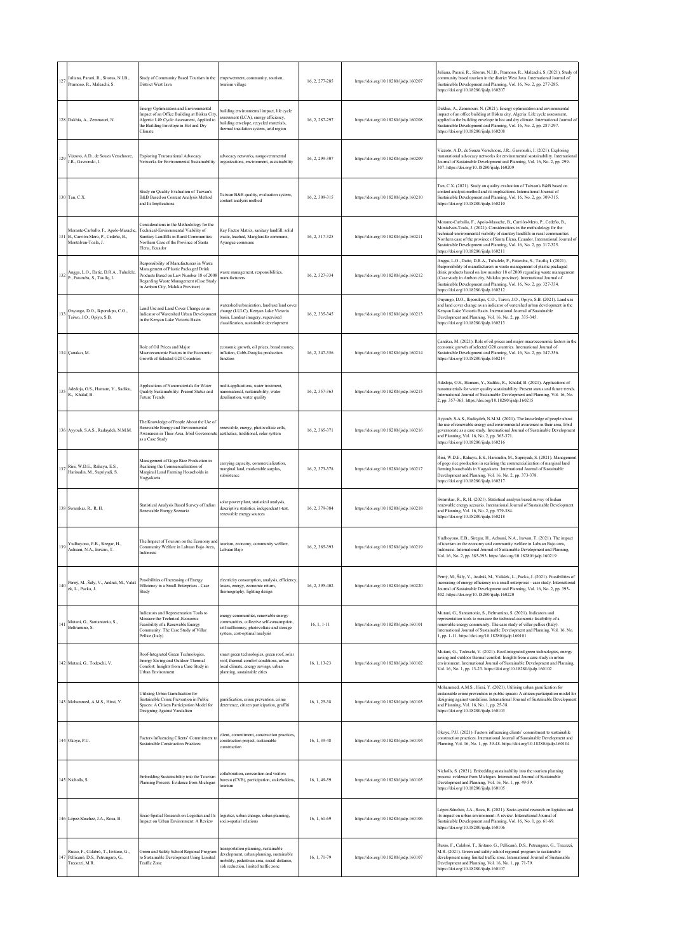| 127      | Juliana, Parani, R., Sitorus, N.I.B.,<br>Pramono, R., Maleachi, S.                                  | Study of Community Based Tourism in the<br>District West Java                                                                                                                                            | empowerment, community, tourism,<br>tourism village                                                                                                                    | 16, 2, 277-285 | https://doi.org/10.18280/ijsdp.160207 | Juliana, Parani, R., Sitorus, N.I.B., Pramono, R., Maleachi, S. (2021). Study of<br>community based tourism in the district West Java. International Journal of<br>Sustainable Development and Planning, Vol. 16, No. 2, pp. 277-285.<br>https://doi.org/10.18280/ijsdp.160207                                                                                                                                                     |
|----------|-----------------------------------------------------------------------------------------------------|----------------------------------------------------------------------------------------------------------------------------------------------------------------------------------------------------------|------------------------------------------------------------------------------------------------------------------------------------------------------------------------|----------------|---------------------------------------|------------------------------------------------------------------------------------------------------------------------------------------------------------------------------------------------------------------------------------------------------------------------------------------------------------------------------------------------------------------------------------------------------------------------------------|
|          | 128 Dakhia, A., Zemmouri, N.                                                                        | Energy Optimization and Environmental<br>Impact of an Office Building at Biskra City,<br>Algeria: Life Cycle Assessment, Applied to<br>the Building Envelope in Hot and Dry<br>Climate                   | building environmental impact, life cycle<br>assessment (LCA), energy efficiency,<br>building envelope, recycled materials,<br>thermal insulation system, arid region  | 16, 2, 287-297 | https://doi.org/10.18280/ijsdp.160208 | Dakhia, A., Zemmouri, N. (2021). Energy optimization and environmental<br>impact of an office building at Biskra city, Algeria: Life cycle assessment,<br>applied to the building envelope in hot and dry climate. International Journal of<br>Sustainable Development and Planning, Vol. 16, No. 2, pp. 287-297.<br>https://doi.org/10.18280/ijsdp.160208                                                                         |
|          | 129 Vizzoto, A.D., de Souza Verschoore,<br>J.R., Gavronski, I.                                      | <b>Exploring Transnational Advocacy</b><br>Networks for Environmental Sustainability                                                                                                                     | advocacy networks, nongovernmental<br>organizations, environment, sustainability                                                                                       | 16, 2, 299-307 | https://doi.org/10.18280/ijsdp.160209 | Vizzoto, A.D., de Souza Verschoore, J.R., Gavronski, I. (2021). Exploring<br>transnational advocacy networks for environmental sustainability. Internationa<br>Journal of Sustainable Development and Planning, Vol. 16, No. 2, pp. 299-<br>307. https://doi.org/10.18280/ijsdp.160209                                                                                                                                             |
|          | 130 Tan, C.X.                                                                                       | Study on Quality Evaluation of Taiwan's<br>B&B Based on Content Analysis Method<br>and Its Implications                                                                                                  | Taiwan B&B quality, evaluation system,<br>content analysis method                                                                                                      | 16, 2, 309-315 | https://doi.org/10.18280/ijsdp.160210 | Tan, C.X. (2021). Study on quality evaluation of Taiwan's B&B based on<br>content analysis method and its implications. International Journal of<br>Sustainable Development and Planning, Vol. 16, No. 2, pp. 309-315.<br>https://doi.org/10.18280/ijsdp.160210                                                                                                                                                                    |
|          | Morante-Carballo, F., Apolo-Masache,<br>31 B., Carrión-Mero, P., Cedeño, B.,<br>Montalvan-Toala, J. | Considerations in the Methodology for the<br>Technical-Environmental Viability of<br>Sanitary Landfills in Rural Communities.<br>Northern Case of the Province of Santa<br>Elena, Ecuador                | Key Factor Matrix, sanitary landfill, solid<br>waste, leached, Manglaralto commune,<br>Ayangue commune                                                                 | 16, 2, 317-325 | https://doi.org/10.18280/ijsdp.160211 | Morante-Carballo, F., Apolo-Masache, B., Carrión-Mero, P., Cedeño, B.,<br>Montalvan-Toala, J. (2021). Considerations in the methodology for the<br>technical-environmental viability of sanitary landfills in rural communities.<br>Northern case of the province of Santa Elena, Ecuador. International Journal of<br>Sustainable Development and Planning, Vol. 16, No. 2, pp. 317-325.<br>https://doi.org/10.18280/ijsdp.160211 |
|          | 132 Angga, L.O., Datie, D.R.A., Tuhulele,<br>P., Fataruba, S., Taufiq, I.                           | Responsibility of Manufacturers in Waste<br>Management of Plastic Packaged Drink<br>Products Based on Law Number 18 of 2008<br>Regarding Waste Management (Case Study<br>in Ambon City, Maluku Province) | waste management, responsibilities,<br>manufacturers                                                                                                                   | 16, 2, 327-334 | https://doi.org/10.18280/ijsdp.160212 | Angga, L.O., Datie, D.R.A., Tuhulele, P., Fataruba, S., Taufiq, I. (2021).<br>Responsibility of manufacturers in waste management of plastic packaged<br>drink products based on law number 18 of 2008 regarding waste management<br>(Case study in Ambon city, Maluku province). International Journal of<br>Sustainable Development and Planning, Vol. 16, No. 2, pp. 327-334.<br>https://doi.org/10.18280/ijsdp.160212          |
|          | Onyango, D.O., Ikporukpo, C.O.,<br>133 Taiwo, J.O., Opiyo, S.B.                                     | Land Use and Land Cover Change as an<br>Indicator of Watershed Urban Developmen<br>in the Kenyan Lake Victoria Basin                                                                                     | vatershed urbanization, land use/land cover<br>change (LULC), Kenyan Lake Victoria<br>basin, Landsat imagery, supervised<br>classification, sustainable development    | 16, 2, 335-345 | https://doi.org/10.18280/ijsdp.160213 | Onyango, D.O., Ikporukpo, C.O., Taiwo, J.O., Opiyo, S.B. (2021). Land use<br>and land cover change as an indicator of watershed urban development in the<br>Kenyan Lake Victoria Basin. International Journal of Sustainable<br>Development and Planning, Vol. 16, No. 2, pp. 335-345.<br>https://doi.org/10.18280/ijsdp.160213                                                                                                    |
|          | 134 Çanakcı, M.                                                                                     | Role of Oil Prices and Major<br>Macroeconomic Factors in the Economic<br>Growth of Selected G20 Countries                                                                                                | conomic growth, oil prices, broad money,<br>inflation, Cobb-Douglas production<br>function                                                                             | 16, 2, 347-356 | https://doi.org/10.18280/ijsdp.160214 | Çanakcı, M. (2021). Role of oil prices and major macroeconomic factors in the<br>economic growth of selected G20 countries. International Journal of<br>Sustainable Development and Planning, Vol. 16, No. 2, pp. 347-356.<br>https://doi.org/10.18280/ijsdp.160214                                                                                                                                                                |
| 135      | Adedoja, O.S., Hamam, Y., Sadiku,<br>R., Khalaf, B.                                                 | Applications of Nanomaterials for Water<br>Quality Sustainability: Present Status and<br><b>Future Trends</b>                                                                                            | multi-applications, water treatment,<br>nanomaterial, sustainability, water<br>desalination, water quality                                                             | 16, 2, 357-363 | https://doi.org/10.18280/ijsdp.160215 | Adedoja, O.S., Hamam, Y., Sadiku, R., Khalaf, B. (2021). Applications of<br>nanomaterials for water quality sustainability: Present status and future trends.<br>International Journal of Sustainable Development and Planning, Vol. 16, No.<br>2, pp. 357-363. https://doi.org/10.18280/ijsdp.160215                                                                                                                              |
|          | 136 Ayyoub, S.A.S., Radaydeh, N.M.M.                                                                | The Knowledge of People About the Use of<br>Renewable Energy and Environmental<br>Awareness in Their Area, Irbid Governorate<br>as a Case Study                                                          | renewable, energy, photovoltaic cells,<br>aesthetics, traditional, solar system                                                                                        | 16.2.365-371   | https://doi.org/10.18280/ijsdp.160216 | Ayyoub, S.A.S., Radaydeh, N.M.M. (2021). The knowledge of people about<br>the use of renewable energy and environmental awareness in their area, Irbid<br>governorate as a case study. International Journal of Sustainable Development<br>and Planning, Vol. 16, No. 2, pp. 365-371.<br>https://doi.org/10.18280/ijsdp.160216                                                                                                     |
| 131      | Rini, W.D.E., Rahayu, E.S.,<br>Harisudin, M., Supriyadi, S.                                         | Management of Gogo Rice Production in<br>Realizing the Commercialization of<br>Marginal Land Farming Households in<br>Yogyakarta                                                                         | carrying capacity, commercialization,<br>marginal land, marketable surplus,<br>subsistence                                                                             | 16, 2, 373-378 | https://doi.org/10.18280/ijsdp.160217 | Rini, W.D.E., Rahayu, E.S., Harisudin, M., Supriyadi, S. (2021). Managemen<br>of gogo rice production in realizing the commercialization of marginal land<br>farming households in Yogyakarta. International Journal of Sustainable<br>Development and Planning, Vol. 16, No. 2, pp. 373-378.<br>https://doi.org/10.18280/ijsdp.160217                                                                                             |
|          | 138 Swamkar, R., R, H.                                                                              | Statistical Analysis Based Survey of Indian<br>Renewable Energy Scenario                                                                                                                                 | solar power plant, statistical analysis,<br>descriptive statistics, independent t-test,<br>renewable energy sources                                                    | 16, 2, 379-384 | https://doi.org/10.18280/ijsdp.160218 | Swamkar, R., R, H. (2021). Statistical analysis based survey of Indian<br>enewable energy scenario. International Journal of Sustainable Development<br>and Planning, Vol. 16, No. 2, pp. 379-384.<br>https://doi.org/10.18280/ijsdp.160218                                                                                                                                                                                        |
| 139      | Yudhovono, E.B., Siregar, H.,<br>Achsani, N.A., Irawan, T.                                          | The Impact of Tourism on the Economy and<br>Community Welfare in Labuan Bajo Area,<br>Indonesia                                                                                                          | tourism, economy, community welfare,<br>Labuan Baio                                                                                                                    | 16, 2, 385-393 | https://doi.org/10.18280/ijsdp.160219 | Yudhoyono, E.B., Siregar, H., Achsani, N.A., Irawan, T. (2021). The impact<br>of tourism on the economy and community welfare in Labuan Bajo area,<br>Indonesia. International Journal of Sustainable Development and Planning,<br>Vol. 16, No. 2, pp. 385-393. https://doi.org/10.18280/ijsdp.160219                                                                                                                              |
|          | 140 Perný, M., Šály, V., Andráš, M., Valáš<br>ek, L., Packa, J.                                     | Possibilities of Increasing of Energy<br>Efficiency in a Small Enterprises - Case<br>Study                                                                                                               | electricity consumption, analysis, efficiency,<br>losses, energy, economic return,<br>thermography, lighting design                                                    | 16, 2, 395-402 | https://doi.org/10.18280/ijsdp.160220 | Perný, M., Šály, V., Andráš, M., Valášek, L., Packa, J. (2021). Possibilities of<br>increasing of energy efficiency in a small enterprises - case study. International<br>Journal of Sustainable Development and Planning, Vol. 16, No. 2, pp. 395-<br>402. https://doi.org/10.18280/ijsdp.160220                                                                                                                                  |
| $^{141}$ | Mutani, G., Santantonio, S.,<br>Beltramino, S.                                                      | Indicators and Representation Tools to<br>Measure the Technical-Economic<br>Feasibility of a Renewable Energy<br>Community. The Case Study of Villar<br>Pellice (Italy)                                  | energy communities, renewable energy<br>communities, collective self-consumption.<br>self-sufficiency, photovoltaic and storage<br>system, cost-optimal analysis       | $16, 1, 1-11$  | https://doi.org/10.18280/ijsdp.160101 | Mutani, G., Santantonio, S., Beltramino, S. (2021). Indicators and<br>representation tools to measure the technical-economic feasibility of a<br>renewable energy community. The case study of villar pellice (Italy).<br>International Journal of Sustainable Development and Planning, Vol. 16, No.<br>1, pp. 1-11. https://doi.org/10.18280/ijsdp.160101                                                                        |
|          | 142 Mutani, G., Todeschi, V.                                                                        | Roof-Integrated Green Technologies,<br>Energy Saving and Outdoor Thermal<br>Comfort: Insights from a Case Study in<br>Urban Environment                                                                  | smart green technologies, green roof, solar<br>roof, thermal comfort conditions, urban<br>local climate, energy savings, urban<br>planning, sustainable cities         | 16, 1, 13-23   | https://doi.org/10.18280/ijsdp.160102 | Mutani, G., Todeschi, V. (2021). Roof-integrated green technologies, energy<br>saving and outdoor thermal comfort: Insights from a case study in urban<br>environment. International Journal of Sustainable Development and Planning,<br>Vol. 16, No. 1, pp. 13-23. https://doi.org/10.18280/ijsdp.160102                                                                                                                          |
|          | 143 Mohammed, A.M.S., Hirai, Y.                                                                     | Utilising Urban Gamification for<br>Sustainable Crime Prevention in Public<br>Spaces: A Citizen Participation Model for<br>Designing Against Vandalism                                                   | samification, crime prevention, crime<br>deterrence, citizen participation, graffiti                                                                                   | 16, 1, 25-38   | https://doi.org/10.18280/ijsdp.160103 | Mohammed, A.M.S., Hirai, Y. (2021). Utilising urban gamification for<br>sustainable crime prevention in public spaces: A citizen participation model for<br>designing against vandalism. International Journal of Sustainable Developmen<br>and Planning, Vol. 16, No. 1, pp. 25-38.<br>https://doi.org/10.18280/ijsdp.160103                                                                                                      |
|          | 144 Okoye, P.U.                                                                                     | Factors Influencing Clients' Commitment to<br><b>Sustainable Construction Practices</b>                                                                                                                  | client, commitment, construction practices,<br>construction project, sustainable<br>construction                                                                       | 16, 1, 39-48   | https://doi.org/10.18280/ijsdp.160104 | Okoye, P.U. (2021). Factors influencing clients' commitment to sustainable<br>construction practices. International Journal of Sustainable Development and<br>Planning, Vol. 16, No. 1, pp. 39-48. https://doi.org/10.18280/ijsdp.160104                                                                                                                                                                                           |
|          | 145 Nicholls, S.                                                                                    | Embedding Sustainability into the Tourism<br>Planning Process: Evidence from Michigan                                                                                                                    | collaboration, convention and visitors<br>bureau (CVB), participation, stakeholders,<br>tourism                                                                        | 16, 1, 49-59   | https://doi.org/10.18280/ijsdp.160105 | Nicholls, S. (2021). Embedding sustainability into the tourism planning<br>process: evidence from Michigan. International Journal of Sustainable<br>Development and Planning, Vol. 16, No. 1, pp. 49-59.<br>https://doi.org/10.18280/ijsdp.160105                                                                                                                                                                                  |
|          | 146 López-Sánchez, J.A., Roca, B.                                                                   | Socio-Spatial Research on Logistics and Its<br>Impact on Urban Environment: A Review                                                                                                                     | logistics, urban change, urban planning,<br>socio-spatial relations                                                                                                    | 16, 1, 61-69   | https://doi.org/10.18280/ijsdp.160106 | López-Sánchez, J.A., Roca, B. (2021). Socio-spatial research on logistics and<br>its impact on urban environment: A review. International Journal of<br>Sustainable Development and Planning, Vol. 16, No. 1, pp. 61-69.<br>https://doi.org/10.18280/ijsdp.160106                                                                                                                                                                  |
|          | Russo, F., Calabrò, T., Iiritano, G.,<br>147 Pellicanò, D.S., Petrungaro, G.,<br>Trecozzi, M.R.     | Green and Safety School Regional Program<br>to Sustainable Development Using Limited<br><b>Traffic Zone</b>                                                                                              | ransportation planning, sustainable<br>development, urban planning, sustainable<br>mobility, pedestrian area, social distance,<br>risk reduction, limited traffic zone | 16, 1, 71-79   | https://doi.org/10.18280/ijsdp.160107 | Russo, F., Calabrò, T., Iiritano, G., Pellicanò, D.S., Petrungaro, G., Trecozzi,<br>M.R. (2021). Green and safety school regional program to sustainable<br>development using limited traffic zone. International Journal of Sustainable<br>Development and Planning, Vol. 16, No. 1, pp. 71-79.<br>https://doi.org/10.18280/ijsdp.160107                                                                                          |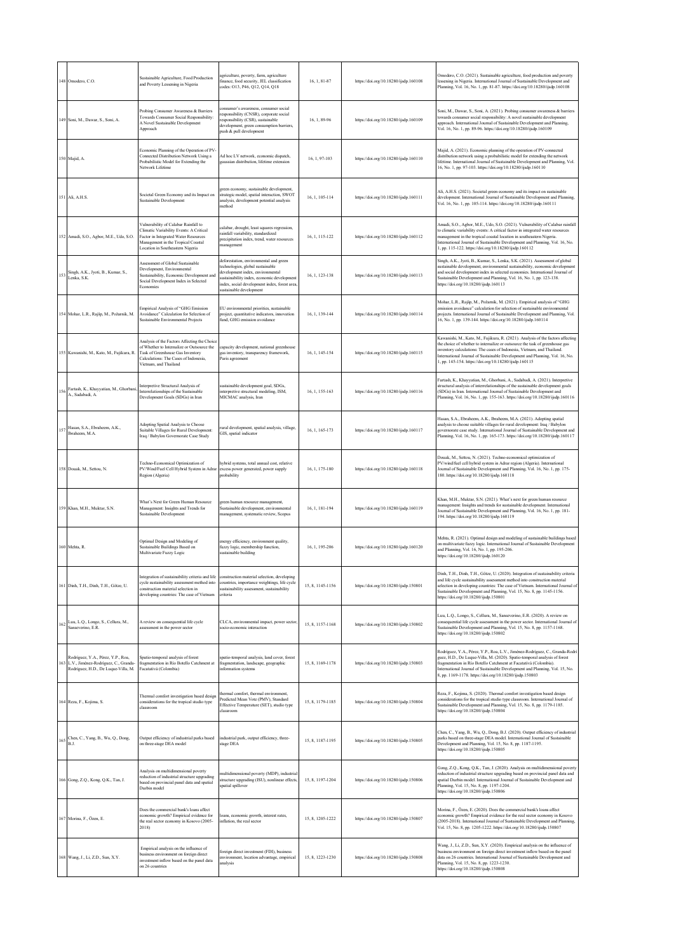|     | 148 Omodero, C.O.                                                                                                 | Sustainable Agriculture, Food Production<br>and Poverty Lessening in Nigeria                                                                                                                      | agriculture, poverty, farm, agriculture<br>finance, food security, JEL classification<br>codes: O13, P46, Q12, Q14, Q18                                                                                                                  | 16, 1, 81-87     | https://doi.org/10.18280/ijsdp.160108 | Omodero, C.O. (2021). Sustainable agriculture, food production and poverty<br>lessening in Nigeria. International Journal of Sustainable Development and<br>Planning, Vol. 16, No. 1, pp. 81-87. https://doi.org/10.18280/ijsdp.160108                                                                                                                                            |
|-----|-------------------------------------------------------------------------------------------------------------------|---------------------------------------------------------------------------------------------------------------------------------------------------------------------------------------------------|------------------------------------------------------------------------------------------------------------------------------------------------------------------------------------------------------------------------------------------|------------------|---------------------------------------|-----------------------------------------------------------------------------------------------------------------------------------------------------------------------------------------------------------------------------------------------------------------------------------------------------------------------------------------------------------------------------------|
|     | 49 Soni, M., Dawar, S., Soni, A.                                                                                  | Probing Consumer Awareness & Barriers<br>Towards Consumer Social Responsibility:<br>A Novel Sustainable Development<br>Approach                                                                   | onsumer's awareness, consumer social<br>esponsibility (CNSR), corporate social<br>responsibility (CSR), sustainable<br>development, green consumption barriers,<br>push & pull development                                               | 16, 1, 89-96     | https://doi.org/10.18280/ijsdp.160109 | Soni, M., Dawar, S., Soni, A. (2021). Probing consumer awareness & barriers<br>towards consumer social responsibility: A novel sustainable development<br>approach. International Journal of Sustainable Development and Planning,<br>Vol. 16, No. 1, pp. 89-96. https://doi.org/10.18280/ijsdp.160109                                                                            |
|     | 150 Majid, A.                                                                                                     | Economic Planning of the Operation of PV-<br>Connected Distribution Network Using a<br>Probabilistic Model for Extending the<br>Network Lifetime                                                  | Ad hoc LV network, economic dispatch,<br>gaussian distribution, lifetime extension                                                                                                                                                       | 16, 1, 97-103    | https://doi.org/10.18280/ijsdp.160110 | Majid, A. (2021). Economic planning of the operation of PV-connected<br>distribution network using a probabilistic model for extending the network<br>ifetime. International Journal of Sustainable Development and Planning, Vol.<br>16, No. 1, pp. 97-103. https://doi.org/10.18280/ijsdp.160110                                                                                |
|     | 151 Ali, A.H.S.                                                                                                   | Societal Green Economy and its Impact on<br>Sustainable Development                                                                                                                               | green economy, sustainable development,<br>strategic model, spatial interaction, SWOT<br>analysis, development potential analysis<br>method                                                                                              | 16, 1, 105-114   | https://doi.org/10.18280/ijsdp.160111 | Ali, A.H.S. (2021). Societal green economy and its impact on sustainable<br>development. International Journal of Sustainable Development and Planning,<br>Vol. 16, No. 1, pp. 105-114. https://doi.org/10.18280/ijsdp.160111                                                                                                                                                     |
|     | 152 Amadi, S.O., Agbor, M.E., Udo, S.O.                                                                           | Vulnerability of Calabar Rainfall to<br>Climatic Variability Events: A Critical<br>Factor in Integrated Water Resources<br>Management in the Tropical Coastal<br>Location in Southeastern Nigeria | calabar, drought, least squares regression,<br>rainfall variability, standardized<br>precipitation index, trend, water resources<br>management                                                                                           | 16, 1, 115-122   | https://doi.org/10.18280/ijsdp.160112 | Amadi, S.O., Agbor, M.E., Udo, S.O. (2021). Vulnerability of Calabar rainfall<br>to climatic variability events: A critical factor in integrated water resources<br>nanagement in the tropical coastal location in southeastern Nigeria.<br>International Journal of Sustainable Development and Planning, Vol. 16, No.<br>1, pp. 115-122. https://doi.org/10.18280/ijsdp.160112  |
| 153 | Singh, A.K., Jyoti, B., Kumar, S.,<br>Lenka, S.K.                                                                 | Assessment of Global Sustainable<br>Development, Environmental<br>Sustainability, Economic Development and<br>Social Development Index in Selected<br>Economies                                   | deforestation, environmental and green<br>technologies, global sustainable<br>development index, environmental<br>sustainability index, economic development<br>index, social development index, forest area,<br>sustainable development | 16, 1, 123-138   | https://doi.org/10.18280/ijsdp.160113 | Singh, A.K., Jyoti, B., Kumar, S., Lenka, S.K. (2021). Assessment of global<br>ustainable development, environmental sustainability, economic development<br>and social development index in selected economies. International Journal of<br>Sustainable Development and Planning, Vol. 16, No. 1, pp. 123-138.<br>https://doi.org/10.18280/ijsdp.160113                          |
|     | 154 Mohar, L.R., Rajšp, M., Požarnik, M.                                                                          | Empirical Analysis of "GHG Emission<br>Avoidance" Calculation for Selection of<br>Sustainable Environmental Projects                                                                              | EU environmental priorities, sustainable<br>project, quantitative indicators, innovation<br>fund, GHG emission avoidance                                                                                                                 | 16, 1, 139-144   | https://doi.org/10.18280/ijsdp.160114 | Mohar, L.R., Rajšp, M., Požarnik, M. (2021). Empirical analysis of "GHG<br>mission avoidance" calculation for selection of sustainable environmental<br>projects. International Journal of Sustainable Development and Planning, Vol.<br>6, No. 1, pp. 139-144. https://doi.org/10.18280/ijsdp.160114                                                                             |
|     | 155 Kawanishi, M., Kato, M., Fujikura, R.                                                                         | Analysis of the Factors Affecting the Choice<br>of Whether to Internalize or Outsource the<br>Task of Greenhouse Gas Inventory<br>Calculations: The Cases of Indonesia,<br>Vietnam, and Thailand  | capacity development, national greenhouse<br>gas inventory, transparency framework,<br>Paris agreement                                                                                                                                   | 16, 1, 145-154   | https://doi.org/10.18280/ijsdp.160115 | Kawanishi, M., Kato, M., Fujikura, R. (2021). Analysis of the factors affecting<br>the choice of whether to internalize or outsource the task of greenhouse gas<br>inventory calculations: The cases of Indonesia, Vietnam, and Thailand.<br>International Journal of Sustainable Development and Planning, Vol. 16, No.<br>1, pp. 145-154. https://doi.org/10.18280/ijsdp.160115 |
| 56  | Fartash, K., Khayyatian, M., Ghorbani<br>A., Sadabadi, A.                                                         | Interpretive Structural Analysis of<br>Interrelationships of the Sustainable<br>Development Goals (SDGs) in Iran                                                                                  | sustainable development goal, SDGs,<br>interpretive structural modeling, ISM,<br>MICMAC analysis, Iran                                                                                                                                   | 16, 1, 155-163   | https://doi.org/10.18280/ijsdp.160116 | Fartash, K., Khayyatian, M., Ghorbani, A., Sadabadi, A. (2021). Interpretive<br>structural analysis of interrelationships of the sustainable development goals<br>(SDGs) in Iran. International Journal of Sustainable Development and<br>Planning, Vol. 16, No. 1, pp. 155-163. https://doi.org/10.18280/ijsdp.160116                                                            |
| 57  | Hasan, S.A., Ebraheem, A.K.,<br>Ibraheem, M.A.                                                                    | Adopting Spatial Analysis to Choose<br>Suitable Villages for Rural Development:<br>Iraq / Babylon Governorate Case Study                                                                          | ural development, spatial analysis, village,<br>GIS, spatial indicator                                                                                                                                                                   | 16, 1, 165-173   | https://doi.org/10.18280/ijsdp.160117 | Hasan, S.A., Ebraheem, A.K., Ibraheem, M.A. (2021). Adopting spatial<br>analysis to choose suitable villages for rural development: Iraq / Babylon<br>governorate case study. International Journal of Sustainable Development and<br>Planning, Vol. 16, No. 1, pp. 165-173. https://doi.org/10.18280/ijsdp.160117                                                                |
|     | 58 Douak, M., Settou, N.                                                                                          | Techno-Economical Optimization of<br>PV/Wind/Fuel Cell Hybrid System in Adrar<br>Region (Algeria)                                                                                                 | hybrid systems, total annual cost, relative<br>excess power generated, power supply<br>probability                                                                                                                                       | 16, 1, 175-180   | https://doi.org/10.18280/ijsdp.160118 | Douak, M., Settou, N. (2021). Techno-economical optimization of<br>PV/wind/fuel cell hybrid system in Adrar region (Algeria). International<br>ournal of Sustainable Development and Planning, Vol. 16, No. 1, pp. 175-<br>180. https://doi.org/10.18280/ijsdp.160118                                                                                                             |
|     | 159 Khan, M.H., Muktar, S.N.                                                                                      | What's Next for Green Human Resource<br>Management: Insights and Trends for<br>Sustainable Development                                                                                            | green human resource management,<br>Sustainable development, environmental<br>management, systematic review, Scopus                                                                                                                      | 16, 1, 181-194   | https://doi.org/10.18280/ijsdp.160119 | Khan, M.H., Muktar, S.N. (2021). What's next for green human resource<br>nanagement: Insights and trends for sustainable development. International<br>ournal of Sustainable Development and Planning, Vol. 16, No. 1, pp. 181-<br>194. https://doi.org/10.18280/ijsdp.160119                                                                                                     |
|     | 160 Mehta, R.                                                                                                     | Optimal Design and Modeling of<br>Sustainable Buildings Based on<br>Multivariate Fuzzy Logic                                                                                                      | energy efficiency, environment quality,<br>fuzzy logic, membership function,<br>sustainable building                                                                                                                                     | 16, 1, 195-206   | https://doi.org/10.18280/ijsdp.160120 | Mehta, R. (2021). Optimal design and modeling of sustainable buildings based<br>on multivariate fuzzy logic. International Journal of Sustainable Development<br>and Planning, Vol. 16, No. 1, pp. 195-206.<br>https://doi.org/10.18280/ijsdp.160120                                                                                                                              |
|     | 61 Dinh, T.H., Dinh, T.H., Götze, U.                                                                              | Integration of sustainability criteria and life<br>cycle sustainability assessment method into<br>construction material selection in<br>developing countries: The case of Vietnam                 | construction material selection, developing<br>countries, importance weightings, life cycle<br>sustainability assessment, sustainability<br>criteria                                                                                     | 15, 8, 1145-1156 | https://doi.org/10.18280/ijsdp.150801 | Dinh, T.H., Dinh, T.H., Götze, U. (2020). Integration of sustainability criteria<br>and life cycle sustainability assessment method into construction material<br>selection in developing countries: The case of Vietnam. International Journal of<br>Sustainable Development and Planning, Vol. 15, No. 8, pp. 1145-1156.<br>nttps://doi.org/10.18280/ijsdp.150801               |
| 62  | Luu, L.Q., Longo, S., Cellura, M.,<br>Sanseverino, E.R.                                                           | A review on consequential life cycle<br>assessment in the power sector                                                                                                                            | CLCA, environmental impact, power sector,<br>socio-economic interaction                                                                                                                                                                  | 15, 8, 1157-1168 | https://doi.org/10.18280/ijsdp.150802 | Luu, L.Q., Longo, S., Cellura, M., Sanseverino, E.R. (2020). A review on<br>consequential life cycle assessment in the power sector. International Journal of<br>Sustainable Development and Planning, Vol. 15, No. 8, pp. 1157-1168.<br>https://doi.org/10.18280/ijsdp.150802                                                                                                    |
| 63  | Rodríguez, Y.A., Pérez, Y.P., Roa,<br>L.V., Jiménez-Rodríguez, C., Granda-<br>Rodríguez, H.D., De Luque-Villa, M. | Spatio-temporal analysis of forest<br>fragmentation in Río Botello Catchment at<br>Facatativá (Colombia)                                                                                          | spatio-temporal analysis, land cover, forest<br>fragmentation, landscape, geographic<br>information systems                                                                                                                              | 15, 8, 1169-1178 | https://doi.org/10.18280/ijsdp.150803 | Rodríguez, Y.A., Pérez, Y.P., Roa, L.V., Jiménez-Rodríguez, C., Granda-Rodrí<br>tuez, H.D., De Luque-Villa, M. (2020). Spatio-temporal analysis of forest<br>fragmentation in Río Botello Catchment at Facatativá (Colombia).<br>nternational Journal of Sustainable Development and Planning, Vol. 15, No.<br>8, pp. 1169-1178. https://doi.org/10.18280/ijsdp.150803            |
|     | 164 Reza, F., Kojima, S.                                                                                          | Thermal comfort investigation based design<br>considerations for the tropical studio type<br>classroom                                                                                            | thermal comfort, thermal environment,<br>Predicted Mean Vote (PMV), Standard<br>Effective Temperature (SET), studio type<br>classroom                                                                                                    | 15, 8, 1179-1185 | https://doi.org/10.18280/ijsdp.150804 | Reza, F., Kojima, S. (2020). Thermal comfort investigation based design<br>onsiderations for the tropical studio type classroom. International Journal of<br>Sustainable Development and Planning, Vol. 15, No. 8, pp. 1179-1185.<br>https://doi.org/10.18280/ijsdp.150804                                                                                                        |
| 65  | Chen, C., Yang, B., Wu, Q., Dong,<br>B.J.                                                                         | Output efficiency of industrial parks based<br>on three-stage DEA model                                                                                                                           | ndustrial park, output efficiency, three-<br>stage DEA                                                                                                                                                                                   | 15, 8, 1187-1195 | https://doi.org/10.18280/ijsdp.150805 | Chen, C., Yang, B., Wu, Q., Dong, B.J. (2020). Output efficiency of industrial<br>parks based on three-stage DEA model. International Journal of Sustainable<br>Development and Planning, Vol. 15, No. 8, pp. 1187-1195.<br>https://doi.org/10.18280/ijsdp.150805                                                                                                                 |
|     | 166 Gong, Z.Q., Kong, Q.K., Tan, J.                                                                               | Analysis on multidimensional poverty<br>reduction of industrial structure upgrading<br>based on provincial panel data and spatial<br>Durbin model                                                 | nultidimensional poverty (MDP), industrial<br>structure upgrading (ISU), nonlinear effects,<br>spatial spillover                                                                                                                         | 15, 8, 1197-1204 | https://doi.org/10.18280/ijsdp.150806 | Gong, Z.Q., Kong, Q.K., Tan, J. (2020). Analysis on multidimensional poverty<br>reduction of industrial structure upgrading based on provincial panel data and<br>spatial Durbin model. International Journal of Sustainable Development and<br>Planning, Vol. 15, No. 8, pp. 1197-1204.<br>https://doi.org/10.18280/ijsdp.150806                                                 |
|     | 67 Morina, F., Özen, E.                                                                                           | Does the commercial bank's loans affect<br>economic growth? Empirical evidence for<br>the real sector economy in Kosovo (2005-<br>2018)                                                           | oans, economic growth, interest rates,<br>inflation, the real sector                                                                                                                                                                     | 15, 8, 1205-1222 | https://doi.org/10.18280/ijsdp.150807 | Morina, F., Özen, E. (2020). Does the commercial bank's loans affect<br>economic growth? Empirical evidence for the real sector economy in Kosovo<br>2005-2018). International Journal of Sustainable Development and Planning,<br>Vol. 15, No. 8, pp. 1205-1222. https://doi.org/10.18280/ijsdp.150807                                                                           |
|     | 168 Wang, J., Li, Z.D., Sun, X.Y.                                                                                 | Empirical analysis on the influence of<br>business environment on foreign direct<br>investment inflow based on the panel data<br>on 26 countries                                                  | foreign direct investment (FDI), business<br>environment, location advantage, empirical<br>analysis                                                                                                                                      | 15, 8, 1223-1230 | https://doi.org/10.18280/ijsdp.150808 | Wang, J., Li, Z.D., Sun, X.Y. (2020). Empirical analysis on the influence of<br>pusiness environment on foreign direct investment inflow based on the panel<br>data on 26 countries. International Journal of Sustainable Development and<br>Planning, Vol. 15, No. 8, pp. 1223-1230.<br>https://doi.org/10.18280/ijsdp.150808                                                    |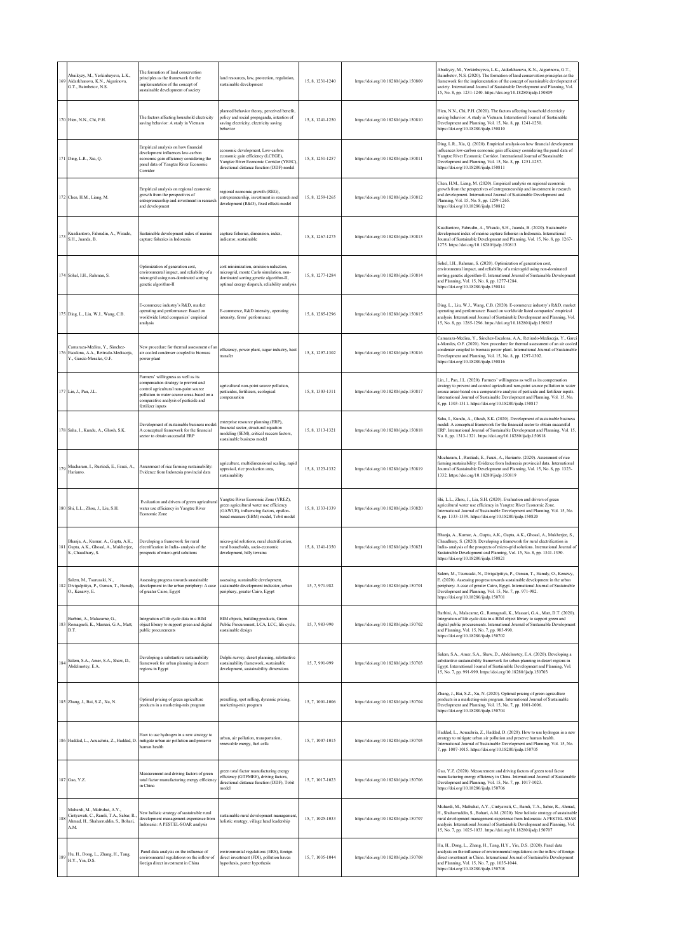| 169 | Abaikyzy, M., Yerkinbayeva, L.K.,<br>Aidarkhanova, K.N., Aigarinova,<br>G.T., Baimbetov, N.S.                          | The formation of land conservation<br>principles as the framework for the<br>implementation of the concept of<br>sustainable development of society                                                                              | land resources, law, protection, regulation,<br>sustainable development                                                                                                       | 15, 8, 1231-1240 | https://doi.org/10.18280/ijsdp.150809 | Abaikyzy, M., Yerkinbayeva, L.K., Aidarkhanova, K.N., Aigarinova, G.T.,<br>Baimbetov, N.S. (2020). The formation of land conservation principles as the<br>framework for the implementation of the concept of sustainable development o<br>society. International Journal of Sustainable Development and Planning, Vol.<br>15, No. 8, pp. 1231-1240. https://doi.org/10.18280/ijsdp.150809    |
|-----|------------------------------------------------------------------------------------------------------------------------|----------------------------------------------------------------------------------------------------------------------------------------------------------------------------------------------------------------------------------|-------------------------------------------------------------------------------------------------------------------------------------------------------------------------------|------------------|---------------------------------------|-----------------------------------------------------------------------------------------------------------------------------------------------------------------------------------------------------------------------------------------------------------------------------------------------------------------------------------------------------------------------------------------------|
|     | 170 Hien, N.N., Chi, P.H.                                                                                              | The factors affecting household electricity<br>saving behavior: A study in Vietnam                                                                                                                                               | planned behavior theory, perceived benefit,<br>policy and social propaganda, intention of<br>saving electricity, electricity saving<br>behavior                               | 15, 8, 1241-1250 | https://doi.org/10.18280/ijsdp.150810 | Hien, N.N., Chi, P.H. (2020). The factors affecting household electricity<br>saving behavior: A study in Vietnam. International Journal of Sustainable<br>Development and Planning, Vol. 15, No. 8, pp. 1241-1250.<br>https://doi.org/10.18280/ijsdp.150810                                                                                                                                   |
|     | 171 Ding, L.R., Xia, Q.                                                                                                | Empirical analysis on how financial<br>development influences low-carbon<br>economic gain efficiency considering the<br>panel data of Yangtze River Economic<br>Corridor                                                         | economic development, Low-carbon<br>economic gain efficiency (LCEGE),<br>Yangtze River Economic Corridor (YREC),<br>directional distance function (DDF) model                 | 15, 8, 1251-1257 | https://doi.org/10.18280/ijsdp.150811 | Ding, L.R., Xia, Q. (2020). Empirical analysis on how financial development<br>influences low-carbon economic gain efficiency considering the panel data of<br>Yangtze River Economic Corridor. International Journal of Sustainable<br>Development and Planning, Vol. 15, No. 8, pp. 1251-1257.<br>https://doi.org/10.18280/ijsdp.150811                                                     |
|     | 172 Chen, H.M., Liang, M.                                                                                              | Empirical analysis on regional economic<br>growth from the perspectives of<br>entrepreneurship and investment in research<br>and development                                                                                     | regional economic growth (REG),<br>entrepreneurship, investment in research and<br>development (R&D), fixed effects model                                                     | 15, 8, 1259-1265 | https://doi.org/10.18280/ijsdp.150812 | Chen, H.M., Liang, M. (2020). Empirical analysis on regional economic<br>growth from the perspectives of entrepreneurship and investment in research<br>and development. International Journal of Sustainable Development and<br>Planning, Vol. 15, No. 8, pp. 1259-1265.<br>https://doi.org/10.18280/ijsdp.150812                                                                            |
| 173 | Kusdiantoro, Fahrudin, A., Wisudo,<br>S.H., Juanda, B.                                                                 | Sustainable development index of marine<br>capture fisheries in Indonesia                                                                                                                                                        | capture fisheries, dimension, index,<br>indicator, sustainable                                                                                                                | 15, 8, 1267-1275 | https://doi.org/10.18280/ijsdp.150813 | Kusdiantoro, Fahrudin, A., Wisudo, S.H., Juanda, B. (2020). Sustainable<br>development index of marine capture fisheries in Indonesia. International<br>Journal of Sustainable Development and Planning, Vol. 15, No. 8, pp. 1267-<br>1275. https://doi.org/10.18280/ijsdp.150813                                                                                                             |
|     | 174 Sohel, I.H., Rahman, S.                                                                                            | Optimization of generation cost,<br>environmental impact, and reliability of a<br>microgrid using non-dominated sorting<br>genetic algorithm-II                                                                                  | cost minimization, emission reduction,<br>microgrid, monte Carlo simulation, non-<br>dominated sorting genetic algorithm-II,<br>optimal energy dispatch, reliability analysis | 15, 8, 1277-1284 | https://doi.org/10.18280/ijsdp.150814 | Sohel, I.H., Rahman, S. (2020). Optimization of generation cost,<br>environmental impact, and reliability of a microgrid using non-dominated<br>sorting genetic algorithm-II. International Journal of Sustainable Development<br>and Planning, Vol. 15, No. 8, pp. 1277-1284.<br>https://doi.org/10.18280/ijsdp.150814                                                                       |
|     | 175 Ding, L., Liu, W.J., Wang, C.B.                                                                                    | E-commerce industry's R&D, market<br>operating and performance: Based on<br>worldwide listed companies' empirical<br>analysis                                                                                                    | E-commerce, R&D intensity, operating<br>intensity, firms' performance                                                                                                         | 15, 8, 1285-1296 | https://doi.org/10.18280/ijsdp.150815 | Ding, L., Liu, W.J., Wang, C.B. (2020). E-commerce industry's R&D, market<br>operating and performance: Based on worldwide listed companies' empirical<br>analysis. International Journal of Sustainable Development and Planning, Vol.<br>15, No. 8, pp. 1285-1296. https://doi.org/10.18280/ijsdp.150815                                                                                    |
| 176 | Camaraza-Medina, Y., Sánchez-<br>Escalona, A.A., Retirado-Mediaceia,<br>Y., García-Morales, O.F.                       | New procedure for thermal assessment of an<br>air cooled condenser coupled to biomass<br>power plant                                                                                                                             | efficiency, power plant, sugar industry, heat<br>transfer                                                                                                                     | 15, 8, 1297-1302 | https://doi.org/10.18280/ijsdp.150816 | Camaraza-Medina, Y., Sánchez-Escalona, A.A., Retirado-Mediaceja, Y., Garc<br>a-Morales, O.F. (2020). New procedure for thermal assessment of an air cooled<br>condenser coupled to biomass power plant. International Journal of Sustainable<br>Development and Planning, Vol. 15, No. 8, pp. 1297-1302.<br>https://doi.org/10.18280/ijsdp.150816                                             |
|     | 177 Lin, J., Pan, J.L.                                                                                                 | Farmers' willingness as well as its<br>compensation strategy to prevent and<br>control agricultural non-point source<br>pollution in water source areas-based on a<br>comparative analysis of pesticide and<br>fertilizer inputs | agricultural non-point source pollution,<br>pesticides, fertilizers, ecological<br>compensation                                                                               | 15, 8, 1303-1311 | https://doi.org/10.18280/ijsdp.150817 | Lin, J., Pan, J.L. (2020). Farmers' willingness as well as its compensation<br>strategy to prevent and control agricultural non-point source pollution in water<br>source areas-based on a comparative analysis of pesticide and fertilizer inputs.<br>International Journal of Sustainable Development and Planning, Vol. 15, No.<br>8, pp. 1303-1311. https://doi.org/10.18280/ijsdp.150817 |
|     | 178 Saha, I., Kundu, A., Ghosh, S.K.                                                                                   | Development of sustainable business model<br>A conceptual framework for the financial<br>sector to obtain successful ERP                                                                                                         | enterprise resource planning (ERP),<br>financial sector, structural equation<br>modeling (SEM), critical success factors,<br>sustainable business model                       | 15, 8, 1313-1321 | https://doi.org/10.18280/ijsdp.150818 | Saha, I., Kundu, A., Ghosh, S.K. (2020). Development of sustainable business<br>model: A conceptual framework for the financial sector to obtain successful<br>ERP. International Journal of Sustainable Development and Planning, Vol. 15,<br>No. 8, pp. 1313-1321. https://doi.org/10.18280/ijsdp.150818                                                                                    |
| 179 | Mucharam, I., Rustiadi, E., Fauzi, A.,<br>Harianto.                                                                    | Assessment of rice farming sustainability:<br>Evidence from Indonesia provincial data                                                                                                                                            | agriculture, multidimensional scaling, rapid<br>appraisal, rice production area,<br>sustainability                                                                            | 15, 8, 1323-1332 | https://doi.org/10.18280/ijsdp.150819 | Mucharam, I., Rustiadi, E., Fauzi, A., Harianto. (2020). Assessment of rice<br>farming sustainability: Evidence from Indonesia provincial data. International<br>Journal of Sustainable Development and Planning, Vol. 15, No. 8, pp. 1323-<br>1332. https://doi.org/10.18280/ijsdp.150819                                                                                                    |
|     | 180 Shi, L.L., Zhou, J., Liu, S.H.                                                                                     | Evaluation and drivers of green agricultural<br>water use efficiency in Yangtze River<br>Economic Zone                                                                                                                           | Yangtze River Economic Zone (YREZ),<br>green agricultural water use efficiency<br>(GAWUE), influencing factors, epsilon-<br>based measure (EBM) model, Tobit model            | 15, 8, 1333-1339 | https://doi.org/10.18280/ijsdp.150820 | Shi, L.L., Zhou, J., Liu, S.H. (2020). Evaluation and drivers of green<br>agricultural water use efficiency in Yangtze River Economic Zone.<br>International Journal of Sustainable Development and Planning, Vol. 15, No.<br>8, pp. 1333-1339. https://doi.org/10.18280/ijsdp.150820                                                                                                         |
| 181 | Bhanja, A., Kumar, A., Gupta, A.K.,<br>Gupta, A.K., Ghosal, A., Mukherjee,<br>S., Chaudhury, S.                        | Developing a framework for rural<br>electrification in India- analysis of the<br>prospects of micro-grid solutions                                                                                                               | micro-grid solutions, rural electrification,<br>rural households, socio-economic<br>development, hilly terrains                                                               | 15, 8, 1341-1350 | https://doi.org/10.18280/ijsdp.150821 | Bhanja, A., Kumar, A., Gupta, A.K., Gupta, A.K., Ghosal, A., Mukherjee, S.,<br>Chaudhury, S. (2020). Developing a framework for rural electrification in<br>India- analysis of the prospects of micro-grid solutions. International Journal of<br>Sustainable Development and Planning, Vol. 15, No. 8, pp. 1341-1350.<br>https://doi.org/10.18280/ijsdp.150821                               |
|     | Salem, M., Tsurusaki, N.,<br>182 Divigalpitiya, P., Osman, T., Hamdy,<br>O., Kenawy, E.                                | Assessing progress towards sustainable<br>development in the urban periphery: A case<br>of greater Cairo, Egypt                                                                                                                  | assessing, sustainable development,<br>sustainable development indicator, urban<br>periphery, greater Cairo, Egypt                                                            | 15, 7, 971-982   | https://doi.org/10.18280/ijsdp.150701 | Salem, M., Tsurusaki, N., Divigalpitiya, P., Osman, T., Hamdy, O., Kenawy,<br>E. (2020). Assessing progress towards sustainable development in the urban<br>periphery: A case of greater Cairo, Egypt. International Journal of Sustainable<br>Development and Planning, Vol. 15, No. 7, pp. 971-982.<br>https://doi.org/10.18280/ijsdp.150701                                                |
|     | Barbini, A., Malacarne, G.,<br>183 Romagnoli, K., Massari, G.A., Matt,<br>D.T.                                         | Integration of life cycle data in a BIM<br>object library to support green and digital<br>public procurements                                                                                                                    | BIM objects, building products, Green<br>Public Procurement, LCA, LCC, life cycle,<br>sustainable design                                                                      | 15, 7, 983-990   | https://doi.org/10.18280/ijsdp.150702 | Barbini, A., Malacarne, G., Romagnoli, K., Massari, G.A., Matt, D.T. (2020).<br>Integration of life cycle data in a BIM object library to support green and<br>digital public procurements. International Journal of Sustainable Development<br>and Planning, Vol. 15, No. 7, pp. 983-990.<br>https://doi.org/10.18280/ijsdp.150702                                                           |
| 184 | Salem, S.A., Amer, S.A., Shaw, D.,<br>Abdelmotey, E.A.                                                                 | Developing a substantive sustainability<br>framework for urban planning in desert<br>regions in Egypt                                                                                                                            | Delphi survey, desert planning, substantive<br>sustainability framework, sustainable<br>development, sustainability dimensions                                                | 15, 7, 991-999   | https://doi.org/10.18280/ijsdp.150703 | Salem, S.A., Amer, S.A., Shaw, D., Abdelmotey, E.A. (2020). Developing a<br>substantive sustainability framework for urban planning in desert regions in<br>Egypt. International Journal of Sustainable Development and Planning, Vol.<br>15, No. 7, pp. 991-999. https://doi.org/10.18280/ijsdp.150703                                                                                       |
|     | 185 Zhang, J., Bai, S.Z., Xu, N.                                                                                       | Optimal pricing of green agriculture<br>products in a marketing-mix program                                                                                                                                                      | preselling, spot selling, dynamic pricing,<br>marketing-mix program                                                                                                           | 15, 7, 1001-1006 | https://doi.org/10.18280/ijsdp.150704 | Zhang, J., Bai, S.Z., Xu, N. (2020). Optimal pricing of green agriculture<br>products in a marketing-mix program. International Journal of Sustainable<br>Development and Planning, Vol. 15, No. 7, pp. 1001-1006.<br>https://doi.org/10.18280/ijsdp.150704                                                                                                                                   |
|     | 186 Haddad, L., Aouachria, Z., Haddad, D.                                                                              | How to use hydrogen in a new strategy to<br>mitigate urban air pollution and preserve<br>human health                                                                                                                            | irban, air pollution, transportation,<br>renewable energy, fuel cells                                                                                                         | 15, 7, 1007-1015 | https://doi.org/10.18280/ijsdp.150705 | Haddad, L., Aouachria, Z., Haddad, D. (2020). How to use hydrogen in a new<br>strategy to mitigate urban air pollution and preserve human health.<br>International Journal of Sustainable Development and Planning, Vol. 15, No.<br>7, pp. 1007-1015. https://doi.org/10.18280/ijsdp.150705                                                                                                   |
|     | 187 Gao, Y.Z.                                                                                                          | Measurement and driving factors of green<br>total factor manufacturing energy efficiency<br>in China                                                                                                                             | green total factor manufacturing energy<br>efficiency (GTFMEE), driving factors,<br>directional distance function (DDF), Tobit<br>model                                       | 15, 7, 1017-1023 | https://doi.org/10.18280/ijsdp.150706 | Gao, Y.Z. (2020). Measurement and driving factors of green total factor<br>manufacturing energy efficiency in China. International Journal of Sustainable<br>Development and Planning, Vol. 15, No. 7, pp. 1017-1023.<br>https://doi.org/10.18280/ijsdp.150706                                                                                                                                |
|     | Muhardi, M., Mafruhat, A.Y.,<br>Cintyawati, C., Ramli, T.A., Sabar, R.<br>Ahmad, H., Shaharruddin, S., Bohari,<br>A.M. | New holistic strategy of sustainable rural<br>development management-experience from<br>Indonesia: A PESTEL-SOAR analysis                                                                                                        | sustainable rural development management<br>holistic strategy, village head leadership                                                                                        | 15, 7, 1025-1033 | https://doi.org/10.18280/ijsdp.150707 | Muhardi, M., Mafruhat, A.Y., Cintyawati, C., Ramli, T.A., Sabar, R., Ahmad,<br>H., Shaharruddin, S., Bohari, A.M. (2020). New holistic strategy of sustainable<br>rural development management-experience from Indonesia: A PESTEL-SOAR<br>analysis. International Journal of Sustainable Development and Planning, Vol.<br>15, No. 7, pp. 1025-1033. https://doi.org/10.18280/ijsdp.150707   |
| 189 | Hu, H., Dong, L., Zhang, H., Tang,<br>H.Y., Yin, D.S.                                                                  | Panel data analysis on the influence of<br>environmental regulations on the inflow of<br>foreign direct investment in China                                                                                                      | nvironmental regulations (ERS), foreign<br>direct investment (FDI), pollution haven<br>hypothesis, porter hypothesis                                                          | 15, 7, 1035-1044 | https://doi.org/10.18280/ijsdp.150708 | Hu, H., Dong, L., Zhang, H., Tang, H.Y., Yin, D.S. (2020). Panel data<br>analysis on the influence of environmental regulations on the inflow of foreign<br>direct investment in China. International Journal of Sustainable Development<br>and Planning, Vol. 15, No. 7, pp. 1035-1044.<br>https://doi.org/10.18280/ijsdp.150708                                                             |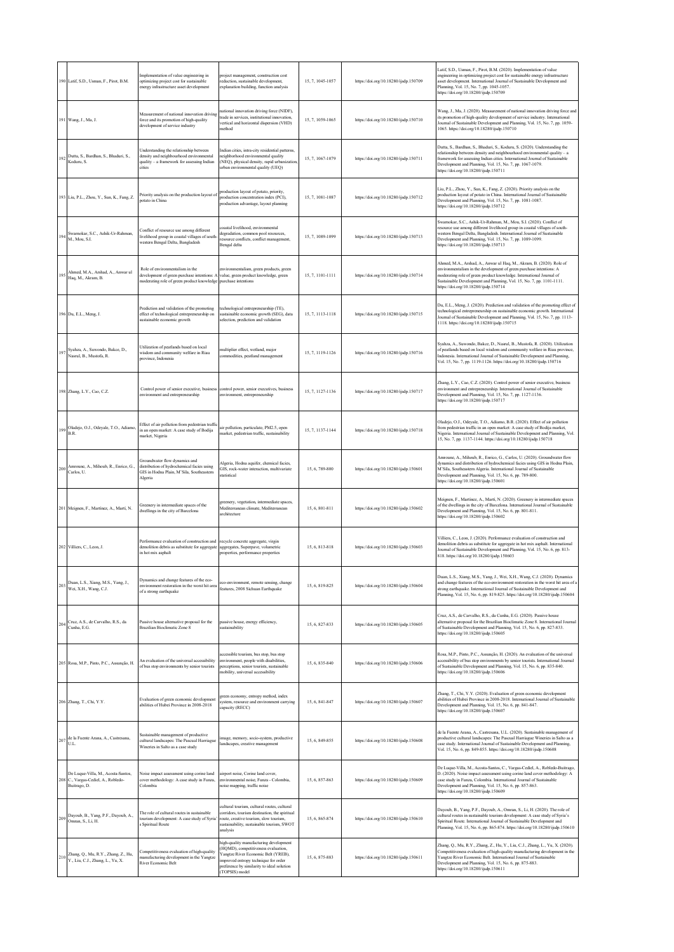|     | 190 Latif, S.D., Usman, F., Pirot, B.M.                                                   | Implementation of value engineering in<br>optimizing project cost for sustainable<br>energy infrastructure asset development                                                           | project management, construction cost<br>reduction, sustainable development,<br>explanation building, function analysis                                                                                                     | 15, 7, 1045-1057 | https://doi.org/10.18280/ijsdp.150709 | Latif, S.D., Usman, F., Pirot, B.M. (2020). Implementation of value<br>engineering in optimizing project cost for sustainable energy infrastructure<br>sset development. International Journal of Sustainable Development and<br>Planning, Vol. 15, No. 7, pp. 1045-1057.<br>https://doi.org/10.18280/ijsdp.150709                        |
|-----|-------------------------------------------------------------------------------------------|----------------------------------------------------------------------------------------------------------------------------------------------------------------------------------------|-----------------------------------------------------------------------------------------------------------------------------------------------------------------------------------------------------------------------------|------------------|---------------------------------------|-------------------------------------------------------------------------------------------------------------------------------------------------------------------------------------------------------------------------------------------------------------------------------------------------------------------------------------------|
|     | 191 Wang, J., Ma, J.                                                                      | Measurement of national innovation driving<br>force and its promotion of high-quality<br>development of service industry                                                               | national innovation driving force (NIDF),<br>trade in services, institutional innovation,<br>vertical and horizontal dispersion (VHD)<br>method                                                                             | 15, 7, 1059-1065 | https://doi.org/10.18280/ijsdp.150710 | Wang, J., Ma, J. (2020). Measurement of national innovation driving force and<br>its promotion of high-quality development of service industry. International<br>Journal of Sustainable Development and Planning, Vol. 15, No. 7, pp. 1059-<br>1065. https://doi.org/10.18280/ijsdp.150710                                                |
| 192 | Dutta, S., Bardhan, S., Bhaduri, S.,<br>Koduru, S.                                        | Understanding the relationship between<br>density and neighbourhood environmental<br>quality - a framework for assessing Indian<br>cities                                              | Indian cities, intra-city residential patterns.<br>neighborhood environmental quality<br>(NEQ), physical density, rapid urbanization<br>urban environmental quality (UEQ)                                                   | 15.7.1067-1079   | https://doi.org/10.18280/ijsdp.150711 | Dutta, S., Bardhan, S., Bhaduri, S., Koduru, S. (2020). Understanding the<br>relationship between density and neighbourhood environmental quality - a<br>framework for assessing Indian cities. International Journal of Sustainable<br>Development and Planning, Vol. 15, No. 7, pp. 1067-1079.<br>https://doi.org/10.18280/ijsdp.150711 |
|     | 193 Liu, P.L., Zhou, Y., Sun, K., Fang, Z.                                                | Priority analysis on the production layout of<br>potato in China                                                                                                                       | production layout of potato, priority,<br>production concentration index (PCI),<br>production advantage, layout planning                                                                                                    | 15, 7, 1081-1087 | https://doi.org/10.18280/ijsdp.150712 | Liu, P.L., Zhou, Y., Sun, K., Fang, Z. (2020). Priority analysis on the<br>production layout of potato in China. International Journal of Sustainable<br>Development and Planning, Vol. 15, No. 7, pp. 1081-1087.<br>https://doi.org/10.18280/ijsdp.150712                                                                                |
| 194 | Swarnokar, S.C., Ashik-Ur-Rahman,<br>M., Mou, S.I.                                        | Conflict of resource use among different<br>livelihood group in coastal villages of south-<br>western Bengal Delta, Bangladesh                                                         | coastal livelihood, environmental<br>degradation, common pool resources,<br>resource conflicts, conflict management,<br>Bengal delta                                                                                        | 15, 7, 1089-1099 | https://doi.org/10.18280/ijsdp.150713 | Swarnokar, S.C., Ashik-Ur-Rahman, M., Mou, S.I. (2020). Conflict of<br>resource use among different livelihood group in coastal villages of south-<br>western Bengal Delta, Bangladesh. International Journal of Sustainable<br>Development and Planning, Vol. 15, No. 7, pp. 1089-1099.<br>https://doi.org/10.18280/ijsdp.150713         |
| 195 | Ahmed, M.A., Arshad, A., Anwar ul<br>Haq, M., Akram, B.                                   | Role of environmentalism in the<br>development of green purchase intentions: A<br>moderating role of green product knowledge purchase intentions                                       | environmentalism, green products, green<br>value, green product knowledge, green                                                                                                                                            | 15, 7, 1101-1111 | https://doi.org/10.18280/ijsdp.150714 | Ahmed, M.A., Arshad, A., Anwar ul Haq, M., Akram, B. (2020). Role of<br>environmentalism in the development of green purchase intentions: A<br>moderating role of green product knowledge. International Journal of<br>Sustainable Development and Planning, Vol. 15, No. 7, pp. 1101-1111.<br>https://doi.org/10.18280/ijsdp.150714      |
|     | 196 Du, E.L., Meng, J.                                                                    | Prediction and validation of the promoting<br>effect of technological entrepreneurship on<br>sustainable economic growth                                                               | technological entrepreneurship (TE),<br>sustainable economic growth (SEG), data<br>selection, prediction and validation                                                                                                     | 15, 7, 1113-1118 | https://doi.org/10.18280/ijsdp.150715 | Du, E.L., Meng, J. (2020). Prediction and validation of the promoting effect of<br>technological entrepreneurship on sustainable economic growth. International<br>Journal of Sustainable Development and Planning, Vol. 15, No. 7, pp. 1113-<br>1118. https://doi.org/10.18280/ijsdp.150715                                              |
| 197 | Syahza, A., Suwondo, Bakce, D.,<br>Nasrul, B., Mustofa, R.                                | Utilization of peatlands based on local<br>wisdom and community welfare in Riau<br>province, Indonesia                                                                                 | multiplier effect, wetland, major<br>commodities, peatland management                                                                                                                                                       | 15, 7, 1119-1126 | https://doi.org/10.18280/ijsdp.150716 | Syahza, A., Suwondo, Bakce, D., Nasrul, B., Mustofa, R. (2020). Utilization<br>of peatlands based on local wisdom and community welfare in Riau province,<br>Indonesia. International Journal of Sustainable Development and Planning,<br>Vol. 15, No. 7, pp. 1119-1126. https://doi.org/10.18280/ijsdp.150716                            |
|     | 198 Zhang, L.Y., Cao, C.Z.                                                                | Control power of senior executive, business<br>environment and entrepreneurship                                                                                                        | control power, senior executives, business<br>environment, entrepreneurship                                                                                                                                                 | 15, 7, 1127-1136 | https://doi.org/10.18280/ijsdp.150717 | Zhang, L.Y., Cao, C.Z. (2020). Control power of senior executive, business<br>environment and entrepreneurship. International Journal of Sustainable<br>Development and Planning, Vol. 15, No. 7, pp. 1127-1136.<br>https://doi.org/10.18280/ijsdp.150717                                                                                 |
|     | 199 Oladejo, O.J., Odeyale, T.O., Adiamo,<br>B.R.                                         | Effect of air pollution from pedestrian traffic<br>in an open market: A case study of Bodija<br>market, Nigeria                                                                        | air pollution, particulate, PM2.5, open<br>market, pedestrian traffic, sustainability                                                                                                                                       | 15, 7, 1137-1144 | https://doi.org/10.18280/ijsdp.150718 | Oladejo, O.J., Odeyale, T.O., Adiamo, B.R. (2020). Effect of air pollution<br>from pedestrian traffic in an open market: A case study of Bodija market,<br>Nigeria. International Journal of Sustainable Development and Planning, Vol.<br>15, No. 7, pp. 1137-1144. https://doi.org/10.18280/ijsdp.150718                                |
| 200 | Amroune, A., Mihoub, R., Enrico, G.,<br>Carlos, U.                                        | Groundwater flow dynamics and<br>distribution of hydrochemical facies using<br>GIS in Hodna Plain, M'Sila, Southeastern<br>Algeria                                                     | Algeria, Hodna aquifer, chemical facies,<br>GIS, rock-water interaction, multivariate<br>statistical                                                                                                                        | 15, 6, 789-800   | https://doi.org/10.18280/ijsdp.150601 | Amroune, A., Mihoub, R., Enrico, G., Carlos, U. (2020). Groundwater flow<br>dynamics and distribution of hydrochemical facies using GIS in Hodna Plain,<br>M'Sila, Southeastern Algeria. International Journal of Sustainable<br>Development and Planning, Vol. 15, No. 6, pp. 789-800.<br>https://doi.org/10.18280/ijsdp.150601          |
|     | 201 Meignen, F., Martínez, A., Martí, N.                                                  | Greenery in intermediate spaces of the<br>dwellings in the city of Barcelona                                                                                                           | greenery, vegetation, intermediate spaces,<br>Mediterranean climate. Mediterranean<br>architecture                                                                                                                          | 15, 6, 801-811   | https://doi.org/10.18280/ijsdp.150602 | Meignen, F., Martínez, A., Martí, N. (2020). Greenery in intermediate spaces<br>of the dwellings in the city of Barcelona. International Journal of Sustainable<br>Development and Planning, Vol. 15, No. 6, pp. 801-811.<br>https://doi.org/10.18280/ijsdp.150602                                                                        |
|     | 202 Villiers, C., Leon, J.                                                                | Performance evaluation of construction and recycle concrete aggregate, virgin<br>demolition debris as substitute for aggregate aggregates, Superpave, volumetric<br>in hot mix asphalt | properties, performance properties                                                                                                                                                                                          | 15.6.813-818     | https://doi.org/10.18280/ijsdp.150603 | Villiers, C., Leon, J. (2020). Performance evaluation of construction and<br>demolition debris as substitute for aggregate in hot mix asphalt. International<br>Journal of Sustainable Development and Planning, Vol. 15, No. 6, pp. 813-<br>818. https://doi.org/10.18280/ijsdp.150603                                                   |
|     | 203 Duan, L.S., Xiang, M.S., Yang, J., Wei, X.H., Wang, C.J.                              | Dynamics and change features of the eco-<br>environment restoration in the worst hit area<br>of a strong earthquake                                                                    | co-environment, remote sensing, change<br>features, 2008 Sichuan Earthquake                                                                                                                                                 | 15, 6, 819-825   | https://doi.org/10.18280/ijsdp.150604 | Duan, L.S., Xiang, M.S., Yang, J., Wei, X.H., Wang, C.J. (2020). Dynamics<br>and change features of the eco-environment restoration in the worst hit area of a<br>strong earthquake. International Journal of Sustainable Development and<br>Planning, Vol. 15, No. 6, pp. 819-825. https://doi.org/10.18280/ijsdp.150604                 |
| 204 | Cruz, A.S., de Carvalho, R.S., da<br>Cunha, E.G.                                          | Passive house alternative proposal for the<br>Brazilian Bioclimatic Zone 8                                                                                                             | passive house, energy efficiency,<br>sustainability                                                                                                                                                                         | 15, 6, 827-833   | https://doi.org/10.18280/ijsdp.150605 | Cruz, A.S., de Carvalho, R.S., da Cunha, E.G. (2020). Passive house<br>alternative proposal for the Brazilian Bioclimatic Zone 8. International Journal<br>of Sustainable Development and Planning, Vol. 15, No. 6, pp. 827-833.<br>https://doi.org/10.18280/ijsdp.150605                                                                 |
|     | 205 Rosa, M.P., Pinto, P.C., Assunção, H.                                                 | An evaluation of the universal accessibility<br>of bus stop environments by senior tourists                                                                                            | accessible tourism, bus stop, bus stop<br>environment, people with disabilities,<br>perceptions, senior tourists, sustainable<br>mobility, universal accessibility                                                          | 15, 6, 835-840   | https://doi.org/10.18280/ijsdp.150606 | Rosa, M.P., Pinto, P.C., Assunção, H. (2020). An evaluation of the universal<br>accessibility of bus stop environments by senior tourists. International Journal<br>of Sustainable Development and Planning, Vol. 15, No. 6, pp. 835-840.<br>https://doi.org/10.18280/ijsdp.150606                                                        |
|     | 206 Zhang, T., Chi, Y.Y.                                                                  | Evaluation of green economic development<br>abilities of Hubei Province in 2008-2018                                                                                                   | green economy, entropy method, index<br>system, resource and environment carrying<br>capacity (RECC)                                                                                                                        | 15, 6, 841-847   | https://doi.org/10.18280/ijsdp.150607 | Zhang, T., Chi, Y.Y. (2020). Evaluation of green economic development<br>abilities of Hubei Province in 2008-2018. International Journal of Sustainable<br>Development and Planning, Vol. 15, No. 6, pp. 841-847.<br>https://doi.org/10.18280/ijsdp.150607                                                                                |
|     | 207 de la Fuente Arana, A., Castresana,<br>U.L.                                           | Sustainable management of productive<br>cultural landscapes: The Pascual Harriague<br>Wineries in Salto as a case study                                                                | image, memory, socio-system, productive<br>landscapes, creative management                                                                                                                                                  | 15, 6, 849-855   | https://doi.org/10.18280/ijsdp.150608 | de la Fuente Arana, A., Castresana, U.L. (2020). Sustainable management of<br>productive cultural landscapes: The Pascual Harriague Wineries in Salto as a<br>case study. International Journal of Sustainable Development and Planning,<br>Vol. 15, No. 6, pp. 849-855. https://doi.org/10.18280/ijsdp.150608                            |
|     | De Luque-Villa, M., Acosta-Santos,<br>208 C., Vargas-Cediel, A., Robledo-<br>Buitrago, D. | Noise impact assessment using corine land<br>cover methodology: A case study in Funza,<br>Colombia                                                                                     | airport noise, Corine land cover.<br>environmental noise, Funza - Colombia,<br>noise mapping, traffic noise                                                                                                                 | 15, 6, 857-863   | https://doi.org/10.18280/ijsdp.150609 | De Luque-Villa, M., Acosta-Santos, C., Vargas-Cediel, A., Robledo-Buitrago,<br>D. (2020). Noise impact assessment using corine land cover methodology: A<br>case study in Funza, Colombia. International Journal of Sustainable<br>Development and Planning, Vol. 15, No. 6, pp. 857-863.<br>https://doi.org/10.18280/ijsdp.150609        |
| 209 | Dayoub, B., Yang, P.F., Dayoub, A.,<br>Omran, S., Li, H.                                  | The role of cultural routes in sustainable<br>tourism development: A case study of Syria'<br>s Spiritual Route                                                                         | cultural tourism, cultural routes, cultural<br>corridors, tourism destination, the spiritual<br>route, creative tourism, slow tourism,<br>sustainability, sustainable tourism, SWOT<br>analysis                             | 15, 6, 865-874   | https://doi.org/10.18280/ijsdp.150610 | Dayoub, B., Yang, P.F., Dayoub, A., Omran, S., Li, H. (2020). The role of<br>cultural routes in sustainable tourism development: A case study of Syria's<br>Spiritual Route. International Journal of Sustainable Development and<br>Planning, Vol. 15, No. 6, pp. 865-874. https://doi.org/10.18280/ijsdp.150610                         |
|     | 210 Zhang, Q., Mu, R.Y., Zhang, Z., Hu,<br>Y., Liu, C.J., Zhang, L., Yu, X.               | Competitiveness evaluation of high-quality<br>manufacturing development in the Yangtze<br>River Economic Belt                                                                          | high-quality manufacturing development<br>(HQMD), competitiveness evaluation,<br>angtze River Economic Belt (YREB),<br>improved entropy technique for order<br>preference by similarity to ideal solution<br>(TOPSIS) model | 15, 6, 875-883   | https://doi.org/10.18280/ijsdp.150611 | Zhang, Q., Mu, R.Y., Zhang, Z., Hu, Y., Liu, C.J., Zhang, L., Yu, X. (2020).<br>Competitiveness evaluation of high-quality manufacturing development in the<br>Yangtze River Economic Belt. International Journal of Sustainable<br>Development and Planning, Vol. 15, No. 6, pp. 875-883.<br>https://doi.org/10.18280/ijsdp.150611       |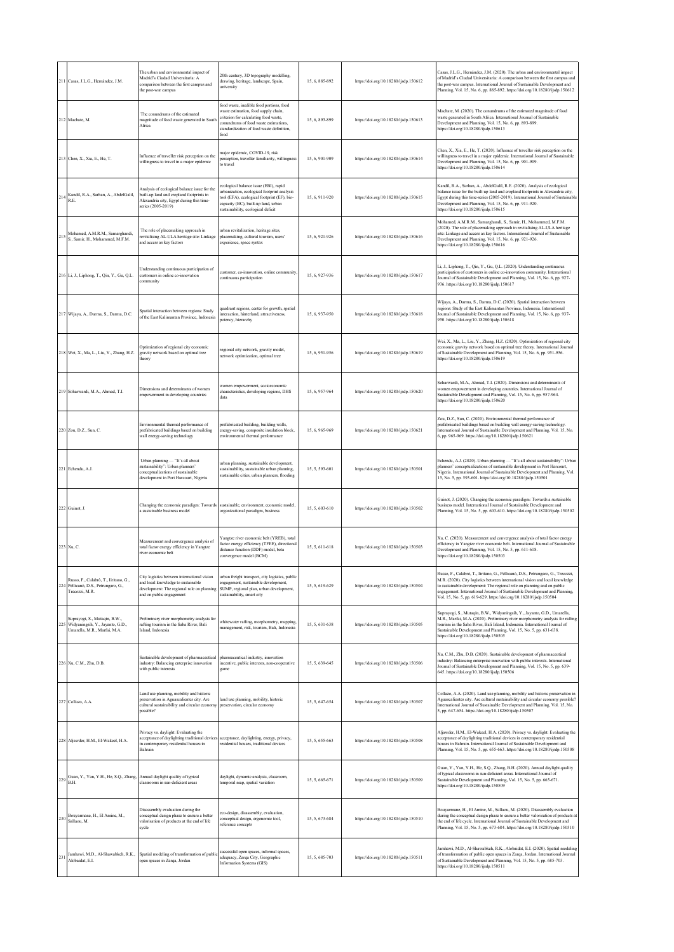|     | 211 Casas, J.L.G., Hernández, J.M.                                                                            | The urban and environmental impact of<br>Madrid's Ciudad Universitaria: A<br>comparison between the first campus and<br>the post-war campus                 | 20th century, 3D topography modelling,<br>frawing, heritage, landscape, Spain,<br>iniversity                                                                                                                          | 15, 6, 885-892 | https://doi.org/10.18280/ijsdp.150612 | Casas, J.L.G., Hernández, J.M. (2020). The urban and environmental impact<br>of Madrid's Ciudad Universitaria: A comparison between the first campus and<br>the post-war campus. International Journal of Sustainable Development and<br>Planning, Vol. 15, No. 6, pp. 885-892. https://doi.org/10.18280/ijsdp.150612                                                                           |
|-----|---------------------------------------------------------------------------------------------------------------|-------------------------------------------------------------------------------------------------------------------------------------------------------------|-----------------------------------------------------------------------------------------------------------------------------------------------------------------------------------------------------------------------|----------------|---------------------------------------|-------------------------------------------------------------------------------------------------------------------------------------------------------------------------------------------------------------------------------------------------------------------------------------------------------------------------------------------------------------------------------------------------|
|     | 212 Machate, M                                                                                                | The conundrums of the estimated<br>magnitude of food waste generated in South<br>Africa                                                                     | lood waste, inedible food portions, food<br>waste estimation, food supply chain,<br>criterion for calculating food waste,<br>onundrums of food waste estimations.<br>tandardization of food waste definition,<br>food | 15, 6, 893-899 | https://doi.org/10.18280/ijsdp.150613 | Machate, M. (2020). The conundrums of the estimated magnitude of food<br>waste generated in South Africa. International Journal of Sustainable<br>Development and Planning, Vol. 15, No. 6, pp. 893-899.<br>https://doi.org/10.18280/ijsdp.150613                                                                                                                                               |
|     | 213 Chen, X., Xia, E., He, T.                                                                                 | Influence of traveller risk perception on the<br>villingness to travel in a major epidemic                                                                  | najor epidemic, COVID-19, risk<br>perception, traveller familiarity, willingness<br>o travel                                                                                                                          | 15, 6, 901-909 | https://doi.org/10.18280/ijsdp.150614 | Chen, X., Xia, E., He, T. (2020). Influence of traveller risk perception on the<br>willingness to travel in a major epidemic. International Journal of Sustainable<br>Development and Planning, Vol. 15, No. 6, pp. 901-909.<br>https://doi.org/10.18280/ijsdp.150614                                                                                                                           |
| 214 | Kandil, R.A., Sarhan, A., AbdelGalil,<br>R.E.                                                                 | Analysis of ecological balance issue for the<br>built-up land and cropland footprints in<br>Alexandria city, Egypt during this time-<br>series (2005-2019)  | ecological balance issue (EBI), rapid<br>rbanization, ecological footprint analysis<br>ool (EFA), ecological footprint (EF), bio-<br>apacity (BC), built-up land, urban<br>sustainability, ecological deficit         | 15.6.911-920   | https://doi.org/10.18280/ijsdp.150615 | Kandil, R.A., Sarhan, A., AbdelGalil, R.E. (2020). Analysis of ecological<br>balance issue for the built-up land and cropland footprints in Alexandria city,<br>Egypt during this time-series (2005-2019). International Journal of Sustainable<br>Development and Planning, Vol. 15, No. 6, pp. 911-920.<br>https://doi.org/10.18280/ijsdp.150615                                              |
| 215 | Mohamed, A.M.R.M., Samarghandi,<br>S., Samir, H., Mohammed, M.F.M.                                            | The role of placemaking approach in<br>revitalising AL-ULA heritage site: Linkage<br>and access as key factors                                              | irban revitalization, heritage sites,<br>placemaking, cultural tourism, users'<br>xperience, space syntax                                                                                                             | 15.6.921-926   | https://doi.org/10.18280/ijsdp.150616 | Mohamed, A.M.R.M., Samarghandi, S., Samir, H., Mohammed, M.F.M.<br>(2020). The role of placemaking approach in revitalising AL-ULA heritage<br>site: Linkage and access as key factors. International Journal of Sustainable<br>Development and Planning, Vol. 15, No. 6, pp. 921-926.<br>https://doi.org/10.18280/ijsdp.150616                                                                 |
|     | 216 Li, J., Liphong, T., Qin, Y., Gu, Q.L.                                                                    | Inderstanding continuous participation of<br>customers in online co-innovation<br>ommunity                                                                  | ustomer, co-innovation, online community,<br>ontinuous participation                                                                                                                                                  | 15, 6, 927-936 | https://doi.org/10.18280/ijsdp.150617 | Li, J., Liphong, T., Qin, Y., Gu, Q.L. (2020). Understanding continuous<br>participation of customers in online co-innovation community. International<br>ournal of Sustainable Development and Planning, Vol. 15, No. 6, pp. 927-<br>936. https://doi.org/10.18280/ijsdp.150617                                                                                                                |
|     | 217 Wijaya, A., Darma, S., Darma, D.C.                                                                        | Spatial interaction between regions: Study<br>of the East Kalimantan Province, Indonesia                                                                    | juadrant regions, center for growth, spatial<br>nteraction, hinterland, attractiveness,<br>otency, hierarchy                                                                                                          | 15, 6, 937-950 | https://doi.org/10.18280/ijsdp.150618 | Wijaya, A., Darma, S., Darma, D.C. (2020). Spatial interaction between<br>regions: Study of the East Kalimantan Province, Indonesia. International<br>lournal of Sustainable Development and Planning, Vol. 15, No. 6, pp. 937-<br>950. https://doi.org/10.18280/ijsdp.150618                                                                                                                   |
|     | 218 Wei, X., Ma, L., Liu, Y., Zhang, H.Z.                                                                     | Optimization of regional city economic<br>gravity network based on optimal tree<br>heory                                                                    | egional city network, gravity model,<br>network optimization, optimal tree                                                                                                                                            | 15, 6, 951-956 | https://doi.org/10.18280/ijsdp.150619 | Wei, X., Ma, L., Liu, Y., Zhang, H.Z. (2020). Optimization of regional city<br>economic gravity network based on optimal tree theory. International Journal<br>of Sustainable Development and Planning, Vol. 15, No. 6, pp. 951-956.<br>attps://doi.org/10.18280/ijsdp.150619                                                                                                                   |
|     | 219 Soharwardi, M.A., Ahmad, T.I.                                                                             | Dimensions and determinants of women<br>mpowerment in developing countries                                                                                  | vomen empowerment, socioeconomic<br>characteristics, developing regions, DHS<br>data                                                                                                                                  | 15, 6, 957-964 | https://doi.org/10.18280/ijsdp.150620 | Soharwardi, M.A., Ahmad, T.I. (2020). Dimensions and determinants of<br>women empowerment in developing countries. International Journal of<br>Sustainable Development and Planning, Vol. 15, No. 6, pp. 957-964.<br>https://doi.org/10.18280/ijsdp.150620                                                                                                                                      |
|     | 220 Zou, D.Z., Sun, C.                                                                                        | Environmental thermal performance of<br>refabricated buildings based on building<br>wall energy-saving technology                                           | refabricated building, building walls,<br>nergy-saving, composite insulation block,<br>environmental thermal performance                                                                                              | 15, 6, 965-969 | https://doi.org/10.18280/ijsdp.150621 | Zou, D.Z., Sun, C. (2020). Environmental thermal performance of<br>prefabricated buildings based on building wall energy-saving technology.<br>International Journal of Sustainable Development and Planning, Vol. 15, No.<br>6, pp. 965-969. https://doi.org/10.18280/ijsdp.150621                                                                                                             |
|     | 221 Echendu, A.J.                                                                                             | Urban planning - "It's all about<br>austainability": Urban planners'<br>conceptualizations of sustainable<br>development in Port Harcourt, Nigeria          | irban planning, sustainable development,<br>sustainability, sustainable urban planning,<br>austainable cities, urban planners, flooding                                                                               | 15, 5, 593-601 | https://doi.org/10.18280/ijsdp.150501 | Echendu, A.J. (2020). Urban planning - "It's all about sustainability": Urban<br>planners' conceptualizations of sustainable development in Port Harcourt,<br>Nigeria. International Journal of Sustainable Development and Planning, Vol.<br>15, No. 5, pp. 593-601. https://doi.org/10.18280/ijsdp.150501                                                                                     |
|     | 222 Guinot, J.                                                                                                | Changing the economic paradigm: Towards<br>sustainable business model                                                                                       | sustainable, environment, economic model.<br>organizational paradigm, business                                                                                                                                        | 15.5.603-610   | https://doi.org/10.18280/ijsdp.150502 | Guinot, J. (2020). Changing the economic paradigm: Towards a sustainable<br>pusiness model. International Journal of Sustainable Development and<br>Planning, Vol. 15, No. 5, pp. 603-610. https://doi.org/10.18280/ijsdp.150502                                                                                                                                                                |
|     | 223 Xu, C.                                                                                                    | Aeasurement and convergence analysis of<br>total factor energy efficiency in Yangtze<br>iver economic belt                                                  | Yangtze river economic belt (YREB), total<br>actor energy efficiency (TFEE), directional<br>distance function (DDF) model, beta<br>onvergence model (BCM)                                                             | 15.5.611-618   | https://doi.org/10.18280/ijsdp.150503 | Xu, C. (2020). Measurement and convergence analysis of total factor energy<br>efficiency in Yangtze river economic belt. International Journal of Sustainable<br>Development and Planning, Vol. 15, No. 5, pp. 611-618.<br>https://doi.org/10.18280/ijsdp.150503                                                                                                                                |
|     | Russo, F., Calabrò, T., Iiritano, G.,<br>224 Pellicanò, D.S., Petrungaro, G.,<br>Trecozzi, M.R.               | City logistics between international vision<br>and local knowledge to sustainable<br>development: The regional role on planning<br>and on public engagement | irban freight transport, city logistics, public<br>ngagement, sustainable development,<br>SUMP, regional plan, urban development,<br>austainability, smart city                                                       | 15.5.619-629   | https://doi.org/10.18280/ijsdp.150504 | Russo, F., Calabrò, T., Iiritano, G., Pellicanò, D.S., Petrungaro, G., Trecozzi,<br>M.R. (2020). City logistics between international vision and local knowledge<br>to sustainable development: The regional role on planning and on public<br>engagement. International Journal of Sustainable Development and Planning,<br>Vol. 15, No. 5, pp. 619-629. https://doi.org/10.18280/ijsdp.150504 |
|     | Suprayogi, S., Mutaqin, B.W.,<br>225 Widyaningsih, Y., Jayanto, G.D.,<br>Umarella, M.R., Marfai, M.A.         | Preliminary river morphometry analysis for<br>rafting tourism in the Saba River, Bali<br>Island, Indonesia                                                  | vhitewater rafting, morphometry, mapping,<br>nanagement, risk, tourism, Bali, Indonesia                                                                                                                               | 15, 5, 631-638 | https://doi.org/10.18280/ijsdp.150505 | Suprayogi, S., Mutaqin, B.W., Widyaningsih, Y., Jayanto, G.D., Umarella,<br>M.R., Marfai, M.A. (2020). Preliminary river morphometry analysis for rafting<br>ourism in the Saba River, Bali Island, Indonesia. International Journal of<br>Sustainable Development and Planning, Vol. 15, No. 5, pp. 631-638.<br>https://doi.org/10.18280/ijsdp.150505                                          |
|     | 226 Xu, C.M., Zhu, D.B.                                                                                       | ustainable development of pharmaceutical<br>ndustry: Balancing enterprise innovation<br>with public interests                                               | pharmaceutical industry, innovation<br>ncentive, public interests, non-cooperative<br>zame                                                                                                                            | 15, 5, 639-645 | https://doi.org/10.18280/ijsdp.150506 | Xu, C.M., Zhu, D.B. (2020). Sustainable development of pharmaceutical<br>industry: Balancing enterprise innovation with public interests. International<br>Iournal of Sustainable Development and Planning, Vol. 15, No. 5, pp. 639-<br>645. https://doi.org/10.18280/ijsdp.150506                                                                                                              |
|     | 227 Collazo, A.A.                                                                                             | and use planning, mobility and historic<br>reservation in Aguascalientes city. Are<br>ultural sustainability and circular economy<br>ossible?               | land use planning, mobility, historic<br>preservation, circular economy                                                                                                                                               | 15, 5, 647-654 | https://doi.org/10.18280/ijsdp.150507 | Collazo, A.A. (2020). Land use planning, mobility and historic preservation in<br>Aguascalientes city. Are cultural sustainability and circular economy possible?<br>International Journal of Sustainable Development and Planning, Vol. 15, No.<br>5, pp. 647-654. https://doi.org/10.18280/ijsdp.150507                                                                                       |
|     | 228 Aljawder, H.M., El-Wakeel, H.A.                                                                           | Privacy vs. daylight: Evaluating the<br>acceptance of daylighting traditional devices<br>in contemporary residential houses in<br>Bahrain                   | acceptance, daylighting, energy, privacy,<br>residential houses, traditional devices                                                                                                                                  | 15, 5, 655-663 | https://doi.org/10.18280/ijsdp.150508 | Aljawder, H.M., El-Wakeel, H.A. (2020). Privacy vs. daylight: Evaluating the<br>acceptance of daylighting traditional devices in contemporary residential<br>nouses in Bahrain. International Journal of Sustainable Development and<br>Planning, Vol. 15, No. 5, pp. 655-663. https://doi.org/10.18280/ijsdp.150508                                                                            |
|     | Guan, Y., Yan, Y.H., He, S.Q., Zhang, Annual daylight quality of typical<br>$229\frac{\text{G}}{\text{B.H.}}$ | classrooms in sun-deficient areas                                                                                                                           | daylight, dynamic analysis, classroom,<br>emporal map, spatial variation                                                                                                                                              | 15, 5, 665-671 | https://doi.org/10.18280/ijsdp.150509 | Guan, Y., Yan, Y.H., He, S.Q., Zhang, B.H. (2020). Annual daylight quality<br>of typical classrooms in sun-deficient areas. International Journal of<br>Sustainable Development and Planning, Vol. 15, No. 5, pp. 665-671.<br>https://doi.org/10.18280/ijsdp.150509                                                                                                                             |
| 230 | Bouyarmane, H., El Amine, M.,<br>Sallaou, M.                                                                  | Disassembly evaluation during the<br>conceptual design phase to ensure a better<br>valorisation of products at the end of life<br>cycle                     | co-design, disassembly, evaluation,<br>onceptual design, ergonomic tool,<br>reference concepts                                                                                                                        | 15, 5, 673-684 | https://doi.org/10.18280/ijsdp.150510 | Bouyarmane, H., El Amine, M., Sallaou, M. (2020). Disassembly evaluation<br>during the conceptual design phase to ensure a better valorisation of products at<br>the end of life cycle. International Journal of Sustainable Development and<br>Planning, Vol. 15, No. 5, pp. 673-684. https://doi.org/10.18280/ijsdp.150510                                                                    |
| 231 | Jamhawi, M.D., Al-Shawabkeh, R.K.,<br>Alobaidat, E.I.                                                         | Spatial modeling of transformation of publi-<br>pen spaces in Zarqa, Jordan                                                                                 | uccessful open spaces, informal spaces,<br>dequacy, Zarqa City, Geographic<br>Information Systems (GIS)                                                                                                               | 15, 5, 685-703 | https://doi.org/10.18280/ijsdp.150511 | Jamhawi, M.D., Al-Shawabkeh, R.K., Alobaidat, E.I. (2020). Spatial modeling<br>of transformation of public open spaces in Zarqa, Jordan. International Journal<br>of Sustainable Development and Planning, Vol. 15, No. 5, pp. 685-703.<br>https://doi.org/10.18280/ijsdp.150511                                                                                                                |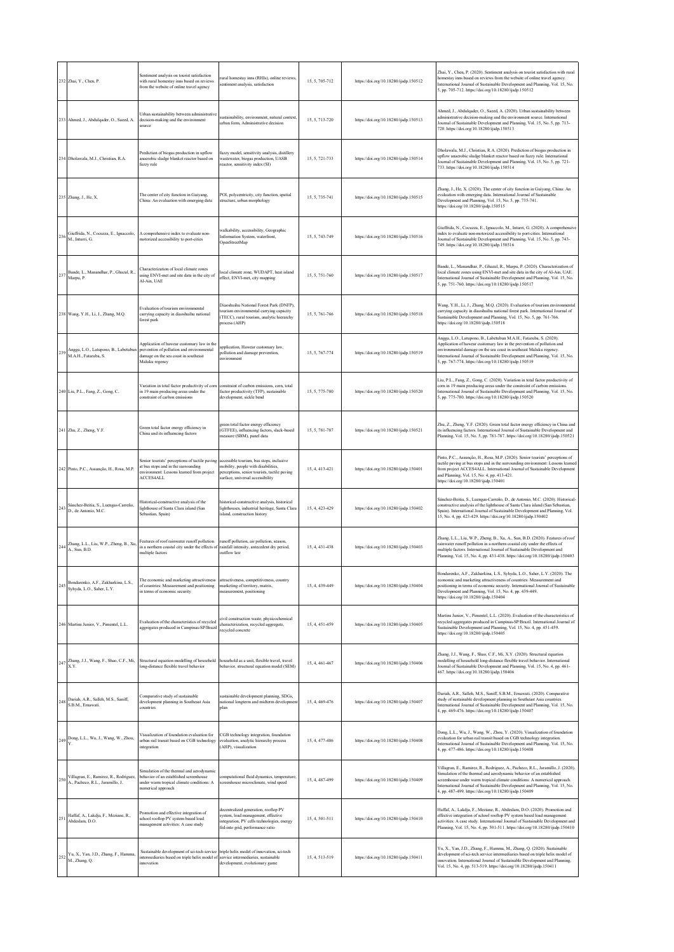|     | 232 Zhai, Y., Chen, P.                                                     | Sentiment analysis on tourist satisfaction<br>with rural homestay inns based on reviews<br>from the website of online travel agency                    | ural homestay inns (RHIs), online reviews,<br>sentiment analysis, satisfaction                                                                                      | 15.5.705-712   | https://doi.org/10.18280/ijsdp.150512 | Zhai, Y., Chen, P. (2020). Sentiment analysis on tourist satisfaction with rural<br>homestay inns based on reviews from the website of online travel agency.<br>International Journal of Sustainable Development and Planning, Vol. 15, No.<br>5, pp. 705-712. https://doi.org/10.18280/ijsdp.150512                                                                         |
|-----|----------------------------------------------------------------------------|--------------------------------------------------------------------------------------------------------------------------------------------------------|---------------------------------------------------------------------------------------------------------------------------------------------------------------------|----------------|---------------------------------------|------------------------------------------------------------------------------------------------------------------------------------------------------------------------------------------------------------------------------------------------------------------------------------------------------------------------------------------------------------------------------|
|     | 233 Ahmed, J., Abdulqader, O., Saeed, A.                                   | Urban sustainability between administrative<br>decision-making and the environment<br>source                                                           | sustainability, environment, natural context,<br>urban form, Administrative decision                                                                                | 15, 5, 713-720 | https://doi.org/10.18280/ijsdp.150513 | Ahmed, J., Abdulqader, O., Saeed, A. (2020). Urban sustainability between<br>administrative decision-making and the environment source. International<br>Journal of Sustainable Development and Planning, Vol. 15, No. 5, pp. 713-<br>720. https://doi.org/10.18280/ijsdp.150513                                                                                             |
|     | 234 Dholawala, M.J., Christian, R.A.                                       | Prediction of biogas production in upflow<br>anaerobic sludge blanket reactor based on<br>fuzzy rule                                                   | fuzzy model, sensitivity analysis, distillery<br>wastewater, biogas production, UASB<br>reactor, sensitivity index (SI)                                             | 15.5.721-733   | https://doi.org/10.18280/ijsdp.150514 | Dholawala, M.J., Christian, R.A. (2020). Prediction of biogas production in<br>upflow anaerobic sludge blanket reactor based on fuzzy rule. International<br>Journal of Sustainable Development and Planning, Vol. 15, No. 5, pp. 721-<br>733. https://doi.org/10.18280/ijsdp.150514                                                                                         |
|     | 235 Zhang, J., He, X.                                                      | The center of city function in Guiyang,<br>China: An evaluation with emerging data                                                                     | POI, polycentricity, city function, spatial<br>structure, urban morphology                                                                                          | 15.5.735-741   | https://doi.org/10.18280/ijsdp.150515 | Zhang, J., He, X. (2020). The center of city function in Guiyang, China: An<br>evaluation with emerging data. International Journal of Sustainable<br>Development and Planning, Vol. 15, No. 5, pp. 735-741.<br>https://doi.org/10.18280/ijsdp.150515                                                                                                                        |
| 236 | Giuffrida, N., Cocuzza, E., Ignaccolo,<br>M., Inturri, G.                  | A comprehensive index to evaluate non-<br>motorized accessibility to port-cities                                                                       | valkability, accessibility, Geographic<br>Information System, waterfront,<br>OpenStreetMap                                                                          | 15.5.743-749   | https://doi.org/10.18280/ijsdp.150516 | Giuffrida, N., Cocuzza, E., Ignaccolo, M., Inturri, G. (2020). A comprehensive<br>index to evaluate non-motorized accessibility to port-cities. International<br>Journal of Sustainable Development and Planning, Vol. 15, No. 5, pp. 743-<br>749. https://doi.org/10.18280/ijsdp.150516                                                                                     |
| 237 | Bande, L., Manandhar, P., Ghazal, R.<br>Marpu, P.                          | Characterization of local climate zones<br>using ENVI-met and site data in the city of<br>Al-Ain UAE                                                   | local climate zone, WUDAPT, heat island<br>effect, ENVI-met, city mapping                                                                                           | 15, 5, 751-760 | https://doi.org/10.18280/ijsdp.150517 | Bande, L., Manandhar, P., Ghazal, R., Marpu, P. (2020). Characterization of<br>local climate zones using ENVI-met and site data in the city of Al-Ain, UAE.<br>International Journal of Sustainable Development and Planning, Vol. 15, No.<br>5, pp. 751-760. https://doi.org/10.18280/ijsdp.150517                                                                          |
|     | 238 Wang, Y.H., Li, J., Zhang, M.Q.                                        | Evaluation of tourism environmental<br>carrying capacity in diaoshuihu national<br>forest park                                                         | Diaoshuihu National Forest Park (DNFP),<br>tourism environmental carrying capacity<br>(TECC), rural tourism, analytic hierarchy<br>process (AHP)                    | 15, 5, 761-766 | https://doi.org/10.18280/ijsdp.150518 | Wang, Y.H., Li, J., Zhang, M.Q. (2020). Evaluation of tourism environmental<br>carrying capacity in diaoshuihu national forest park. International Journal of<br>Sustainable Development and Planning, Vol. 15, No. 5, pp. 761-766.<br>https://doi.org/10.18280/ijsdp.150518                                                                                                 |
| 239 | Angga, L.O., Latupono, B., Labetubun<br>M.A.H., Fataruba, S.               | Application of hawcar customary law in the<br>prevention of pollution and environmental<br>damage on the sea coast in southeast<br>Maluku regency      | application, Hawear customary law,<br>pollution and damage prevention,<br>environment                                                                               | 15, 5, 767-774 | https://doi.org/10.18280/ijsdp.150519 | Angga, L.O., Latupono, B., Labetubun M.A.H., Fataruba, S. (2020).<br>Application of hawear customary law in the prevention of pollution and<br>environmental damage on the sea coast in southeast Maluku regency.<br>International Journal of Sustainable Development and Planning, Vol. 15, No.<br>5, pp. 767-774. https://doi.org/10.18280/ijsdp.150519                    |
|     | 240 Liu, P.L., Fang, Z., Gong, C.                                          | Variation in total factor productivity of corn<br>in 19 main producing areas under the<br>constraint of carbon emissions                               | constraint of carbon emissions, corn, total<br>factor productivity (TFP), sustainable<br>development, sickle bend                                                   | 15, 5, 775-780 | https://doi.org/10.18280/ijsdp.150520 | Liu, P.L., Fang, Z., Gong, C. (2020). Variation in total factor productivity of<br>corn in 19 main producing areas under the constraint of carbon emissions.<br>International Journal of Sustainable Development and Planning, Vol. 15, No.<br>5, pp. 775-780. https://doi.org/10.18280/ijsdp.150520                                                                         |
|     | 241 Zhu, Z., Zheng, Y.F.                                                   | Green total factor energy efficiency in<br>China and its influencing factors                                                                           | green total factor energy efficiency<br>(GTFEE), influencing factors, slack-based<br>measure (SBM), panel data                                                      | 15, 5, 781-787 | https://doi.org/10.18280/ijsdp.150521 | Zhu, Z., Zheng, Y.F. (2020). Green total factor energy efficiency in China and<br>its influencing factors. International Journal of Sustainable Development and<br>Planning, Vol. 15, No. 5, pp. 781-787. https://doi.org/10.18280/ijsdp.150521                                                                                                                              |
|     | 242 Pinto, P.C., Assunção, H., Rosa, M.P.                                  | Senior tourists' perceptions of tactile paving<br>at bus stops and in the surrounding<br>environment: Lessons learned from project<br>ACCES4ALL        | accessible tourism, bus stops, inclusive<br>mobility, people with disabilities,<br>perceptions, senior tourists, tactile paving<br>surface, universal accessibility | 15, 4, 413-421 | https://doi.org/10.18280/ijsdp.150401 | Pinto, P.C., Assunção, H., Rosa, M.P. (2020). Senior tourists' perceptions of<br>tactile paving at bus stops and in the surrounding environment: Lessons learned<br>from project ACCES4ALL. International Journal of Sustainable Development<br>and Planning, Vol. 15, No. 4, pp. 413-421.<br>https://doi.org/10.18280/ijsdp.150401                                          |
| 243 | Sánchez-Beitia, S., Luengas-Carreño,<br>D., de Antonio, M.C.               | Historical-constructive analysis of the<br>lighthouse of Santa Clara island (San<br>Sebastian, Spain)                                                  | historical-constructive analysis, historical<br>lighthouses, industrial heritage, Santa Clara<br>island, construction history                                       | 15.4.423-429   | https://doi.org/10.18280/ijsdp.150402 | Sánchez-Beitia, S., Luengas-Carreño, D., de Antonio, M.C. (2020). Historical-<br>constructive analysis of the lighthouse of Santa Clara island (San Sebastian,<br>Spain). International Journal of Sustainable Development and Planning, Vol.<br>15, No. 4, pp. 423-429. https://doi.org/10.18280/ijsdp.150402                                                               |
| 244 | Zhang, L.L., Liu, W.P., Zheng, B., Xu,<br>A., Sun, B.D.                    | Features of roof rainwater runoff pollution<br>in a northern coastal city under the effects of<br>multiple factors                                     | runoff pollution, air pollution, season,<br>rainfall intensity, antecedent dry period,<br>outflow law                                                               | 15, 4, 431-438 | https://doi.org/10.18280/ijsdp.150403 | Zhang, L.L., Liu, W.P., Zheng, B., Xu, A., Sun, B.D. (2020). Features of roof<br>rainwater runoff pollution in a northern coastal city under the effects of<br>multiple factors. International Journal of Sustainable Development and<br>Planning, Vol. 15, No. 4, pp. 431-438. https://doi.org/10.18280/ijsdp.150403                                                        |
|     | Bondarenko, A.F., Zakharkina, L.S.,<br>Syhyda, L.O., Saher, L.Y.           | The economic and marketing attractiveness<br>of countries: Measurement and positioning<br>in terms of economic security                                | attractiveness, competitiveness, country<br>marketing of territory, matrix,<br>measurement, positioning                                                             | 15, 4, 439-449 | https://doi.org/10.18280/ijsdp.150404 | Bondarenko, A.F., Zakharkina, L.S., Syhyda, L.O., Saher, L.Y. (2020). The<br>economic and marketing attractiveness of countries: Measurement and<br>positioning in terms of economic security. International Journal of Sustainable<br>Development and Planning, Vol. 15, No. 4, pp. 439-449.<br>https://doi.org/10.18280/ijsdp.150404                                       |
|     | 246 Martins Junior, V., Pimentel, L.L.                                     | Evaluation of the characteristics of recycled<br>aggregates produced in Campinas-SP/Brazil                                                             | civil construction waste, physicochemical<br>characterization, recycled aggregate,<br>recycled concrete                                                             | 15, 4, 451-459 | https://doi.org/10.18280/ijsdp.150405 | Martins Junior, V., Pimentel, L.L. (2020). Evaluation of the characteristics of<br>recycled aggregates produced in Campinas-SP/Brazil. International Journal of<br>Sustainable Development and Planning, Vol. 15, No. 4, pp. 451-459.<br>https://doi.org/10.18280/ijsdp.150405                                                                                               |
|     | $247$ Zhang, J.J., Wang, F., Shao, C.F., Mi, X.Y.                          | Structural equation modelling of household household as a unit, flexible travel, travel<br>long-distance flexible travel behavior                      | behavior, structural equation model (SEM)                                                                                                                           | 15, 4, 461-467 | https://doi.org/10.18280/ijsdp.150406 | Zhang, J.J., Wang, F., Shao, C.F., Mi, X.Y. (2020). Structural equation<br>modelling of household long-distance flexible travel behavior. International<br>Journal of Sustainable Development and Planning, Vol. 15, No. 4, pp. 461-<br>467. https://doi.org/10.18280/ijsdp.150406                                                                                           |
|     | 248 Dariah, A.R., Salleh, M.S., Saniff,<br>S.B.M., Ernawati.               | Comparative study of sustainable<br>development planning in Southeast Asia<br>countries                                                                | sustainable development planning, SDGs,<br>national longterm and midterm development<br>plan                                                                        | 15, 4, 469-476 | https://doi.org/10.18280/ijsdp.150407 | Dariah, A.R., Salleh, M.S., Saniff, S.B.M., Ernawati. (2020). Comparative<br>study of sustainable development planning in Southeast Asia countries.<br>International Journal of Sustainable Development and Planning, Vol. 15, No.<br>4, pp. 469-476. https://doi.org/10.18280/ijsdp.150407                                                                                  |
|     | 249 Dong, L.L., Wu, J., Wang, W., Zhou,                                    | Visualization of foundation evaluation for<br>urban rail transit based on CGB technology<br>integration                                                | CGB technology integration, foundation<br>evaluation, analytic hierarchy process<br>(AHP), visualization                                                            | 15, 4, 477-486 | https://doi.org/10.18280/ijsdp.150408 | Dong, L.L., Wu, J., Wang, W., Zhou, Y. (2020). Visualization of foundation<br>evaluation for urban rail transit based on CGB technology integration.<br>International Journal of Sustainable Development and Planning, Vol. 15, No.<br>4, pp. 477-486. https://doi.org/10.18280/ijsdp.150408                                                                                 |
| 250 | Villagran, E., Ramirez, R., Rodriguez,<br>A., Pacheco, R.L., Jaramillo, J. | Simulation of the thermal and aerodynamic<br>behavior of an established screenhouse<br>under warm tropical climate conditions: A<br>numerical approach | computational fluid dynamics, temperature,<br>screenhouse microclimate, wind speed                                                                                  | 15, 4, 487-499 | https://doi.org/10.18280/ijsdp.150409 | Villagran, E., Ramirez, R., Rodriguez, A., Pacheco, R.L., Jaramillo, J. (2020).<br>Simulation of the thermal and aerodynamic behavior of an established<br>screenhouse under warm tropical climate conditions: A numerical approach.<br>International Journal of Sustainable Development and Planning, Vol. 15, No.<br>4, pp. 487-499. https://doi.org/10.18280/ijsdp.150409 |
| 25  | Haffaf, A., Lakdja, F., Meziane, R.,<br>Abdeslam, D.O.                     | Promotion and effective integration of<br>school rooftop PV system based load<br>management activities: A case study                                   | decentralized generation, rooftop PV<br>system, load management, effective<br>integration, PV cells technologies, energy<br>fed-into grid, performance ratio        | 15, 4, 501-511 | https://doi.org/10.18280/ijsdp.150410 | Haffaf, A., Lakdja, F., Meziane, R., Abdeslam, D.O. (2020). Promotion and<br>effective integration of school rooftop PV system based load management<br>activities: A case study. International Journal of Sustainable Development and<br>Planning, Vol. 15, No. 4, pp. 501-511. https://doi.org/10.18280/ijsdp.150410                                                       |
|     | 252 Yu, X., Yan, J.D., Zhang, F., Hamma,<br>M., Zhang, Q.                  | Sustainable development of sci-tech service<br>intermediaries based on triple helix model of<br>innovation                                             | triple helix model of innovation, sci-tech<br>service intermediaries, sustainable<br>development, evolutionary game                                                 | 15, 4, 513-519 | https://doi.org/10.18280/ijsdp.150411 | Yu, X., Yan, J.D., Zhang, F., Hamma, M., Zhang, Q. (2020). Sustainable<br>development of sci-tech service intermediaries based on triple helix model of<br>innovation. International Journal of Sustainable Development and Planning,<br>Vol. 15, No. 4, pp. 513-519. https://doi.org/10.18280/ijsdp.150411                                                                  |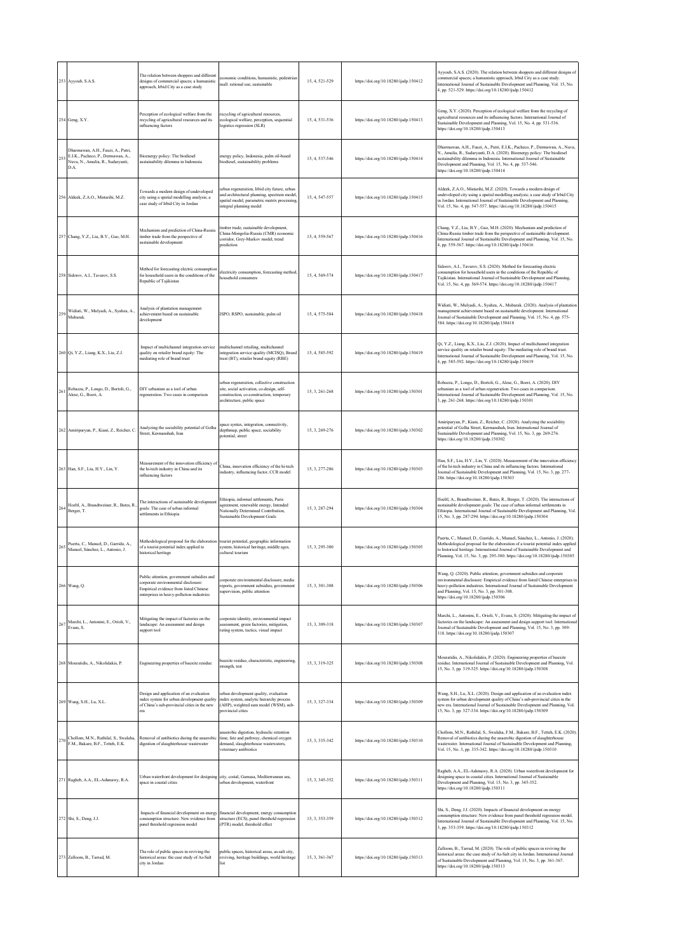|     | 253 Ayyoub, S.A.S.                                                                                                    | The relation between shoppers and different<br>designs of commercial spaces: a humanistic<br>approach, Irbid City as a case study                                        | economic conditions, humanistic, pedestrian<br>mall. rational use, sustainable                                                                                        | 15, 4, 521-529 | https://doi.org/10.18280/ijsdp.150412 | Ayyoub, S.A.S. (2020). The relation between shoppers and different designs of<br>commercial spaces; a humanistic approach, Irbid City as a case study.<br>International Journal of Sustainable Development and Planning, Vol. 15, No.<br>4, pp. 521-529. https://doi.org/10.18280/ijsdp.150412                                          |
|-----|-----------------------------------------------------------------------------------------------------------------------|--------------------------------------------------------------------------------------------------------------------------------------------------------------------------|-----------------------------------------------------------------------------------------------------------------------------------------------------------------------|----------------|---------------------------------------|-----------------------------------------------------------------------------------------------------------------------------------------------------------------------------------------------------------------------------------------------------------------------------------------------------------------------------------------|
|     | 254 Geng, X.Y.                                                                                                        | Perception of ecological welfare from the<br>recycling of agricultural resources and its<br>influencing factors                                                          | ecycling of agricultural resources,<br>ecological welfare, perception, sequential<br>logistics regression (SLR)                                                       | 15, 4, 531-536 | https://doi.org/10.18280/ijsdp.150413 | Geng, X.Y. (2020). Perception of ecological welfare from the recycling of<br>agricultural resources and its influencing factors. International Journal of<br>Sustainable Development and Planning, Vol. 15, No. 4, pp. 531-536.<br>https://doi.org/10.18280/ijsdp.150413                                                                |
|     | Dharmawan, A.H., Fauzi, A., Putri,<br>E.I.K., Pacheco, P., Dermawan, A.,<br>Nuva, N., Amalia, R., Sudaryanti,<br>D.A. | Bioenergy policy: The biodiesel<br>sustainability dilemma in Indonesia                                                                                                   | energy policy, Indonesia, palm oil-based<br>biodiesel, sustainability problems                                                                                        | 15, 4, 537-546 | https://doi.org/10.18280/ijsdp.150414 | Dharmawan, A.H., Fauzi, A., Putri, E.I.K., Pacheco, P., Dermawan, A., Nuva,<br>N., Amalia, R., Sudaryanti, D.A. (2020). Bioenergy policy: The biodiesel<br>sustainability dilemma in Indonesia. International Journal of Sustainable<br>Development and Planning, Vol. 15, No. 4, pp. 537-546.<br>https://doi.org/10.18280/ijsdp.150414 |
|     | 256 Aldeek, Z.A.O., Mistarihi, M.Z.                                                                                   | Towards a modern design of undeveloped<br>city using a spatial modelling analysis; a<br>case study of Irbid City in Jordan                                               | urban regeneration, Irbid city future, urban<br>and architectural planning, spectrum model<br>spatial model, parametric matrix processing,<br>integral planning model | 15, 4, 547-557 | https://doi.org/10.18280/ijsdp.150415 | Aldeek, Z.A.O., Mistarihi, M.Z. (2020). Towards a modern design of<br>undeveloped city using a spatial modelling analysis; a case study of Irbid City<br>in Jordan. International Journal of Sustainable Development and Planning,<br>Vol. 15, No. 4, pp. 547-557. https://doi.org/10.18280/ijsdp.150415                                |
|     | 257 Chang, Y.Z., Liu, B.Y., Gao, M.H.                                                                                 | Mechanism and prediction of China-Russia<br>timber trade from the perspective of<br>sustainable development                                                              | imber trade, sustainable development,<br>China-Mongolia-Russia (CMR) economic<br>corridor, Grey-Markov model, trend<br>prediction                                     | 15, 4, 559-567 | https://doi.org/10.18280/ijsdp.150416 | Chang, Y.Z., Liu, B.Y., Gao, M.H. (2020). Mechanism and prediction of<br>China-Russia timber trade from the perspective of sustainable development.<br>International Journal of Sustainable Development and Planning, Vol. 15, No.<br>4, pp. 559-567. https://doi.org/10.18280/ijsdp.150416                                             |
|     | 258 Sidorov, A.I., Tavarov, S.S.                                                                                      | Method for forecasting electric consumption<br>for household users in the conditions of the<br>Republic of Tajikistan                                                    | electricity consumption, forecasting method,<br>tousehold consumers                                                                                                   | 15, 4, 569-574 | https://doi.org/10.18280/ijsdp.150417 | Sidorov, A.I., Tavarov, S.S. (2020). Method for forecasting electric<br>consumption for household users in the conditions of the Republic of<br>Tajikistan. International Journal of Sustainable Development and Planning,<br>Vol. 15, No. 4, pp. 569-574. https://doi.org/10.18280/ijsdp.150417                                        |
| 259 | Widiati, W., Mulyadi, A., Syahza, A.,<br>Mubarak.                                                                     | Analysis of plantation management<br>achievement based on sustainable<br>development                                                                                     | ISPO, RSPO, sustainable, palm oil                                                                                                                                     | 15, 4, 575-584 | https://doi.org/10.18280/ijsdp.150418 | Widiati, W., Mulyadi, A., Syahza, A., Mubarak. (2020). Analysis of plantation<br>management achievement based on sustainable development. International<br>fournal of Sustainable Development and Planning, Vol. 15, No. 4, pp. 575-<br>584. https://doi.org/10.18280/ijsdp.150418                                                      |
|     | 260 Qi, Y.Z., Liang, K.X., Liu, Z.J.                                                                                  | Impact of multichannel integration service<br>quality on retailer brand equity: The<br>mediating role of brand trust                                                     | multichannel retailing, multichannel<br>integration service quality (MCISQ), Brand<br>trust (BT), retailer brand equity (RBE)                                         | 15, 4, 585-592 | https://doi.org/10.18280/ijsdp.150419 | Qi, Y.Z., Liang, K.X., Liu, Z.J. (2020). Impact of multichannel integration<br>service quality on retailer brand equity: The mediating role of brand trust.<br>International Journal of Sustainable Development and Planning, Vol. 15, No.<br>4, pp. 585-592. https://doi.org/10.18280/ijsdp.150419                                     |
| 26  | Robazza, P., Longo, D., Bortoli, G.,<br>Alese, G., Boeri, A.                                                          | DIY urbanism as a tool of urban<br>regeneration. Two cases in comparison                                                                                                 | urban regeneration, collective construction<br>site, social activation, co-design, self-<br>construction, co-construction, temporary<br>architecture, public space    | 15, 3, 261-268 | https://doi.org/10.18280/ijsdp.150301 | Robazza, P., Longo, D., Bortoli, G., Alese, G., Boeri, A. (2020). DIY<br>urbanism as a tool of urban regeneration. Two cases in comparison.<br>International Journal of Sustainable Development and Planning, Vol. 15, No.<br>3, pp. 261-268. https://doi.org/10.18280/ijsdp.150301                                                     |
|     | 262 Amiriparyan, P., Kiani, Z., Reicher, C.                                                                           | Analyzing the sociability potential of Golha<br>Street, Kermanshah, Iran                                                                                                 | space syntax, integration, connectivity,<br>depthmap, public space, sociability<br>potential, street                                                                  | 15.3.269-276   | https://doi.org/10.18280/ijsdp.150302 | Amiriparyan, P., Kiani, Z., Reicher, C. (2020). Analyzing the sociability<br>potential of Golha Street, Kermanshah, Iran. International Journal of<br>Sustainable Development and Planning, Vol. 15, No. 3, pp. 269-276.<br>https://doi.org/10.18280/ijsdp.150302                                                                       |
|     | 263 Han, S.F., Liu, H.Y., Lin, Y.                                                                                     | Measurement of the innovation efficiency of<br>the hi-tech industry in China and its<br>influencing factors                                                              | China, innovation efficiency of the hi-tech<br>industry, influencing factor, CCR model                                                                                | 15.3.277-286   | https://doi.org/10.18280/ijsdp.150303 | Han, S.F., Liu, H.Y., Lin, Y. (2020). Measurement of the innovation efficiency<br>of the hi-tech industry in China and its influencing factors. International<br>fournal of Sustainable Development and Planning, Vol. 15, No. 3, pp. 277-<br>286. https://doi.org/10.18280/ijsdp.150303                                                |
|     | 264 Hoeltl, A., Brandtweiner, R., Bates, R.,<br>Berger, T.                                                            | The interactions of sustainable developmen<br>goals: The case of urban informal<br>settlements in Ethiopia                                                               | Ethiopia, informal settlements, Paris<br>agreement, renewable energy, Intended<br>Nationally Determined Contribution,<br>Sustainable Development Goals                | 15, 3, 287-294 | https://doi.org/10.18280/ijsdp.150304 | Hoeltl, A., Brandtweiner, R., Bates, R., Berger, T. (2020). The interactions of<br>sustainable development goals: The case of urban informal settlements in<br>Ethiopia. International Journal of Sustainable Development and Planning, Vol.<br>15, No. 3, pp. 287-294. https://doi.org/10.18280/ijsdp.150304                           |
| 265 | Puerta, C., Manuel, D., Garrido, A.,<br>Manuel, Sánchez, L., Antonio, J.                                              | Methodological proposal for the elaboration<br>of a tourist potential index applied to<br>historical heritage                                                            | ourist potential, geographic information<br>system, historical heritage, middle ages,<br>cultural tourism                                                             | 15, 3, 295-300 | https://doi.org/10.18280/ijsdp.150305 | Puerta, C., Manuel, D., Garrido, A., Manuel, Sánchez, L., Antonio, J. (2020).<br>Methodological proposal for the elaboration of a tourist potential index applied<br>to historical heritage. International Journal of Sustainable Development and<br>Planning, Vol. 15, No. 3, pp. 295-300. https://doi.org/10.18280/ijsdp.150305       |
|     | 266 Wang, Q.                                                                                                          | Public attention, government subsidies and<br>corporate environmental disclosure:<br>Empirical evidence from listed Chinese<br>enterprises in heavy-pollution industries | corporate environmental disclosure, media<br>reports, government subsidies, government<br>supervision, public attention                                               | 15, 3, 301-308 | https://doi.org/10.18280/ijsdp.150306 | Wang, Q. (2020). Public attention, government subsidies and corporate<br>environmental disclosure: Empirical evidence from listed Chinese enterprises in<br>heavy-pollution industries. International Journal of Sustainable Development<br>and Planning, Vol. 15, No. 3, pp. 301-308.<br>https://doi.org/10.18280/ijsdp.150306         |
| 267 | Marchi, L., Antonini, E., Orioli, V.,<br>Evans, S.                                                                    | Mitigating the impact of factories on the<br>landscape: An assessment and design<br>support tool                                                                         | corporate identity, environmental impact<br>assessment, green factories, mitigation,<br>rating system, tactics, visual impact                                         | 15, 3, 309-318 | https://doi.org/10.18280/ijsdp.150307 | Marchi, L., Antonini, E., Orioli, V., Evans, S. (2020). Mitigating the impact of<br>factories on the landscape: An assessment and design support tool. International<br>Journal of Sustainable Development and Planning, Vol. 15, No. 3, pp. 309-<br>318. https://doi.org/10.18280/ijsdp.150307                                         |
|     | 268 Mouratidis, A., Nikolidakis, P.                                                                                   | Engineering properties of bauxite residue                                                                                                                                | bauxite residue, characteristic, engineering,<br>strength, test                                                                                                       | 15, 3, 319-325 | https://doi.org/10.18280/ijsdp.150308 | Mouratidis, A., Nikolidakis, P. (2020). Engineering properties of bauxite<br>residue. International Journal of Sustainable Development and Planning, Vol.<br>15, No. 3, pp. 319-325. https://doi.org/10.18280/ijsdp.150308                                                                                                              |
|     | 269 Wang, S.H., Lu, X.L.                                                                                              | Design and application of an evaluation<br>index system for urban development quality<br>of China's sub-provincial cities in the new<br>era                              | irban development quality, evaluation<br>index system, analytic hierarchy process<br>(AHP), weighted sum model (WSM), sub-<br>provincial cities                       | 15, 3, 327-334 | https://doi.org/10.18280/ijsdp.150309 | Wang, S.H., Lu, X.L. (2020). Design and application of an evaluation index<br>system for urban development quality of China's sub-provincial cities in the<br>new era. International Journal of Sustainable Development and Planning, Vol.<br>15, No. 3, pp. 327-334. https://doi.org/10.18280/ijsdp.150309                             |
| 270 | Chollom, M.N., Rathilal, S., Swalaha,<br>F.M., Bakare, B.F., Tetteh, E.K.                                             | Removal of antibiotics during the anaerobi<br>digestion of slaughterhouse wastewater                                                                                     | anaerobic digestion, hydraulic retention<br>time, fate and pathway, chemical oxygen<br>demand, slaughterhouse wastewaters,<br>veterinary antibiotics                  | 15, 3, 335-342 | https://doi.org/10.18280/ijsdp.150310 | Chollom, M.N., Rathilal, S., Swalaha, F.M., Bakare, B.F., Tetteh, E.K. (2020).<br>Removal of antibiotics during the anaerobic digestion of slaughterhouse<br>wastewater. International Journal of Sustainable Development and Planning,<br>Vol. 15, No. 3, pp. 335-342. https://doi.org/10.18280/ijsdp.150310                           |
|     | 271 Ragheb, A.A., EL-Ashmawy, R.A.                                                                                    | Urban waterfront development for designing<br>space in coastal cities                                                                                                    | city, costal, Gamasa, Mediterranean sea,<br>urban development, waterfront                                                                                             | 15.3.345-352   | https://doi.org/10.18280/ijsdp.150311 | Ragheb, A.A., EL-Ashmawy, R.A. (2020). Urban waterfront development for<br>designing space in coastal cities. International Journal of Sustainable<br>Development and Planning, Vol. 15, No. 3, pp. 345-352.<br>https://doi.org/10.18280/ijsdp.150311                                                                                   |
|     | 272 Shi, S., Deng, J.J.                                                                                               | Impacts of financial development on energy<br>consumption structure: New evidence from<br>panel threshold regression model                                               | financial development, energy consumption<br>structure (ECS), panel threshold regression<br>(PTR) model, threshold effect                                             | 15, 3, 353-359 | https://doi.org/10.18280/ijsdp.150312 | Shi, S., Deng, J.J. (2020). Impacts of financial development on energy<br>consumption structure: New evidence from panel threshold regression model.<br>International Journal of Sustainable Development and Planning, Vol. 15, No.<br>3, pp. 353-359. https://doi.org/10.18280/ijsdp.150312                                            |
|     | 273 Zalloom, B., Tarrad, M.                                                                                           | The role of public spaces in reviving the<br>historical areas: the case study of As-Salt<br>city in Jordan                                                               | public spaces, historical areas, as-salt city,<br>reviving, heritage buildings, world heritage<br>list                                                                | 15, 3, 361-367 | https://doi.org/10.18280/ijsdp.150313 | Zalloom, B., Tarrad, M. (2020). The role of public spaces in reviving the<br>historical areas: the case study of As-Salt city in Jordan. International Journal<br>of Sustainable Development and Planning, Vol. 15, No. 3, pp. 361-367.<br>https://doi.org/10.18280/ijsdp.150313                                                        |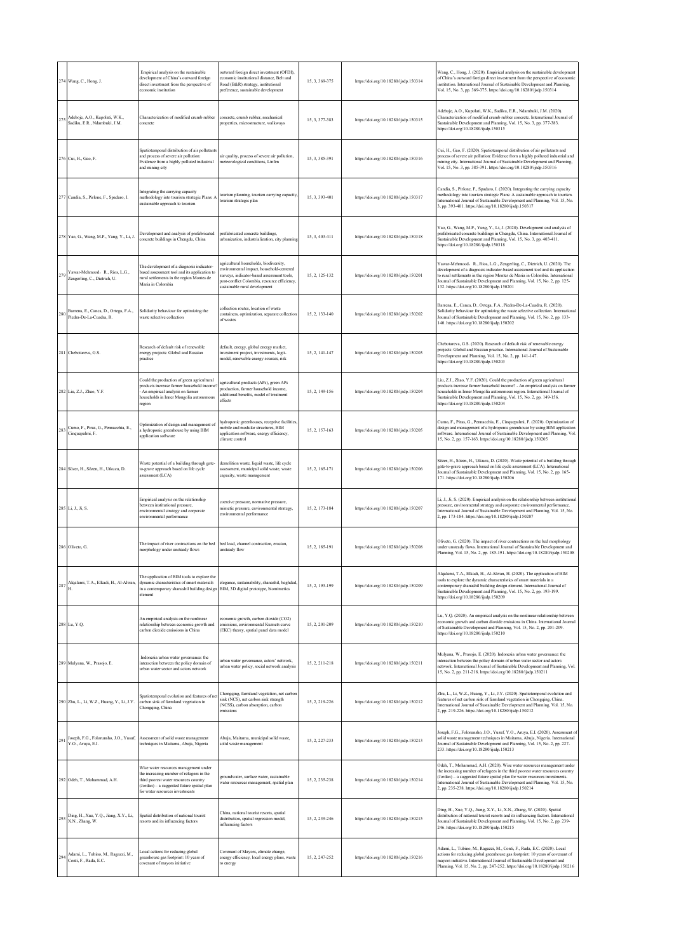|     | 274 Wang, C., Hong, J.                                           | Empirical analysis on the sustainable<br>development of China's outward foreign<br>direct investment from the perspective of<br>sconomic institution                                                       | outward foreign direct investment (OFDI).<br>conomic institutional distance, Belt and<br>Road (B&R) strategy, institutional<br>preference, sustainable development                                              | 15, 3, 369-375 | https://doi.org/10.18280/ijsdp.150314 | Wang, C., Hong, J. (2020). Empirical analysis on the sustainable development<br>of China's outward foreign direct investment from the perspective of economic<br>institution. International Journal of Sustainable Development and Planning,<br>Vol. 15, No. 3, pp. 369-375. https://doi.org/10.18280/ijsdp.150314                                                             |
|-----|------------------------------------------------------------------|------------------------------------------------------------------------------------------------------------------------------------------------------------------------------------------------------------|-----------------------------------------------------------------------------------------------------------------------------------------------------------------------------------------------------------------|----------------|---------------------------------------|--------------------------------------------------------------------------------------------------------------------------------------------------------------------------------------------------------------------------------------------------------------------------------------------------------------------------------------------------------------------------------|
| 275 | Adeboje, A.O., Kupolati, W.K.,<br>Sadiku, E.R., Ndambuki, J.M.   | Characterization of modified crumb rubber<br>oncrete                                                                                                                                                       | oncrete, crumb rubber, mechanical<br>properties, microstructure, walkways                                                                                                                                       | 15.3.377-383   | https://doi.org/10.18280/ijsdp.150315 | Adeboje, A.O., Kupolati, W.K., Sadiku, E.R., Ndambuki, J.M. (2020).<br>Characterization of modified crumb rubber concrete. International Journal of<br>Sustainable Development and Planning, Vol. 15, No. 3, pp. 377-383.<br>https://doi.org/10.18280/ijsdp.150315                                                                                                             |
|     | 276 Cui, H., Gao, F.                                             | Spatiotemporal distribution of air pollutants<br>and process of severe air pollution:<br>Evidence from a highly polluted industrial<br>and mining city                                                     | ir quality, process of severe air pollution,<br>neteorological conditions, Linfen                                                                                                                               | 15, 3, 385-391 | https://doi.org/10.18280/ijsdp.150316 | Cui, H., Gao, F. (2020). Spatiotemporal distribution of air pollutants and<br>process of severe air pollution: Evidence from a highly polluted industrial and<br>mining city. International Journal of Sustainable Development and Planning,<br>Vol. 15, No. 3, pp. 385-391. https://doi.org/10.18280/ijsdp.150316                                                             |
|     | 277 Candia, S., Pirlone, F., Spadaro, I.                         | Integrating the carrying capacity<br>nethodology into tourism strategic Plans: A<br>ustainable approach to tourism                                                                                         | ourism planning, tourism carrying capacity<br>ourism strategic plan                                                                                                                                             | 15, 3, 393-401 | https://doi.org/10.18280/ijsdp.150317 | Candia, S., Pirlone, F., Spadaro, I. (2020). Integrating the carrying capacity<br>nethodology into tourism strategic Plans: A sustainable approach to tourism.<br>nternational Journal of Sustainable Development and Planning, Vol. 15, No.<br>3, pp. 393-401. https://doi.org/10.18280/ijsdp.150317                                                                          |
|     | 278 Yao, G., Wang, M.P., Yang, Y., Li, J.                        | Development and analysis of prefabricated<br>oncrete buildings in Chengdu, China                                                                                                                           | prefabricated concrete buildings.<br>urbanization, industrialization, city planning                                                                                                                             | 15, 3, 403-411 | https://doi.org/10.18280/ijsdp.150318 | Yao, G., Wang, M.P., Yang, Y., Li, J. (2020). Development and analysis of<br>prefabricated concrete buildings in Chengdu, China. International Journal of<br>Sustainable Development and Planning, Vol. 15, No. 3, pp. 403-411.<br>attps://doi.org/10.18280/ijsdp.150318                                                                                                       |
| 279 | Yawar-Mehmood, R., Rios, L.G.,<br>Zengerling, C., Dietrich, U.   | The development of a diagnosis indicator-<br>based assessment tool and its application to<br>rural settlements in the region Montes de<br>Maria in Colombia                                                | gricultural households, biodiversity,<br>environmental impact, household-centered<br>urveys, indicator-based assessment tools,<br>post-conflict Colombia, resource efficiency,<br>sustainable rural development | 15, 2, 125-132 | https://doi.org/10.18280/ijsdp.150201 | Yawar-Mehmood, R., Rios, L.G., Zengerling, C., Dietrich, U. (2020). The<br>development of a diagnosis indicator-based assessment tool and its application<br>to rural settlements in the region Montes de Maria in Colombia. International<br>fournal of Sustainable Development and Planning, Vol. 15, No. 2, pp. 125-<br>132. https://doi.org/10.18280/ijsdp.150201          |
| 280 | Barrena, E., Canca, D., Ortega, F.A.,<br>Piedra-De-La-Cuadra, R. | Solidarity behaviour for optimizing the<br>waste selective collection                                                                                                                                      | ollection routes, location of waste<br>ontainers, optimization, separate collection<br>of wastes                                                                                                                | 15, 2, 133-140 | https://doi.org/10.18280/ijsdp.150202 | Barrena, E., Canca, D., Ortega, F.A., Piedra-De-La-Cuadra, R. (2020).<br>Solidarity behaviour for optimizing the waste selective collection. International<br>ournal of Sustainable Development and Planning, Vol. 15, No. 2, pp. 133-<br>40. https://doi.org/10.18280/ijsdp.150202                                                                                            |
|     | 281 Chebotareva, G.S.                                            | Research of default risk of renewable<br>nergy projects: Global and Russian<br>practice                                                                                                                    | default, energy, global energy market,<br>nvestment project, investments, logit-<br>nodel, renewable energy sources, risk                                                                                       | 15, 2, 141-147 | https://doi.org/10.18280/ijsdp.150203 | Chebotareva, G.S. (2020). Research of default risk of renewable energy<br>projects: Global and Russian practice. International Journal of Sustainable<br>Development and Planning, Vol. 15, No. 2, pp. 141-147.<br>https://doi.org/10.18280/ijsdp.150203                                                                                                                       |
|     | 282 Liu, Z.J., Zhao, Y.F.                                        | Could the production of green agricultural<br>products increase farmer household income?<br>An empirical analysis on farmer<br>touseholds in Inner Mongolia autonomous<br>egion                            | agricultural products (APs), green APs<br>production, farmer household income,<br>dditional benefits, model of treatment<br>ffects                                                                              | 15, 2, 149-156 | https://doi.org/10.18280/ijsdp.150204 | Liu, Z.J., Zhao, Y.F. (2020). Could the production of green agricultural<br>products increase farmer household income? - An empirical analysis on farmer<br>nouseholds in Inner Mongolia autonomous region. International Journal of<br>Sustainable Development and Planning, Vol. 15, No. 2, pp. 149-156.<br>https://doi.org/10.18280/ijsdp.150204                            |
| 283 | Cumo, F., Piras, G., Pennacchia, E.,<br>Cinquepalmi, F.          | Optimization of design and management of<br>hydroponic greenhouse by using BIM<br>application software                                                                                                     | sydroponic greenhouses, receptive facilities,<br>nobile and modular structures, BIM<br>pplication software, energy efficiency,<br>climate control                                                               | 15, 2, 157-163 | https://doi.org/10.18280/ijsdp.150205 | Cumo, F., Piras, G., Pennacchia, E., Cinquepalmi, F. (2020). Optimization of<br>design and management of a hydroponic greenhouse by using BIM application<br>software. International Journal of Sustainable Development and Planning, Vol.<br>15, No. 2, pp. 157-163. https://doi.org/10.18280/ijsdp.150205                                                                    |
|     | 284 Sözer, H., Sözen, H., Utkucu, D.                             | Waste potential of a building through gate-<br>to-grave approach based on life cycle<br>ssessment (LCA)                                                                                                    | lemolition waste, liquid waste, life cycle<br>assessment, municipal solid waste, waste<br>capacity, waste management                                                                                            | 15.2.165-171   | https://doi.org/10.18280/ijsdp.150206 | Sözer, H., Sözen, H., Utkucu, D. (2020). Waste potential of a building through<br>gate-to-grave approach based on life cycle assessment (LCA). International<br>fournal of Sustainable Development and Planning, Vol. 15, No. 2, pp. 165-<br>171. https://doi.org/10.18280/ijsdp.150206                                                                                        |
|     | 285 Li, J., Ji, S.                                               | Empirical analysis on the relationship<br>setween institutional pressure,<br>environmental strategy and corporate<br>environmental performance                                                             | oercive pressure, normative pressure,<br>nimetic pressure, environmental strategy,<br>environmental performance                                                                                                 | 15, 2, 173-184 | https://doi.org/10.18280/ijsdp.150207 | Li, J., Ji, S. (2020). Empirical analysis on the relationship between institutional<br>pressure, environmental strategy and corporate environmental performance.<br>International Journal of Sustainable Development and Planning, Vol. 15, No.<br>2, pp. 173-184. https://doi.org/10.18280/ijsdp.150207                                                                       |
|     | 286 Oliveto, G.                                                  | The impact of river contractions on the bed<br>norphology under unsteady flows                                                                                                                             | bed load, channel contraction, erosion,<br>insteady flow                                                                                                                                                        | 15, 2, 185-191 | https://doi.org/10.18280/ijsdp.150208 | Oliveto, G. (2020). The impact of river contractions on the bed morphology<br>inder unsteady flows. International Journal of Sustainable Development and<br>Planning, Vol. 15, No. 2, pp. 185-191. https://doi.org/10.18280/ijsdp.150208                                                                                                                                       |
|     | 287 Alqalami, T.A., Elkadi, H., Al-Alwan,                        | The application of BIM tools to explore the<br>dynamic characteristics of smart materials<br>in a contemporary shanashil building design BIM, 3D digital prototype, biomimetics<br>element                 | elegance, sustainability, shanashil, baghdad,                                                                                                                                                                   | 15, 2, 193-199 | https://doi.org/10.18280/ijsdp.150209 | Alqalami, T.A., Elkadi, H., Al-Alwan, H. (2020). The application of BIM<br>cools to explore the dynamic characteristics of smart materials in a<br>contemporary shanashil building design element. International Journal of<br>Sustainable Development and Planning, Vol. 15, No. 2, pp. 193-199.<br>https://doi.org/10.18280/ijsdp.150209                                     |
|     | 288 Lu, Y.Q.                                                     | An empirical analysis on the nonlinear<br>elationship between economic growth and<br>carbon dioxide emissions in China                                                                                     | conomic growth, carbon dioxide (CO2)<br>missions, environmental Kuznets curve<br>EKC) theory, spatial panel data model                                                                                          | 15, 2, 201-209 | https://doi.org/10.18280/ijsdp.150210 | Lu, Y.Q. (2020). An empirical analysis on the nonlinear relationship between<br>economic growth and carbon dioxide emissions in China. International Journal<br>of Sustainable Development and Planning, Vol. 15, No. 2, pp. 201-209.<br>https://doi.org/10.18280/ijsdp.150210                                                                                                 |
|     | 289 Mulyana, W., Prasojo, E.                                     | Indonesia urban water governance: the<br>interaction between the policy domain of<br>urban water sector and actors network                                                                                 | irban water governance, actors' network,<br>urban water policy, social network analysis                                                                                                                         | 15, 2, 211-218 | https://doi.org/10.18280/ijsdp.150211 | Mulyana, W., Prasojo, E. (2020). Indonesia urban water governance: the<br>interaction between the policy domain of urban water sector and actors<br>network. International Journal of Sustainable Development and Planning, Vol.<br>15, No. 2, pp. 211-218. https://doi.org/10.18280/ijsdp.150211                                                                              |
|     | 290 Zhu, L., Li, W.Z., Huang, Y., Li, J.Y.                       | Spatiotemporal evolution and features of ne<br>carbon sink of farmland vegetation in<br>Chongqing, China                                                                                                   | Chongqing, farmland vegetation, net carbon<br>sink (NCS), net carbon sink strength<br>(NCSS), carbon absorption, carbon<br>missions                                                                             | 15, 2, 219-226 | https://doi.org/10.18280/ijsdp.150212 | Zhu, L., Li, W.Z., Huang, Y., Li, J.Y. (2020). Spatiotemporal evolution and<br>features of net carbon sink of farmland vegetation in Chongqing, China.<br>International Journal of Sustainable Development and Planning, Vol. 15, No.<br>2, pp. 219-226. https://doi.org/10.18280/ijsdp.150212                                                                                 |
| 291 | Joseph, F.G., Folorunsho, J.O., Yusuf,<br>Y.O., Aruya, E.I.      | Assessment of solid waste management<br>techniques in Maitama, Abuja, Nigeria                                                                                                                              | Abuja, Maitama, municipal solid waste,<br>solid waste management                                                                                                                                                | 15, 2, 227-233 | https://doi.org/10.18280/ijsdp.150213 | loseph, F.G., Folorunsho, J.O., Yusuf, Y.O., Aruya, E.I. (2020). Assessment of<br>solid waste management techniques in Maitama, Abuja, Nigeria. International<br>fournal of Sustainable Development and Planning, Vol. 15, No. 2, pp. 227-<br>233. https://doi.org/10.18280/ijsdp.150213                                                                                       |
|     | 292 Odeh, T., Mohammad, A.H.                                     | Wise water resources management under<br>the increasing number of refugees in the<br>third poorest water resources country<br>Jordan) - a suggested future spatial plan<br>for water resources investments | groundwater, surface water, sustainable<br>water resources management, spatial plan                                                                                                                             | 15.2.235-238   | https://doi.org/10.18280/ijsdp.150214 | Odeh, T., Mohammad, A.H. (2020). Wise water resources management under<br>the increasing number of refugees in the third poorest water resources country<br>Jordan) - a suggested future spatial plan for water resources investments.<br>International Journal of Sustainable Development and Planning, Vol. 15, No.<br>2, pp. 235-238. https://doi.org/10.18280/ijsdp.150214 |
| 293 | Ding, H., Xue, Y.Q., Jiang, X.Y., Li,<br>X.N., Zhang, W.         | Spatial distribution of national tourist<br>resorts and its influencing factors                                                                                                                            | China, national tourist resorts, spatial<br>distribution, spatial regression model,<br>influencing factors                                                                                                      | 15.2.239-246   | https://doi.org/10.18280/ijsdp.150215 | Ding, H., Xue, Y.Q., Jiang, X.Y., Li, X.N., Zhang, W. (2020). Spatial<br>distribution of national tourist resorts and its influencing factors. International<br>Journal of Sustainable Development and Planning, Vol. 15, No. 2, pp. 239-<br>246. https://doi.org/10.18280/ijsdp.150215                                                                                        |
| 294 | Adami, L., Tubino, M., Ragazzi, M.,<br>Conti, F., Rada, E.C.     | Local actions for reducing global<br>greenhouse gas footprint: 10 years of<br>covenant of mayors initiative                                                                                                | Covenant of Mayors, climate change,<br>nergy efficiency, local energy plans, waste<br>o energy                                                                                                                  | 15, 2, 247-252 | https://doi.org/10.18280/ijsdp.150216 | Adami, L., Tubino, M., Ragazzi, M., Conti, F., Rada, E.C. (2020). Local<br>actions for reducing global greenhouse gas footprint: 10 years of covenant of<br>mayors initiative. International Journal of Sustainable Development and<br>Planning, Vol. 15, No. 2, pp. 247-252. https://doi.org/10.18280/ijsdp.150216                                                            |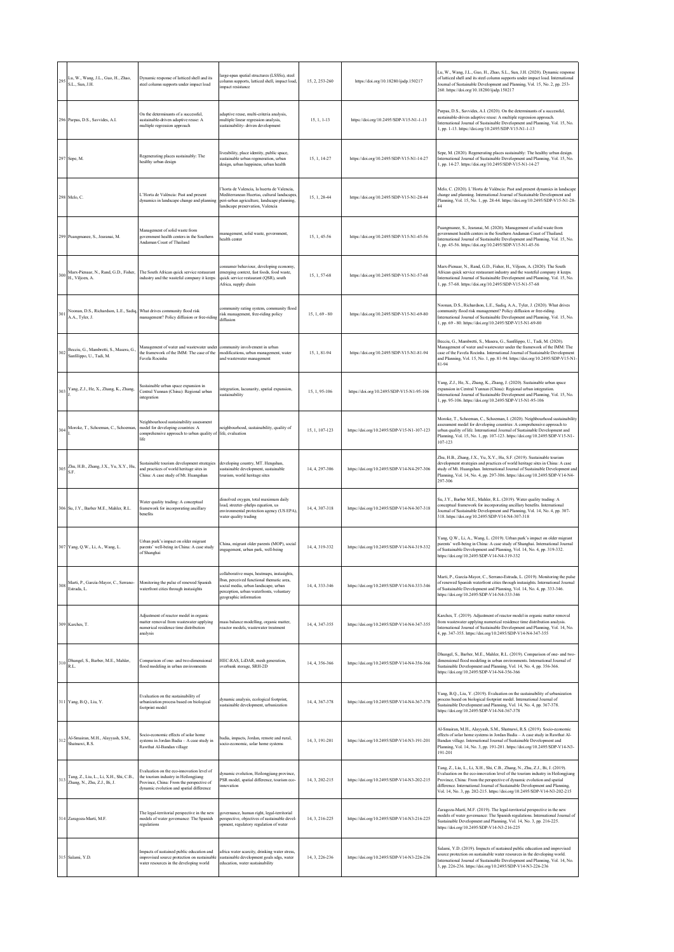| 295 | Lu, W., Wang, J.L., Guo, H., Zhao,<br>S.L., Sun, J.H.                                      | Dynamic response of latticed shell and its<br>steel column supports under impact load                                                                                     | large-span spatial structures (LSSSs), steel<br>column supports, latticed shell, impact load,<br>impact resistance                                                                                    | 15, 2, 253-260   | https://doi.org/10.18280/ijsdp.150217      | Lu, W., Wang, J.L., Guo, H., Zhao, S.L., Sun, J.H. (2020). Dynamic response<br>of latticed shell and its steel column supports under impact load. International<br>Journal of Sustainable Development and Planning, Vol. 15, No. 2, pp. 253-<br>260. https://doi.org/10.18280/ijsdp.150217                                                                                                        |
|-----|--------------------------------------------------------------------------------------------|---------------------------------------------------------------------------------------------------------------------------------------------------------------------------|-------------------------------------------------------------------------------------------------------------------------------------------------------------------------------------------------------|------------------|--------------------------------------------|---------------------------------------------------------------------------------------------------------------------------------------------------------------------------------------------------------------------------------------------------------------------------------------------------------------------------------------------------------------------------------------------------|
|     | 296 Parpas, D.S., Savvides, A.I.                                                           | On the determinants of a successful,<br>sustainable-driven adaptive reuse: A<br>multiple regression approach                                                              | adaptive reuse, multi-criteria analysis,<br>multiple linear regression analysis.<br>sustainability- driven development                                                                                | $15, 1, 1-13$    | https://doi.org/10.2495/SDP-V15-N1-1-13    | Parpas, D.S., Savvides, A.I. (2020). On the determinants of a successful,<br>sustainable-driven adaptive reuse: A multiple regression approach.<br>International Journal of Sustainable Development and Planning, Vol. 15, No.<br>1, pp. 1-13. https://doi.org/10.2495/SDP-V15-N1-1-13                                                                                                            |
|     | 297 Sepe, M.                                                                               | Regenerating places sustainably: The<br>healthy urban design                                                                                                              | liveability, place identity, public space,<br>sustainable urban regeneration, urban<br>design, urban happiness, urban health                                                                          | 15, 1, 14-27     | https://doi.org/10.2495/SDP-V15-N1-14-27   | Sepe, M. (2020). Regenerating places sustainably: The healthy urban design.<br>International Journal of Sustainable Development and Planning, Vol. 15, No.<br>1, pp. 14-27. https://doi.org/10.2495/SDP-V15-N1-14-27                                                                                                                                                                              |
|     | 298 Melo, C.                                                                               | "Horta de València: Past and present<br>dynamics in landscape change and planning                                                                                         | l'horta de Valencia, la huerta de Valencia,<br>Mediterranean Huertas, cultural landscapes<br>peri-urban agriculture, landscape planning,<br>landscape preservation, Valencia                          | 15, 1, 28-44     | https://doi.org/10.2495/SDP-V15-N1-28-44   | Melo, C. (2020). L'Horta de València: Past and present dynamics in landscape<br>change and planning. International Journal of Sustainable Development and<br>Planning, Vol. 15, No. 1, pp. 28-44. https://doi.org/10.2495/SDP-V15-N1-28-                                                                                                                                                          |
|     | 299 Puangmanee, S., Jearanai, M.                                                           | Management of solid waste from<br>government health centers in the Southern<br>Andaman Coast of Thailand                                                                  | management, solid waste, government,<br>health center                                                                                                                                                 | 15, 1, 45-56     | https://doi.org/10.2495/SDP-V15-N1-45-56   | Puangmance, S., Jearanai, M. (2020). Management of solid waste from<br>government health centers in the Southern Andaman Coast of Thailand.<br>International Journal of Sustainable Development and Planning, Vol. 15, No.<br>1, pp. 45-56. https://doi.org/10.2495/SDP-V15-N1-45-56                                                                                                              |
| 300 | Marx-Pienaar, N., Rand, G.D., Fisher,<br>H., Viljoen, A.                                   | The South African quick service restaurant<br>industry and the wasteful company it keeps                                                                                  | consumer behaviour, developing economy,<br>emerging context, fast foods, food waste,<br>quick service restaurant (QSR), south<br>Africa, supply chain                                                 | 15, 1, 57-68     | https://doi.org/10.2495/SDP-V15-N1-57-68   | Marx-Pienaar, N., Rand, G.D., Fisher, H., Viljoen, A. (2020). The South<br>African quick service restaurant industry and the wasteful company it keeps.<br>International Journal of Sustainable Development and Planning, Vol. 15, No.<br>1, pp. 57-68. https://doi.org/10.2495/SDP-V15-N1-57-68                                                                                                  |
| 301 | Noonan, D.S., Richardson, L.E., Sadiq, What drives community flood risk<br>A.A., Tyler, J. | management? Policy diffusion or free-riding                                                                                                                               | community rating system, community flood<br>risk management, free-riding policy<br>diffusion                                                                                                          | $15, 1, 69 - 80$ | https://doi.org/10.2495/SDP-V15-N1-69-80   | Noonan, D.S., Richardson, L.E., Sadiq, A.A., Tyler, J. (2020). What drives<br>community flood risk management? Policy diffusion or free-riding.<br>International Journal of Sustainable Development and Planning, Vol. 15, No.<br>1, pp. 69 - 80. https://doi.org/10.2495/SDP-V15-N1-69-80                                                                                                        |
| 302 | Becciu, G., Mambretti, S., Masera, G.,<br>Sanfilippo, U., Tadi, M.                         | Management of water and wastewater under<br>the framework of the IMM: The case of the<br>Favela Rocinha                                                                   | community involvement in urban<br>modifications, urban management, water<br>and wastewater management                                                                                                 | 15.1.81-94       | https://doi.org/10.2495/SDP-V15-N1-81-94   | Becciu, G., Mambretti, S., Masera, G., Sanfilippo, U., Tadi, M. (2020).<br>Management of water and wastewater under the framework of the IMM: The<br>case of the Favela Rocinha. International Journal of Sustainable Development<br>and Planning, Vol. 15, No. 1, pp. 81-94. https://doi.org/10.2495/SDP-V15-N1-<br>81-94                                                                        |
| 303 | Yang, Z.J., He, X., Zhang, K., Zhang,                                                      | Sustainable urban space expansion in<br>Central Yunnan (China): Regional urban<br>integration                                                                             | integration, lacunarity, spatial expansion,<br>sustainability                                                                                                                                         | 15, 1, 95-106    | https://doi.org/10.2495/SDP-V15-N1-95-106  | Yang, Z.J., He, X., Zhang, K., Zhang, J. (2020). Sustainable urban space<br>expansion in Central Yunnan (China): Regional urban integration.<br>International Journal of Sustainable Development and Planning, Vol. 15, No.<br>1, pp. 95-106. https://doi.org/10.2495/SDP-V15-N1-95-106                                                                                                           |
|     | 304 Moroke, T., Schoeman, C., Schoeman,                                                    | Neighbourhood sustainability assessment<br>model for developing countries: A<br>comprehensive approach to urban quality of life, evaluation<br>life                       | neighbourhood, sustainability, quality of                                                                                                                                                             | 15, 1, 107-123   | https://doi.org/10.2495/SDP-V15-N1-107-123 | Moroke, T., Schoeman, C., Schoeman, I. (2020). Neighbourhood sustainability<br>assessment model for developing countries: A comprehensive approach to<br>urban quality of life. International Journal of Sustainable Development and<br>Planning, Vol. 15, No. 1, pp. 107-123. https://doi.org/10.2495/SDP-V15-N1-<br>107-123                                                                     |
| 305 | Zhu, H.B., Zhang, J.X., Yu, X.Y., Hu,<br>S.F.                                              | Sustainable tourism development strategies<br>and practices of world heritage sites in<br>China: A case study of Mt. Huangshan                                            | developing country, MT. Hengshan,<br>sustainable development, sustainable<br>tourism, world heritage sites                                                                                            | 14, 4, 297-306   | https://doi.org/10.2495/SDP-V14-N4-297-306 | Zhu, H.B., Zhang, J.X., Yu, X.Y., Hu, S.F. (2019). Sustainable tourism<br>development strategies and practices of world heritage sites in China: A case<br>study of Mt. Huangshan. International Journal of Sustainable Development and<br>Planning, Vol. 14, No. 4, pp. 297-306. https://doi.org/10.2495/SDP-V14-N4-<br>297-306                                                                  |
|     | 306 Su, J.Y., Barber M.E., Mahler, R.L.                                                    | Water quality trading: A conceptual<br>framework for incorporating ancillary<br>benefits                                                                                  | dissolved oxygen, total maximum daily<br>load, streeter-phelps equation, us<br>environmental protection agency (US EPA),<br>water quality trading                                                     | 14, 4, 307-318   | https://doi.org/10.2495/SDP-V14-N4-307-318 | Su, J.Y., Barber M.E., Mahler, R.L. (2019). Water quality trading: A<br>conceptual framework for incorporating ancillary benefits. International<br>Journal of Sustainable Development and Planning, Vol. 14, No. 4, pp. 307-<br>318. https://doi.org/10.2495/SDP-V14-N4-307-318                                                                                                                  |
|     | 307 Yang, Q.W., Li, A., Wang, L.                                                           | Urban park's impact on older migrant<br>parents' well-being in China: A case study<br>of Shanghai                                                                         | China, migrant older parents (MOP), social<br>engagement, urban park, well-being                                                                                                                      | 14, 4, 319-332   | https://doi.org/10.2495/SDP-V14-N4-319-332 | Yang, Q.W., Li, A., Wang, L. (2019). Urban park's impact on older migrant<br>parents' well-being in China: A case study of Shanghai. International Journal<br>of Sustainable Development and Planning, Vol. 14, No. 4, pp. 319-332.<br>https://doi.org/10.2495/SDP-V14-N4-319-332                                                                                                                 |
| 308 | Marti, P., García-Mayor, C., Serrano-<br>Estrada, L.                                       | Monitoring the pulse of renewed Spanish<br>waterfront cities through instasights                                                                                          | collaborative maps, heatmaps, instasights,<br>Ibsn, perceived functional thematic area,<br>social media, urban landscape, urban<br>perception, urban waterfronts, voluntary<br>geographic information | 14, 4, 333-346   | https://doi.org/10.2495/SDP-V14-N4-333-346 | Marti, P., García-Mayor, C., Serrano-Estrada, L. (2019). Monitoring the pulse<br>of renewed Spanish waterfront cities through instasights. International Journal<br>of Sustainable Development and Planning, Vol. 14, No. 4, pp. 333-346.<br>https://doi.org/10.2495/SDP-V14-N4-333-346                                                                                                           |
|     | 309 Karches, T.                                                                            | Adjustment of reactor model in organic<br>matter removal from wastewater applying<br>numerical residence time distribution<br>analysis                                    | mass balance modelling, organic matter,<br>reactor models, wastewater treatment                                                                                                                       | 14, 4, 347-355   | https://doi.org/10.2495/SDP-V14-N4-347-355 | Karches, T. (2019). Adjustment of reactor model in organic matter removal<br>from wastewater applying numerical residence time distribution analysis.<br>International Journal of Sustainable Development and Planning, Vol. 14, No.<br>4, pp. 347-355. https://doi.org/10.2495/SDP-V14-N4-347-355                                                                                                |
| 310 | Dhungel, S., Barber, M.E., Mahler,<br>R.L.                                                 | Comparison of one- and two-dimensional<br>flood modeling in urban environments                                                                                            | HEC-RAS, LiDAR, mesh generation,<br>overbank storage, SRH-2D                                                                                                                                          | 14, 4, 356-366   | https://doi.org/10.2495/SDP-V14-N4-356-366 | Dhungel, S., Barber, M.E., Mahler, R.L. (2019). Comparison of one- and two-<br>dimensional flood modeling in urban environments. International Journal of<br>Sustainable Development and Planning, Vol. 14, No. 4, pp. 356-366.<br>https://doi.org/10.2495/SDP-V14-N4-356-366                                                                                                                     |
|     | 311 Yang, B.Q., Liu, Y.                                                                    | Evaluation on the sustainability of<br>urbanization process based on biological<br>footprint model                                                                        | dynamic analysis, ecological footprint,<br>sustainable development, urbanization                                                                                                                      | 14, 4, 367-378   | https://doi.org/10.2495/SDP-V14-N4-367-378 | Yang, B.Q., Liu, Y. (2019). Evaluation on the sustainability of urbanization<br>process based on biological footprint model. International Journal of<br>Sustainable Development and Planning, Vol. 14, No. 4, pp. 367-378.<br>https://doi.org/10.2495/SDP-V14-N4-367-378                                                                                                                         |
| 312 | Al-Smairan, M.H., Alayyash, S.M.,<br>Shatnawi, R.S.                                        | Socio-economic effects of solar home<br>systems in Jordan Badia - A case study in<br>Rawthat Al-Bandan village                                                            | badia, impacts, Jordan, remote and rural,<br>socio-economic, solar home systems                                                                                                                       | 14, 3, 191-201   | https://doi.org/10.2495/SDP-V14-N3-191-201 | Al-Smairan, M.H., Alayyash, S.M., Shatnawi, R.S. (2019). Socio-economic<br>effects of solar home systems in Jordan Badia - A case study in Rawthat Al-<br>Bandan village. International Journal of Sustainable Development and<br>Planning, Vol. 14, No. 3, pp. 191-201. https://doi.org/10.2495/SDP-V14-N3-<br>191-201                                                                           |
| 313 | Tang, Z., Liu, L., Li, X.H., Shi, C.B.,<br>Zhang, N., Zhu, Z.J., Bi, J.                    | Evaluation on the eco-innovation level of<br>the tourism industry in Heilongjiang<br>Province, China: From the perspective of<br>dynamic evolution and spatial difference | dynamic evolution, Heilongjiang province,<br>PSR model, spatial difference, tourism eco-<br>nnovation                                                                                                 | 14, 3, 202-215   | https://doi.org/10.2495/SDP-V14-N3-202-215 | Tang, Z., Liu, L., Li, X.H., Shi, C.B., Zhang, N., Zhu, Z.J., Bi, J. (2019).<br>Evaluation on the eco-innovation level of the tourism industry in Heilongjiang<br>Province, China: From the perspective of dynamic evolution and spatial<br>difference. International Journal of Sustainable Development and Planning,<br>Vol. 14, No. 3, pp. 202-215. https://doi.org/10.2495/SDP-V14-N3-202-215 |
|     | 314 Zaragoza-Martí, M.F.                                                                   | The legal-territorial perspective in the new<br>models of water governance: The Spanish<br>regulations                                                                    | governance, human right, legal-territorial<br>perspective, objectives of sustainable devel-<br>opment, regulatory regulation of water                                                                 | 14, 3, 216-225   | https://doi.org/10.2495/SDP-V14-N3-216-225 | Zaragoza-Martí, M.F. (2019). The legal-territorial perspective in the new<br>models of water governance: The Spanish regulations. International Journal of<br>Sustainable Development and Planning, Vol. 14, No. 3, pp. 216-225.<br>https://doi.org/10.2495/SDP-V14-N3-216-225                                                                                                                    |
|     | 315 Salami, Y.D.                                                                           | Impacts of sustained public education and<br>improvised source protection on sustainable<br>water resources in the developing world                                       | africa water scarcity, drinking water stress<br>sustainable development goals sdgs, water<br>education, water sustainability                                                                          | 14, 3, 226-236   | https://doi.org/10.2495/SDP-V14-N3-226-236 | Salami, Y.D. (2019). Impacts of sustained public education and improvised<br>source protection on sustainable water resources in the developing world.<br>International Journal of Sustainable Development and Planning, Vol. 14, No.<br>3, pp. 226-236. https://doi.org/10.2495/SDP-V14-N3-226-236                                                                                               |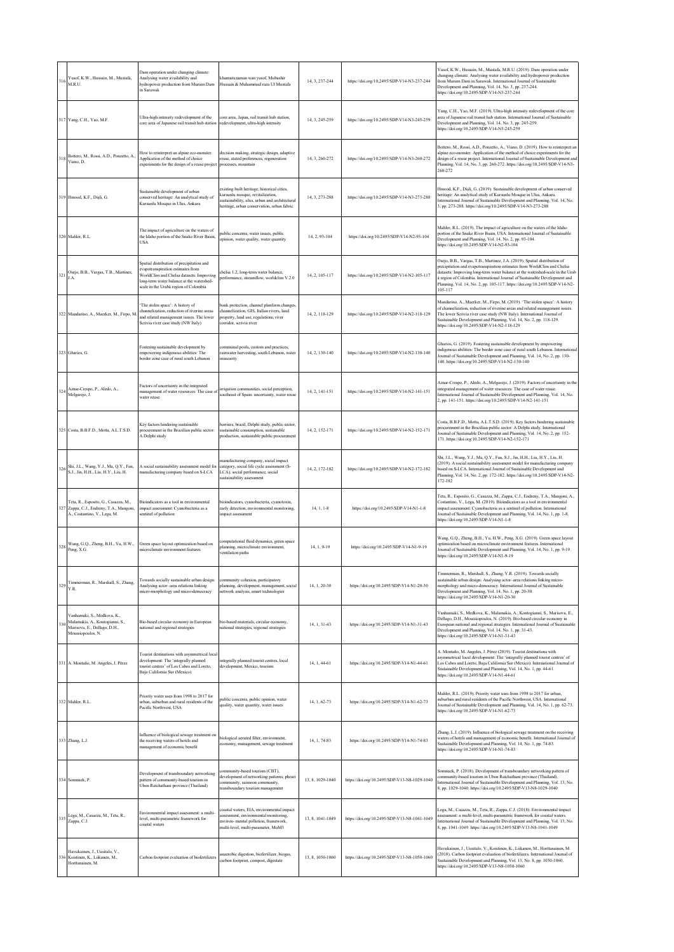| 316 | Yusof, K.W., Hussain, M., Mustafa,<br>M.R.U.                                                                        | Dam operation under changing climate:<br>Analysing water availability and<br>hydropower production from Murum Dam<br>in Sarawak                                                                                  | khamaruzaman wan yusof, Mubashir<br>Hussain & Muhammad raza Ul Mustafa                                                                                                         | 14, 3, 237-244   | https://doi.org/10.2495/SDP-V14-N3-237-244   | Yusof, K.W., Hussain, M., Mustafa, M.R.U. (2019). Dam operation under<br>changing climate: Analysing water availability and hydropower production<br>from Murum Dam in Sarawak. International Journal of Sustainable<br>Development and Planning, Vol. 14, No. 3, pp. 237-244.<br>https://doi.org/10.2495/SDP-V14-N3-237-244                                                                                   |
|-----|---------------------------------------------------------------------------------------------------------------------|------------------------------------------------------------------------------------------------------------------------------------------------------------------------------------------------------------------|--------------------------------------------------------------------------------------------------------------------------------------------------------------------------------|------------------|----------------------------------------------|----------------------------------------------------------------------------------------------------------------------------------------------------------------------------------------------------------------------------------------------------------------------------------------------------------------------------------------------------------------------------------------------------------------|
|     | 317 Yang, C.H., Yao, M.F.                                                                                           | Ultra-high intensity redevelopment of the<br>core area of Japanese rail transit hub station redevelopment, ultra-high intensity                                                                                  | core area, Japan, rail transit hub station,                                                                                                                                    | 14, 3, 245-259   | https://doi.org/10.2495/SDP-V14-N3-245-259   | Yang, C.H., Yao, M.F. (2019). Ultra-high intensity redevelopment of the core<br>area of Japanese rail transit hub station. International Journal of Sustainable<br>Development and Planning, Vol. 14, No. 3, pp. 245-259.<br>https://doi.org/10.2495/SDP-V14-N3-245-259                                                                                                                                        |
| 318 | Bottero, M., Rossi, A.D., Ponzetto, A.,<br>Viano, D.                                                                | How to reinterpret an alpine eco-monster.<br>Application of the method of choice<br>experiments for the design of a reuse project                                                                                | decision making, strategic design, adaptive<br>reuse, stated preferences, regeneration<br>processes, mountain                                                                  | 14, 3, 260-272   | https://doi.org/10.2495/SDP-V14-N3-260-272   | Bottero, M., Rossi, A.D., Ponzetto, A., Viano, D. (2019). How to reinterpret ar<br>alpine eco-monster. Application of the method of choice experiments for the<br>design of a reuse project. International Journal of Sustainable Development and<br>Planning, Vol. 14, No. 3, pp. 260-272. https://doi.org/10.2495/SDP-V14-N3-<br>260-272                                                                     |
|     | 319 Hmood, K.F., Disli, G.                                                                                          | Sustainable development of urban<br>conserved heritage: An analytical study of<br>Kursunlu Mosque in Ulus, Ankara                                                                                                | existing built heritage, historical cities,<br>kursunlu mosque, revitalization,<br>sustainability, ulus, urban and architectural<br>heritage, urban conservation, urban fabric | 14, 3, 273-288   | https://doi.org/10.2495/SDP-V14-N3-273-288   | Hmood, K.F., Dişli, G. (2019). Sustainable development of urban conserved<br>heritage: An analytical study of Kursunlu Mosque in Ulus, Ankara.<br>International Journal of Sustainable Development and Planning, Vol. 14, No.<br>3, pp. 273-288. https://doi.org/10.2495/SDP-V14-N3-273-288                                                                                                                    |
|     | 320 Mahler, R.L.                                                                                                    | The impact of agriculture on the waters of<br>the Idaho portion of the Snake River Basin<br><b>USA</b>                                                                                                           | public concerns, water issues, public<br>opinion, water quality, water quantity                                                                                                | 14, 2, 93-104    | https://doi.org/10.2495/SDP-V14-N2-93-104    | Mahler, R.L. (2019). The impact of agriculture on the waters of the Idaho<br>portion of the Snake River Basin, USA. International Journal of Sustainable<br>Development and Planning, Vol. 14, No. 2, pp. 93-104.<br>https://doi.org/10.2495/SDP-V14-N2-93-104                                                                                                                                                 |
| 321 | Osejo, B.B., Vargas, T.B., Martinez,<br>J.A.                                                                        | Spatial distribution of precipitation and<br>evapotranspiration estimates from<br>WorldClim and Chelsa datasets: Improving<br>long-term water balance at the watershed-<br>scale in the Urabá region of Colombia | chelsa 1.2, long-term water balance,<br>performance, streamflow, worldclim V.2.0                                                                                               | 14, 2, 105-117   | https://doi.org/10.2495/SDP-V14-N2-105-117   | Osejo, B.B., Vargas, T.B., Martinez, J.A. (2019). Spatial distribution of<br>precipitation and evapotranspiration estimates from WorldClim and Chelsa<br>datasets: Improving long-term water balance at the watershed-scale in the Urab<br>á region of Colombia. International Journal of Sustainable Development and<br>Planning, Vol. 14, No. 2, pp. 105-117. https://doi.org/10.2495/SDP-V14-N2-<br>105-117 |
|     | 322 Mandarino, A., Maerker, M., Firpo, M.                                                                           | 'The stolen space': A history of<br>channelization, reduction of riverine areas<br>and related management issues. The lower<br>Scrivia river case study (NW Italy)                                               | bank protection, channel planform changes,<br>channelization, GIS, Italian rivers, land<br>property, land use, regulations, river<br>corridor, scrivia river                   | 14, 2, 118-129   | https://doi.org/10.2495/SDP-V14-N2-118-129   | Mandarino, A., Maerker, M., Firpo, M. (2019). 'The stolen space': A history<br>of channelization, reduction of riverine areas and related management issues.<br>The lower Scrivia river case study (NW Italy). International Journal of<br>Sustainable Development and Planning, Vol. 14, No. 2, pp. 118-129.<br>https://doi.org/10.2495/SDP-V14-N2-118-129                                                    |
|     | 323 Gharios, G.                                                                                                     | Fostering sustainable development by<br>empowering indigenous abilities: The<br>border zone case of rural south Lebanon                                                                                          | communal pools, custom and practices,<br>rainwater harvesting, south Lebanon, water<br>insecurity                                                                              | 14, 2, 130-140   | https://doi.org/10.2495/SDP-V14-N2-130-140   | Gharios, G. (2019). Fostering sustainable development by empowering<br>indigenous abilities: The border zone case of rural south Lebanon. International<br>fournal of Sustainable Development and Planning, Vol. 14, No. 2, pp. 130-<br>140. https://doi.org/10.2495/SDP-V14-N2-130-140                                                                                                                        |
| 324 | Aznar-Crespo, P., Aledo, A.,<br>Melgarejo, J.                                                                       | Factors of uncertainty in the integrated<br>management of water resources: The case of<br>water reuse                                                                                                            | irrigation communities, social perception,<br>southeast of Spain. uncertainty, water reuse                                                                                     | 14, 2, 141-151   | https://doi.org/10.2495/SDP-V14-N2-141-151   | Aznar-Crespo, P., Aledo, A., Melgarejo, J. (2019). Factors of uncertainty in the<br>integrated management of water resources: The case of water reuse.<br>International Journal of Sustainable Development and Planning, Vol. 14, No.<br>2, pp. 141-151. https://doi.org/10.2495/SDP-V14-N2-141-151                                                                                                            |
|     | 325 Costa, B.B.F.D., Motta, A.L.T.S.D.                                                                              | Key factors hindering sustainable<br>procurement in the Brazilian public sector:<br>A Delphi study                                                                                                               | barriers, brazil, Delphi study, public sector,<br>sustainable consumption, sustainable<br>production, sustainable public procurement                                           | 14, 2, 152-171   | https://doi.org/10.2495/SDP-V14-N2-152-171   | Costa, B.B.F.D., Motta, A.L.T.S.D. (2019). Key factors hindering sustainable<br>procurement in the Brazilian public sector: A Delphi study. International<br>fournal of Sustainable Development and Planning, Vol. 14, No. 2, pp. 152-<br>171. https://doi.org/10.2495/SDP-V14-N2-152-171                                                                                                                      |
|     | Shi, J.L., Wang, Y.J., Ma, Q.Y., Fan,<br>326 S.J., Jin, H.H., Liu, H.Y., Liu, H.                                    | A social sustainability assessment model for<br>manufacturing company based on S-LCA                                                                                                                             | manufacturing company, social impact<br>category, social life cycle assessment (S-<br>LCA), social performance, social<br>sustainability assessment                            | 14, 2, 172-182   | https://doi.org/10.2495/SDP-V14-N2-172-182   | Shi, J.L., Wang, Y.J., Ma, Q.Y., Fan, S.J., Jin, H.H., Liu, H.Y., Liu, H.<br>(2019). A social sustainability assessment model for manufacturing company<br>based on S-LCA. International Journal of Sustainable Development and<br>Planning, Vol. 14, No. 2, pp. 172-182. https://doi.org/10.2495/SDP-V14-N2-<br>172-182                                                                                       |
| 327 | Teta, R., Esposito, G., Casazza, M.,<br>Zappa, C.J., Endreny, T.A., Mangoni,<br>A., Costantino, V., Lega, M.        | Bioindicators as a tool in environmental<br>impact assessment: Cyanobacteria as a<br>sentinel of pollution                                                                                                       | bioindicators, cyanobacteria, cyanotoxin,<br>early detection, environmental monitoring,<br>impact assessment                                                                   | 14, 1, 1-8       | https://doi.org/10.2495/SDP-V14-N1-1-8       | Teta, R., Esposito, G., Casazza, M., Zappa, C.J., Endreny, T.A., Mangoni, A.,<br>Costantino, V., Lega, M. (2019). Bioindicators as a tool in environmental<br>impact assessment: Cyanobacteria as a sentinel of pollution. International<br>Journal of Sustainable Development and Planning, Vol. 14, No. 1, pp. 1-8.<br>https://doi.org/10.2495/SDP-V14-N1-1-8                                                |
| 328 | Wang, G.Q., Zheng, B.H., Yu, H.W.,<br>Peng, X.G.                                                                    | Green space layout optimization based on<br>microclimate environment features                                                                                                                                    | computational fluid dynamics, green space<br>planning, microclimate environment,<br>ventilation paths                                                                          | 14, 1, 9-19      | https://doi.org/10.2495/SDP-V14-N1-9-19      | Wang, G.Q., Zheng, B.H., Yu, H.W., Peng, X.G. (2019). Green space layout<br>optimization based on microclimate environment features. International<br>Journal of Sustainable Development and Planning, Vol. 14, No. 1, pp. 9-19.<br>https://doi.org/10.2495/SDP-V14-N1-9-19                                                                                                                                    |
| 329 | Timmerman, R., Marshall, S., Zhang,<br>Y.R.                                                                         | Towards socially sustainable urban design:<br>Analysing actor-area relations linking<br>micro-morphology and micro-democracy                                                                                     | community cohesion, participatory<br>planning, development, management, social<br>network analysis, smart technologies                                                         | 14, 1, 20-30     | https://doi.org/10.2495/SDP-V14-N1-20-30     | Timmerman, R., Marshall, S., Zhang, Y.R. (2019). Towards socially<br>sustainable urban design: Analysing actor-area relations linking micro-<br>morphology and micro-democracy. International Journal of Sustainable<br>Development and Planning, Vol. 14, No. 1, pp. 20-30.<br>https://doi.org/10.2495/SDP-V14-N1-20-30                                                                                       |
|     | Vanhamaki, S., Medkova, K.,<br>Malamakis, A., Kontogianni, S.,<br>Marisova, E., Dellago, D.H.,<br>Moussiopoulos, N. | Bio-based circular economy in European<br>national and regional strategies                                                                                                                                       | bio-based materials, circular economy,<br>national strategies, regional strategies                                                                                             | 14, 1, 31-43     | https://doi.org/10.2495/SDP-V14-N1-31-43     | Vanhamaki, S., Medkova, K., Malamakis, A., Kontogianni, S., Marisova, E.,<br>Dellago, D.H., Moussiopoulos, N. (2019). Bio-based circular economy in<br>European national and regional strategies. International Journal of Sustainable<br>Development and Planning, Vol. 14, No. 1, pp. 31-43.<br>https://doi.org/10.2495/SDP-V14-N1-31-43                                                                     |
|     | 331 A. Montaño, M. Angeles, J. Pérez                                                                                | Tourist destinations with asymmetrical loca<br>development: The 'integrally planned<br>tourist centres' of Los Cabos and Loreto,<br>Baja California Sur (Mexico)                                                 | integrally planned tourist centres, local<br>development, Mexico, tourism                                                                                                      | 14, 1, 44-61     | https://doi.org/10.2495/SDP-V14-N1-44-61     | A. Montaño, M. Angeles, J. Pérez (2019). Tourist destinations with<br>asymmetrical local development: The 'integrally planned tourist centres' of<br>Los Cabos and Loreto, Baja California Sur (Mexico). International Journal of<br>Sustainable Development and Planning, Vol. 14, No. 1, pp. 44-61.<br>https://doi.org/10.2495/SDP-V14-N1-44-61                                                              |
|     | 332 Mahler, R.L.                                                                                                    | Priority water uses from 1998 to 2017 for<br>urban, suburban and rural residents of the<br>Pacific Northwest, USA                                                                                                | public concerns, public opinion, water<br>quality, water quantity, water issues                                                                                                | 14, 1, 62-73     | https://doi.org/10.2495/SDP-V14-N1-62-73     | Mahler, R.L. (2019). Priority water uses from 1998 to 2017 for urban,<br>suburban and rural residents of the Pacific Northwest, USA. International<br>Journal of Sustainable Development and Planning, Vol. 14, No. 1, pp. 62-73.<br>https://doi.org/10.2495/SDP-V14-N1-62-73                                                                                                                                  |
|     | 333 Zhang, L.J.                                                                                                     | Influence of biological sewage treatment on<br>the receiving waters of hotels and<br>management of economic benefit                                                                                              | biological aerated filter, environment,<br>economy, management, sewage treatment                                                                                               | 14, 1, 74-83     | https://doi.org/10.2495/SDP-V14-N1-74-83     | Zhang, L.J. (2019). Influence of biological sewage treatment on the receiving<br>waters of hotels and management of economic benefit. International Journal of<br>Sustainable Development and Planning, Vol. 14, No. 1, pp. 74-83.<br>https://doi.org/10.2495/SDP-V14-N1-74-83                                                                                                                                 |
|     | 334 Somnuck, P.                                                                                                     | Development of transboundary networking<br>pattern of community-based tourism in<br>Ubon Ratchathani province (Thailand)                                                                                         | community-based tourism (CBT),<br>development of networking patterns, phosri<br>community, saimoon community,<br>transboundary tourism management                              | 13, 8, 1029-1040 | https://doi.org/10.2495/SDP-V13-N8-1029-1040 | Somnuck, P. (2018). Development of transboundary networking pattern of<br>community-based tourism in Ubon Ratchathani province (Thailand).<br>International Journal of Sustainable Development and Planning, Vol. 13, No.<br>8, pp. 1029-1040. https://doi.org/10.2495/SDP-V13-N8-1029-1040                                                                                                                    |
|     | 335 Lega, M., Casazza, M., Teta, R., Zappa, C.J.                                                                    | Environmental impact assessment: a multi-<br>level, multi-parametric framework for<br>coastal waters                                                                                                             | oastal waters, EIA, environmental impact<br>assessment, environmental monitoring,<br>environ- mental pollution, framework,<br>multi-level, multi-parameter, MuM3               | 13, 8, 1041-1049 | https://doi.org/10.2495/SDP-V13-N8-1041-1049 | Lega, M., Casazza, M., Teta, R., Zappa, C.J. (2018). Environmental impact<br>assessment: a multi-level, multi-parametric framework for coastal waters.<br>International Journal of Sustainable Development and Planning, Vol. 13, No.<br>8, pp. 1041-1049. https://doi.org/10.2495/SDP-V13-N8-1041-1049                                                                                                        |
|     | Havukainen, J., Uusitalo, V.,<br>Koistinen, K., Liikanen, M.,<br>Horttanainen, M.                                   | Carbon footprint evaluation of biofertilizers                                                                                                                                                                    | anaerobic digestion, biofertilizer, biogas.<br>carbon footprint, compost, digestate                                                                                            | 13, 8, 1050-1060 | https://doi.org/10.2495/SDP-V13-N8-1050-1060 | Havukainen, J., Uusitalo, V., Koistinen, K., Liikanen, M., Horttanainen, M.<br>(2018). Carbon footprint evaluation of biofertilizers. International Journal of<br>Sustainable Development and Planning, Vol. 13, No. 8, pp. 1050-1060.<br>https://doi.org/10.2495/SDP-V13-N8-1050-1060                                                                                                                         |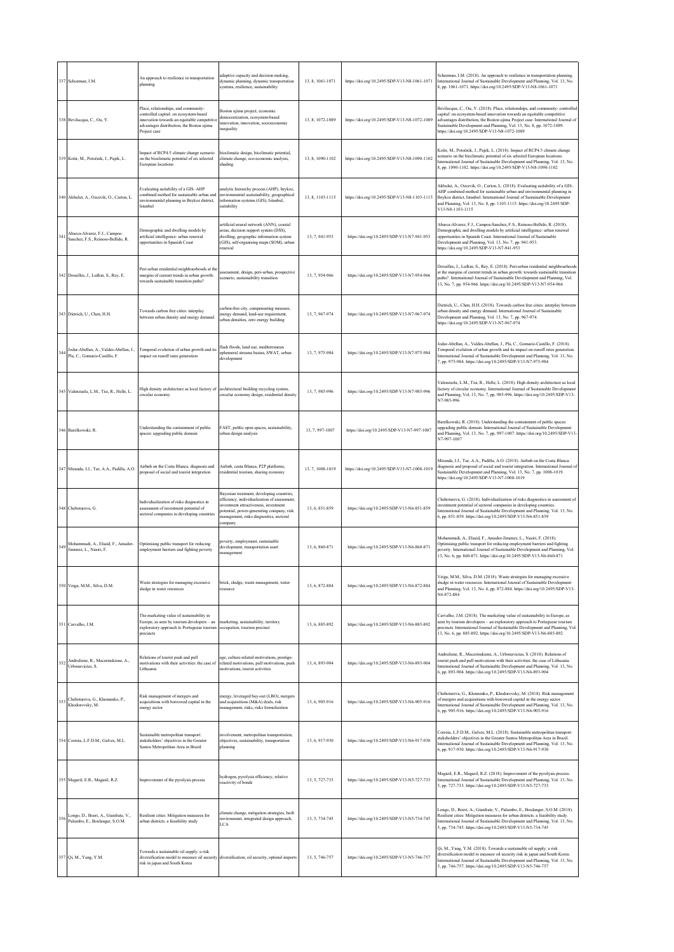|     | 337 Schoeman, I.M.                                                      | An approach to resilience in transportation<br>blanning                                                                                                                                   | adaptive capacity and decision making,<br>dynamic planning, dynamic transportation<br>systems, resilience, sustainability                                                                                                             | 13, 8, 1061-1071 | https://doi.org/10.2495/SDP-V13-N8-1061-1071 | Schoeman, I.M. (2018). An approach to resilience in transportation planning.<br>International Journal of Sustainable Development and Planning, Vol. 13, No.<br>8, pp. 1061-1071. https://doi.org/10.2495/SDP-V13-N8-1061-1071                                                                                                                                        |
|-----|-------------------------------------------------------------------------|-------------------------------------------------------------------------------------------------------------------------------------------------------------------------------------------|---------------------------------------------------------------------------------------------------------------------------------------------------------------------------------------------------------------------------------------|------------------|----------------------------------------------|----------------------------------------------------------------------------------------------------------------------------------------------------------------------------------------------------------------------------------------------------------------------------------------------------------------------------------------------------------------------|
|     | 338 Bevilacqua, C., Ou, Y.                                              | Place, relationships, and community-<br>controlled capital: on ecosystem-based<br>innovation towards an equitable competitiv<br>advantages distribution, the Boston ujima<br>Project case | Boston ujima project, economic<br>democratization, ecosystem-based<br>innovation, innovation, socioeconomic<br>inequality                                                                                                             | 13, 8, 1072-1089 | https://doi.org/10.2495/SDP-V13-N8-1072-1089 | Bevilacqua, C., Ou, Y. (2018). Place, relationships, and community-controlled<br>capital: on ecosystem-based innovation towards an equitable competitive<br>advantages distribution, the Boston ujima Project case. International Journal of<br>Sustainable Development and Planning, Vol. 13, No. 8, pp. 1072-1089.<br>https://doi.org/10.2495/SDP-V13-N8-1072-1089 |
|     | 339 Košir, M., Potočnik, J., Pajek, L.                                  | Impact of RCP4.5 climate change scenario<br>on the bioclimatic potential of six selected<br>European locations                                                                            | pioclimatic design, bioclimatic potential,<br>climate change, eco-economic analysis,<br>shading                                                                                                                                       | 13, 8, 1090-1102 | https://doi.org/10.2495/SDP-V13-N8-1090-1102 | Košir, M., Potočnik, J., Pajek, L. (2018). Impact of RCP4.5 climate change<br>scenario on the bioclimatic potential of six selected European locations.<br>International Journal of Sustainable Development and Planning, Vol. 13, No.<br>8, pp. 1090-1102. https://doi.org/10.2495/SDP-V13-N8-1090-1102                                                             |
|     | 340 Akbulut, A., Ozcevik, O., Carton, L.                                | Evaluating suitability of a GIS-AHP<br>combined method for sustainable urban and<br>environmental planning in Beykoz district,<br><b>Istanbul</b>                                         | analytic hierarchy process (AHP), beykoz,<br>environmental sustainability, geographical<br>information systems (GIS), Istanbul,<br>suitability                                                                                        | 13, 8, 1103-1115 | https://doi.org/10.2495/SDP-V13-N8-1103-1115 | Akbulut, A., Ozcevik, O., Carton, L. (2018). Evaluating suitability of a GIS-<br>AHP combined method for sustainable urban and environmental planning in<br>Beykoz district, Istanbul. International Journal of Sustainable Development<br>and Planning, Vol. 13, No. 8, pp. 1103-1115. https://doi.org/10.2495/SDP-<br>V13-N8-1103-1115                             |
| 341 | Abarca-Alvarez, F.J., Campos-<br>Sanchez, F.S., Reinoso-Bellido, R.     | Demographic and dwelling models by<br>artificial intelligence: urban renewal<br>opportunities in Spanish Coast                                                                            | artificial neural network (ANN), coastal<br>areas, decision support system (DSS),<br>dwelling, geographic information system<br>(GIS), self-organising maps (SOM), urban<br>renewal                                                   | 13, 7, 941-953   | https://doi.org/10.2495/SDP-V13-N7-941-953   | Abarca-Alvarez, F.J., Campos-Sanchez, F.S., Reinoso-Bellido, R. (2018).<br>Demographic and dwelling models by artificial intelligence: urban renewal<br>opportunities in Spanish Coast. International Journal of Sustainable<br>Development and Planning, Vol. 13, No. 7, pp. 941-953.<br>https://doi.org/10.2495/SDP-V13-N7-941-953                                 |
|     | 342 Drouilles, J., Lufkin, S., Rey, E.                                  | Peri-urban residential neighbourhoods at the<br>margins of current trends in urban growth:<br>towards sustainable transition paths?                                                       | assessment, design, peri-urban, prospective<br>cenario, sustainability transition                                                                                                                                                     | 13, 7, 954-966   | https://doi.org/10.2495/SDP-V13-N7-954-966   | Drouilles, J., Lufkin, S., Rey, E. (2018). Peri-urban residential neighbourhoods<br>at the margins of current trends in urban growth: towards sustainable transition<br>paths?. International Journal of Sustainable Development and Planning, Vol.<br>13, No. 7, pp. 954-966. https://doi.org/10.2495/SDP-V13-N7-954-966                                            |
|     | 343 Dietrich, U., Chen, H.H.                                            | Towards carbon free cities: interplay<br>between urban density and energy demand                                                                                                          | carbon-free city, compensating measure,<br>energy demand, land-use requirement,<br>arban densities, zero energy building                                                                                                              | 13, 7, 967-974   | https://doi.org/10.2495/SDP-V13-N7-967-974   | Dietrich, U., Chen, H.H. (2018). Towards carbon free cities: interplay between<br>urban density and energy demand. International Journal of Sustainable<br>Development and Planning, Vol. 13, No. 7, pp. 967-974.<br>https://doi.org/10.2495/SDP-V13-N7-967-974                                                                                                      |
| 344 | Jodar-Abellan, A., Valdes-Abellan, J.,<br>Pla, C., Gomariz-Castillo, F. | Temporal evolution of urban growth and its<br>impact on runoff rates generation                                                                                                           | flash floods, land use, mediterranean<br>ephemeral streams basins, SWAT, urban<br>development                                                                                                                                         | 13, 7, 975-984   | https://doi.org/10.2495/SDP-V13-N7-975-984   | lodar-Abellan, A., Valdes-Abellan, J., Pla, C., Gomariz-Castillo, F. (2018).<br>l'emporal evolution of urban growth and its impact on runoff rates generation<br>International Journal of Sustainable Development and Planning, Vol. 13, No.<br>7, pp. 975-984. https://doi.org/10.2495/SDP-V13-N7-975-984                                                           |
|     | 345 Valenzuela, L.M., Tisi, R., Helle, L.                               | High density architecture as local factory of<br>circular economy                                                                                                                         | architectural building recycling system,<br>circular economy design, residential density                                                                                                                                              | 13, 7, 985-996   | https://doi.org/10.2495/SDP-V13-N7-985-996   | Valenzuela, L.M., Tisi, R., Helle, L. (2018). High density architecture as local<br>factory of circular economy. International Journal of Sustainable Development<br>and Planning, Vol. 13, No. 7, pp. 985-996. https://doi.org/10.2495/SDP-V13-<br>N7-985-996                                                                                                       |
|     | 346 Barelkowski, R                                                      | Understanding the containment of public<br>paces: upgrading public domain                                                                                                                 | FAST, public open spaces, sustainability,<br>urban design analysis                                                                                                                                                                    | 13.7.997-1007    | https://doi.org/10.2495/SDP-V13-N7-997-1007  | Barelkowski, R. (2018). Understanding the containment of public spaces:<br>upgrading public domain. International Journal of Sustainable Development<br>and Planning, Vol. 13, No. 7, pp. 997-1007. https://doi.org/10.2495/SDP-V13-<br>N7-997-1007                                                                                                                  |
|     | 347 Miranda, I.J., Tur, A.A., Padilla, A.O.                             | Airbnb on the Costa Blanca. diagnosis and<br>proposal of social and tourist integration                                                                                                   | Airbnb, costa Blanca, P2P platforms,<br>residential tourism, sharing economy                                                                                                                                                          | 13, 7, 1008-1019 | https://doi.org/10.2495/SDP-V13-N7-1008-1019 | Miranda, I.J., Tur, A.A., Padilla, A.O. (2018). Airbnb on the Costa Blanca.<br>diagnosis and proposal of social and tourist integration. International Journal of<br>Sustainable Development and Planning, Vol. 13, No. 7, pp. 1008-1019.<br>https://doi.org/10.2495/SDP-V13-N7-1008-1019                                                                            |
|     | 348 Chebotareva, G.                                                     | Individualization of risks diagnostics in<br>assessment of investment potential of<br>sectoral companies in developing countries                                                          | Bayesian treatment, developing countries,<br>efficiency, individualization of assessment,<br>investment attractiveness, investment<br>potential, power-generating company, risk<br>management, risks diagnostics, sectoral<br>company | 13, 6, 851-859   | https://doi.org/10.2495/SDP-V13-N6-851-859   | Chebotareva, G. (2018). Individualization of risks diagnostics in assessment of<br>nvestment potential of sectoral companies in developing countries.<br>International Journal of Sustainable Development and Planning, Vol. 13, No.<br>6, pp. 851-859. https://doi.org/10.2495/SDP-V13-N6-851-859                                                                   |
| 349 | Mohammadi, A., Elsaid, F., Amador-<br>Jimenez, L., Nasiri, F.           | Optimising public transport for reducing<br>employment barriers and fighting poverty                                                                                                      | woverty, employment, sustainable<br>development, transportation asset<br>management                                                                                                                                                   | 13, 6, 860-871   | https://doi.org/10.2495/SDP-V13-N6-860-871   | Mohammadi, A., Elsaid, F., Amador-Jimenez, L., Nasiri, F. (2018).<br>Optimising public transport for reducing employment barriers and fighting<br>soverty. International Journal of Sustainable Development and Planning, Vol.<br>13, No. 6, pp. 860-871. https://doi.org/10.2495/SDP-V13-N6-860-871                                                                 |
|     | 350 Veiga, M.M., Silva, D.M.                                            | Waste strategies for managing excessive<br>sludge in water resources                                                                                                                      | brick, sludge, waste management, water<br>resource                                                                                                                                                                                    | 13, 6, 872-884   | https://doi.org/10.2495/SDP-V13-N6-872-884   | Veiga, M.M., Silva, D.M. (2018). Waste strategies for managing excessive<br>sludge in water resources. International Journal of Sustainable Development<br>and Planning, Vol. 13, No. 6, pp. 872-884. https://doi.org/10.2495/SDP-V13-<br>N6-872-884                                                                                                                 |
|     | 351 Carvalho, J.M.                                                      | The marketing value of sustainability in<br>Europe, as seen by tourism developers - an<br>exploratory approach to Portuguese tourism<br>precincts                                         | marketing, sustainability, territory<br>occupation, tourism precinct                                                                                                                                                                  | 13, 6, 885-892   | https://doi.org/10.2495/SDP-V13-N6-885-892   | Carvalho, J.M. (2018). The marketing value of sustainability in Europe, as<br>seen by tourism developers - an exploratory approach to Portuguese tourism<br>precincts. International Journal of Sustainable Development and Planning, Vol.<br>13, No. 6, pp. 885-892. https://doi.org/10.2495/SDP-V13-N6-885-892                                                     |
| 352 | Andruliene, R., Macerinskiene, A.,<br>Urbonavicius, S.                  | Relations of tourist push and pull<br>motivations with their activities: the case of<br>Lithuania                                                                                         | age, culture-related motivations, prestige-<br>related motivations, pull motivations, push<br>motivations, tourist activities                                                                                                         | 13, 6, 893-904   | https://doi.org/10.2495/SDP-V13-N6-893-904   | Andruliene, R., Macerinskiene, A., Urbonavicius, S. (2018). Relations of<br>tourist push and pull motivations with their activities: the case of Lithuania.<br>International Journal of Sustainable Development and Planning, Vol. 13, No.<br>6, pp. 893-904. https://doi.org/10.2495/SDP-V13-N6-893-904                                                             |
|     | Chebotareva, G., Khomenko, P.,<br>Khodorovsky, M.                       | Risk management of mergers and<br>acquisitions with borrowed capital in the<br>energy sector                                                                                              | energy, leveraged buy-out (LBO), mergers<br>and acquisitions (M&A) deals, risk<br>management, risks, risks formalization                                                                                                              | 13, 6, 905-916   | https://doi.org/10.2495/SDP-V13-N6-905-916   | Chebotareva, G., Khomenko, P., Khodorovsky, M. (2018). Risk management<br>of mergers and acquisitions with borrowed capital in the energy sector<br>International Journal of Sustainable Development and Planning, Vol. 13, No.<br>6, pp. 905-916. https://doi.org/10.2495/SDP-V13-N6-905-916                                                                        |
|     | 354 Correia, L.F.D.M., Galves, M.L.                                     | Sustainable metropolitan transport:<br>stakeholders' objectives in the Greater<br>Santos Metropolitan Area in Brazil                                                                      | involvement, metropolitan transportation,<br>objectives, sustainability, transportation<br>planning                                                                                                                                   | 13, 6, 917-930   | https://doi.org/10.2495/SDP-V13-N6-917-930   | Correia, L.F.D.M., Galves, M.L. (2018). Sustainable metropolitan transport:<br>stakeholders' objectives in the Greater Santos Metropolitan Area in Brazil.<br>International Journal of Sustainable Development and Planning, Vol. 13, No.<br>6, pp. 917-930. https://doi.org/10.2495/SDP-V13-N6-917-930                                                              |
|     | 355 Magaril, E.R., Magaril, R.Z.                                        | mprovement of the pyrolysis process                                                                                                                                                       | hydrogen, pyrolysis efficiency, relative<br>reactivity of bonds                                                                                                                                                                       | 13.5.727-733     | https://doi.org/10.2495/SDP-V13-N5-727-733   | Magaril, E.R., Magaril, R.Z. (2018). Improvement of the pyrolysis process.<br>International Journal of Sustainable Development and Planning, Vol. 13, No.<br>5, pp. 727-733. https://doi.org/10.2495/SDP-V13-N5-727-733                                                                                                                                              |
| 356 | Longo, D., Boeri, A., Gianfrate, V.,<br>Palumbo, E., Boulanger, S.O.M.  | Resilient cities: Mitigation measures for<br>urban districts. a feasibility study                                                                                                         | climate change, mitigation strategies, built<br>environment, integrated design approach,<br>LCA                                                                                                                                       | 13.5.734-745     | https://doi.org/10.2495/SDP-V13-N5-734-745   | Longo, D., Boeri, A., Gianfrate, V., Palumbo, E., Boulanger, S.O.M. (2018).<br>Resilient cities: Mitigation measures for urban districts. a feasibility study.<br>International Journal of Sustainable Development and Planning, Vol. 13, No.<br>5, pp. 734-745. https://doi.org/10.2495/SDP-V13-N5-734-745                                                          |
|     | 357 Qi, M., Yang, Y.M.                                                  | Towards a sustainable oil supply: a risk<br>diversification model to measure oil security diversification, oil security, optimal imports<br>risk in japan and South Korea                 |                                                                                                                                                                                                                                       | 13, 5, 746-757   | https://doi.org/10.2495/SDP-V13-N5-746-757   | Qi, M., Yang, Y.M. (2018). Towards a sustainable oil supply: a risk<br>diversification model to measure oil security risk in japan and South Korea.<br>International Journal of Sustainable Development and Planning, Vol. 13, No.<br>5, pp. 746-757. https://doi.org/10.2495/SDP-V13-N5-746-757                                                                     |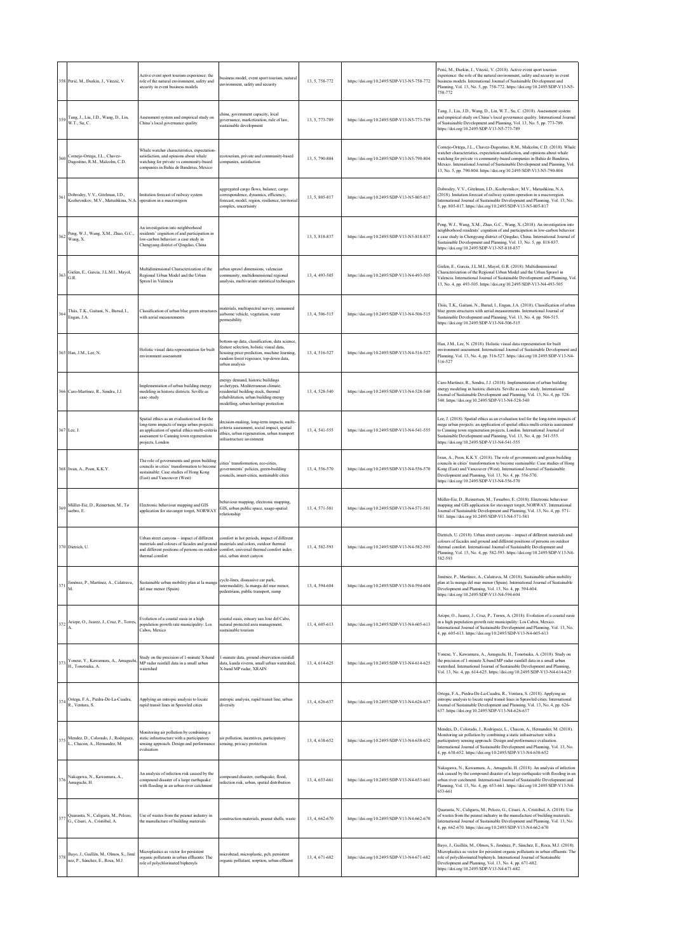|     | 358 Perić, M., Đurkin, J., Vitezić, V.                                         | Active event sport tourism experience: the<br>role of the natural environment, safety and<br>ecurity in event business models                                                                               | business model, event sport tourism, natural<br>environment, safety and security                                                                                                                      | 13, 5, 758-772 | https://doi.org/10.2495/SDP-V13-N5-758-772 | Perić, M., Đurkin, J., Vitezić, V. (2018). Active event sport tourism<br>experience: the role of the natural environment, safety and security in event<br>business models. International Journal of Sustainable Development and<br>Planning, Vol. 13, No. 5, pp. 758-772. https://doi.org/10.2495/SDP-V13-N5-<br>758-772                                                                 |
|-----|--------------------------------------------------------------------------------|-------------------------------------------------------------------------------------------------------------------------------------------------------------------------------------------------------------|-------------------------------------------------------------------------------------------------------------------------------------------------------------------------------------------------------|----------------|--------------------------------------------|------------------------------------------------------------------------------------------------------------------------------------------------------------------------------------------------------------------------------------------------------------------------------------------------------------------------------------------------------------------------------------------|
| 359 | Tang, J., Liu, J.D., Wang, D., Lin,<br>W.T., Su, C.                            | Assessment system and empirical study on<br>China's local governance quality                                                                                                                                | china, government capacity, local<br>governance, marketization, rule of law,<br>sustainable development                                                                                               | 13, 5, 773-789 | https://doi.org/10.2495/SDP-V13-N5-773-789 | Tang, J., Liu, J.D., Wang, D., Lin, W.T., Su, C. (2018). Assessment system<br>and empirical study on China's local governance quality. International Journal<br>of Sustainable Development and Planning, Vol. 13, No. 5, pp. 773-789.<br>https://doi.org/10.2495/SDP-V13-N5-773-789                                                                                                      |
| 360 | Cornejo-Ortega, J.L., Chavez-<br>Dagostino, R.M., Malcolm, C.D.                | Whale watcher characteristics, expectation-<br>satisfaction, and opinions about whale<br>watching for private vs community-based<br>companies in Bahía de Banderas, Mexico                                  | cotourism, private and community-based<br>companies, satisfaction                                                                                                                                     | 13, 5, 790-804 | https://doi.org/10.2495/SDP-V13-N5-790-804 | Cornejo-Ortega, J.L., Chavez-Dagostino, R.M., Malcolm, C.D. (2018). Whale<br>watcher characteristics, expectation-satisfaction, and opinions about whale<br>watching for private vs community-based companies in Bahía de Banderas,<br>Mexico. International Journal of Sustainable Development and Planning, Vol.<br>13, No. 5, pp. 790-804. https://doi.org/10.2495/SDP-V13-N5-790-804 |
| 361 | Dobrodey, V.V., Gitelman, I.D.,<br>Kozhevnikov, M.V., Matushkina, N.A.         | Imitation forecast of railway system<br>operation in a macroregion                                                                                                                                          | aggregated cargo flows, balance, cargo<br>correspondence, dynamics, efficiency,<br>forecast, model, region, resilience, territorial<br>complex, uncertainty                                           | 13.5.805-817   | https://doi.org/10.2495/SDP-V13-N5-805-817 | Dobrodey, V.V., Gitelman, I.D., Kozhevnikov, M.V., Matushkina, N.A.<br>(2018). Imitation forecast of railway system operation in a macroregion.<br>nternational Journal of Sustainable Development and Planning, Vol. 13, No.<br>5, pp. 805-817. https://doi.org/10.2495/SDP-V13-N5-805-817                                                                                              |
| 362 | Peng, W.J., Wang, X.M., Zhao, G.C.,<br>Wang, X.                                | An investigation into neighborhood<br>residents' cognition of and participation in<br>low-carbon behavior: a case study in<br>Chengyang district of Qingdao, China                                          |                                                                                                                                                                                                       | 13.5.818-837   | https://doi.org/10.2495/SDP-V13-N5-818-837 | Peng, W.J., Wang, X.M., Zhao, G.C., Wang, X. (2018). An investigation into<br>neighborhood residents' cognition of and participation in low-carbon behavior.<br>a case study in Chengyang district of Qingdao, China. International Journal of<br>Sustainable Development and Planning, Vol. 13, No. 5, pp. 818-837.<br>https://doi.org/10.2495/SDP-V13-N5-818-837                       |
| 363 | Gielen, E., Garcia, J.L.M.I., Mayol,<br>G.R.                                   | Multidimensional Characterization of the<br>Regional Urban Model and the Urban<br>Sprawl in Valencia                                                                                                        | urban sprawl dimensions, valencian<br>community, multidimensional regional<br>analysis, multivariate statistical techniques                                                                           | 13, 4, 493-505 | https://doi.org/10.2495/SDP-V13-N4-493-505 | Gielen, E., Garcia, J.L.M.I., Mayol, G.R. (2018). Multidimensional<br>Characterization of the Regional Urban Model and the Urban Sprawl in<br>Valencia. International Journal of Sustainable Development and Planning, Vol.<br>13, No. 4, pp. 493-505. https://doi.org/10.2495/SDP-V13-N4-493-505                                                                                        |
| 364 | Thiis, T.K., Gaitani, N., Burud, I.,<br>Engan, J.A.                            | Classification of urban blue green structures<br>with aerial measurements                                                                                                                                   | materials, multispectral survey, unmanned<br>airborne vehicle, vegetation, water<br>permeability                                                                                                      | 13, 4, 506-515 | https://doi.org/10.2495/SDP-V13-N4-506-515 | Thiis, T.K., Gaitani, N., Burud, I., Engan, J.A. (2018). Classification of urban<br>blue green structures with aerial measurements. International Journal of<br>Sustainable Development and Planning, Vol. 13, No. 4, pp. 506-515.<br>https://doi.org/10.2495/SDP-V13-N4-506-515                                                                                                         |
|     | 365 Han, J.M., Lee, N.                                                         | Holistic visual data representation for built<br>environment assessment                                                                                                                                     | bottom-up data, classification, data science,<br>feature selection, holistic visual data,<br>tousing price prediction, machine learning,<br>random forest regressor, top-down data,<br>urban analysis | 13, 4, 516-527 | https://doi.org/10.2495/SDP-V13-N4-516-527 | Han, J.M., Lee, N. (2018). Holistic visual data representation for built<br>environment assessment. International Journal of Sustainable Development and<br>Planning, Vol. 13, No. 4, pp. 516-527. https://doi.org/10.2495/SDP-V13-N4-<br>516-527                                                                                                                                        |
|     | 366 Caro-Martínez, R., Sendra, J.J.                                            | Implementation of urban building energy<br>modeling in historic districts. Seville as<br>case-study                                                                                                         | energy demand, historic buildings<br>archetypes, Mediterranean climate,<br>residential building stock, thermal<br>rehabilitation, urban building energy<br>modelling, urban heritage protection       | 13, 4, 528-540 | https://doi.org/10.2495/SDP-V13-N4-528-540 | Caro-Martínez, R., Sendra, J.J. (2018). Implementation of urban building<br>energy modeling in historic districts. Seville as case-study. International<br>Iournal of Sustainable Development and Planning, Vol. 13, No. 4, pp. 528-<br>540. https://doi.org/10.2495/SDP-V13-N4-528-540                                                                                                  |
|     | 367 Lee, J.                                                                    | Spatial ethics as an evaluation tool for the<br>long-term impacts of mega urban projects:<br>an application of spatial ethics multi-criteria<br>assessment to Canning town regeneration<br>projects, London | lecision-making, long-term impacts, multi-<br>criteria assessment, social impact, spatial<br>ethics, urban regeneration, urban transport<br>infrastructure investment                                 | 13, 4, 541-555 | https://doi.org/10.2495/SDP-V13-N4-541-555 | Lee, J. (2018). Spatial ethics as an evaluation tool for the long-term impacts of<br>mega urban projects: an application of spatial ethics multi-criteria assessment<br>to Canning town regeneration projects, London. International Journal of<br>Sustainable Development and Planning, Vol. 13, No. 4, pp. 541-555.<br>https://doi.org/10.2495/SDP-V13-N4-541-555                      |
|     | 368 Iwan, A., Poon, K.K.Y.                                                     | The role of governments and green building<br>councils in cities' transformation to become<br>sustainable: Case studies of Hong Kong<br>(East) and Vancouver (West)                                         | cities' transformation, eco-cities,<br>governments' policies, green-building<br>councils, smart-cities, sustainable cities                                                                            | 13, 4, 556-570 | https://doi.org/10.2495/SDP-V13-N4-556-570 | Iwan, A., Poon, K.K.Y. (2018). The role of governments and green building<br>councils in cities' transformation to become sustainable: Case studies of Hong<br>Kong (East) and Vancouver (West). International Journal of Sustainable<br>Development and Planning, Vol. 13, No. 4, pp. 556-570.<br>https://doi.org/10.2495/SDP-V13-N4-556-570                                            |
| 369 | Müller-Eie, D., Reinertsen, M., Tø<br>ssebro, E.                               | Electronic behaviour mapping and GIS<br>application for stavanger torget, NORWAY                                                                                                                            | behaviour mapping, electronic mapping,<br>GIS, urban public space, usage-spatial<br>relationship                                                                                                      | 13, 4, 571-581 | https://doi.org/10.2495/SDP-V13-N4-571-581 | Müller-Eie, D., Reinertsen, M., Tøssebro, E. (2018). Electronic behaviour<br>mapping and GIS application for stavanger torget, NORWAY. International<br>Journal of Sustainable Development and Planning, Vol. 13, No. 4, pp. 571-<br>581. https://doi.org/10.2495/SDP-V13-N4-571-581                                                                                                     |
|     | 370 Dietrich, U.                                                               | Urban street canyons - impact of different<br>materials and colours of facades and ground<br>and different positions of persons on outdoor<br>thermal comfort                                               | comfort in hot periods, impact of different<br>materials and colors, outdoor thermal<br>comfort, universal thermal comfort index<br>utci, urban street canyon                                         | 13, 4, 582-593 | https://doi.org/10.2495/SDP-V13-N4-582-593 | Dietrich, U. (2018). Urban street canyons - impact of different materials and<br>colours of facades and ground and different positions of persons on outdoor<br>thermal comfort. International Journal of Sustainable Development and<br>Planning, Vol. 13, No. 4, pp. 582-593. https://doi.org/10.2495/SDP-V13-N4-<br>582-593                                                           |
| 371 | Jiménez, P., Martínez, A., Calatrava,                                          | Sustainable urban mobility plan at la manga<br>del mar menor (Spain)                                                                                                                                        | cycle-lines, dissuasive car park,<br>intermodality, la manga del mar menor,<br>pedestrians, public transport, sump                                                                                    | 13.4.594-604   | https://doi.org/10.2495/SDP-V13-N4-594-604 | Jiménez, P., Martínez, A., Calatrava, M. (2018). Sustainable urban mobility<br>plan at la manga del mar menor (Spain). International Journal of Sustainable<br>Development and Planning, Vol. 13, No. 4, pp. 594-604.<br>https://doi.org/10.2495/SDP-V13-N4-594-604                                                                                                                      |
| 372 | Arizpe, O., Juarez, J., Cruz, P., Torres,                                      | Evolution of a coastal oasis in a high<br>population growth rate municipality: Los<br>Cabos, Mexico                                                                                                         | coastal oasis, estuary san Jose del Cabo,<br>natural protected area management,<br>astainable tourism                                                                                                 | 13, 4, 605-613 | https://doi.org/10.2495/SDP-V13-N4-605-613 | Arizpe, O., Juarez, J., Cruz, P., Torres, A. (2018). Evolution of a coastal oasis<br>in a high population growth rate municipality: Los Cabos, Mexico.<br>International Journal of Sustainable Development and Planning, Vol. 13, No.<br>4, pp. 605-613. https://doi.org/10.2495/SDP-V13-N4-605-613                                                                                      |
| 373 | Yonese, Y., Kawamura, A., Amaguchi,<br>H., Tonotsuka, A.                       | Study on the precision of 1-minute X-band<br>MP radar rainfall data in a small urban<br>watershed                                                                                                           | -minute data, ground observation rainfall<br>data, kanda riverm, small urban watershed,<br>X-band MP radar, XRAIN                                                                                     | 13, 4, 614-625 | https://doi.org/10.2495/SDP-V13-N4-614-625 | Yonese, Y., Kawamura, A., Amaguchi, H., Tonotsuka, A. (2018). Study on<br>the precision of 1-minute X-band MP radar rainfall data in a small urban<br>watershed. International Journal of Sustainable Development and Planning,<br>Vol. 13, No. 4, pp. 614-625. https://doi.org/10.2495/SDP-V13-N4-614-625                                                                               |
| 374 | Ortega, F.A., Piedra-De-La-Cuadra,<br>R., Ventura, S.                          | Applying an entropic analysis to locate<br>rapid transit lines in Sprawled cities                                                                                                                           | entropic analysis, rapid transit line, urban<br>diversity                                                                                                                                             | 13, 4, 626-637 | https://doi.org/10.2495/SDP-V13-N4-626-637 | Ortega, F.A., Piedra-De-La-Cuadra, R., Ventura, S. (2018). Applying an<br>entropic analysis to locate rapid transit lines in Sprawled cities. International<br>Journal of Sustainable Development and Planning, Vol. 13, No. 4, pp. 626-<br>637. https://doi.org/10.2495/SDP-V13-N4-626-637                                                                                              |
| 375 | Mendez, D., Colorado, J., Rodriguez,<br>L., Chacon, A., Hernandez, M.          | Monitoring air pollution by combining a<br>static infrastructure with a participatory<br>sensing approach: Design and performance<br>evaluation                                                             | air pollution, incentives, participatory<br>sensing, privacy protection                                                                                                                               | 13, 4, 638-652 | https://doi.org/10.2495/SDP-V13-N4-638-652 | Mendez, D., Colorado, J., Rodriguez, L., Chacon, A., Hernandez, M. (2018).<br>Monitoring air pollution by combining a static infrastructure with a<br>participatory sensing approach: Design and performance evaluation.<br>International Journal of Sustainable Development and Planning, Vol. 13, No.<br>4, pp. 638-652. https://doi.org/10.2495/SDP-V13-N4-638-652                    |
| 376 | Nakagawa, N., Kawamura, A.,<br>Amaguchi, H.                                    | An analysis of infection risk caused by the<br>compound disaster of a large earthquake<br>with flooding in an urban river catchment                                                                         | compound disaster, earthquake, flood,<br>infection risk, urban, spatial distribution                                                                                                                  | 13, 4, 653-661 | https://doi.org/10.2495/SDP-V13-N4-653-661 | Nakagawa, N., Kawamura, A., Amaguchi, H. (2018). An analysis of infection<br>risk caused by the compound disaster of a large earthquake with flooding in an<br>urban river catchment. International Journal of Sustainable Development and<br>Planning, Vol. 13, No. 4, pp. 653-661. https://doi.org/10.2495/SDP-V13-N4-<br>653-661                                                      |
| 377 | Quaranta, N., Caligaris, M., Pelozo,<br>G., Césari, A., Cristóbal, A.          | Use of wastes from the peanut industry in<br>the manufacture of building materials                                                                                                                          | construction materials, peanut shells, waste                                                                                                                                                          | 13, 4, 662-670 | https://doi.org/10.2495/SDP-V13-N4-662-670 | Quaranta, N., Caligaris, M., Pelozo, G., Césari, A., Cristóbal, A. (2018). Use<br>of wastes from the peanut industry in the manufacture of building materials.<br>International Journal of Sustainable Development and Planning, Vol. 13, No.<br>4, pp. 662-670. https://doi.org/10.2495/SDP-V13-N4-662-670                                                                              |
|     | 378 Bayo, J., Guillén, M., Olmos, S., Jimé<br>nez, P., Sánchez, E., Roca, M.J. | Microplastics as vector for persistent<br>organic pollutants in urban effluents: The<br>role of polychlorinated biphenyls                                                                                   | nicrobead, microplastic, pcb, persistent<br>organic pollutant, sorption, urban effluent                                                                                                               | 13, 4, 671-682 | https://doi.org/10.2495/SDP-V13-N4-671-682 | Bayo, J., Guillén, M., Olmos, S., Jiménez, P., Sánchez, E., Roca, M.J. (2018).<br>Microplastics as vector for persistent organic pollutants in urban effluents: The<br>role of polychlorinated biphenyls. International Journal of Sustainable<br>Development and Planning, Vol. 13, No. 4, pp. 671-682.<br>https://doi.org/10.2495/SDP-V13-N4-671-682                                   |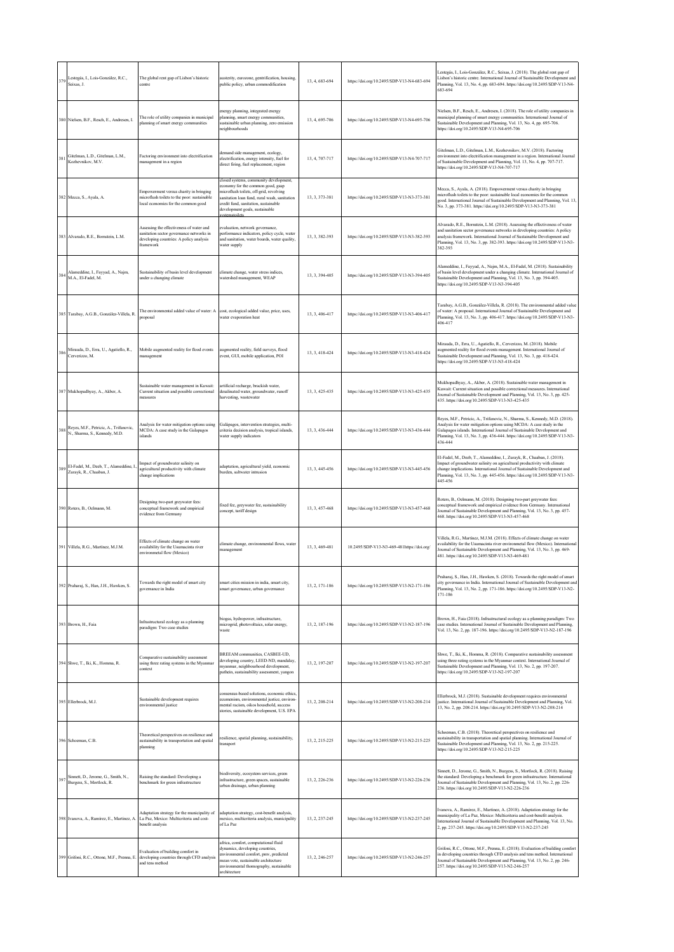| 379 | Lestegás, I., Lois-González, R.C.,<br>Seixas, J.                                   | The global rent gap of Lisbon's historic<br>centre                                                                                           | austerity, eurozone, gentrification, housing,<br>public policy, urban commodification                                                                                                                                                            | 13, 4, 683-694 | https://doi.org/10.2495/SDP-V13-N4-683-694 | Lestegás, I., Lois-González, R.C., Seixas, J. (2018). The global rent gap of<br>Lisbon's historic centre. International Journal of Sustainable Development and<br>Planning, Vol. 13, No. 4, pp. 683-694. https://doi.org/10.2495/SDP-V13-N4-<br>683-694                                                                          |
|-----|------------------------------------------------------------------------------------|----------------------------------------------------------------------------------------------------------------------------------------------|--------------------------------------------------------------------------------------------------------------------------------------------------------------------------------------------------------------------------------------------------|----------------|--------------------------------------------|----------------------------------------------------------------------------------------------------------------------------------------------------------------------------------------------------------------------------------------------------------------------------------------------------------------------------------|
|     | 380 Nielsen, B.F., Resch, E., Andresen, I.                                         | The role of utility companies in municipal<br>planning of smart energy communities                                                           | energy planning, integrated energy<br>planning, smart energy communities,<br>sustainable urban planning, zero emission<br>neighbourhoods                                                                                                         | 13, 4, 695-706 | https://doi.org/10.2495/SDP-V13-N4-695-706 | Nielsen, B.F., Resch, E., Andresen, I. (2018). The role of utility companies in<br>municipal planning of smart energy communities. International Journal of<br>Sustainable Development and Planning, Vol. 13, No. 4, pp. 695-706.<br>https://doi.org/10.2495/SDP-V13-N4-695-706                                                  |
| 381 | Gitelman, L.D., Gitelman, L.M.,<br>Kozhevnikov, M.V.                               | Factoring environment into electrification<br>management in a region                                                                         | demand side management, ecology,<br>electrification, energy intensity, fuel for<br>direct firing, fuel replacement, region                                                                                                                       | 13, 4, 707-717 | https://doi.org/10.2495/SDP-V13-N4-707-717 | Gitelman, L.D., Gitelman, L.M., Kozhevnikov, M.V. (2018). Factoring<br>environment into electrification management in a region. International Journal<br>of Sustainable Development and Planning, Vol. 13, No. 4, pp. 707-717.<br>https://doi.org/10.2495/SDP-V13-N4-707-717                                                     |
|     | 382 Mecca, S., Ayala, A.                                                           | Empowerment versus charity in bringing<br>microflush toilets to the poor: sustainable<br>local economies for the common good                 | closed systems, community development.<br>economy for the common good, gsap<br>microflush toilets, off-grid, revolving<br>sanitation loan fund, rural wash, sanitation<br>credit fund, sanitation, sustainable<br>development goals, sustainable | 13.3.373-381   | https://doi.org/10.2495/SDP-V13-N3-373-381 | Mecca, S., Ayala, A. (2018). Empowerment versus charity in bringing<br>microflush toilets to the poor: sustainable local economies for the common<br>good. International Journal of Sustainable Development and Planning, Vol. 13,<br>No. 3, pp. 373-381. https://doi.org/10.2495/SDP-V13-N3-373-381                             |
|     | 383 Alvarado, R.E., Bornstein, L.M.                                                | Assessing the effectiveness of water and<br>sanitation sector governance networks in<br>developing countries: A policy analysis<br>framework | evaluation, network governance,<br>performance indicators, policy cycle, water<br>and sanitation, water boards, water quality,<br>water supply                                                                                                   | 13.3.382-393   | https://doi.org/10.2495/SDP-V13-N3-382-393 | Alvarado, R.E., Bornstein, L.M. (2018). Assessing the effectiveness of water<br>and sanitation sector governance networks in developing countries: A policy<br>analysis framework. International Journal of Sustainable Development and<br>Planning, Vol. 13, No. 3, pp. 382-393. https://doi.org/10.2495/SDP-V13-N3-<br>382-393 |
| 384 | Alameddine, I., Fayyad, A., Najm,<br>M.A., El-Fadel, M.                            | Sustainability of basin level development<br>under a changing climate                                                                        | climate change, water stress indices,<br>watershed management, WEAP                                                                                                                                                                              | 13, 3, 394-405 | https://doi.org/10.2495/SDP-V13-N3-394-405 | Alameddine, I., Fayyad, A., Najm, M.A., El-Fadel, M. (2018). Sustainability<br>of basin level development under a changing climate. International Journal of<br>Sustainable Development and Planning, Vol. 13, No. 3, pp. 394-405.<br>https://doi.org/10.2495/SDP-V13-N3-394-405                                                 |
|     | 385 Tarabay, A.G.B., González-Villela, R.                                          | The environmental added value of water: A cost, ecological added value, price, uses,<br>proposal                                             | water evaporation heat                                                                                                                                                                                                                           | 13, 3, 406-417 | https://doi.org/10.2495/SDP-V13-N3-406-417 | Tarabay, A.G.B., González-Villela, R. (2018). The environmental added value<br>of water: A proposal. International Journal of Sustainable Development and<br>Planning, Vol. 13, No. 3, pp. 406-417. https://doi.org/10.2495/SDP-V13-N3-<br>406-417                                                                               |
| 380 | Mirauda, D., Erra, U., Agatiello, R.,<br>Cerverizzo, M.                            | Mobile augmented reality for flood events<br>management                                                                                      | augmented reality, field surveys, flood<br>event, GUI, mobile application, POI                                                                                                                                                                   | 13, 3, 418-424 | https://doi.org/10.2495/SDP-V13-N3-418-424 | Mirauda, D., Erra, U., Agatiello, R., Cerverizzo, M. (2018). Mobile<br>augmented reality for flood events management. International Journal of<br>Sustainable Development and Planning, Vol. 13, No. 3, pp. 418-424.<br>https://doi.org/10.2495/SDP-V13-N3-418-424                                                               |
|     | 387 Mukhopadhyay, A., Akber, A.                                                    | Sustainable water management in Kuwait:<br>Current situation and possible correctional<br>measures                                           | artificial recharge, brackish water,<br>desalinated water, groundwater, runoff<br>harvesting, wastewater                                                                                                                                         | 13, 3, 425-435 | https://doi.org/10.2495/SDP-V13-N3-425-435 | Mukhopadhyay, A., Akber, A. (2018). Sustainable water management in<br>Kuwait: Current situation and possible correctional measures. International<br>Journal of Sustainable Development and Planning, Vol. 13, No. 3, pp. 425-<br>435. https://doi.org/10.2495/SDP-V13-N3-425-435                                               |
|     | 188 Reyes, M.F., Petricic, A., Trifunovic,<br>N., Sharma, S., Kennedy, M.D.        | Analysis for water mitigation options using<br>MCDA: A case study in the Galapagos<br>islands                                                | Galápagos, intervention strategies, multi-<br>criteria decision analysis, tropical islands,<br>water supply indicators                                                                                                                           | 13, 3, 436-444 | https://doi.org/10.2495/SDP-V13-N3-436-444 | Reyes, M.F., Petricic, A., Trifunovic, N., Sharma, S., Kennedy, M.D. (2018).<br>Analysis for water mitigation options using MCDA: A case study in the<br>Galapagos islands. International Journal of Sustainable Development and<br>Planning, Vol. 13, No. 3, pp. 436-444. https://doi.org/10.2495/SDP-V13-N3-<br>436-444        |
|     | El-Fadel, M., Deeb, T., Alameddine, I.<br>Zurayk, R., Chaaban, J.                  | Impact of groundwater salinity on<br>agricultural productivity with climate<br>change implications                                           | adaptation, agricultural yield, economic<br>burden, saltwater intrusion                                                                                                                                                                          | 13, 3, 445-456 | https://doi.org/10.2495/SDP-V13-N3-445-456 | El-Fadel, M., Deeb, T., Alameddine, I., Zurayk, R., Chaaban, J. (2018).<br>Impact of groundwater salinity on agricultural productivity with climate<br>change implications. International Journal of Sustainable Development and<br>Planning, Vol. 13, No. 3, pp. 445-456. https://doi.org/10.2495/SDP-V13-N3-<br>445-456        |
|     | 390 Roters, B., Oelmann, M.                                                        | Designing two-part greywater fees:<br>conceptual framework and empirical<br>evidence from Germany                                            | fixed fee, greywater fee, sustainability<br>concept, tariff design                                                                                                                                                                               | 13, 3, 457-468 | https://doi.org/10.2495/SDP-V13-N3-457-468 | Roters, B., Oelmann, M. (2018). Designing two-part greywater fees:<br>conceptual framework and empirical evidence from Germany. International<br>Journal of Sustainable Development and Planning, Vol. 13, No. 3, pp. 457-<br>468. https://doi.org/10.2495/SDP-V13-N3-457-468                                                    |
|     | 391 Villela, R.G., Martínez, M.J.M.                                                | Effects of climate change on water<br>availability for the Usumacinta river<br>environmetal flow (Mexico)                                    | climate change, environmental flows, water<br>management                                                                                                                                                                                         | 13, 3, 469-481 | 10.2495/SDP-V13-N3-469-481https://doi.org/ | Villela, R.G., Martínez, M.J.M. (2018). Effects of climate change on water<br>availability for the Usumacinta river environmetal flow (Mexico). International<br>Journal of Sustainable Development and Planning, Vol. 13, No. 3, pp. 469-<br>481. https://doi.org/10.2495/SDP-V13-N3-469-481                                    |
|     | 392 Praharaj, S., Han, J.H., Hawken, S.                                            | Towards the right model of smart city<br>governance in India                                                                                 | smart cities mission in india, smart city,<br>smart governance, urban governance                                                                                                                                                                 | 13, 2, 171-186 | https://doi.org/10.2495/SDP-V13-N2-171-186 | Praharaj, S., Han, J.H., Hawken, S. (2018). Towards the right model of smart<br>city governance in India. International Journal of Sustainable Development and<br>Planning, Vol. 13, No. 2, pp. 171-186. https://doi.org/10.2495/SDP-V13-N2-<br>171-186                                                                          |
|     | 393 Brown, H., Faia                                                                | Infrastructural ecology as a planning<br>paradigm: Two case studies                                                                          | biogas, hydropower, infrastructure,<br>microgrid, photovoltaics, solar energy,<br>waste                                                                                                                                                          | 13, 2, 187-196 | https://doi.org/10.2495/SDP-V13-N2-187-196 | Brown, H., Faia (2018). Infrastructural ecology as a planning paradigm: Two<br>case studies. International Journal of Sustainable Development and Planning,<br>Vol. 13, No. 2, pp. 187-196. https://doi.org/10.2495/SDP-V13-N2-187-196                                                                                           |
|     | 394 Shwe, T., Iki, K., Homma, R.                                                   | Comparative sustainability assessment<br>using three rating systems in the Myanmar<br>context                                                | BREEAM communities, CASBEE-UD,<br>developing country, LEED-ND, mandalay,<br>myanmar, neighbourhood development,<br>pathein, sustainability assessment, yangon                                                                                    | 13, 2, 197-207 | https://doi.org/10.2495/SDP-V13-N2-197-207 | Shwe, T., Iki, K., Homma, R. (2018). Comparative sustainability assessment<br>using three rating systems in the Myanmar context. International Journal of<br>Sustainable Development and Planning, Vol. 13, No. 2, pp. 197-207.<br>https://doi.org/10.2495/SDP-V13-N2-197-207                                                    |
|     | 395 Ellerbrock, M.J.                                                               | Sustainable development requires<br>environmental justice                                                                                    | consensus-based solutions, economic ethics,<br>ecumenism, environmental justice, environ-<br>mental racism, oikos household, success<br>stories, sustainable development, U.S. EPA                                                               | 13, 2, 208-214 | https://doi.org/10.2495/SDP-V13-N2-208-214 | Ellerbrock, M.J. (2018). Sustainable development requires environmental<br>ustice. International Journal of Sustainable Development and Planning, Vol.<br>13, No. 2, pp. 208-214. https://doi.org/10.2495/SDP-V13-N2-208-214                                                                                                     |
|     | 396 Schoeman, C.B.                                                                 | Theoretical perspectives on resilience and<br>sustainability in transportation and spatial<br>planning                                       | esilience, spatial planning, sustainability,<br>transport                                                                                                                                                                                        | 13, 2, 215-225 | https://doi.org/10.2495/SDP-V13-N2-215-225 | Schoeman, C.B. (2018). Theoretical perspectives on resilience and<br>sustainability in transportation and spatial planning. International Journal of<br>Sustainable Development and Planning, Vol. 13, No. 2, pp. 215-225.<br>https://doi.org/10.2495/SDP-V13-N2-215-225                                                         |
| 397 | Sinnett, D., Jerome, G., Smith, N.,<br>Burgess, S., Mortlock, R.                   | Raising the standard: Developing a<br>benchmark for green infrastructure                                                                     | biodiversity, ecosystem services, green<br>infrastructure, green spaces, sustainable<br>urban drainage, urban planning                                                                                                                           | 13, 2, 226-236 | https://doi.org/10.2495/SDP-V13-N2-226-236 | Sinnett, D., Jerome, G., Smith, N., Burgess, S., Mortlock, R. (2018). Raising<br>the standard: Developing a benchmark for green infrastructure. International<br>Journal of Sustainable Development and Planning, Vol. 13, No. 2, pp. 226-<br>236. https://doi.org/10.2495/SDP-V13-N2-226-236                                    |
|     | 398 Ivanova, A., Ramírez, E., Martinez, A. La Paz, Mexico: Multicriteria and cost- | Adaptation strategy for the municipality of<br>benefit analysis                                                                              | adaptation strategy, cost-benefit analysis,<br>mexico, multicriteria analysis, municipality<br>of La Paz                                                                                                                                         | 13, 2, 237-245 | https://doi.org/10.2495/SDP-V13-N2-237-245 | Ivanova, A., Ramírez, E., Martinez, A. (2018). Adaptation strategy for the<br>municipality of La Paz, Mexico: Multicriteria and cost-benefit analysis.<br>International Journal of Sustainable Development and Planning, Vol. 13, No.<br>2, pp. 237-245. https://doi.org/10.2495/SDP-V13-N2-237-245                              |
|     | 399 Grifoni, R.C., Ottone, M.F., Prenna, E.                                        | Evaluation of building comfort in<br>developing countries through CFD analysis<br>and tens method                                            | africa, comfort, computational fluid<br>dynamics, developing countries,<br>environmental comfort, pmv, predicted<br>mean vote, sustainable architecture<br>environmental thomography, sustainable<br>architecture                                | 13.2.246-257   | https://doi.org/10.2495/SDP-V13-N2-246-257 | Grifoni, R.C., Ottone, M.F., Prenna, E. (2018). Evaluation of building comfort<br>in developing countries through CFD analysis and tens method. International<br>Journal of Sustainable Development and Planning, Vol. 13, No. 2, pp. 246-<br>257. https://doi.org/10.2495/SDP-V13-N2-246-257                                    |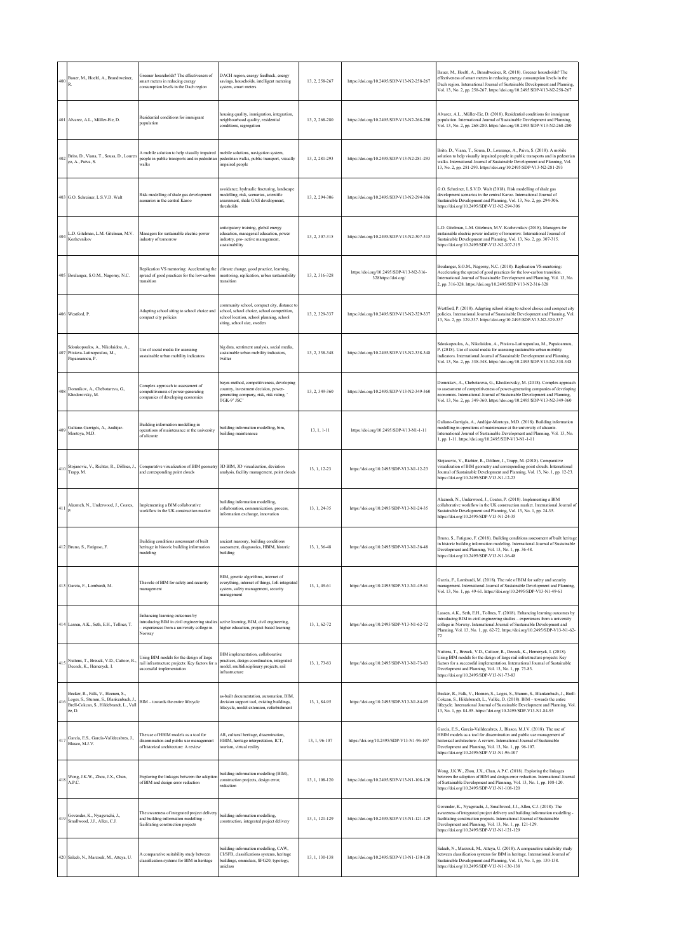| 400 | Bauer, M., Hoeltl, A., Brandtweiner,                                                                                            | Greener households? The effectiveness of<br>smart meters in reducing energy<br>consumption levels in the Dach region                 | DACH region, energy feedback, energy<br>savings, households, intelligent metering<br>system, smart meters                                                            | 13, 2, 258-267 | https://doi.org/10.2495/SDP-V13-N2-258-267                     | Bauer, M., Hoeltl, A., Brandtweiner, R. (2018). Greener households? The<br>effectiveness of smart meters in reducing energy consumption levels in the<br>Dach region. International Journal of Sustainable Development and Planning,<br>Vol. 13, No. 2, pp. 258-267. https://doi.org/10.2495/SDP-V13-N2-258-267                             |
|-----|---------------------------------------------------------------------------------------------------------------------------------|--------------------------------------------------------------------------------------------------------------------------------------|----------------------------------------------------------------------------------------------------------------------------------------------------------------------|----------------|----------------------------------------------------------------|---------------------------------------------------------------------------------------------------------------------------------------------------------------------------------------------------------------------------------------------------------------------------------------------------------------------------------------------|
|     | 401 Alvarez, A.L., Müller-Eie, D                                                                                                | Residential conditions for immigrant<br>population                                                                                   | housing quality, immigration, integration,<br>neighbourhood quality, residential<br>conditions, segregation                                                          | 13, 2, 268-280 | https://doi.org/10.2495/SDP-V13-N2-268-280                     | Alvarez, A.L., Müller-Eie, D. (2018). Residential conditions for immigrant<br>population. International Journal of Sustainable Development and Planning,<br>Vol. 13, No. 2, pp. 268-280. https://doi.org/10.2495/SDP-V13-N2-268-280                                                                                                         |
| 402 | Brito, D., Viana, T., Sousa, D., Louren<br>ço, A., Paiva, S.                                                                    | A mobile solution to help visually impaired<br>people in public transports and in pedestrian<br>walks                                | mobile solutions, navigation system,<br>pedestrian walks, public transport, visually<br>impaired people                                                              | 13, 2, 281-293 | https://doi.org/10.2495/SDP-V13-N2-281-293                     | Brito, D., Viana, T., Sousa, D., Lourenço, A., Paiva, S. (2018). A mobile<br>solution to help visually impaired people in public transports and in pedestrian<br>walks. International Journal of Sustainable Development and Planning, Vol.<br>13, No. 2, pp. 281-293. https://doi.org/10.2495/SDP-V13-N2-281-293                           |
|     | 403 G.O. Schreiner, L.S.V.D. Walt                                                                                               | Risk modelling of shale gas development<br>scenarios in the central Karoo                                                            | avoidance, hydraulic fracturing, landscape<br>modelling, risk, scenarios, scientific<br>assessment, shale GAS development,<br>thresholds                             | 13.2.294-306   | https://doi.org/10.2495/SDP-V13-N2-294-306                     | G.O. Schreiner, L.S.V.D. Walt (2018). Risk modelling of shale gas<br>development scenarios in the central Karoo. International Journal of<br>Sustainable Development and Planning, Vol. 13, No. 2, pp. 294-306.<br>https://doi.org/10.2495/SDP-V13-N2-294-306                                                                               |
| 404 | L.D. Gitelman, L.M. Gitelman, M.V.<br>Kozhevnikov                                                                               | Managers for sustainable electric power<br>industry of tomorrow                                                                      | anticipatory training, global energy<br>education, managerial education, power<br>industry, pro- active management,<br>sustainability                                | 13, 2, 307-315 | https://doi.org/10.2495/SDP-V13-N2-307-315                     | L.D. Gitelman, L.M. Gitelman, M.V. Kozhevnikov (2018). Managers for<br>sustainable electric power industry of tomorrow. International Journal of<br>Sustainable Development and Planning, Vol. 13, No. 2, pp. 307-315.<br>https://doi.org/10.2495/SDP-V13-N2-307-315                                                                        |
|     | 405 Boulanger, S.O.M., Nagorny, N.C.                                                                                            | Replication VS mentoring: Accelerating the<br>spread of good practices for the low-carbon<br>transition                              | climate change, good practice, learning,<br>mentoring, replication, urban sustainability<br>transition                                                               | 13.2.316-328   | https://doi.org/10.2495/SDP-V13-N2-316-<br>328https://doi.org/ | Boulanger, S.O.M., Nagorny, N.C. (2018). Replication VS mentoring:<br>Accelerating the spread of good practices for the low-carbon transition.<br>International Journal of Sustainable Development and Planning, Vol. 13, No.<br>2, pp. 316-328. https://doi.org/10.2495/SDP-V13-N2-316-328                                                 |
|     | 406 Westford, P.                                                                                                                | Adapting school siting to school choice and<br>compact city policies                                                                 | community school, compact city, distance to<br>school, school choice, school competition,<br>school location, school planning, school<br>siting, school size, sweden | 13.2.329-337   | https://doi.org/10.2495/SDP-V13-N2-329-337                     | Westford, P. (2018). Adapting school siting to school choice and compact city<br>policies. International Journal of Sustainable Development and Planning, Vol.<br>13, No. 2, pp. 329-337. https://doi.org/10.2495/SDP-V13-N2-329-337                                                                                                        |
| 407 | Sdoukopoulos, A., Nikolaidou, A.,<br>Pitsiava-Latinopoulou, M.,<br>Papaioannou, P.                                              | Use of social media for assessing<br>sustainable urban mobility indicators                                                           | big data, sentiment analysis, social media,<br>sustainable urban mobility indicators,<br>twitter                                                                     | 13, 2, 338-348 | https://doi.org/10.2495/SDP-V13-N2-338-348                     | Sdoukopoulos, A., Nikolaidou, A., Pitsiava-Latinopoulou, M., Papaioannou,<br>P. (2018). Use of social media for assessing sustainable urban mobility<br>ndicators. International Journal of Sustainable Development and Planning,<br>Vol. 13, No. 2, pp. 338-348. https://doi.org/10.2495/SDP-V13-N2-338-348                                |
| 408 | Domnikov, A., Chebotareva, G.,<br>Khodorovsky, M.                                                                               | Complex approach to assessment of<br>competitiveness of power-generating<br>companies of developing economies                        | bayes method, competitiveness, developing<br>country, investment decision, power-<br>generating company, risk, risk rating, '<br>TGK-9' JSC'                         | 13, 2, 349-360 | https://doi.org/10.2495/SDP-V13-N2-349-360                     | Domnikov, A., Chebotareva, G., Khodorovsky, M. (2018). Complex approach<br>to assessment of competitiveness of power-generating companies of developing<br>economies. International Journal of Sustainable Development and Planning,<br>Vol. 13, No. 2, pp. 349-360. https://doi.org/10.2495/SDP-V13-N2-349-360                             |
| 409 | Galiano-Garrigós, A., Andújar-<br>Montoya, M.D.                                                                                 | Building information modelling in<br>operations of maintenance at the university<br>of alicante                                      | building information modelling, bim,<br>building maintenance                                                                                                         | 13, 1, 1-11    | https://doi.org/10.2495/SDP-V13-N1-1-11                        | Galiano-Garrigós, A., Andújar-Montoya, M.D. (2018). Building information<br>modelling in operations of maintenance at the university of alicante.<br>International Journal of Sustainable Development and Planning, Vol. 13, No.<br>1, pp. 1-11. https://doi.org/10.2495/SDP-V13-N1-1-11                                                    |
|     | Stojanovic, V., Richter, R., Döllner, J.<br>$410\frac{380 \mu}{\text{Trapp, M}}$ .                                              | Comparative visualization of BIM geometry<br>and corresponding point clouds                                                          | 3D BIM, 3D visualization, deviation<br>analysis, facility management, point clouds                                                                                   | 13, 1, 12-23   | https://doi.org/10.2495/SDP-V13-N1-12-23                       | Stojanovic, V., Richter, R., Döllner, J., Trapp, M. (2018). Comparative<br>visualization of BIM geometry and corresponding point clouds. International<br>Journal of Sustainable Development and Planning, Vol. 13, No. 1, pp. 12-23.<br>https://doi.org/10.2495/SDP-V13-N1-12-23                                                           |
| 411 | Alazmeh, N., Underwood, J., Coates,                                                                                             | Implementing a BIM collaborative<br>workflow in the UK construction market                                                           | building information modelling.<br>collaboration, communication, process,<br>information exchange, innovation                                                        | 13, 1, 24-35   | https://doi.org/10.2495/SDP-V13-N1-24-35                       | Alazmeh, N., Underwood, J., Coates, P. (2018). Implementing a BIM<br>collaborative workflow in the UK construction market. International Journal of<br>Sustainable Development and Planning, Vol. 13, No. 1, pp. 24-35.<br>https://doi.org/10.2495/SDP-V13-N1-24-35                                                                         |
|     | 412 Bruno, S., Fatiguso, F.                                                                                                     | Building conditions assessment of built<br>heritage in historic building information<br>modeling                                     | ancient masonry, building conditions<br>assessment, diagnostics, HBIM, historic<br>building                                                                          | 13, 1, 36-48   | https://doi.org/10.2495/SDP-V13-N1-36-48                       | Bruno, S., Fatiguso, F. (2018). Building conditions assessment of built heritage<br>in historic building information modeling. International Journal of Sustainable<br>Development and Planning, Vol. 13, No. 1, pp. 36-48.<br>https://doi.org/10.2495/SDP-V13-N1-36-48                                                                     |
|     | 413 Garzia, F., Lombardi, M.                                                                                                    | The role of BIM for safety and security<br>management                                                                                | BIM, genetic algorithms, internet of<br>everything, internet of things, IoE integrated<br>system, safety management, security<br>management                          | 13, 1, 49-61   | https://doi.org/10.2495/SDP-V13-N1-49-61                       | Garzia, F., Lombardi, M. (2018). The role of BIM for safety and security<br>management. International Journal of Sustainable Development and Planning,<br>Vol. 13, No. 1, pp. 49-61. https://doi.org/10.2495/SDP-V13-N1-49-61                                                                                                               |
|     | 414 Lassen, A.K., Seth, E.H., Tollnes, T.                                                                                       | Enhancing learning outcomes by<br>introducing BIM in civil engineering studies<br>experiences from a university college in<br>Norway | active learning, BIM, civil engineering,<br>higher education, project-based learning                                                                                 | 13.1.62-72     | https://doi.org/10.2495/SDP-V13-N1-62-72                       | Lassen, A.K., Seth, E.H., Tollnes, T. (2018). Enhancing learning outcomes by<br>introducing BIM in civil engineering studies - experiences from a university<br>college in Norway. International Journal of Sustainable Development and<br>Planning, Vol. 13, No. 1, pp. 62-72. https://doi.org/10.2495/SDP-V13-N1-62-<br>72                |
| 415 | Nuttens, T., Breuck, V.D., Cattoor, R.,<br>Decock, K., Hemeryck, I.                                                             | Using BIM models for the design of large<br>rail infrastructure projects: Key factors for a<br>successful implementation             | BIM implementation, collaborative<br>practices, design coordination, integrated<br>model, multidisciplinary projects, rail<br>infrastructure                         | 13, 1, 73-83   | https://doi.org/10.2495/SDP-V13-N1-73-83                       | Nuttens, T., Breuck, V.D., Cattoor, R., Decock, K., Hemeryck, I. (2018).<br>Using BIM models for the design of large rail infrastructure projects: Key<br>factors for a successful implementation. International Journal of Sustainable<br>Development and Planning, Vol. 13, No. 1, pp. 73-83.<br>https://doi.org/10.2495/SDP-V13-N1-73-83 |
| 416 | Becker, R., Falk, V., Hoenen, S.,<br>Loges, S., Stumm, S., Blankenbach, J.<br>Brell-Cokcan, S., Hildebrandt, L., Vall<br>ée, D. | BIM - towards the entire lifecycle                                                                                                   | as-built documentation, automation, BIM,<br>decision support tool, existing buildings,<br>lifecycle, model extension, refurbishment                                  | 13, 1, 84-95   | https://doi.org/10.2495/SDP-V13-N1-84-95                       | Becker, R., Falk, V., Hoenen, S., Loges, S., Stumm, S., Blankenbach, J., Brell-<br>Cokcan, S., Hildebrandt, L., Vallée, D. (2018). BIM - towards the entire<br>lifecycle. International Journal of Sustainable Development and Planning, Vol.<br>13, No. 1, pp. 84-95. https://doi.org/10.2495/SDP-V13-N1-84-95                             |
|     | 417 García, E.S., García-Valldecabres, J., Blasco, M.J.V.                                                                       | The use of HBIM models as a tool for<br>dissemination and public use management<br>of historical architecture: A review              | AR, cultural heritage, dissemination,<br>HBIM, heritage interpretation, ICT,<br>tourism, virtual reality                                                             | 13, 1, 96-107  | https://doi.org/10.2495/SDP-V13-N1-96-107                      | García, E.S., García-Valldecabres, J., Blasco, M.J.V. (2018). The use of<br>HBIM models as a tool for dissemination and public use management of<br>historical architecture: A review. International Journal of Sustainable<br>Development and Planning, Vol. 13, No. 1, pp. 96-107.<br>https://doi.org/10.2495/SDP-V13-N1-96-107           |
|     | 418 Wong, J.K.W., Zhou, J.X., Chan,<br>A.P.C.                                                                                   | Exploring the linkages between the adoption<br>of BIM and design error reduction                                                     | building information modelling (BIM),<br>construction projects, design error,<br>reduction                                                                           | 13, 1, 108-120 | https://doi.org/10.2495/SDP-V13-N1-108-120                     | Wong, J.K.W., Zhou, J.X., Chan, A.P.C. (2018). Exploring the linkages<br>between the adoption of BIM and design error reduction. International Journal<br>of Sustainable Development and Planning, Vol. 13, No. 1, pp. 108-120.<br>https://doi.org/10.2495/SDP-V13-N1-108-120                                                               |
| 419 | Govender, K., Nyagwachi, J.,<br>Smallwood, J.J., Allen, C.J.                                                                    | The awareness of integrated project delivery<br>and building information modelling -<br>facilitating construction projects           | building information modelling,<br>construction, integrated project delivery                                                                                         | 13, 1, 121-129 | https://doi.org/10.2495/SDP-V13-N1-121-129                     | Govender, K., Nyagwachi, J., Smallwood, J.J., Allen, C.J. (2018). The<br>awareness of integrated project delivery and building information modelling -<br>facilitating construction projects. International Journal of Sustainable<br>Development and Planning, Vol. 13, No. 1, pp. 121-129.<br>https://doi.org/10.2495/SDP-V13-N1-121-129  |
|     | 420 Saleeb, N., Marzouk, M., Atteya, U.                                                                                         | A comparative suitability study between<br>classification systems for BIM in heritage                                                | building information modelling, CAW,<br>CI/SFB, classifications systems, heritage<br>buildings, omniclass, SFG20, typology,<br>uniclass                              | 13, 1, 130-138 | https://doi.org/10.2495/SDP-V13-N1-130-138                     | Saleeb, N., Marzouk, M., Atteya, U. (2018). A comparative suitability study<br>between classification systems for BIM in heritage. International Journal of<br>Sustainable Development and Planning, Vol. 13, No. 1, pp. 130-138.<br>https://doi.org/10.2495/SDP-V13-N1-130-138                                                             |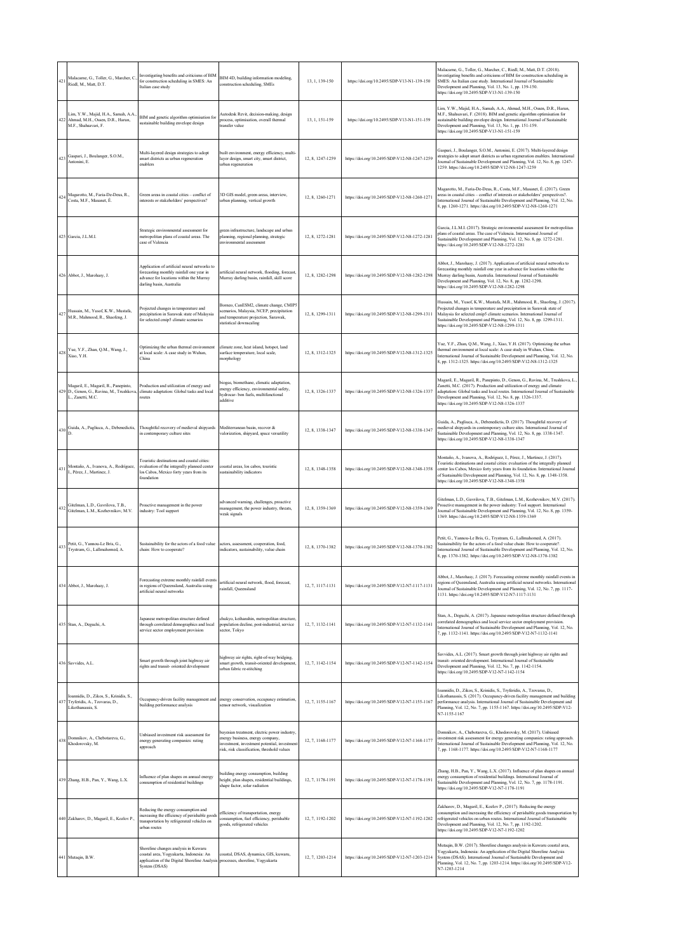| 421 | Malacame, G., Toller, G., Marcher, C.,<br>Riedl, M., Matt, D.T.                                        | Investigating benefits and criticisms of BIM<br>for construction scheduling in SMES: An<br>Italian case study                                                   | BIM 4D, building information modeling,<br>construction scheduling, SMEs                                                                                                        | 13, 1, 139-150   | https://doi.org/10.2495/SDP-V13-N1-139-150   | Malacame, G., Toller, G., Marcher, C., Riedl, M., Matt, D.T. (2018).<br>Investigating benefits and criticisms of BIM for construction scheduling in<br>SMES: An Italian case study. International Journal of Sustainable<br>Development and Planning, Vol. 13, No. 1, pp. 139-150.<br>https://doi.org/10.2495/SDP-V13-N1-139-150                                          |
|-----|--------------------------------------------------------------------------------------------------------|-----------------------------------------------------------------------------------------------------------------------------------------------------------------|--------------------------------------------------------------------------------------------------------------------------------------------------------------------------------|------------------|----------------------------------------------|---------------------------------------------------------------------------------------------------------------------------------------------------------------------------------------------------------------------------------------------------------------------------------------------------------------------------------------------------------------------------|
| 422 | Lim, Y.W., Majid, H.A., Samah, A.A.<br>Ahmad, M.H., Ossen, D.R., Harun,<br>M.F., Shahsavari, F.        | BIM and genetic algorithm optimisation for<br>sustainable building envelope design                                                                              | Autodesk Revit, decision-making, design<br>process, optimisation, overall thermal<br>transfer value                                                                            | 13, 1, 151-159   | https://doi.org/10.2495/SDP-V13-N1-151-159   | Lim, Y.W., Majid, H.A., Samah, A.A., Ahmad, M.H., Ossen, D.R., Harun,<br>M.F., Shahsavari, F. (2018). BIM and genetic algorithm optimisation for<br>sustainable building envelope design. International Journal of Sustainable<br>Development and Planning, Vol. 13, No. 1, pp. 151-159.<br>https://doi.org/10.2495/SDP-V13-N1-151-159                                    |
| 423 | Gaspari, J., Boulanger, S.O.M.,<br>Antonini, E.                                                        | Multi-layered design strategies to adopt<br>smart districts as urban regeneration<br>enablers                                                                   | built environment, energy efficiency, multi-<br>layer design, smart city, smart district,<br>urban regeneration                                                                | 12, 8, 1247-1259 | https://doi.org/10.2495/SDP-V12-N8-1247-1259 | Gaspari, J., Boulanger, S.O.M., Antonini, E. (2017). Multi-layered design<br>strategies to adopt smart districts as urban regeneration enablers. International<br>Journal of Sustainable Development and Planning, Vol. 12, No. 8, pp. 1247-<br>1259. https://doi.org/10.2495/SDP-V12-N8-1247-1259                                                                        |
| 424 | Magarotto, M., Faria-De-Deus, R.,<br>Costa, M.F., Masanet, É.                                          | Green areas in coastal cities - conflict of<br>interests or stakeholders' perspectives?                                                                         | 3D GIS model, green areas, interview,<br>urban planning, vertical growth                                                                                                       | 12.8.1260-1271   | https://doi.org/10.2495/SDP-V12-N8-1260-1271 | Magarotto, M., Faria-De-Deus, R., Costa, M.F., Masanet, É. (2017). Green<br>areas in coastal cities - conflict of interests or stakeholders' perspectives?.<br>International Journal of Sustainable Development and Planning, Vol. 12, No.<br>8, pp. 1260-1271. https://doi.org/10.2495/SDP-V12-N8-1260-1271                                                              |
|     | 425 Garcia, J.L.M.I.                                                                                   | Strategic environmental assessment for<br>metropolitan plans of coastal areas. The<br>case of Valencia                                                          | green infrastructure, landscape and urban<br>planning, regional planning, strategic<br>environmental assessment                                                                | 12, 8, 1272-1281 | https://doi.org/10.2495/SDP-V12-N8-1272-1281 | Garcia, J.L.M.I. (2017). Strategic environmental assessment for metropolitan<br>plans of coastal areas. The case of Valencia. International Journal of<br>Sustainable Development and Planning, Vol. 12, No. 8, pp. 1272-1281.<br>https://doi.org/10.2495/SDP-V12-N8-1272-1281                                                                                            |
|     | 426 Abbot, J., Marohasy, J.                                                                            | Application of artificial neural networks to<br>forecasting monthly rainfall one year in<br>advance for locations within the Murray<br>darling basin, Australia | artificial neural network, flooding, forecast,<br>Murray darling basin, rainfall, skill score                                                                                  | 12, 8, 1282-1298 | https://doi.org/10.2495/SDP-V12-N8-1282-1298 | Abbot, J., Marohasy, J. (2017). Application of artificial neural networks to<br>forecasting monthly rainfall one year in advance for locations within the<br>Murray darling basin, Australia. International Journal of Sustainable<br>Development and Planning, Vol. 12, No. 8, pp. 1282-1298.<br>https://doi.org/10.2495/SDP-V12-N8-1282-1298                            |
| 427 | Hussain, M., Yusof, K.W., Mustafa,<br>M.R., Mahmood, R., Shaofeng, J.                                  | Projected changes in temperature and<br>precipitation in Sarawak state of Malaysia<br>for selected cmip5 climate scenarios                                      | Borneo, CanESM2, climate change, CMIP5<br>scenarios, Malaysia, NCEP, precipitation<br>and temperature projection, Sarawak,<br>statistical downscaling                          | 12, 8, 1299-1311 | https://doi.org/10.2495/SDP-V12-N8-1299-1311 | Hussain, M., Yusof, K.W., Mustafa, M.R., Mahmood, R., Shaofeng, J. (2017).<br>Projected changes in temperature and precipitation in Sarawak state of<br>Malaysia for selected cmip5 climate scenarios. International Journal of<br>Sustainable Development and Planning, Vol. 12, No. 8, pp. 1299-1311.<br>https://doi.org/10.2495/SDP-V12-N8-1299-1311                   |
| 428 | Yue, Y.F., Zhan, Q.M., Wang, J.,<br>Xiao, Y.H.                                                         | Optimizing the urban thermal environment<br>at local scale: A case study in Wuhan,<br>China                                                                     | climate zone, heat island, hotspot, land<br>surface temperature, local scale,<br>morphology                                                                                    | 12, 8, 1312-1325 | https://doi.org/10.2495/SDP-V12-N8-1312-1325 | Yue, Y.F., Zhan, Q.M., Wang, J., Xiao, Y.H. (2017). Optimizing the urban<br>thermal environment at local scale: A case study in Wuhan, China.<br>International Journal of Sustainable Development and Planning, Vol. 12, No.<br>8, pp. 1312-1325. https://doi.org/10.2495/SDP-V12-N8-1312-1325                                                                            |
|     | Magaril, E., Magaril, R., Panepinto,<br>429 D., Genon, G., Ravina, M., Trushkova,<br>L., Zanetti, M.C. | Production and utilization of energy and<br>climate adaptation: Global tasks and local<br>routes                                                                | biogas, biomethane, climatic adaptation,<br>energy efficiency, environmental safety,<br>hydrocar- bon fuels, multifunctional<br>additive                                       | 12, 8, 1326-1337 | https://doi.org/10.2495/SDP-V12-N8-1326-1337 | Magaril, E., Magaril, R., Panepinto, D., Genon, G., Ravina, M., Trushkova, L.<br>Zanetti, M.C. (2017). Production and utilization of energy and climate<br>adaptation: Global tasks and local routes. International Journal of Sustainable<br>Development and Planning, Vol. 12, No. 8, pp. 1326-1337.<br>https://doi.org/10.2495/SDP-V12-N8-1326-1337                    |
| 430 |                                                                                                        | Guida, A., Pagliuca, A., Debenedictis, Thoughtful recovery of medieval shipyards<br>in contemporary culture sites                                               | Mediterranean basin, recover &<br>valorization, shipyard, space versatility                                                                                                    | 12, 8, 1338-1347 | https://doi.org/10.2495/SDP-V12-N8-1338-1347 | Guida, A., Pagliuca, A., Debenedictis, D. (2017). Thoughtful recovery of<br>medieval shipyards in contemporary culture sites. International Journal of<br>Sustainable Development and Planning, Vol. 12, No. 8, pp. 1338-1347.<br>https://doi.org/10.2495/SDP-V12-N8-1338-1347                                                                                            |
| 431 | Montaño, A., Ivanova, A., Rodríguez,<br>I., Pérez, J., Martinez, J.                                    | Touristic destinations and coastal cities:<br>evaluation of the integrally planned center<br>los Cabos, Mexico forty years from its<br>foundation               | coastal areas, los cabos, touristic<br>sustainability indicators                                                                                                               | 12, 8, 1348-1358 | https://doi.org/10.2495/SDP-V12-N8-1348-1358 | Montaño, A., Ivanova, A., Rodríguez, I., Pérez, J., Martinez, J. (2017).<br>Touristic destinations and coastal cities: evaluation of the integrally planned<br>center los Cabos, Mexico forty years from its foundation. International Journal<br>of Sustainable Development and Planning, Vol. 12, No. 8, pp. 1348-1358.<br>https://doi.org/10.2495/SDP-V12-N8-1348-1358 |
| 432 | Gitelman, L.D., Gavrilova, T.B.,<br>Gitelman, L.M., Kozhevnikov, M.V.                                  | Proactive management in the power<br>industry: Tool support                                                                                                     | advanced warning, challenges, proactive<br>management, the power industry, threats,<br>weak signals                                                                            | 12, 8, 1359-1369 | https://doi.org/10.2495/SDP-V12-N8-1359-1369 | Gitelman, L.D., Gavrilova, T.B., Gitelman, L.M., Kozhevnikov, M.V. (2017).<br>Proactive management in the power industry: Tool support. International<br>Journal of Sustainable Development and Planning, Vol. 12, No. 8, pp. 1359-<br>1369. https://doi.org/10.2495/SDP-V12-N8-1359-1369                                                                                 |
| 433 | Petit, G., Yannou-Le Bris, G.,<br>Trystram, G., Lallmahomed, A.                                        | Sustainability for the actors of a food value<br>chain: How to cooperate?                                                                                       | actors, assessment, cooperation, food,<br>indicators, sustainability, value chain                                                                                              | 12.8.1370-1382   | https://doi.org/10.2495/SDP-V12-N8-1370-1382 | Petit, G., Yannou-Le Bris, G., Trystram, G., Lallmahomed, A. (2017).<br>Sustainability for the actors of a food value chain: How to cooperate?.<br>International Journal of Sustainable Development and Planning, Vol. 12, No.<br>8, pp. 1370-1382. https://doi.org/10.2495/SDP-V12-N8-1370-1382                                                                          |
|     | 434 Abbot, J., Marohasy, J.                                                                            | Forecasting extreme monthly rainfall events<br>in regions of Queensland, Australia using<br>artificial neural networks                                          | artificial neural network, flood, forecast,<br>rainfall, Oueensland                                                                                                            | 12, 7, 1117-1131 | https://doi.org/10.2495/SDP-V12-N7-1117-1131 | Abbot, J., Marohasy, J. (2017). Forecasting extreme monthly rainfall events in<br>regions of Queensland, Australia using artificial neural networks. International<br>Journal of Sustainable Development and Planning, Vol. 12, No. 7, pp. 1117-<br>1131. https://doi.org/10.2495/SDP-V12-N7-1117-1131                                                                    |
|     | 435 Stan, A., Deguchi, A.                                                                              | Japanese metropolitan structure defined<br>through correlated demographics and local<br>service sector employment provision                                     | chukyo, keihanshin, metropolitan structure<br>population decline, post-industrial, service<br>sector, Tokvo                                                                    | 12.7.1132-1141   | https://doi.org/10.2495/SDP-V12-N7-1132-1141 | Stan, A., Deguchi, A. (2017). Japanese metropolitan structure defined through<br>correlated demographics and local service sector employment provision.<br>International Journal of Sustainable Development and Planning, Vol. 12, No.<br>7, pp. 1132-1141. https://doi.org/10.2495/SDP-V12-N7-1132-1141                                                                  |
|     | 436 Savvides, A.L.                                                                                     | Smart growth through joint highway air<br>rights and transit- oriented development                                                                              | highway air rights, right-of-way bridging,<br>smart growth, transit-oriented development,<br>urban fabric re-stitching                                                         | 12, 7, 1142-1154 | https://doi.org/10.2495/SDP-V12-N7-1142-1154 | Savvides, A.L. (2017). Smart growth through joint highway air rights and<br>transit- oriented development. International Journal of Sustainable<br>Development and Planning, Vol. 12, No. 7, pp. 1142-1154.<br>https://doi.org/10.2495/SDP-V12-N7-1142-1154                                                                                                               |
| 437 | loannidis, D., Zikos, S., Krinidis, S.,<br>Tryferidis, A., Tzovaras, D.,<br>Likothanassis S.           | Occupancy-driven facility management and<br>building performance analysis                                                                                       | energy conservation, occupancy estimation,<br>sensor network, visualization                                                                                                    | 12, 7, 1155-1167 | https://doi.org/10.2495/SDP-V12-N7-1155-1167 | Ioannidis, D., Zikos, S., Krinidis, S., Tryferidis, A., Tzovaras, D.,<br>Likothanassis, S. (2017). Occupancy-driven facility management and building<br>performance analysis. International Journal of Sustainable Development and<br>Planning, Vol. 12, No. 7, pp. 1155-1167. https://doi.org/10.2495/SDP-V12-<br>N7-1155-1167                                           |
| 438 | Domnikov, A., Chebotareva, G.,<br>Khodorovsky, M.                                                      | Unbiased investment risk assessment for<br>energy generating companies: rating<br>approach                                                                      | bayesian treatment, electric power industry,<br>energy business, energy company,<br>investment, investment potential, investmen<br>risk, risk classification, threshold values | 12, 7, 1168-1177 | https://doi.org/10.2495/SDP-V12-N7-1168-1177 | Domnikov, A., Chebotareva, G., Khodorovsky, M. (2017). Unbiased<br>investment risk assessment for energy generating companies: rating approach.<br>International Journal of Sustainable Development and Planning, Vol. 12, No.<br>7, pp. 1168-1177. https://doi.org/10.2495/SDP-V12-N7-1168-1177                                                                          |
|     | 439 Zhang, H.B., Pan, Y., Wang, L.X.                                                                   | Influence of plan shapes on annual energy<br>consumption of residential buildings                                                                               | building energy consumption, building<br>height, plan shapes, residential buildings,<br>shape factor, solar radiation                                                          | 12, 7, 1178-1191 | https://doi.org/10.2495/SDP-V12-N7-1178-1191 | Zhang, H.B., Pan, Y., Wang, L.X. (2017). Influence of plan shapes on annual<br>energy consumption of residential buildings. International Journal of<br>Sustainable Development and Planning, Vol. 12, No. 7, pp. 1178-1191.<br>https://doi.org/10.2495/SDP-V12-N7-1178-1191                                                                                              |
|     | 440 Zakharov, D., Magaril, E., Kozlov P.,                                                              | Reducing the energy consumption and<br>increasing the efficiency of perishable goods<br>transportation by refrigerated vehicles on<br>urban routes              | efficiency of transportation, energy<br>consumption, fuel efficiency, perishable<br>goods, refrigerated vehicles                                                               | 12, 7, 1192-1202 | https://doi.org/10.2495/SDP-V12-N7-1192-1202 | Zakharov, D., Magaril, E., Kozlov P., (2017). Reducing the energy<br>consumption and increasing the efficiency of perishable goods transportation by<br>refrigerated vehicles on urban routes. International Journal of Sustainable<br>Development and Planning, Vol. 12, No. 7, pp. 1192-1202.<br>https://doi.org/10.2495/SDP-V12-N7-1192-1202                           |
|     | 441 Mutaqin, B.W.                                                                                      | Shoreline changes analysis in Kuwaru<br>coastal area, Yogyakarta, Indonesia: An<br>application of the Digital Shoreline Analysis<br>System (DSAS)               | coastal, DSAS, dynamics, GIS, kuwaru,<br>processes, shoreline, Yogyakarta                                                                                                      | 12, 7, 1203-1214 | https://doi.org/10.2495/SDP-V12-N7-1203-1214 | Mutaqin, B.W. (2017). Shoreline changes analysis in Kuwaru coastal area,<br>Yogyakarta, Indonesia: An application of the Digital Shoreline Analysis<br>System (DSAS). International Journal of Sustainable Development and<br>Planning, Vol. 12, No. 7, pp. 1203-1214. https://doi.org/10.2495/SDP-V12-<br>N7-1203-1214                                                   |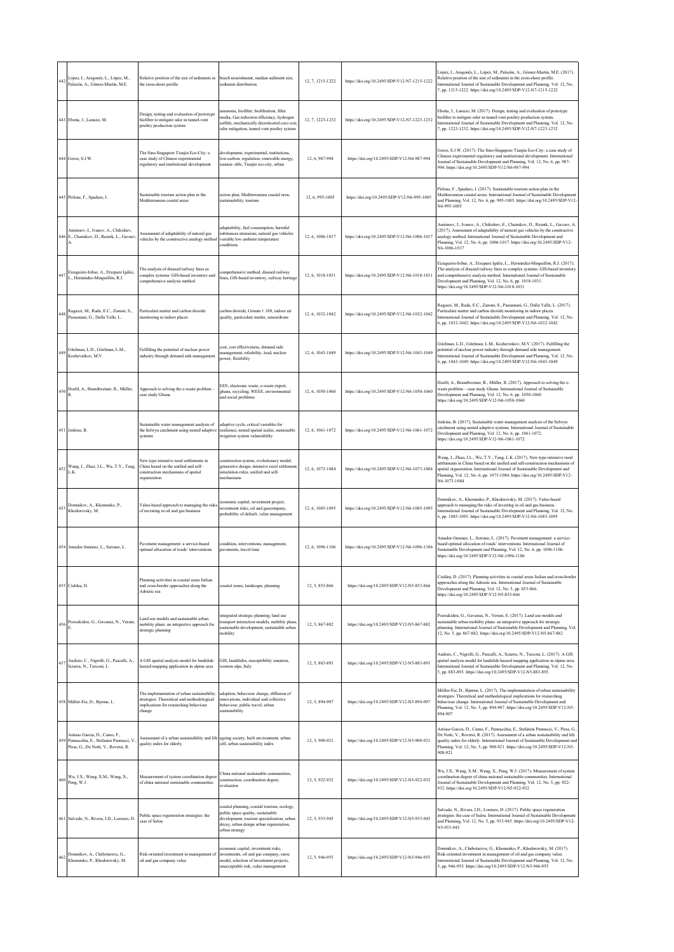| 442 | López, I., Aragonés, L., López, M.,<br>Palazón, A., Gómez-Martín, M.E.                                         | Relative position of the size of sediments in<br>the cross-shore profile                                                                     | beach nourishment, median sediment size,<br>sediment distribution                                                                                                                          | 12, 7, 1215-1222 | https://doi.org/10.2495/SDP-V12-N7-1215-1222 | López, I., Aragonés, L., López, M., Palazón, A., Gómez-Martín, M.E. (2017).<br>Relative position of the size of sediments in the cross-shore profile.<br>International Journal of Sustainable Development and Planning, Vol. 12, No.<br>7, pp. 1215-1222. https://doi.org/10.2495/SDP-V12-N7-1215-1222                                                 |
|-----|----------------------------------------------------------------------------------------------------------------|----------------------------------------------------------------------------------------------------------------------------------------------|--------------------------------------------------------------------------------------------------------------------------------------------------------------------------------------------|------------------|----------------------------------------------|--------------------------------------------------------------------------------------------------------------------------------------------------------------------------------------------------------------------------------------------------------------------------------------------------------------------------------------------------------|
|     | 443 Eboña, J., Lanuzo, M.                                                                                      | Design, testing and evaluation of prototype<br>biofilter to mitigate odor in tunnel-vent<br>poultry production system                        | ammonia, biofilter, biofiltration, filter<br>media, Gas reduction efficiency, hydrogen<br>sulfide, mechanically decorticated coco coir.<br>odor mitigation, tunnel-vent poultry system     | 12, 7, 1223-1232 | https://doi.org/10.2495/SDP-V12-N7-1223-1232 | Ebońa, J., Lanuzo, M. (2017). Design, testing and evaluation of prototype<br>biofilter to mitigate odor in tunnel-vent poultry production system.<br>International Journal of Sustainable Development and Planning, Vol. 12, No<br>7, pp. 1223-1232. https://doi.org/10.2495/SDP-V12-N7-1223-1232                                                      |
|     | 444 Geroe, S.J.W.                                                                                              | The Sino-Singapore Tianjin Eco-City: a<br>case study of Chinese experimental<br>regulatory and institutional development                     | development, experimental, institutions,<br>low-carbon, regulation, renewable energy,<br>sustain- able, Tianjin eco-city, urban                                                            | 12.6.987-994     | https://doi.org/10.2495/SDP-V12-N6-987-994   | Geroe, S.J.W. (2017). The Sino-Singapore Tianjin Eco-City: a case study of<br>Chinese experimental regulatory and institutional development. International<br>Journal of Sustainable Development and Planning, Vol. 12, No. 6, pp. 987-<br>994. https://doi.org/10.2495/SDP-V12-N6-987-994                                                             |
|     | 445 Pirlone, F., Spadaro, I.                                                                                   | Sustainable tourism action plan in the<br>Mediterranean coastal areas                                                                        | action plan, Mediterranean coastal area,<br>sustainability, tourism                                                                                                                        | 12.6.995-1005    | https://doi.org/10.2495/SDP-V12-N6-995-1005  | Pirlone, F., Spadaro, I. (2017). Sustainable tourism action plan in the<br>Mediterranean coastal areas. International Journal of Sustainable Development<br>and Planning, Vol. 12, No. 6, pp. 995-1005. https://doi.org/10.2495/SDP-V12-<br>N6-995-1005                                                                                                |
|     | Anisimov, I., Ivanov, A., Chikishev,<br>446 E., Chainikov, D., Reznik, L., Gavaev,                             | Assessment of adaptability of natural gas<br>vehicles by the constructive analogy method                                                     | adaptability, fuel consumption, harmful<br>substances emissions, natural gas vehicles<br>variable low ambient temperature<br>conditions                                                    | 12.6.1006-1017   | https://doi.org/10.2495/SDP-V12-N6-1006-1017 | Anisimov, I., Ivanov, A., Chikishev, E., Chainikov, D., Reznik, L., Gavaev, A.<br>(2017). Assessment of adaptability of natural gas vehicles by the constructive<br>analogy method. International Journal of Sustainable Development and<br>Planning, Vol. 12, No. 6, pp. 1006-1017. https://doi.org/10.2495/SDP-V12-<br>N6-1006-1017                  |
| 447 | Eizaguirre-Iribar, A., Etxepare Igiñiz,<br>L., Hernández-Minguillón, R.J.                                      | The analysis of disused railway lines as<br>complex systems: GIS-based inventory and<br>comprehensive analysis method                        | omprehensive method, disused railway<br>lines, GIS-based inventory, railway heritage                                                                                                       | 12, 6, 1018-1031 | https://doi.org/10.2495/SDP-V12-N6-1018-1031 | Eizaguirre-Iribar, A., Etxepare Igiñiz, L., Hernández-Minguillón, R.J. (2017).<br>The analysis of disused railway lines as complex systems: GIS-based inventory<br>and comprehensive analysis method. International Journal of Sustainable<br>Development and Planning, Vol. 12, No. 6, pp. 1018-1031.<br>https://doi.org/10.2495/SDP-V12-N6-1018-1031 |
|     | 448 Ragazzi, M., Rada, E.C., Zanoni, S., Passamani, G., Dalla Valle, L.                                        | Particulate matter and carbon dioxide<br>monitoring in indoor places                                                                         | carbon dioxide, Grimm 1.108, indoor air<br>quality, particulate matter, sensordrone                                                                                                        | 12, 6, 1032-1042 | https://doi.org/10.2495/SDP-V12-N6-1032-1042 | Ragazzi, M., Rada, E.C., Zanoni, S., Passamani, G., Dalla Valle, L. (2017).<br>Particulate matter and carbon dioxide monitoring in indoor places.<br>International Journal of Sustainable Development and Planning, Vol. 12, No.<br>6, pp. 1032-1042. https://doi.org/10.2495/SDP-V12-N6-1032-1042                                                     |
| 449 | Gitelman, L.D., Gitelman, L.M.,<br>Kozhevnikov, M.V.                                                           | Fulfilling the potential of nuclear power<br>industry through demand side management                                                         | cost, cost effectiveness, demand side<br>management, reliability, load, nuclear<br>power, flexibility                                                                                      | 12, 6, 1043-1049 | https://doi.org/10.2495/SDP-V12-N6-1043-1049 | Gitelman, L.D., Gitelman, L.M., Kozhevnikov, M.V. (2017). Fulfilling the<br>potential of nuclear power industry through demand side management.<br>International Journal of Sustainable Development and Planning, Vol. 12, No.<br>6, pp. 1043-1049. https://doi.org/10.2495/SDP-V12-N6-1043-1049                                                       |
| 450 | Hoeltl, A., Brandtweiner, R., Müller,                                                                          | Approach to solving the e-waste problem<br>case study Ghana                                                                                  | EEE, electronic waste, e-waste export,<br>ghana, recycling, WEEE, environmental<br>and social problems                                                                                     | 12, 6, 1050-1060 | https://doi.org/10.2495/SDP-V12-N6-1050-1060 | Hoeltl, A., Brandtweiner, R., Müller, R. (2017). Approach to solving the e-<br>waste problem - case study Ghana. International Journal of Sustainable<br>Development and Planning, Vol. 12, No. 6, pp. 1050-1060.<br>https://doi.org/10.2495/SDP-V12-N6-1050-1060                                                                                      |
|     | 451 Jenkins, B.                                                                                                | Sustainable water management analysis of<br>the Selwyn catchment using nested adaptive<br>systems                                            | adaptive cycle, critical variables for<br>resilience, nested spatial scales, sustainable<br>irrigation system vulnerability                                                                | 12, 6, 1061-1072 | https://doi.org/10.2495/SDP-V12-N6-1061-1072 | Jenkins, B. (2017). Sustainable water management analysis of the Selwyn<br>catchment using nested adaptive systems. International Journal of Sustainable<br>Development and Planning, Vol. 12, No. 6, pp. 1061-1072.<br>https://doi.org/10.2495/SDP-V12-N6-1061-1072                                                                                   |
| 452 | Wang, J., Zhao, J.L., Wu, T.Y., Tang,<br>L.K.                                                                  | New-type intensive rural settlements in<br>China based on the unified and self-<br>construction mechanisms of spatial<br>organization        | construction system, evolutionary model,<br>generative design, intensive rural settlement<br>simulation rules, unified and self-<br>mechanisms                                             | 12, 6, 1073-1084 | https://doi.org/10.2495/SDP-V12-N6-1073-1084 | Wang, J., Zhao, J.L., Wu, T.Y., Tang, L.K. (2017). New-type intensive rural<br>settlements in China based on the unified and self-construction mechanisms of<br>spatial organization. International Journal of Sustainable Development and<br>Planning, Vol. 12, No. 6, pp. 1073-1084. https://doi.org/10.2495/SDP-V12-<br>N6-1073-1084                |
|     | 453 Domnikov, A., Khomenko, P.,<br>Khodorovsky, M.                                                             | Value-based approach to managing the risks<br>of investing in oil and gas business                                                           | economic capital, investment project,<br>investment risks, oil and gascompany,<br>probability of default, value management                                                                 | 12.6.1085-1095   | https://doi.org/10.2495/SDP-V12-N6-1085-1095 | Domnikov, A., Khomenko, P., Khodorovsky, M. (2017). Value-based<br>approach to managing the risks of investing in oil and gas business.<br>International Journal of Sustainable Development and Planning, Vol. 12, No.<br>6, pp. 1085-1095. https://doi.org/10.2495/SDP-V12-N6-1085-1095                                                               |
|     | 454 Amador-Jimenez, L., Serrano, L.                                                                            | Pavement management: a service-based<br>optimal allocation of roads' interventions                                                           | condition, interventions, management,<br>pavements, travel time                                                                                                                            | 12, 6, 1096-1106 | https://doi.org/10.2495/SDP-V12-N6-1096-1106 | Amador-Jimenez, L., Serrano, L. (2017). Pavement management: a service-<br>based optimal allocation of roads' interventions. International Journal of<br>Sustainable Development and Planning, Vol. 12, No. 6, pp. 1096-1106.<br>https://doi.org/10.2495/SDP-V12-N6-1096-1106                                                                          |
|     | 455 Cialdea, D.                                                                                                | Planning activities in coastal areas Italian<br>and cross-border approaches along the<br>Adriatic sea                                        | coastal zones, landscape, planning                                                                                                                                                         | 12.5.853-866     | https://doi.org/10.2495/SDP-V12-N5-853-866   | Cialdea, D. (2017). Planning activities in coastal areas Italian and cross-border<br>approaches along the Adriatic sea. International Journal of Sustainable<br>Development and Planning, Vol. 12, No. 5, pp. 853-866.<br>https://doi.org/10.2495/SDP-V12-N5-853-866                                                                                   |
| 456 | Pozoukidou, G., Gavanas, N., Verani,                                                                           | Land use models and sustainable urban<br>mobility plans: an integrative approach for<br>strategic planning                                   | integrated strategic planning, land use<br>transport interaction models, mobility plans<br>sustainable development, sustainable urban<br>mobility                                          | 12, 5, 867-882   | https://doi.org/10.2495/SDP-V12-N5-867-882   | Pozoukidou, G., Gavanas, N., Verani, E. (2017). Land use models and<br>sustainable urban mobility plans: an integrative approach for strategic<br>planning. International Journal of Sustainable Development and Planning, Vol.<br>12, No. 5, pp. 867-882. https://doi.org/10.2495/SDP-V12-N5-867-882                                                  |
| 457 | Audisio, C., Nigrelli, G., Pasculli, A.,<br>Sciarra, N., Turconi, L.                                           | A GIS spatial analysis model for landslide<br>hazard mapping application in alpine area                                                      | GIS, landslides, susceptibility zonation,<br>western alps, Italy                                                                                                                           | 12, 5, 883-893   | https://doi.org/10.2495/SDP-V12-N5-883-893   | Audisio, C., Nigrelli, G., Pasculli, A., Sciarra, N., Turconi, L. (2017). A GIS<br>spatial analysis model for landslide hazard mapping application in alpine area.<br>International Journal of Sustainable Development and Planning, Vol. 12, No.<br>5, pp. 883-893. https://doi.org/10.2495/SDP-V12-N5-883-893                                        |
|     | 458 Müller-Eie, D., Bjørnø, L.                                                                                 | The implementation of urban sustainability<br>strategies: Theoretical and methodological<br>implications for researching behaviour<br>change | adoption, behaviour change, diffusion of<br>innovations, individual and collective<br>behaviour, public travel, urban<br>sustainability                                                    | 12, 5, 894-907   | https://doi.org/10.2495/SDP-V12-N5-894-907   | Müller-Eie, D., Bjørnø, L. (2017). The implementation of urban sustainability<br>strategies: Theoretical and methodological implications for researching<br>behaviour change. International Journal of Sustainable Development and<br>Planning, Vol. 12, No. 5, pp. 894-907. https://doi.org/10.2495/SDP-V12-N5-<br>894-907                            |
| 459 | Astiaso Garcia, D., Cumo, F.,<br>Pennacchia, E., Stefanini Pennucci, V<br>Piras, G., De Notti, V., Roversi, R. | Assessment of a urban sustainability and life ageing society, built environment, urban<br>quality index for elderly                          | cell, urban sustainability index                                                                                                                                                           | 12, 5, 908-921   | https://doi.org/10.2495/SDP-V12-N5-908-921   | Astiaso Garcia, D., Cumo, F., Pennacchia, E., Stefanini Pennucci, V., Piras, G.<br>De Notti, V., Roversi, R. (2017). Assessment of a urban sustainability and life<br>quality index for elderly. International Journal of Sustainable Development and<br>Planning, Vol. 12, No. 5, pp. 908-921. https://doi.org/10.2495/SDP-V12-N5-<br>908-921         |
|     | Wu, J.X., Wang, X.M., Wang, X.,<br>460 $_{\text{Peng, W.J.}}^{\text{w.g.}}$                                    | Measurement of system coordination degree<br>of china national sustainable communities                                                       | China national sustainable communities.<br>construction, coordination degree,<br>evaluation                                                                                                | 12, 5, 922-932   | https://doi.org/10.2495/SDP-V12-N5-922-932   | Wu, J.X., Wang, X.M., Wang, X., Peng, W.J. (2017). Measurement of system<br>coordination degree of china national sustainable communities. International<br>Journal of Sustainable Development and Planning, Vol. 12, No. 5, pp. 922-<br>932. https://doi.org/10.2495/SDP-V12-N5-922-932                                                               |
|     | 461 Salvado, N., Rivera, I.D., Lorenzo, D.                                                                     | Public space regeneration strategies: the<br>case of Salou                                                                                   | oastal planning, coastal tourism, ecology,<br>public space quality, sustainable<br>development, tourism specialization, urban<br>decay, urban design urban regeneration,<br>urban strategy | 12, 5, 933-945   | https://doi.org/10.2495/SDP-V12-N5-933-945   | Salvado, N., Rivera, I.D., Lorenzo, D. (2017). Public space regeneration<br>strategies: the case of Salou. International Journal of Sustainable Development<br>and Planning, Vol. 12, No. 5, pp. 933-945. https://doi.org/10.2495/SDP-V12-<br>N5-933-945                                                                                               |
| 462 | Domnikov, A., Chebotareva, G.,<br>Khomenko, P., Khodorovsky, M.                                                | Risk-oriented investment in management of<br>oil and gas company value                                                                       | economic capital, investment risks,<br>investments, oil and gas company, raroc<br>model, selection of investment projects,<br>unacceptable risk, value management                          | 12.5.946-955     | https://doi.org/10.2495/SDP-V12-N5-946-955   | Domnikov, A., Chebotareva, G., Khomenko, P., Khodorovsky, M. (2017).<br>Risk-oriented investment in management of oil and gas company value.<br>International Journal of Sustainable Development and Planning, Vol. 12, No.<br>5, pp. 946-955. https://doi.org/10.2495/SDP-V12-N5-946-955                                                              |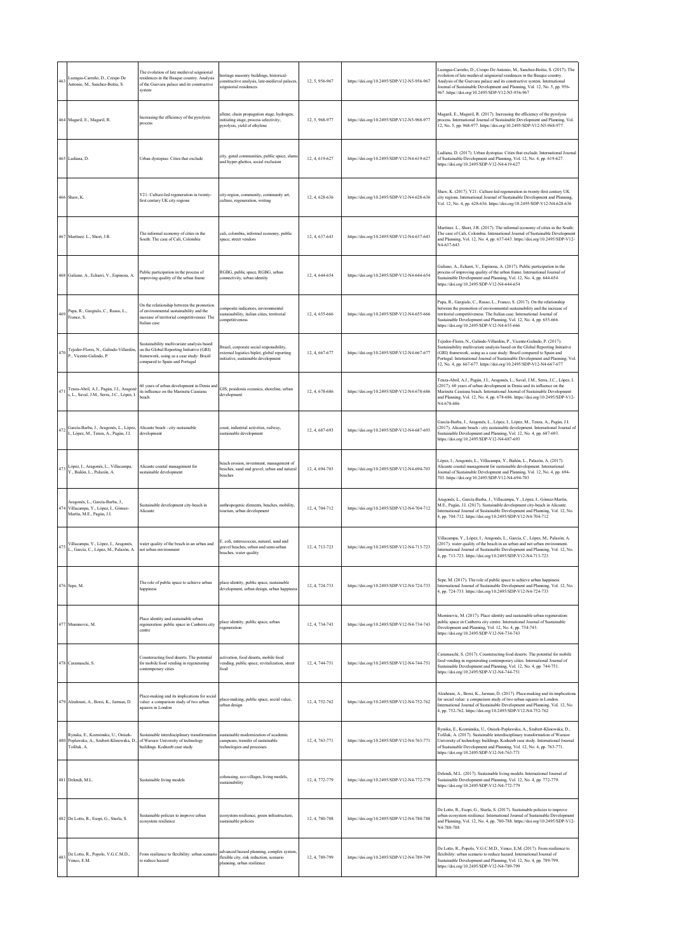| 463 | Luengas-Carreño, D., Crespo De<br>Antonio, M., Sanchez-Beitia, S.                                     | The evolution of late medieval seigniorial<br>residences in the Basque country. Analysis<br>of the Guevara palace and its constructive<br>system                     | teritage masonry buildings, historical-<br>constructive analysis, late-medieval palaces,<br>seigniorial residences             | 12, 5, 956-967 | https://doi.org/10.2495/SDP-V12-N5-956-967 | Luengas-Carreño, D., Crespo De Antonio, M., Sanchez-Beitia, S. (2017). The<br>evolution of late medieval seigniorial residences in the Basque country.<br>Analysis of the Guevara palace and its constructive system. International<br>Journal of Sustainable Development and Planning, Vol. 12, No. 5, pp. 956-<br>967. https://doi.org/10.2495/SDP-V12-N5-956-967                    |
|-----|-------------------------------------------------------------------------------------------------------|----------------------------------------------------------------------------------------------------------------------------------------------------------------------|--------------------------------------------------------------------------------------------------------------------------------|----------------|--------------------------------------------|----------------------------------------------------------------------------------------------------------------------------------------------------------------------------------------------------------------------------------------------------------------------------------------------------------------------------------------------------------------------------------------|
|     | 464 Magaril, E., Magaril, R.                                                                          | Increasing the efficiency of the pyrolysis<br>process                                                                                                                | allene, chain propagation stage, hydrogen,<br>initiating stage, process selectivity,<br>pyrolysis, yield of ethylene           | 12, 5, 968-977 | https://doi.org/10.2495/SDP-V12-N5-968-977 | Magaril, E., Magaril, R. (2017). Increasing the efficiency of the pyrolysis<br>process. International Journal of Sustainable Development and Planning, Vol.<br>12, No. 5, pp. 968-977. https://doi.org/10.2495/SDP-V12-N5-968-977                                                                                                                                                      |
|     | 465 Ladiana, D                                                                                        | Urban dystopias: Cities that exclude                                                                                                                                 | city, gated communities, public space, slum<br>and hyper-ghettos, social exclusion                                             | 12.4.619-627   | https://doi.org/10.2495/SDP-V12-N4-619-627 | Ladiana, D. (2017). Urban dystopias: Cities that exclude. International Journal<br>of Sustainable Development and Planning, Vol. 12, No. 4, pp. 619-627.<br>https://doi.org/10.2495/SDP-V12-N4-619-627                                                                                                                                                                                 |
|     | 466 Shaw, K.                                                                                          | Y21: Culture-led regeneration in twenty-<br>first century UK city regions                                                                                            | city-region, community, community art,<br>culture, regeneration, writing                                                       | 12.4.628-636   | https://doi.org/10.2495/SDP-V12-N4-628-636 | Shaw, K. (2017). Y21: Culture-led regeneration in twenty-first century UK<br>city regions. International Journal of Sustainable Development and Planning,<br>Vol. 12, No. 4, pp. 628-636. https://doi.org/10.2495/SDP-V12-N4-628-636                                                                                                                                                   |
|     | 467 Martínez. L., Short, J.R.                                                                         | The informal economy of cities in the<br>South: The case of Cali, Colombia                                                                                           | cali, colombia, informal economy, public<br>space, street vendors                                                              | 12.4.637-643   | https://doi.org/10.2495/SDP-V12-N4-637-643 | Martínez. L., Short, J.R. (2017). The informal economy of cities in the South:<br>The case of Cali, Colombia. International Journal of Sustainable Development<br>and Planning, Vol. 12, No. 4, pp. 637-643. https://doi.org/10.2495/SDP-V12-<br>N4-637-643                                                                                                                            |
|     | 468 Galiano, A., Echarri, V., Espinosa, A.                                                            | Public participation in the process of<br>improving quality of the urban frame                                                                                       | RGBG, public space, RGBG, urban<br>connectivity, urban identity                                                                | 12, 4, 644-654 | https://doi.org/10.2495/SDP-V12-N4-644-654 | Galiano, A., Echarri, V., Espinosa, A. (2017). Public participation in the<br>process of improving quality of the urban frame. International Journal of<br>Sustainable Development and Planning, Vol. 12, No. 4, pp. 644-654.<br>https://doi.org/10.2495/SDP-V12-N4-644-654                                                                                                            |
|     | 469 Papa, R., Gargiulo, C., Russo, L.,<br>Franco, S.                                                  | On the relationship between the promotion<br>of environmental sustainability and the<br>increase of territorial competitiveness: The<br>Italian case                 | composite indicators, environmental<br>sustainability, italian cities, territorial<br>competitiveness                          | 12, 4, 655-666 | https://doi.org/10.2495/SDP-V12-N4-655-666 | Papa, R., Gargiulo, C., Russo, L., Franco, S. (2017). On the relationship<br>between the promotion of environmental sustainability and the increase of<br>territorial competitiveness: The Italian case. International Journal of<br>Sustainable Development and Planning, Vol. 12, No. 4, pp. 655-666.<br>https://doi.org/10.2495/SDP-V12-N4-655-666                                  |
|     | 470 Tejedor-Flores, N., Galindo-Villardón,<br>P., Vicente-Galindo, P.                                 | Sustainability multivariate analysis based<br>on the Global Reporting Initiative (GRI)<br>framework, using as a case study: Brazil<br>compared to Spain and Portugal | Brazil, corporate social responsibility,<br>external logistics biplot, global reporting<br>initiative, sustainable development | 12, 4, 667-677 | https://doi.org/10.2495/SDP-V12-N4-667-677 | Tejedor-Flores, N., Galindo-Villardón, P., Vicente-Galindo, P. (2017).<br>Sustainability multivariate analysis based on the Global Reporting Initiative<br>(GRI) framework, using as a case study: Brazil compared to Spain and<br>Portugal. International Journal of Sustainable Development and Planning, Vol.<br>12, No. 4, pp. 667-677. https://doi.org/10.2495/SDP-V12-N4-667-677 |
| 471 | Tenza-Abril, A.J., Pagán, J.I., Aragonó<br>s, L., Saval, J.M., Serra, J.C., López, I.                 | 60 years of urban development in Denia and<br>its influence on the Marineta Cassiana<br>beach                                                                        | GIS, posidonia oceanica, shoreline, urban<br>development                                                                       | 12, 4, 678-686 | https://doi.org/10.2495/SDP-V12-N4-678-686 | Tenza-Abril, A.J., Pagán, J.I., Aragonés, L., Saval, J.M., Serra, J.C., López, I.<br>(2017). 60 years of urban development in Denia and its influence on the<br>Marineta Cassiana beach. International Journal of Sustainable Development<br>and Planning, Vol. 12, No. 4, pp. 678-686. https://doi.org/10.2495/SDP-V12-<br>N4-678-686                                                 |
|     | 472 García-Barba, J., Aragonés, L., López,<br>I., López, M., Tenza, A., Pagán, J.I.                   | Alicante beach - city sustainable<br>development                                                                                                                     | coast, industrial activities, railway,<br>sustainable development                                                              | 12, 4, 687-693 | https://doi.org/10.2495/SDP-V12-N4-687-693 | García-Barba, J., Aragonés, L., López, I., López, M., Tenza, A., Pagán, J.I.<br>(2017). Alicante beach - city sustainable development. International Journal of<br>Sustainable Development and Planning, Vol. 12, No. 4, pp. 687-693.<br>https://doi.org/10.2495/SDP-V12-N4-687-693                                                                                                    |
| 473 | López, I., Aragonés, L., Villacampa,<br>Y., Bañón, L., Palazón, A.                                    | Alicante coastal management for<br>sustainable development                                                                                                           | beach erosion, investment, management of<br>beaches, sand and gravel, urban and natural<br>beaches                             | 12, 4, 694-703 | https://doi.org/10.2495/SDP-V12-N4-694-703 | López, I., Aragonés, L., Villacampa, Y., Bañón, L., Palazón, A. (2017).<br>Alicante coastal management for sustainable development. International<br>Journal of Sustainable Development and Planning, Vol. 12, No. 4, pp. 694-<br>703. https://doi.org/10.2495/SDP-V12-N4-694-703                                                                                                      |
|     | Aragonés, L., García-Barba, J.,<br>174 Villacampa, Y., López, I., Gómez-<br>Martín, M.E., Pagán, J.I. | Sustainable development city-beach in<br>Alicante                                                                                                                    | anthropogenic elements, beaches, mobility,<br>tourism, urban development                                                       | 12.4.704-712   | https://doi.org/10.2495/SDP-V12-N4-704-712 | Aragonés, L., García-Barba, J., Villacampa, Y., López, I., Gómez-Martín,<br>M.E., Pagán, J.I. (2017). Sustainable development city-beach in Alicante.<br>International Journal of Sustainable Development and Planning, Vol. 12, No.<br>4, pp. 704-712. https://doi.org/10.2495/SDP-V12-N4-704-712                                                                                     |
| 475 | Villacampa, Y., López, I., Aragonés,<br>L., García, C., López, M., Palazón, A.                        | water quality of the beach in an urban and<br>not urban environment                                                                                                  | E. coli, enterococcus, natural, sand and<br>gravel beaches, urban and semi-urban<br>beaches, water quality                     | 12, 4, 713-723 | https://doi.org/10.2495/SDP-V12-N4-713-723 | Villacampa, Y., López, I., Aragonés, L., García, C., López, M., Palazón, A.<br>(2017). water quality of the beach in an urban and not urban environment.<br>International Journal of Sustainable Development and Planning, Vol. 12, No.<br>4, pp. 713-723. https://doi.org/10.2495/SDP-V12-N4-713-723                                                                                  |
|     | 476 Sepe, M.                                                                                          | The role of public space to achieve urban<br>happiness                                                                                                               | place identity, public space, sustainable<br>development, urban design, urban happiness                                        | 12, 4, 724-733 | https://doi.org/10.2495/SDP-V12-N4-724-733 | Sepe, M. (2017). The role of public space to achieve urban happiness.<br>International Journal of Sustainable Development and Planning, Vol. 12, No.<br>4, pp. 724-733. https://doi.org/10.2495/SDP-V12-N4-724-733                                                                                                                                                                     |
|     | 477 Muminovic, M.                                                                                     | Place identity and sustainable urban<br>regeneration: public space in Canberra city<br>centre                                                                        | place identity, public space, urban<br>egeneration                                                                             | 12, 4, 734-743 | https://doi.org/10.2495/SDP-V12-N4-734-743 | Muminovic, M. (2017). Place identity and sustainable urban regeneration:<br>public space in Canberra city centre. International Journal of Sustainable<br>Development and Planning, Vol. 12, No. 4, pp. 734-743.<br>https://doi.org/10.2495/SDP-V12-N4-734-743                                                                                                                         |
|     | 478 Caramaschi, S.                                                                                    | Counteracting food deserts. The potential<br>for mobile food vending in regenerating<br>contemporary cities                                                          | activation, food deserts, mobile food<br>vending, public space, revitalization, street<br>food                                 | 12, 4, 744-751 | https://doi.org/10.2495/SDP-V12-N4-744-751 | Caramaschi, S. (2017). Counteracting food deserts. The potential for mobile<br>food vending in regenerating contemporary cities. International Journal of<br>Sustainable Development and Planning, Vol. 12, No. 4, pp. 744-751.<br>https://doi.org/10.2495/SDP-V12-N4-744-751                                                                                                          |
|     | 479 Alzahrani, A., Borsi, K., Jarman, D.                                                              | Place-making and its implications for social<br>value: a comparison study of two urban<br>squares in London                                                          | place-making, public space, social value,<br>urban design                                                                      | 12, 4, 752-762 | https://doi.org/10.2495/SDP-V12-N4-752-762 | Alzahrani, A., Borsi, K., Jarman, D. (2017). Place-making and its implications<br>for social value: a comparison study of two urban squares in London.<br>International Journal of Sustainable Development and Planning, Vol. 12, No.<br>4, pp. 752-762. https://doi.org/10.2495/SDP-V12-N4-752-762                                                                                    |
|     | Rynska, E., Kozminska, U., Oniszk-<br>480 Poplawska, A., Szubert-Klinowska, D.,<br>Tofiluk, A.        | Sustainable interdisciplinary transformation<br>of Warsaw University of technology<br>buildings. Kodnzeb case study                                                  | sustainable modernization of academic<br>campuses, transfer of sustainable<br>technologies and processes                       | 12, 4, 763-771 | https://doi.org/10.2495/SDP-V12-N4-763-771 | Rynska, E., Kozminska, U., Oniszk-Poplawska, A., Szubert-Klinowska, D.,<br>Tofiluk, A. (2017). Sustainable interdisciplinary transformation of Warsaw<br>University of technology buildings. Kodnzeb case study. International Journal<br>of Sustainable Development and Planning, Vol. 12, No. 4, pp. 763-771.<br>https://doi.org/10.2495/SDP-V12-N4-763-771                          |
|     | 481 Delendi, M.L.                                                                                     | Sustainable living models                                                                                                                                            | cohousing, eco-villages, living models,<br>sustainability                                                                      | 12, 4, 772-779 | https://doi.org/10.2495/SDP-V12-N4-772-779 | Delendi, M.L. (2017). Sustainable living models. International Journal of<br>Sustainable Development and Planning, Vol. 12, No. 4, pp. 772-779.<br>https://doi.org/10.2495/SDP-V12-N4-772-779                                                                                                                                                                                          |
|     | 482 De Lotto, R., Esopi, G., Sturla, S.                                                               | Sustainable policies to improve urban<br>ecosystem resilience                                                                                                        | ecosystem resilience, green infrastructure,<br>sustainable policies                                                            | 12, 4, 780-788 | https://doi.org/10.2495/SDP-V12-N4-780-788 | De Lotto, R., Esopi, G., Sturla, S. (2017). Sustainable policies to improve<br>urban ecosystem resilience. International Journal of Sustainable Development<br>and Planning, Vol. 12, No. 4, pp. 780-788. https://doi.org/10.2495/SDP-V12-<br>N4-780-788                                                                                                                               |
| 483 | De Lotto, R., Popolo, V.G.C.M.D.,<br>Venco, E.M.                                                      | From resilience to flexibility: urban scenario<br>to reduce hazard                                                                                                   | advanced hazard planning, complex system<br>flexible city, risk reduction, scenario<br>planning, urban resilience              | 12, 4, 789-799 | https://doi.org/10.2495/SDP-V12-N4-789-799 | De Lotto, R., Popolo, V.G.C.M.D., Venco, E.M. (2017). From resilience to<br>flexibility: urban scenario to reduce hazard. International Journal of<br>Sustainable Development and Planning, Vol. 12, No. 4, pp. 789-799.<br>https://doi.org/10.2495/SDP-V12-N4-789-799                                                                                                                 |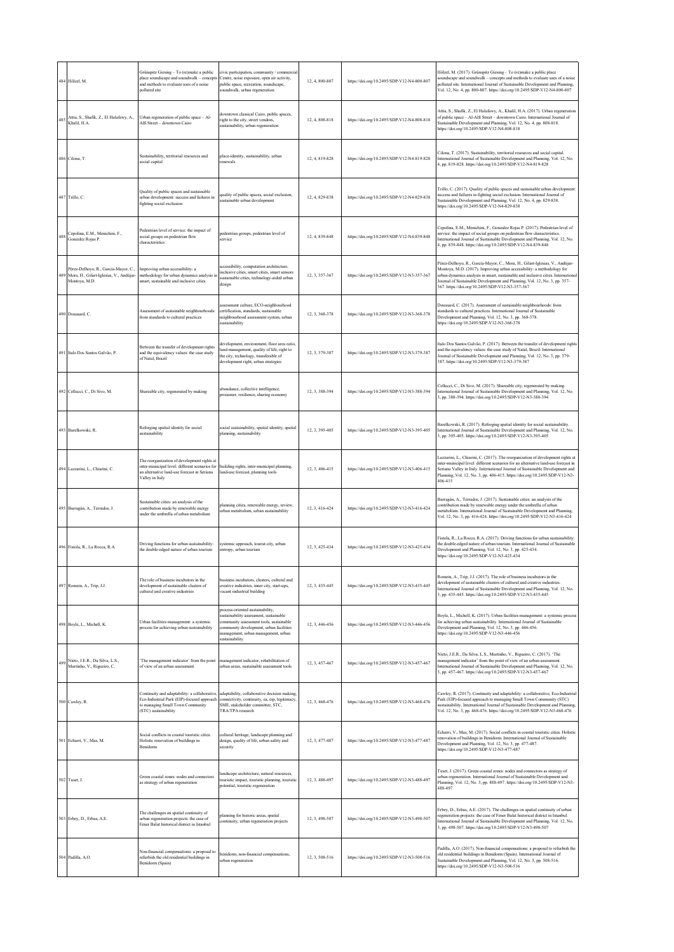|     | 484 Hölzel, M.                                                                                   | Grünspitz Giesing - To (re)make a public<br>place soundscape and soundwalk - concepts<br>and methods to evaluate uses of a noise<br>polluted site               | civic participation, community / commercia<br>Centre, noise exposure, open air activity.<br>public space, recreation, soundscape,<br>soundwalk, urban regeneration                                                        | 12, 4, 800-807 | https://doi.org/10.2495/SDP-V12-N4-800-807 | Hölzel, M. (2017). Grünspitz Giesing - To (re)make a public place<br>soundscape and soundwalk - concepts and methods to evaluate uses of a noise<br>polluted site. International Journal of Sustainable Development and Planning,<br>Vol. 12, No. 4, pp. 800-807. https://doi.org/10.2495/SDP-V12-N4-800-807                                                                |
|-----|--------------------------------------------------------------------------------------------------|-----------------------------------------------------------------------------------------------------------------------------------------------------------------|---------------------------------------------------------------------------------------------------------------------------------------------------------------------------------------------------------------------------|----------------|--------------------------------------------|-----------------------------------------------------------------------------------------------------------------------------------------------------------------------------------------------------------------------------------------------------------------------------------------------------------------------------------------------------------------------------|
| 485 | Attia, S., Shafik, Z., El Halafawy, A.,<br>Khalil, H.A.                                          | Urban regeneration of public space - Al-<br>Alfi Street - downtown Cairo                                                                                        | lowntown classical Cairo, public spaces,<br>right to the city, street vendors,<br>sustainability, urban regeneration                                                                                                      | 12, 4, 808-818 | https://doi.org/10.2495/SDP-V12-N4-808-818 | Attia, S., Shafik, Z., El Halafawy, A., Khalil, H.A. (2017). Urban regeneration<br>of public space - Al-Alfi Street - downtown Cairo. International Journal of<br>Sustainable Development and Planning, Vol. 12, No. 4, pp. 808-818.<br>https://doi.org/10.2495/SDP-V12-N4-808-818                                                                                          |
|     | 486 Cilona, T.                                                                                   | Sustainability, territorial resources and<br>social capital                                                                                                     | place-identity, sustainability, urban<br>renewals                                                                                                                                                                         | 12.4.819-828   | https://doi.org/10.2495/SDP-V12-N4-819-828 | Cilona, T. (2017). Sustainability, territorial resources and social capital.<br>International Journal of Sustainable Development and Planning, Vol. 12, No.<br>4, pp. 819-828. https://doi.org/10.2495/SDP-V12-N4-819-828                                                                                                                                                   |
|     | 487 Trillo, C.                                                                                   | Quality of public spaces and sustainable<br>urban development: success and failures in<br>fighting social exclusion                                             | quality of public spaces, social exclusion,<br>sustainable urban development                                                                                                                                              | 12, 4, 829-838 | https://doi.org/10.2495/SDP-V12-N4-829-838 | Trillo, C. (2017). Quality of public spaces and sustainable urban development<br>success and failures in fighting social exclusion. International Journal of<br>Sustainable Development and Planning, Vol. 12, No. 4, pp. 829-838.<br>https://doi.org/10.2495/SDP-V12-N4-829-838                                                                                            |
| 488 | Cepolina, E.M., Menichini, F.,<br>Gonzalez Rojas P.                                              | Pedestrian level of service: the impact of<br>social groups on pedestrian flow<br>characteristics                                                               | pedestrian groups, pedestrian level of<br>service                                                                                                                                                                         | 12.4.839-848   | https://doi.org/10.2495/SDP-V12-N4-839-848 | Cepolina, E.M., Menichini, F., Gonzalez Rojas P. (2017). Pedestrian level of<br>service: the impact of social groups on pedestrian flow characteristics<br>International Journal of Sustainable Development and Planning, Vol. 12, No.<br>4, pp. 839-848. https://doi.org/10.2495/SDP-V12-N4-839-848                                                                        |
|     | Pérez-Delhoyo, R., García-Mayor, C.,<br>Mora, H., Gilart-Iglesias, V., Andújar-<br>Montoya, M.D. | Improving urban accessibility: a<br>methodology for urban dynamics analysis i<br>smart, sustainable and inclusive cities                                        | accessibility, computation architecture,<br>inclusive cities, smart cities, smart sensors<br>sustainable cities, technology-aided urban<br>design                                                                         | 12.3.357-367   | https://doi.org/10.2495/SDP-V12-N3-357-367 | Pérez-Delhoyo, R., García-Mayor, C., Mora, H., Gilart-Iglesias, V., Andújar-<br>Montoya, M.D. (2017). Improving urban accessibility: a methodology for<br>urban dynamics analysis in smart, sustainable and inclusive cities. International<br>Journal of Sustainable Development and Planning, Vol. 12, No. 3, pp. 357-<br>367. https://doi.org/10.2495/SDP-V12-N3-357-367 |
|     | 490 Doussard, C.                                                                                 | Assessment of sustainable neighbourhoods:<br>from standards to cultural practices                                                                               | ssessment culture, ECO-neighbourhood<br>certification, standards, sustainable<br>neighbourhood assessment system, urban<br>sustainability                                                                                 | 12.3.368-378   | https://doi.org/10.2495/SDP-V12-N3-368-378 | Doussard, C. (2017). Assessment of sustainable neighbourhoods: from<br>standards to cultural practices. International Journal of Sustainable<br>Development and Planning, Vol. 12, No. 3, pp. 368-378.<br>https://doi.org/10.2495/SDP-V12-N3-368-378                                                                                                                        |
|     | Italo Dos Santos Galvão, P.                                                                      | Between the transfer of development rights<br>and the equivalency values: the case study<br>of Natal, Brazil                                                    | levelopment, environment, floor area ratio,<br>land management, quality of life, right to<br>the city, technology, transferable of<br>development right, urban strategies                                                 | 12, 3, 379-387 | https://doi.org/10.2495/SDP-V12-N3-379-387 | Italo Dos Santos Galvão, P. (2017). Between the transfer of development rights<br>and the equivalency values: the case study of Natal, Brazil. International<br>lournal of Sustainable Development and Planning, Vol. 12, No. 3, pp. 379-<br>387. https://doi.org/10.2495/SDP-V12-N3-379-387                                                                                |
|     | 492 Cellucci, C., Di Sivo, M.                                                                    | Shareable city, regenerated by making                                                                                                                           | abundance, collective intelligence,<br>prosumer, resilience, sharing economy                                                                                                                                              | 12, 3, 388-394 | https://doi.org/10.2495/SDP-V12-N3-388-394 | Cellucci, C., Di Sivo, M. (2017). Shareable city, regenerated by making.<br>International Journal of Sustainable Development and Planning, Vol. 12, No.<br>3, pp. 388-394. https://doi.org/10.2495/SDP-V12-N3-388-394                                                                                                                                                       |
|     | 493 Barelkowski, R.                                                                              | Reforging spatial identity for social<br>sustainability                                                                                                         | social sustainability, spatial identity, spatial<br>planning, sustainability                                                                                                                                              | 12, 3, 395-405 | https://doi.org/10.2495/SDP-V12-N3-395-405 | Barelkowski, R. (2017). Reforging spatial identity for social sustainability.<br>International Journal of Sustainable Development and Planning, Vol. 12, No.<br>3, pp. 395-405. https://doi.org/10.2495/SDP-V12-N3-395-405                                                                                                                                                  |
|     | 494 Lazzarini, L., Chiarini, C.                                                                  | The reorganization of development rights at<br>inter-municipal level: different scenarios for<br>an alternative land-use forecast in Seriana<br>Valley in Italy | building rights, inter-municipal planning,<br>land-use forecast, planning tools                                                                                                                                           | 12, 3, 406-415 | https://doi.org/10.2495/SDP-V12-N3-406-415 | Lazzarini, L., Chiarini, C. (2017). The reorganization of development rights at<br>inter-municipal level: different scenarios for an alternative land-use forecast in<br>Seriana Valley in Italy. International Journal of Sustainable Development and<br>Planning, Vol. 12, No. 3, pp. 406-415. https://doi.org/10.2495/SDP-V12-N3-<br>406-415                             |
|     | 495 Barragán, A., Terrados, J.                                                                   | Sustainable cities: an analysis of the<br>contribution made by renewable energy<br>under the umbrella of urban metabolism                                       | planning cities, renewable energy, review,<br>urban metabolism, urban sustainability                                                                                                                                      | 12, 3, 416-424 | https://doi.org/10.2495/SDP-V12-N3-416-424 | Barragán, A., Terrados, J. (2017). Sustainable cities: an analysis of the<br>contribution made by renewable energy under the umbrella of urban<br>metabolism. International Journal of Sustainable Development and Planning,<br>Vol. 12, No. 3, pp. 416-424. https://doi.org/10.2495/SDP-V12-N3-416-424                                                                     |
|     | 496 Fistola, R., La Rocca, R.A.                                                                  | Driving functions for urban sustainability:<br>the double-edged nature of urban tourism                                                                         | systemic approach, tourist city, urban<br>entropy, urban tourism                                                                                                                                                          | 12.3.425-434   | https://doi.org/10.2495/SDP-V12-N3-425-434 | Fistola, R., La Rocca, R.A. (2017). Driving functions for urban sustainability:<br>the double-edged nature of urban tourism. International Journal of Sustainable<br>Development and Planning, Vol. 12, No. 3, pp. 425-434.<br>https://doi.org/10.2495/SDP-V12-N3-425-434                                                                                                   |
|     | 497 Romein, A., Trip, J.J.                                                                       | The role of business incubators in the<br>development of sustainable clusters of<br>cultural and creative industries                                            | business incubators, clusters, cultural and<br>creative industries, inner city, start-ups,<br>vacant industrial building                                                                                                  | 12, 3, 435-445 | https://doi.org/10.2495/SDP-V12-N3-435-445 | Romein, A., Trip, J.J. (2017). The role of business incubators in the<br>development of sustainable clusters of cultural and creative industries.<br>International Journal of Sustainable Development and Planning, Vol. 12, No.<br>3, pp. 435-445. https://doi.org/10.2495/SDP-V12-N3-435-445                                                                              |
|     | 498 Boyle, L., Michell, K.                                                                       | Urban facilities management: a systemic<br>process for achieving urban sustainability                                                                           | process-oriented sustainability,<br>sustainability assessment, sustainable<br>community assessment tools, sustainable<br>community development, urban facilities<br>management, urban management, urban<br>sustainability | 12.3.446-456   | https://doi.org/10.2495/SDP-V12-N3-446-456 | Boyle, L., Michell, K. (2017). Urban facilities management: a systemic process<br>for achieving urban sustainability. International Journal of Sustainable<br>Development and Planning, Vol. 12, No. 3, pp. 446-456.<br>https://doi.org/10.2495/SDP-V12-N3-446-456                                                                                                          |
| 499 | Nieto, J.E.R., Da Silva, L.S.,<br>Murtinho, V., Rigueiro, C.                                     | The management indicator' from the point<br>of view of an urban assessment                                                                                      | management indicator, rehabilitation of<br>urban areas, sustainable assessment tools                                                                                                                                      | 12.3.457-467   | https://doi.org/10.2495/SDP-V12-N3-457-467 | Nieto, J.E.R., Da Silva, L.S., Murtinho, V., Rigueiro, C. (2017). 'The<br>nanagement indicator' from the point of view of an urban assessment.<br>International Journal of Sustainable Development and Planning, Vol. 12, No.<br>3, pp. 457-467. https://doi.org/10.2495/SDP-V12-N3-457-467                                                                                 |
|     | 500 Cawley, R.                                                                                   | Continuity and adaptability: a collaborative,<br>Eco-Industrial Park (EIP)-focused approach<br>to managing Small Town Community<br>(STC) sustainability         | adaptability, collaborative decision making,<br>connectivity, continuity, ea, eip, legitimacy,<br>SME, stakeholder committee, STC,<br>TRA/TPA research                                                                    | 12, 3, 468-476 | https://doi.org/10.2495/SDP-V12-N3-468-476 | Cawley, R. (2017). Continuity and adaptability: a collaborative, Eco-Industrial<br>Park (EIP)-focused approach to managing Small Town Community (STC)<br>sustainability. International Journal of Sustainable Development and Planning,<br>Vol. 12, No. 3, pp. 468-476. https://doi.org/10.2495/SDP-V12-N3-468-476                                                          |
|     | 501 Echarri, V., Mas, M.                                                                         | Social conflicts in coastal touristic cities.<br>Holistic renovation of buildings in<br>Benidorm                                                                | cultural heritage, landscape planning and<br>design, quality of life, urban safety and<br>security                                                                                                                        | 12, 3, 477-487 | https://doi.org/10.2495/SDP-V12-N3-477-487 | Echarri, V., Mas, M. (2017). Social conflicts in coastal touristic cities. Holistic<br>renovation of buildings in Benidorm. International Journal of Sustainable<br>Development and Planning, Vol. 12, No. 3, pp. 477-487.<br>https://doi.org/10.2495/SDP-V12-N3-477-487                                                                                                    |
|     | 502 Tuset, J.                                                                                    | Green coastal zones: nodes and connectors<br>as strategy of urban regeneration                                                                                  | landscape architecture, natural resources,<br>touristic impact, touristic planning, touristic<br>potential, touristic regeneration                                                                                        | 12, 3, 488-497 | https://doi.org/10.2495/SDP-V12-N3-488-497 | Tuset, J. (2017). Green coastal zones: nodes and connectors as strategy of<br>urban regeneration. International Journal of Sustainable Development and<br>Planning, Vol. 12, No. 3, pp. 488-497. https://doi.org/10.2495/SDP-V12-N3-<br>488-497                                                                                                                             |
|     | 503 Erbey, D., Erbas, A.E.                                                                       | The challenges on spatial continuity of<br>urban regeneration projects: the case of<br>Fener Balat historical district in Istanbul                              | planning for historic areas, spatial<br>continuity, urban regeneration projects                                                                                                                                           | 12, 3, 498-507 | https://doi.org/10.2495/SDP-V12-N3-498-507 | Erbey, D., Erbas, A.E. (2017). The challenges on spatial continuity of urban<br>regeneration projects: the case of Fener Balat historical district in Istanbul.<br>International Journal of Sustainable Development and Planning, Vol. 12, No.<br>3, pp. 498-507. https://doi.org/10.2495/SDP-V12-N3-498-507                                                                |
|     | 504 Padilla, A.O.                                                                                | Non-financial compensations: a proposal to<br>refurbish the old residential buildings in<br>Benidorm (Spain)                                                    | senidorm, non-financial compensations,<br>urban regeneration                                                                                                                                                              | 12, 3, 508-516 | https://doi.org/10.2495/SDP-V12-N3-508-516 | Padilla, A.O. (2017). Non-financial compensations: a proposal to refurbish the<br>old residential buildings in Benidorm (Spain). International Journal of<br>Sustainable Development and Planning, Vol. 12, No. 3, pp. 508-516.<br>https://doi.org/10.2495/SDP-V12-N3-508-516                                                                                               |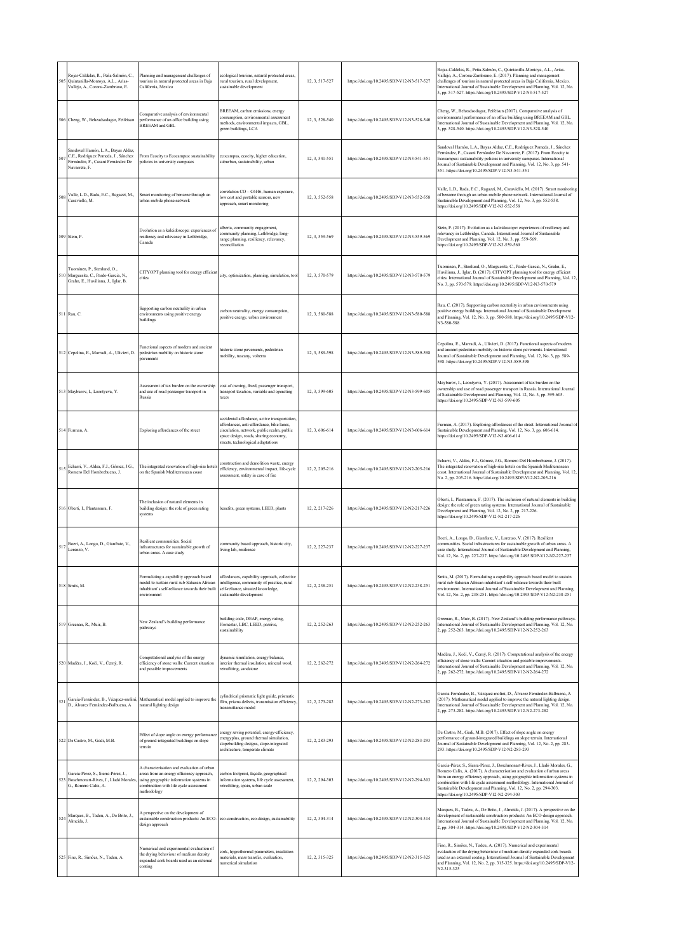|     | Rojas-Caldelas, R., Peña-Salmón, C.,<br>Quintanilla-Montoya, A.L., Arias-<br>Vallejo, A., Corona-Zambrano, E.                    | Planning and management challenges of<br>tourism in natural protected areas in Baja<br>California, Mexico                                                                                   | ecological tourism, natural protected areas,<br>rural tourism, rural development,<br>sustainable development                                                                                                            | 12, 3, 517-527 | https://doi.org/10.2495/SDP-V12-N3-517-527 | Rojas-Caldelas, R., Peña-Salmón, C., Quintanilla-Montoya, A.L., Arias-<br>Vallejo, A., Corona-Zambrano, E. (2017). Planning and management<br>challenges of tourism in natural protected areas in Baja California, Mexico.<br>International Journal of Sustainable Development and Planning, Vol. 12, No.<br>3, pp. 517-527. https://doi.org/10.2495/SDP-V12-N3-517-527                                                                       |
|-----|----------------------------------------------------------------------------------------------------------------------------------|---------------------------------------------------------------------------------------------------------------------------------------------------------------------------------------------|-------------------------------------------------------------------------------------------------------------------------------------------------------------------------------------------------------------------------|----------------|--------------------------------------------|-----------------------------------------------------------------------------------------------------------------------------------------------------------------------------------------------------------------------------------------------------------------------------------------------------------------------------------------------------------------------------------------------------------------------------------------------|
|     | 506 Cheng, W., Behzadsodagar, Feifeisun                                                                                          | Comparative analysis of environmental<br>performance of an office building using<br>BREEAM and GBL                                                                                          | BREEAM, carbon emissions, energy<br>consumption, environmental assessment<br>methods, environmental impacts, GBL,<br>green buildings, LCA                                                                               | 12, 3, 528-540 | https://doi.org/10.2495/SDP-V12-N3-528-540 | Cheng, W., Behzadsodagar, Feifeisun (2017). Comparative analysis of<br>environmental performance of an office building using BREEAM and GBL.<br>International Journal of Sustainable Development and Planning, Vol. 12, No.<br>3, pp. 528-540. https://doi.org/10.2495/SDP-V12-N3-528-540                                                                                                                                                     |
| 507 | Sandoval Hamón, L.A., Bayas Aldaz,<br>C.E., Rodríguez Pomeda, J., Sánchez<br>Fernández, F., Casani Fernández De<br>Navarrete, F. | From Ecocity to Ecocampus: sustainability<br>policies in university campuses                                                                                                                | ecocampus, ecocity, higher education,<br>suburban, sustainability, urban                                                                                                                                                | 12, 3, 541-551 | https://doi.org/10.2495/SDP-V12-N3-541-551 | Sandoval Hamón, L.A., Bayas Aldaz, C.E., Rodríguez Pomeda, J., Sánchez<br>Fernández, F., Casani Fernández De Navarrete, F. (2017). From Ecocity to<br>Ecocampus: sustainability policies in university campuses. International<br>Journal of Sustainable Development and Planning, Vol. 12, No. 3, pp. 541-<br>551. https://doi.org/10.2495/SDP-V12-N3-541-551                                                                                |
| 508 | Valle, L.D., Rada, E.C., Ragazzi, M.,<br>Caraviello M.                                                                           | Smart monitoring of benzene through an<br>urban mobile phone network                                                                                                                        | correlation CO - C6H6, human exposure,<br>low cost and portable sensors, new<br>approach, smart monitoring                                                                                                              | 12, 3, 552-558 | https://doi.org/10.2495/SDP-V12-N3-552-558 | Valle, L.D., Rada, E.C., Ragazzi, M., Caraviello, M. (2017). Smart monitoring<br>of benzene through an urban mobile phone network. International Journal of<br>Sustainable Development and Planning, Vol. 12, No. 3, pp. 552-558.<br>https://doi.org/10.2495/SDP-V12-N3-552-558                                                                                                                                                               |
|     | 509 Stein, P.                                                                                                                    | Evolution as a kaleidoscope: experiences of<br>resiliency and relevancy in Lethbridge,<br>Canada                                                                                            | alberta, community engagement,<br>community planning, Lethbridge, long-<br>range planning, resiliency, relevancy,<br>reconciliation                                                                                     | 12, 3, 559-569 | https://doi.org/10.2495/SDP-V12-N3-559-569 | Stein, P. (2017). Evolution as a kaleidoscope: experiences of resiliency and<br>relevancy in Lethbridge, Canada. International Journal of Sustainable<br>Development and Planning, Vol. 12, No. 3, pp. 559-569.<br>https://doi.org/10.2495/SDP-V12-N3-559-569                                                                                                                                                                                 |
|     | Tuominen, P., Stenlund, O.,<br>Marguerite, C., Pardo-Garcia, N.,<br>Grahn, E., Huvilinna, J., Iglar, B.                          | CITYOPT planning tool for energy efficient<br>cities                                                                                                                                        | city, optimization, planning, simulation, tool                                                                                                                                                                          | 12.3.570-579   | https://doi.org/10.2495/SDP-V12-N3-570-579 | Tuominen, P., Stenlund, O., Marguerite, C., Pardo-Garcia, N., Grahn, E.,<br>Huvilinna, J., Iglar, B. (2017). CITYOPT planning tool for energy efficient<br>cities. International Journal of Sustainable Development and Planning, Vol. 12,<br>No. 3, pp. 570-579. https://doi.org/10.2495/SDP-V12-N3-570-579                                                                                                                                  |
|     | 511 Rau, C.                                                                                                                      | Supporting carbon neutrality in urban<br>environments using positive energy<br>buildings                                                                                                    | carbon neutrality, energy consumption,<br>positive energy, urban environment                                                                                                                                            | 12.3.580-588   | https://doi.org/10.2495/SDP-V12-N3-580-588 | Rau, C. (2017). Supporting carbon neutrality in urban environments using<br>positive energy buildings. International Journal of Sustainable Development<br>and Planning, Vol. 12, No. 3, pp. 580-588. https://doi.org/10.2495/SDP-V12-<br>N3-580-588                                                                                                                                                                                          |
|     | 512 Cepolina, E., Marradi, A., Ulivieri, D.                                                                                      | Functional aspects of modern and ancient<br>pedestrian mobility on historic stone<br>pavements                                                                                              | historic stone pavements, pedestrian<br>mobility, tuscany, volterra                                                                                                                                                     | 12, 3, 589-598 | https://doi.org/10.2495/SDP-V12-N3-589-598 | Cepolina, E., Marradi, A., Ulivieri, D. (2017). Functional aspects of modern<br>and ancient pedestrian mobility on historic stone pavements. International<br>fournal of Sustainable Development and Planning, Vol. 12, No. 3, pp. 589-<br>598. https://doi.org/10.2495/SDP-V12-N3-589-598                                                                                                                                                    |
|     | 513 Mayburov, I., Leontyeva, Y.                                                                                                  | Assessment of tax burden on the ownership<br>and use of road passenger transport in<br>Russia                                                                                               | cost of owning, fixed, passenger transport,<br>transport taxation, variable and operating<br>taxes                                                                                                                      | 12, 3, 599-605 | https://doi.org/10.2495/SDP-V12-N3-599-605 | Mayburov, I., Leontyeva, Y. (2017). Assessment of tax burden on the<br>ownership and use of road passenger transport in Russia. International Journal<br>of Sustainable Development and Planning, Vol. 12, No. 3, pp. 599-605.<br>https://doi.org/10.2495/SDP-V12-N3-599-605                                                                                                                                                                  |
|     | 514 Furman, A.                                                                                                                   | Exploring affordances of the street                                                                                                                                                         | accidental affordance, active transportation,<br>affordances, anti-affordance, bike lanes,<br>circulation, network, public realm, public<br>space design, roads, sharing economy,<br>streets, technological adaptations | 12, 3, 606-614 | https://doi.org/10.2495/SDP-V12-N3-606-614 | Furman, A. (2017). Exploring affordances of the street. International Journal of<br>Sustainable Development and Planning, Vol. 12, No. 3, pp. 606-614.<br>https://doi.org/10.2495/SDP-V12-N3-606-614                                                                                                                                                                                                                                          |
| 515 | Echarri, V., Aldea, F.J., Gómez, J.G.,<br>Romero Del Hombrebueno, J.                                                             | The integrated renovation of high-rise hotels<br>on the Spanish Mediterranean coast                                                                                                         | construction and demolition waste, energy<br>efficiency, environmental impact, life-cycle<br>assessment, safety in case of fire                                                                                         | 12, 2, 205-216 | https://doi.org/10.2495/SDP-V12-N2-205-216 | Echarri, V., Aldea, F.J., Gómez, J.G., Romero Del Hombrebueno, J. (2017).<br>The integrated renovation of high-rise hotels on the Spanish Mediterranean<br>coast. International Journal of Sustainable Development and Planning, Vol. 12,<br>No. 2, pp. 205-216. https://doi.org/10.2495/SDP-V12-N2-205-216                                                                                                                                   |
|     | 516 Oberti, I., Plantamura, F.                                                                                                   | The inclusion of natural elements in<br>building design: the role of green rating<br>systems                                                                                                | benefits, green systems, LEED, plants                                                                                                                                                                                   | 12, 2, 217-226 | https://doi.org/10.2495/SDP-V12-N2-217-226 | Oberti, I., Plantamura, F. (2017). The inclusion of natural elements in building<br>design: the role of green rating systems. International Journal of Sustainable<br>Development and Planning, Vol. 12, No. 2, pp. 217-226.<br>https://doi.org/10.2495/SDP-V12-N2-217-226                                                                                                                                                                    |
| 517 | Boeri, A., Longo, D., Gianfrate, V.,<br>Lorenzo, V.                                                                              | Resilient communities. Social<br>infrastructures for sustainable growth of<br>urban areas. A case study                                                                                     | community based approach, historic city,<br>living lab, resilience                                                                                                                                                      | 12, 2, 227-237 | https://doi.org/10.2495/SDP-V12-N2-227-237 | Boeri, A., Longo, D., Gianfrate, V., Lorenzo, V. (2017). Resilient<br>communities. Social infrastructures for sustainable growth of urban areas. A<br>case study. International Journal of Sustainable Development and Planning,<br>Vol. 12, No. 2, pp. 227-237. https://doi.org/10.2495/SDP-V12-N2-227-237                                                                                                                                   |
|     | 518 Smits, M.                                                                                                                    | Formulating a capability approach based<br>model to sustain rural sub-Saharan African<br>inhabitant's self-reliance towards their built<br>environment                                      | affordances, capability approach, collective<br>intelligence, community of practice, rural<br>self-reliance, situated knowledge,<br>sustainable development                                                             | 12, 2, 238-251 | https://doi.org/10.2495/SDP-V12-N2-238-251 | Smits, M. (2017). Formulating a capability approach based model to sustain<br>rural sub-Saharan African inhabitant's self-reliance towards their built<br>environment. International Journal of Sustainable Development and Planning,<br>Vol. 12, No. 2, pp. 238-251. https://doi.org/10.2495/SDP-V12-N2-238-251                                                                                                                              |
|     | 519 Greenan, R., Muir, B                                                                                                         | New Zealand's building performance<br>pathways                                                                                                                                              | building code, DEAP, energy rating,<br>Homestar, LBC, LEED, passive,<br>sustainability                                                                                                                                  | 12.2.252-263   | https://doi.org/10.2495/SDP-V12-N2-252-263 | Greenan, R., Muir, B. (2017). New Zealand's building performance pathways.<br>International Journal of Sustainable Development and Planning, Vol. 12, No.<br>2, pp. 252-263. https://doi.org/10.2495/SDP-V12-N2-252-263                                                                                                                                                                                                                       |
|     | 520 Maděra, J., Kočí, V., Černý, R.                                                                                              | Computational analysis of the energy<br>efficiency of stone walls: Current situation<br>and possible improvements                                                                           | dynamic simulation, energy balance,<br>interior thermal insulation, mineral wool,<br>retrofitting, sandstone                                                                                                            | 12.2.262-272   | https://doi.org/10.2495/SDP-V12-N2-264-272 | Maděra, J., Kočí, V., Černý, R. (2017). Computational analysis of the energy<br>efficiency of stone walls: Current situation and possible improvements.<br>International Journal of Sustainable Development and Planning, Vol. 12, No.<br>2, pp. 262-272. https://doi.org/10.2495/SDP-V12-N2-264-272                                                                                                                                          |
| 52  | García-Fernández, B., Vázquez-moliní.<br>D., Álvarez Fernández-Balbuena, A                                                       | Mathematical model applied to improve the<br>natural lighting design                                                                                                                        | cylindrical prismatic light guide, prismatic<br>film, prisms defects, transmission efficiency,<br>transmittance model                                                                                                   | 12, 2, 273-282 | https://doi.org/10.2495/SDP-V12-N2-273-282 | García-Fernández, B., Vázquez-moliní, D., Álvarez Fernández-Balbuena, A<br>(2017). Mathematical model applied to improve the natural lighting design.<br>International Journal of Sustainable Development and Planning, Vol. 12, No.<br>2, pp. 273-282. https://doi.org/10.2495/SDP-V12-N2-273-282                                                                                                                                            |
|     | 522 De Castro, M., Gadi, M.B.                                                                                                    | Effect of slope angle on energy performance<br>of ground-integrated buildings on slope<br>terrain                                                                                           | energy saving potential, energy-efficiency,<br>energyplus, ground thermal simulation,<br>slopebuilding designs, slope-integrated<br>architecture, temperate climate                                                     | 12, 2, 283-293 | https://doi.org/10.2495/SDP-V12-N2-283-293 | De Castro, M., Gadi, M.B. (2017). Effect of slope angle on energy<br>performance of ground-integrated buildings on slope terrain. International<br>Journal of Sustainable Development and Planning, Vol. 12, No. 2, pp. 283-<br>293. https://doi.org/10.2495/SDP-V12-N2-283-293                                                                                                                                                               |
| 52. | García-Pérez, S., Sierra-Pérez, J.,<br>Boschmonart-Rives, J., Lladó Morales,<br>G., Romero Calix, A.                             | A characterisation and evaluation of urban<br>areas from an energy efficiency approach,<br>using geographic information systems in<br>combination with life cycle assessment<br>methodology | carbon footprint, façade, geographical<br>information systems, life cycle assessment,<br>retrofitting, spain, urban scale                                                                                               | 12, 2, 294-303 | https://doi.org/10.2495/SDP-V12-N2-294-303 | García-Pérez, S., Sierra-Pérez, J., Boschmonart-Rives, J., Lladó Morales, G.,<br>Romero Calix, A. (2017). A characterisation and evaluation of urban areas<br>from an energy efficiency approach, using geographic information systems in<br>combination with life cycle assessment methodology. International Journal of<br>Sustainable Development and Planning, Vol. 12, No. 2, pp. 294-303.<br>https://doi.org/10.2495/SDP-V12-N2-294-303 |
| 524 | Marques, B., Tadeu, A., De Brito, J.,<br>Almeida, J.                                                                             | A perspective on the development of<br>sustainable construction products: An ECO- eco-construction, eco-design, sustainability<br>design approach                                           |                                                                                                                                                                                                                         | 12, 2, 304-314 | https://doi.org/10.2495/SDP-V12-N2-304-314 | Marques, B., Tadeu, A., De Brito, J., Almeida, J. (2017). A perspective on the<br>development of sustainable construction products: An ECO-design approach.<br>International Journal of Sustainable Development and Planning, Vol. 12, No.<br>2, pp. 304-314. https://doi.org/10.2495/SDP-V12-N2-304-314                                                                                                                                      |
|     | 525 Fino, R., Simões, N., Tadeu, A.                                                                                              | Numerical and experimental evaluation of<br>the drying behaviour of medium density<br>expanded cork boards used as an external<br>coating                                                   | cork, hygrothermal parameters, insulation<br>materials, mass transfer, evaluation,<br>numerical simulation                                                                                                              | 12, 2, 315-325 | https://doi.org/10.2495/SDP-V12-N2-315-325 | Fino, R., Simões, N., Tadeu, A. (2017). Numerical and experimental<br>evaluation of the drying behaviour of medium density expanded cork boards<br>used as an external coating. International Journal of Sustainable Development<br>and Planning, Vol. 12, No. 2, pp. 315-325. https://doi.org/10.2495/SDP-V12-<br>N2-315-325                                                                                                                 |